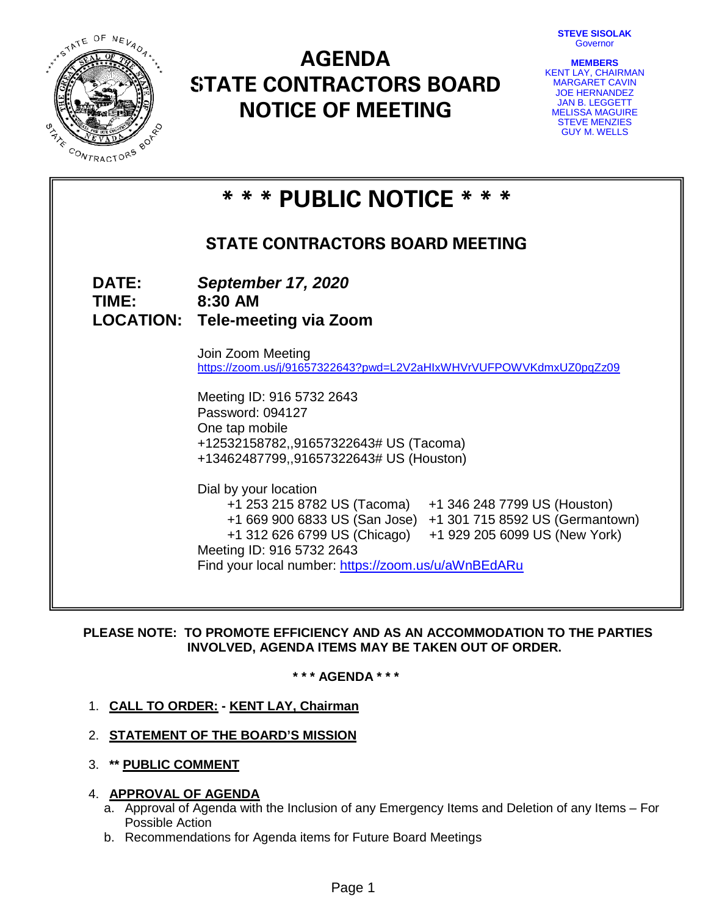**STEVE SISOLAK Governor** 



# **AGENDA STATE CONTRACTORS BOARD NOTICE OF MEETING**

| <b>MEMBERS</b>            |
|---------------------------|
| <b>KENT LAY, CHAIRMAN</b> |
| <b>MARGARET CAVIN</b>     |
| <b>JOE HERNANDEZ</b>      |
| <b>JAN B. LEGGETT</b>     |
| <b>MELISSA MAGUIRE</b>    |
| <b>STEVE MENZIES</b>      |
| <b>GUY M. WELLS</b>       |

|                              | * * * PUBLIC NOTICE * * *                                                                                                                                                                                                                                                                               |  |  |  |  |  |
|------------------------------|---------------------------------------------------------------------------------------------------------------------------------------------------------------------------------------------------------------------------------------------------------------------------------------------------------|--|--|--|--|--|
|                              | <b>STATE CONTRACTORS BOARD MEETING</b>                                                                                                                                                                                                                                                                  |  |  |  |  |  |
| <b>DATE:</b><br><b>TIME:</b> | <b>September 17, 2020</b><br>8:30 AM<br><b>LOCATION: Tele-meeting via Zoom</b>                                                                                                                                                                                                                          |  |  |  |  |  |
|                              | Join Zoom Meeting<br>https://zoom.us/j/91657322643?pwd=L2V2aHlxWHVrVUFPOWVKdmxUZ0pqZz09                                                                                                                                                                                                                 |  |  |  |  |  |
|                              | Meeting ID: 916 5732 2643<br>Password: 094127<br>One tap mobile<br>+12532158782,,91657322643# US (Tacoma)<br>+13462487799,,91657322643# US (Houston)                                                                                                                                                    |  |  |  |  |  |
|                              | Dial by your location<br>+1 253 215 8782 US (Tacoma)<br>+1 346 248 7799 US (Houston)<br>+1 669 900 6833 US (San Jose) +1 301 715 8592 US (Germantown)<br>+1 312 626 6799 US (Chicago) +1 929 205 6099 US (New York)<br>Meeting ID: 916 5732 2643<br>Find your local number: https://zoom.us/u/aWnBEdARu |  |  |  |  |  |

**PLEASE NOTE: TO PROMOTE EFFICIENCY AND AS AN ACCOMMODATION TO THE PARTIES INVOLVED, AGENDA ITEMS MAY BE TAKEN OUT OF ORDER.**

**\* \* \* AGENDA \* \* \***

# 1. **CALL TO ORDER: - KENT LAY, Chairman**

- 2. **STATEMENT OF THE BOARD'S MISSION**
- 3. **\*\* PUBLIC COMMENT**

# 4. **APPROVAL OF AGENDA**

- a. Approval of Agenda with the Inclusion of any Emergency Items and Deletion of any Items For Possible Action
- b. Recommendations for Agenda items for Future Board Meetings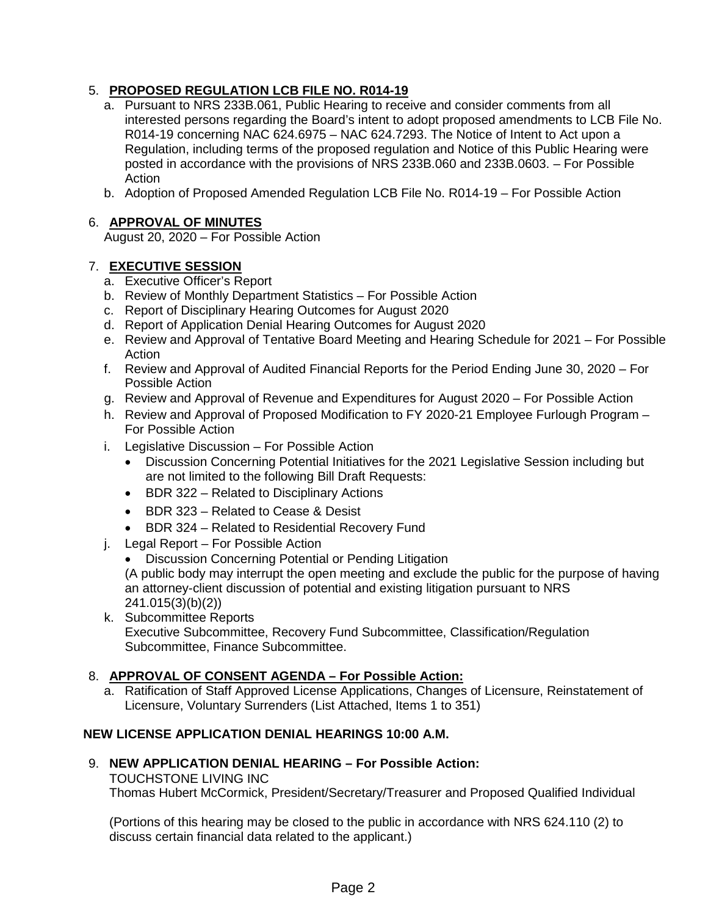# 5. **PROPOSED REGULATION LCB FILE NO. R014-19**

- a. Pursuant to NRS 233B.061, Public Hearing to receive and consider comments from all interested persons regarding the Board's intent to adopt proposed amendments to LCB File No. R014-19 concerning NAC 624.6975 – NAC 624.7293. The Notice of Intent to Act upon a Regulation, including terms of the proposed regulation and Notice of this Public Hearing were posted in accordance with the provisions of NRS 233B.060 and 233B.0603. – For Possible **Action**
- b. Adoption of Proposed Amended Regulation LCB File No. R014-19 For Possible Action

# 6. **APPROVAL OF MINUTES**

August 20, 2020 – For Possible Action

# 7. **EXECUTIVE SESSION**

- a. Executive Officer's Report
- b. Review of Monthly Department Statistics For Possible Action
- c. Report of Disciplinary Hearing Outcomes for August 2020
- d. Report of Application Denial Hearing Outcomes for August 2020
- e. Review and Approval of Tentative Board Meeting and Hearing Schedule for 2021 For Possible Action
- f. Review and Approval of Audited Financial Reports for the Period Ending June 30, 2020 For Possible Action
- g. Review and Approval of Revenue and Expenditures for August 2020 For Possible Action
- h. Review and Approval of Proposed Modification to FY 2020-21 Employee Furlough Program For Possible Action
- i. Legislative Discussion For Possible Action
	- Discussion Concerning Potential Initiatives for the 2021 Legislative Session including but are not limited to the following Bill Draft Requests:
	- BDR 322 Related to Disciplinary Actions
	- BDR 323 Related to Cease & Desist
	- BDR 324 Related to Residential Recovery Fund
- j. Legal Report For Possible Action
	- Discussion Concerning Potential or Pending Litigation (A public body may interrupt the open meeting and exclude the public for the purpose of having an attorney-client discussion of potential and existing litigation pursuant to NRS 241.015(3)(b)(2))
- k. Subcommittee Reports Executive Subcommittee, Recovery Fund Subcommittee, Classification/Regulation Subcommittee, Finance Subcommittee.

# 8. **APPROVAL OF CONSENT AGENDA – For Possible Action:**

a. Ratification of Staff Approved License Applications, Changes of Licensure, Reinstatement of Licensure, Voluntary Surrenders (List Attached, Items 1 to 351)

# **NEW LICENSE APPLICATION DENIAL HEARINGS 10:00 A.M.**

# 9. **NEW APPLICATION DENIAL HEARING – For Possible Action:**

TOUCHSTONE LIVING INC Thomas Hubert McCormick, President/Secretary/Treasurer and Proposed Qualified Individual

(Portions of this hearing may be closed to the public in accordance with NRS 624.110 (2) to discuss certain financial data related to the applicant.)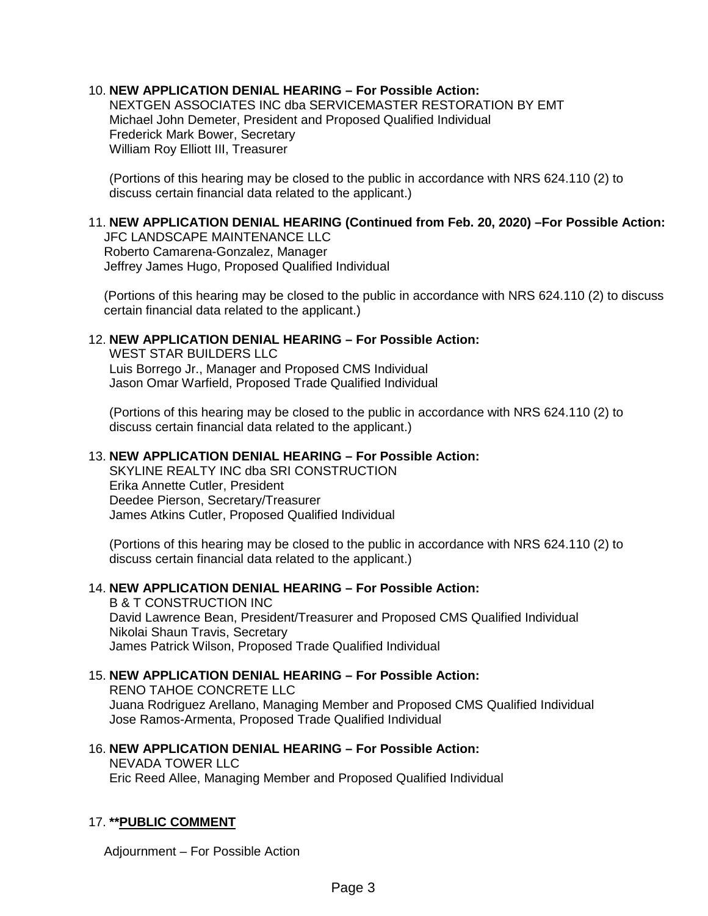# 10. **NEW APPLICATION DENIAL HEARING – For Possible Action:**

NEXTGEN ASSOCIATES INC dba SERVICEMASTER RESTORATION BY EMT Michael John Demeter, President and Proposed Qualified Individual Frederick Mark Bower, Secretary William Roy Elliott III, Treasurer

(Portions of this hearing may be closed to the public in accordance with NRS 624.110 (2) to discuss certain financial data related to the applicant.)

# 11. **NEW APPLICATION DENIAL HEARING (Continued from Feb. 20, 2020) –For Possible Action:**

JFC LANDSCAPE MAINTENANCE LLC Roberto Camarena-Gonzalez, Manager Jeffrey James Hugo, Proposed Qualified Individual

(Portions of this hearing may be closed to the public in accordance with NRS 624.110 (2) to discuss certain financial data related to the applicant.)

## 12. **NEW APPLICATION DENIAL HEARING – For Possible Action:**

WEST STAR BUILDERS LLC Luis Borrego Jr., Manager and Proposed CMS Individual Jason Omar Warfield, Proposed Trade Qualified Individual

(Portions of this hearing may be closed to the public in accordance with NRS 624.110 (2) to discuss certain financial data related to the applicant.)

## 13. **NEW APPLICATION DENIAL HEARING – For Possible Action:**

SKYLINE REALTY INC dba SRI CONSTRUCTION Erika Annette Cutler, President Deedee Pierson, Secretary/Treasurer James Atkins Cutler, Proposed Qualified Individual

(Portions of this hearing may be closed to the public in accordance with NRS 624.110 (2) to discuss certain financial data related to the applicant.)

## 14. **NEW APPLICATION DENIAL HEARING – For Possible Action:**

B & T CONSTRUCTION INC David Lawrence Bean, President/Treasurer and Proposed CMS Qualified Individual Nikolai Shaun Travis, Secretary James Patrick Wilson, Proposed Trade Qualified Individual

## 15. **NEW APPLICATION DENIAL HEARING – For Possible Action:**

RENO TAHOE CONCRETE LLC Juana Rodriguez Arellano, Managing Member and Proposed CMS Qualified Individual Jose Ramos-Armenta, Proposed Trade Qualified Individual

# 16. **NEW APPLICATION DENIAL HEARING – For Possible Action:**

NEVADA TOWER LLC

Eric Reed Allee, Managing Member and Proposed Qualified Individual

# 17. **\*\*PUBLIC COMMENT**

Adjournment – For Possible Action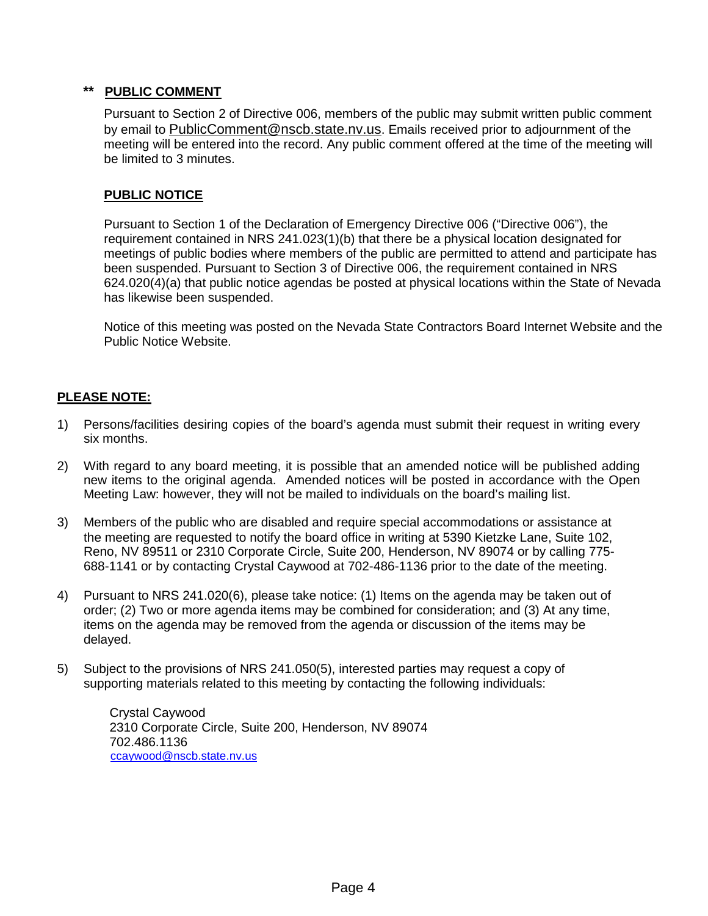# **\*\* PUBLIC COMMENT**

Pursuant to Section 2 of Directive 006, members of the public may submit written public comment by email to [PublicComment@nscb.state.nv.us.](mailto:PublicComment@nscb.state.nv.us) Emails received prior to adjournment of the meeting will be entered into the record. Any public comment offered at the time of the meeting will be limited to 3 minutes.

# **PUBLIC NOTICE**

Pursuant to Section 1 of the Declaration of Emergency Directive 006 ("Directive 006"), the requirement contained in NRS 241.023(1)(b) that there be a physical location designated for meetings of public bodies where members of the public are permitted to attend and participate has been suspended. Pursuant to Section 3 of Directive 006, the requirement contained in NRS 624.020(4)(a) that public notice agendas be posted at physical locations within the State of Nevada has likewise been suspended.

Notice of this meeting was posted on the Nevada State Contractors Board Internet Website and the Public Notice Website.

# **PLEASE NOTE:**

- 1) Persons/facilities desiring copies of the board's agenda must submit their request in writing every six months.
- 2) With regard to any board meeting, it is possible that an amended notice will be published adding new items to the original agenda. Amended notices will be posted in accordance with the Open Meeting Law: however, they will not be mailed to individuals on the board's mailing list.
- 3) Members of the public who are disabled and require special accommodations or assistance at the meeting are requested to notify the board office in writing at 5390 Kietzke Lane, Suite 102, Reno, NV 89511 or 2310 Corporate Circle, Suite 200, Henderson, NV 89074 or by calling 775- 688-1141 or by contacting Crystal Caywood at 702-486-1136 prior to the date of the meeting.
- 4) Pursuant to NRS 241.020(6), please take notice: (1) Items on the agenda may be taken out of order; (2) Two or more agenda items may be combined for consideration; and (3) At any time, items on the agenda may be removed from the agenda or discussion of the items may be delayed.
- 5) Subject to the provisions of NRS 241.050(5), interested parties may request a copy of supporting materials related to this meeting by contacting the following individuals:

Crystal Caywood 2310 Corporate Circle, Suite 200, Henderson, NV 89074 702.486.1136 [ccaywood@nscb.state.nv.us](mailto:ccaywood@nscb.state.nv.us)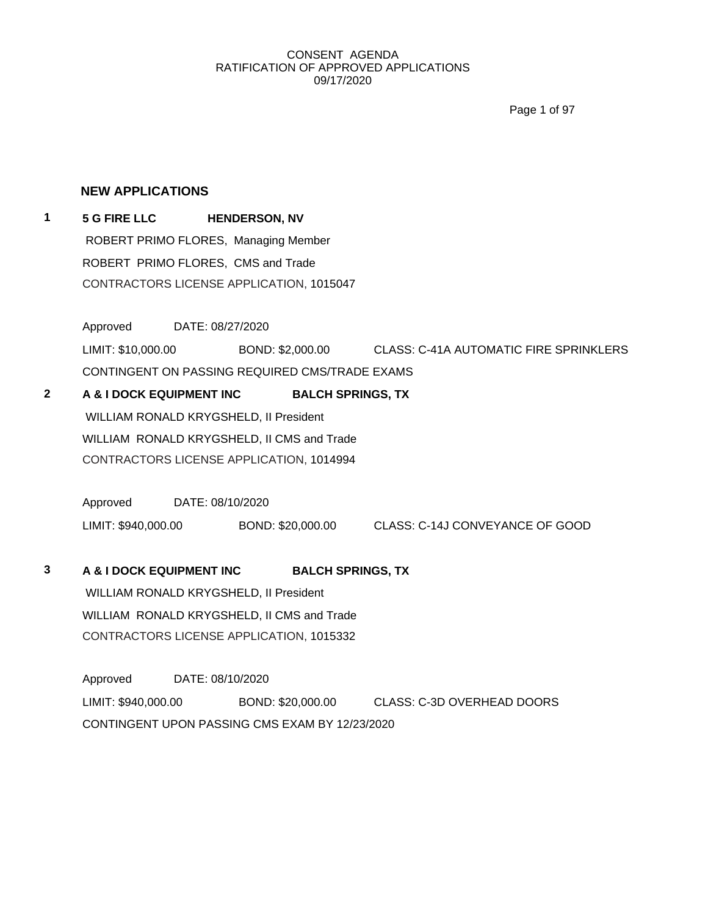Page 1 of 97

## **NEW APPLICATIONS**

**1 5 G FIRE LLC HENDERSON, NV** ROBERT PRIMO FLORES, Managing Member ROBERT PRIMO FLORES, CMS and Trade CONTRACTORS LICENSE APPLICATION, 1015047

Approved DATE: 08/27/2020

LIMIT: \$10,000.00 BOND: \$2,000.00 CLASS: C-41A AUTOMATIC FIRE SPRINKLERS

CONTINGENT ON PASSING REQUIRED CMS/TRADE EXAMS

**2 A & I DOCK EQUIPMENT INC BALCH SPRINGS, TX** WILLIAM RONALD KRYGSHELD, II President WILLIAM RONALD KRYGSHELD, II CMS and Trade CONTRACTORS LICENSE APPLICATION, 1014994

> Approved DATE: 08/10/2020 LIMIT: \$940,000.00 BOND: \$20,000.00 CLASS: C-14J CONVEYANCE OF GOOD

## **3 A & I DOCK EQUIPMENT INC BALCH SPRINGS, TX**

WILLIAM RONALD KRYGSHELD, II President WILLIAM RONALD KRYGSHELD, II CMS and Trade CONTRACTORS LICENSE APPLICATION, 1015332

Approved DATE: 08/10/2020 LIMIT: \$940,000.00 BOND: \$20,000.00 CLASS: C-3D OVERHEAD DOORS CONTINGENT UPON PASSING CMS EXAM BY 12/23/2020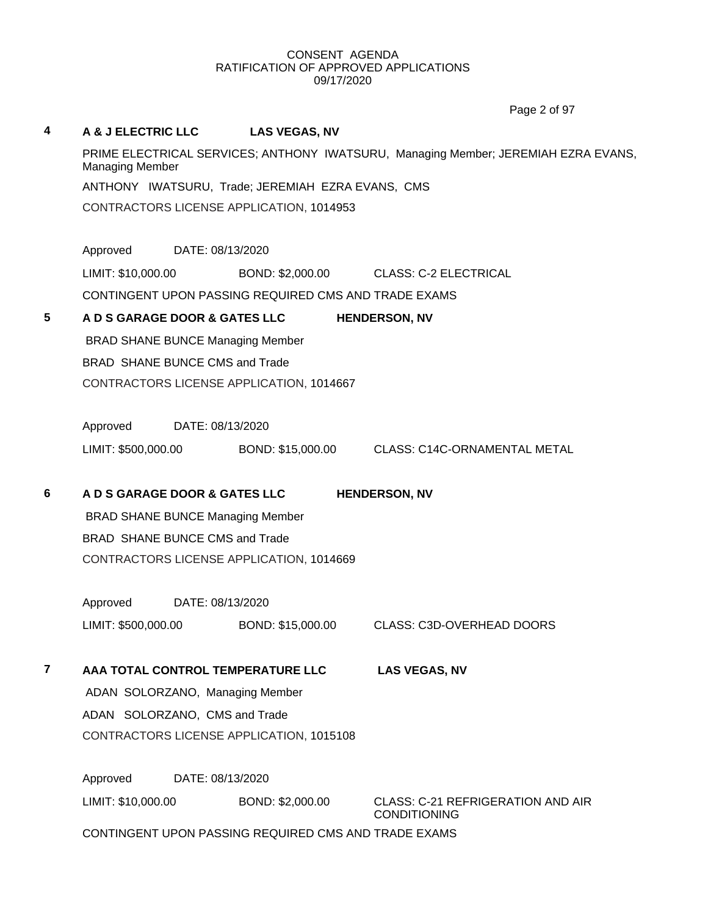# **4 A & J ELECTRIC LLC LAS VEGAS, NV** PRIME ELECTRICAL SERVICES; ANTHONY IWATSURU, Managing Member; JEREMIAH EZRA EVANS, Managing Member ANTHONY IWATSURU, Trade; JEREMIAH EZRA EVANS, CMS CONTRACTORS LICENSE APPLICATION, 1014953 Approved DATE: 08/13/2020 LIMIT: \$10,000.00 BOND: \$2,000.00 CLASS: C-2 ELECTRICAL CONTINGENT UPON PASSING REQUIRED CMS AND TRADE EXAMS **5 A D S GARAGE DOOR & GATES LLC HENDERSON, NV** BRAD SHANE BUNCE Managing Member BRAD SHANE BUNCE CMS and Trade CONTRACTORS LICENSE APPLICATION, 1014667 Approved DATE: 08/13/2020 LIMIT: \$500,000.00 BOND: \$15,000.00 CLASS: C14C-ORNAMENTAL METAL **6 A D S GARAGE DOOR & GATES LLC HENDERSON, NV** BRAD SHANE BUNCE Managing Member BRAD SHANE BUNCE CMS and Trade CONTRACTORS LICENSE APPLICATION, 1014669 Approved DATE: 08/13/2020 LIMIT: \$500,000.00 BOND: \$15,000.00 CLASS: C3D-OVERHEAD DOORS **7 AAA TOTAL CONTROL TEMPERATURE LLC LAS VEGAS, NV** ADAN SOLORZANO, Managing Member ADAN SOLORZANO, CMS and Trade CONTRACTORS LICENSE APPLICATION, 1015108 Approved DATE: 08/13/2020 LIMIT: \$10,000.00 BOND: \$2,000.00 CLASS: C-21 REFRIGERATION AND AIR CONDITIONING Page 2 of 97

CONTINGENT UPON PASSING REQUIRED CMS AND TRADE EXAMS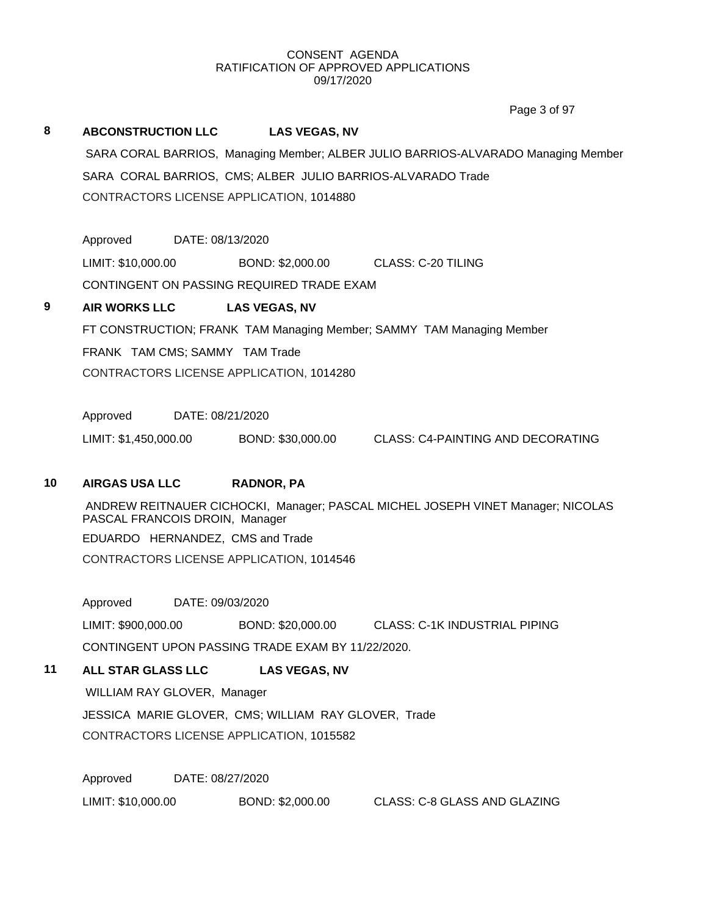Page 3 of 97

# **8 ABCONSTRUCTION LLC LAS VEGAS, NV** SARA CORAL BARRIOS, Managing Member; ALBER JULIO BARRIOS-ALVARADO Managing Member SARA CORAL BARRIOS, CMS; ALBER JULIO BARRIOS-ALVARADO Trade CONTRACTORS LICENSE APPLICATION, 1014880 Approved DATE: 08/13/2020 LIMIT: \$10,000.00 BOND: \$2,000.00 CLASS: C-20 TILING CONTINGENT ON PASSING REQUIRED TRADE EXAM **9 AIR WORKS LLC LAS VEGAS, NV** FT CONSTRUCTION; FRANK TAM Managing Member; SAMMY TAM Managing Member FRANK TAM CMS; SAMMY TAM Trade CONTRACTORS LICENSE APPLICATION, 1014280 Approved DATE: 08/21/2020 LIMIT: \$1,450,000.00 BOND: \$30,000.00 CLASS: C4-PAINTING AND DECORATING **10 AIRGAS USA LLC RADNOR, PA** ANDREW REITNAUER CICHOCKI, Manager; PASCAL MICHEL JOSEPH VINET Manager; NICOLAS PASCAL FRANCOIS DROIN, Manager EDUARDO HERNANDEZ, CMS and Trade CONTRACTORS LICENSE APPLICATION, 1014546 Approved DATE: 09/03/2020 LIMIT: \$900,000.00 BOND: \$20,000.00 CLASS: C-1K INDUSTRIAL PIPING CONTINGENT UPON PASSING TRADE EXAM BY 11/22/2020. **11 ALL STAR GLASS LLC LAS VEGAS, NV**

WILLIAM RAY GLOVER, Manager JESSICA MARIE GLOVER, CMS; WILLIAM RAY GLOVER, Trade CONTRACTORS LICENSE APPLICATION, 1015582

Approved DATE: 08/27/2020 LIMIT: \$10,000.00 BOND: \$2,000.00 CLASS: C-8 GLASS AND GLAZING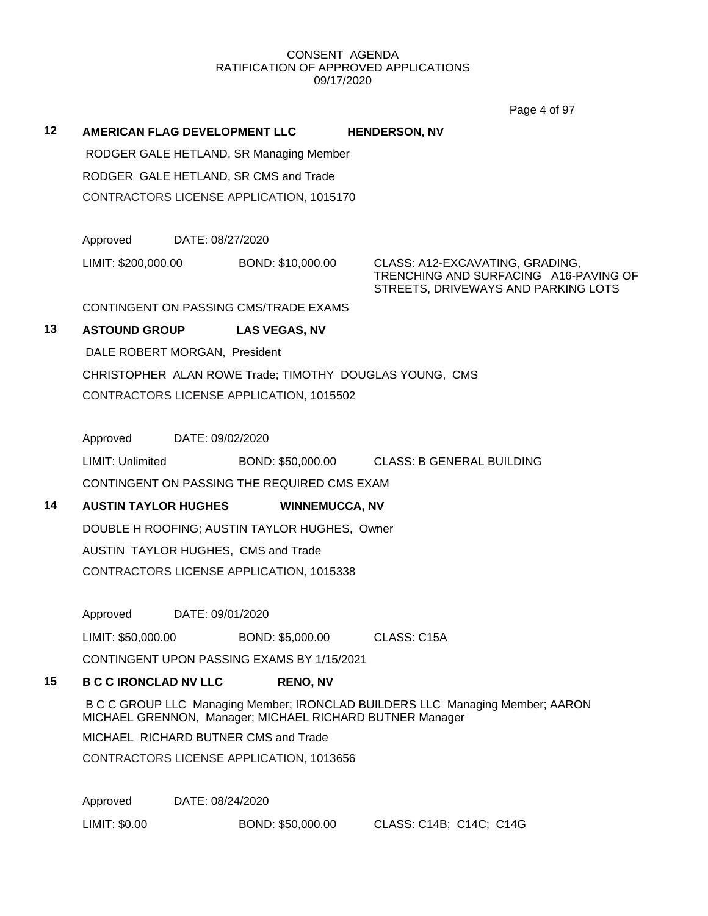$P<sub>0</sub>$ ge 4 of 07

|    |                                      |                  |                                                          | Page 4 of 97                                                                                                    |  |
|----|--------------------------------------|------------------|----------------------------------------------------------|-----------------------------------------------------------------------------------------------------------------|--|
| 12 | <b>AMERICAN FLAG DEVELOPMENT LLC</b> |                  |                                                          | <b>HENDERSON, NV</b>                                                                                            |  |
|    |                                      |                  | RODGER GALE HETLAND, SR Managing Member                  |                                                                                                                 |  |
|    |                                      |                  | RODGER GALE HETLAND, SR CMS and Trade                    |                                                                                                                 |  |
|    |                                      |                  | CONTRACTORS LICENSE APPLICATION, 1015170                 |                                                                                                                 |  |
|    | Approved                             | DATE: 08/27/2020 |                                                          |                                                                                                                 |  |
|    | LIMIT: \$200,000.00                  |                  | BOND: \$10,000.00                                        | CLASS: A12-EXCAVATING, GRADING,<br>TRENCHING AND SURFACING A16-PAVING OF<br>STREETS, DRIVEWAYS AND PARKING LOTS |  |
|    |                                      |                  | CONTINGENT ON PASSING CMS/TRADE EXAMS                    |                                                                                                                 |  |
| 13 | <b>ASTOUND GROUP</b>                 |                  | <b>LAS VEGAS, NV</b>                                     |                                                                                                                 |  |
|    | DALE ROBERT MORGAN, President        |                  |                                                          |                                                                                                                 |  |
|    |                                      |                  |                                                          | CHRISTOPHER ALAN ROWE Trade; TIMOTHY DOUGLAS YOUNG, CMS                                                         |  |
|    |                                      |                  | CONTRACTORS LICENSE APPLICATION, 1015502                 |                                                                                                                 |  |
|    |                                      |                  |                                                          |                                                                                                                 |  |
|    | Approved                             | DATE: 09/02/2020 |                                                          |                                                                                                                 |  |
|    | <b>LIMIT: Unlimited</b>              |                  | BOND: \$50,000.00                                        | <b>CLASS: B GENERAL BUILDING</b>                                                                                |  |
|    |                                      |                  | CONTINGENT ON PASSING THE REQUIRED CMS EXAM              |                                                                                                                 |  |
| 14 | <b>AUSTIN TAYLOR HUGHES</b>          |                  | <b>WINNEMUCCA, NV</b>                                    |                                                                                                                 |  |
|    |                                      |                  | DOUBLE H ROOFING; AUSTIN TAYLOR HUGHES, Owner            |                                                                                                                 |  |
|    |                                      |                  | AUSTIN TAYLOR HUGHES, CMS and Trade                      |                                                                                                                 |  |
|    |                                      |                  | CONTRACTORS LICENSE APPLICATION, 1015338                 |                                                                                                                 |  |
|    |                                      |                  |                                                          |                                                                                                                 |  |
|    | Approved                             | DATE: 09/01/2020 |                                                          |                                                                                                                 |  |
|    | LIMIT: \$50,000.00                   |                  | BOND: \$5,000.00                                         | CLASS: C15A                                                                                                     |  |
|    |                                      |                  | CONTINGENT UPON PASSING EXAMS BY 1/15/2021               |                                                                                                                 |  |
| 15 | <b>B C C IRONCLAD NV LLC</b>         |                  | <b>RENO, NV</b>                                          |                                                                                                                 |  |
|    |                                      |                  | MICHAEL GRENNON, Manager; MICHAEL RICHARD BUTNER Manager | B C C GROUP LLC Managing Member; IRONCLAD BUILDERS LLC Managing Member; AARON                                   |  |
|    |                                      |                  | MICHAEL RICHARD BUTNER CMS and Trade                     |                                                                                                                 |  |
|    |                                      |                  | CONTRACTORS LICENSE APPLICATION, 1013656                 |                                                                                                                 |  |
|    |                                      |                  |                                                          |                                                                                                                 |  |
|    | Approved                             | DATE: 08/24/2020 |                                                          |                                                                                                                 |  |
|    | LIMIT: \$0.00                        |                  | BOND: \$50,000.00                                        | CLASS: C14B; C14C; C14G                                                                                         |  |
|    |                                      |                  |                                                          |                                                                                                                 |  |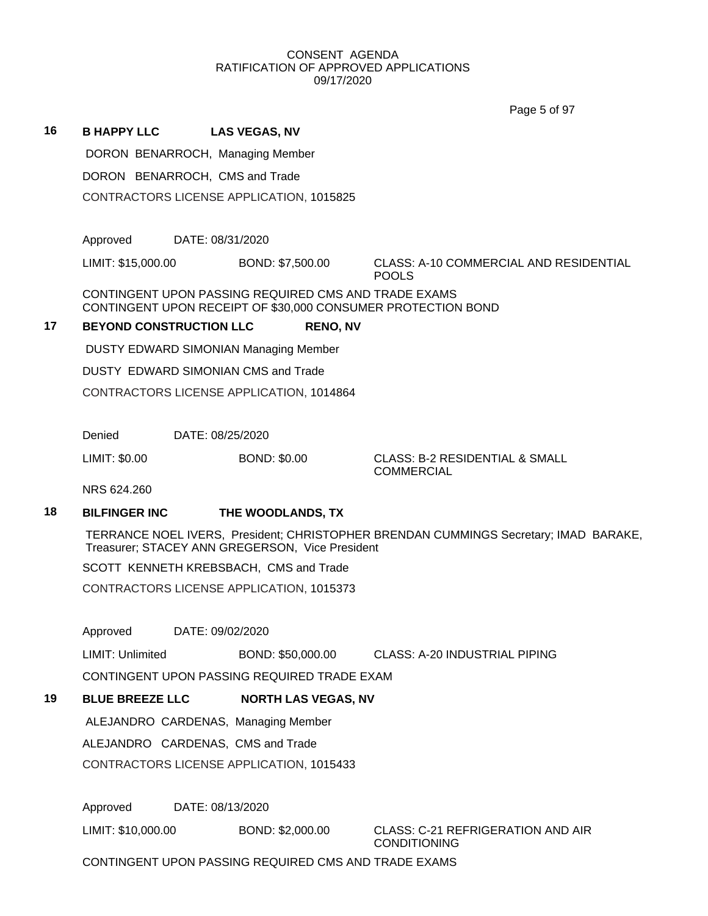$P_{0}$ ge  $F_{0}$ f 07

|    |                                   |                                                                                                                      | Page 5 of 97                                                                         |
|----|-----------------------------------|----------------------------------------------------------------------------------------------------------------------|--------------------------------------------------------------------------------------|
| 16 | <b>B HAPPY LLC</b>                | <b>LAS VEGAS, NV</b>                                                                                                 |                                                                                      |
|    | DORON BENARROCH, Managing Member  |                                                                                                                      |                                                                                      |
|    | DORON BENARROCH, CMS and Trade    |                                                                                                                      |                                                                                      |
|    |                                   | CONTRACTORS LICENSE APPLICATION, 1015825                                                                             |                                                                                      |
|    |                                   |                                                                                                                      |                                                                                      |
|    | Approved                          | DATE: 08/31/2020                                                                                                     |                                                                                      |
|    | LIMIT: \$15,000.00                | BOND: \$7,500.00                                                                                                     | <b>CLASS: A-10 COMMERCIAL AND RESIDENTIAL</b><br><b>POOLS</b>                        |
|    |                                   | CONTINGENT UPON PASSING REQUIRED CMS AND TRADE EXAMS<br>CONTINGENT UPON RECEIPT OF \$30,000 CONSUMER PROTECTION BOND |                                                                                      |
| 17 | <b>BEYOND CONSTRUCTION LLC</b>    | <b>RENO, NV</b>                                                                                                      |                                                                                      |
|    |                                   | <b>DUSTY EDWARD SIMONIAN Managing Member</b>                                                                         |                                                                                      |
|    |                                   | DUSTY EDWARD SIMONIAN CMS and Trade                                                                                  |                                                                                      |
|    |                                   | CONTRACTORS LICENSE APPLICATION, 1014864                                                                             |                                                                                      |
|    |                                   |                                                                                                                      |                                                                                      |
|    | Denied                            | DATE: 08/25/2020                                                                                                     |                                                                                      |
|    | LIMIT: \$0.00                     | <b>BOND: \$0.00</b>                                                                                                  | <b>CLASS: B-2 RESIDENTIAL &amp; SMALL</b><br><b>COMMERCIAL</b>                       |
|    | NRS 624.260                       |                                                                                                                      |                                                                                      |
| 18 | <b>BILFINGER INC</b>              | THE WOODLANDS, TX                                                                                                    |                                                                                      |
|    |                                   | Treasurer; STACEY ANN GREGERSON, Vice President                                                                      | TERRANCE NOEL IVERS, President; CHRISTOPHER BRENDAN CUMMINGS Secretary; IMAD BARAKE, |
|    |                                   | SCOTT KENNETH KREBSBACH, CMS and Trade                                                                               |                                                                                      |
|    |                                   | CONTRACTORS LICENSE APPLICATION, 1015373                                                                             |                                                                                      |
|    |                                   |                                                                                                                      |                                                                                      |
|    | Approved                          | DATE: 09/02/2020                                                                                                     |                                                                                      |
|    | LIMIT: Unlimited                  | BOND: \$50,000.00                                                                                                    | <b>CLASS: A-20 INDUSTRIAL PIPING</b>                                                 |
|    |                                   | CONTINGENT UPON PASSING REQUIRED TRADE EXAM                                                                          |                                                                                      |
| 19 | <b>BLUE BREEZE LLC</b>            | <b>NORTH LAS VEGAS, NV</b>                                                                                           |                                                                                      |
|    |                                   | ALEJANDRO CARDENAS, Managing Member                                                                                  |                                                                                      |
|    | ALEJANDRO CARDENAS, CMS and Trade |                                                                                                                      |                                                                                      |
|    |                                   | CONTRACTORS LICENSE APPLICATION, 1015433                                                                             |                                                                                      |
|    | Approved                          | DATE: 08/13/2020                                                                                                     |                                                                                      |
|    | LIMIT: \$10,000.00                | BOND: \$2,000.00                                                                                                     | <b>CLASS: C-21 REFRIGERATION AND AIR</b><br><b>CONDITIONING</b>                      |
|    |                                   | CONTINGENT UPON PASSING REQUIRED CMS AND TRADE EXAMS                                                                 |                                                                                      |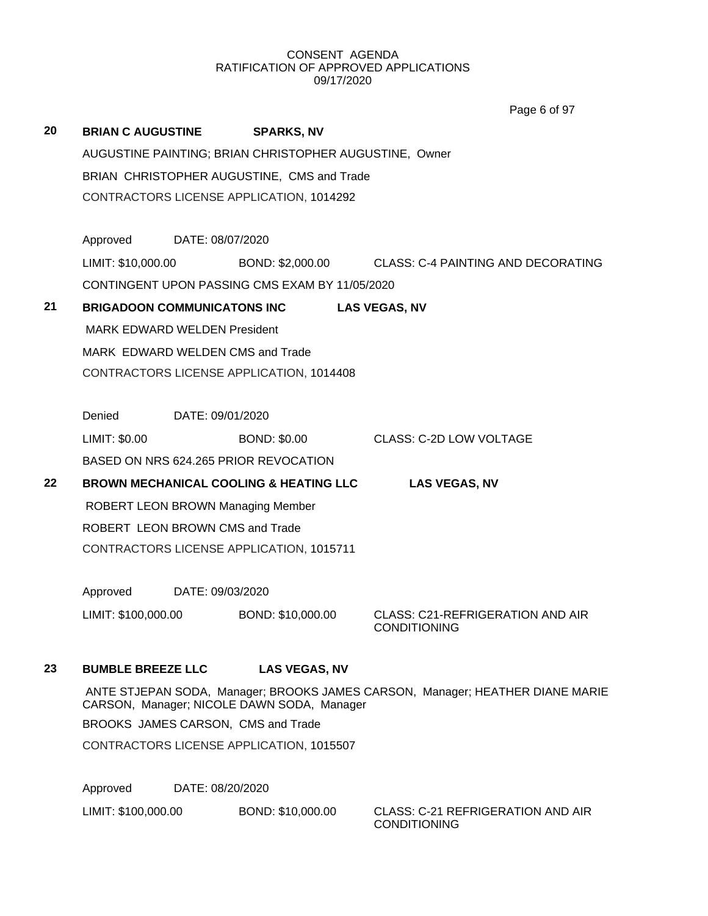|    |                                     |                  |                                                        | Page 6 of 97                                                                  |
|----|-------------------------------------|------------------|--------------------------------------------------------|-------------------------------------------------------------------------------|
| 20 | <b>BRIAN C AUGUSTINE</b>            |                  | <b>SPARKS, NV</b>                                      |                                                                               |
|    |                                     |                  | AUGUSTINE PAINTING; BRIAN CHRISTOPHER AUGUSTINE, Owner |                                                                               |
|    |                                     |                  | BRIAN CHRISTOPHER AUGUSTINE, CMS and Trade             |                                                                               |
|    |                                     |                  | CONTRACTORS LICENSE APPLICATION, 1014292               |                                                                               |
|    |                                     |                  |                                                        |                                                                               |
|    | Approved DATE: 08/07/2020           |                  |                                                        |                                                                               |
|    | LIMIT: \$10,000.00                  |                  |                                                        | BOND: \$2,000.00 CLASS: C-4 PAINTING AND DECORATING                           |
|    |                                     |                  | CONTINGENT UPON PASSING CMS EXAM BY 11/05/2020         |                                                                               |
| 21 |                                     |                  | BRIGADOON COMMUNICATONS INC                            | <b>LAS VEGAS, NV</b>                                                          |
|    | <b>MARK EDWARD WELDEN President</b> |                  |                                                        |                                                                               |
|    |                                     |                  | MARK EDWARD WELDEN CMS and Trade                       |                                                                               |
|    |                                     |                  | CONTRACTORS LICENSE APPLICATION, 1014408               |                                                                               |
|    |                                     |                  |                                                        |                                                                               |
|    | Denied                              | DATE: 09/01/2020 |                                                        |                                                                               |
|    | LIMIT: \$0.00                       |                  | <b>BOND: \$0.00</b>                                    | <b>CLASS: C-2D LOW VOLTAGE</b>                                                |
|    |                                     |                  | BASED ON NRS 624.265 PRIOR REVOCATION                  |                                                                               |
| 22 |                                     |                  | <b>BROWN MECHANICAL COOLING &amp; HEATING LLC</b>      | <b>LAS VEGAS, NV</b>                                                          |
|    |                                     |                  | <b>ROBERT LEON BROWN Managing Member</b>               |                                                                               |
|    | ROBERT LEON BROWN CMS and Trade     |                  |                                                        |                                                                               |
|    |                                     |                  | CONTRACTORS LICENSE APPLICATION, 1015711               |                                                                               |
|    |                                     |                  |                                                        |                                                                               |
|    | Approved DATE: 09/03/2020           |                  |                                                        |                                                                               |
|    | LIMIT: \$100,000.00                 |                  | BOND: \$10,000.00                                      | <b>CLASS: C21-REFRIGERATION AND AIR</b><br><b>CONDITIONING</b>                |
|    |                                     |                  |                                                        |                                                                               |
| 23 | <b>BUMBLE BREEZE LLC</b>            |                  | <b>LAS VEGAS, NV</b>                                   |                                                                               |
|    |                                     |                  | CARSON, Manager; NICOLE DAWN SODA, Manager             | ANTE STJEPAN SODA, Manager; BROOKS JAMES CARSON, Manager; HEATHER DIANE MARIE |
|    |                                     |                  | BROOKS JAMES CARSON, CMS and Trade                     |                                                                               |
|    |                                     |                  | CONTRACTORS LICENSE APPLICATION, 1015507               |                                                                               |
|    |                                     |                  |                                                        |                                                                               |
|    | Approved                            | DATE: 08/20/2020 |                                                        |                                                                               |

LIMIT: \$100,000.00 BOND: \$10,000.00 CLASS: C-21 REFRIGERATION AND AIR

CONDITIONING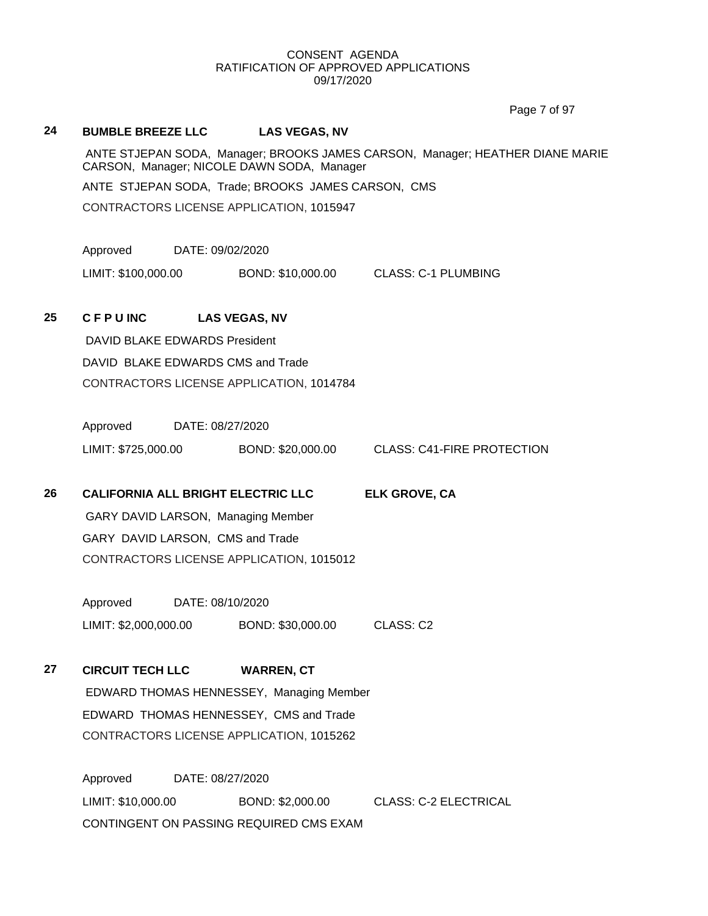# **24 BUMBLE BREEZE LLC LAS VEGAS, NV** ANTE STJEPAN SODA, Manager; BROOKS JAMES CARSON, Manager; HEATHER DIANE MARIE CARSON, Manager; NICOLE DAWN SODA, Manager ANTE STJEPAN SODA, Trade; BROOKS JAMES CARSON, CMS CONTRACTORS LICENSE APPLICATION, 1015947 Approved DATE: 09/02/2020 LIMIT: \$100,000.00 BOND: \$10,000.00 CLASS: C-1 PLUMBING **25 C F P U INC LAS VEGAS, NV** DAVID BLAKE EDWARDS President DAVID BLAKE EDWARDS CMS and Trade CONTRACTORS LICENSE APPLICATION, 1014784 Approved DATE: 08/27/2020 LIMIT: \$725,000.00 BOND: \$20,000.00 CLASS: C41-FIRE PROTECTION **26 CALIFORNIA ALL BRIGHT ELECTRIC LLC ELK GROVE, CA** GARY DAVID LARSON, Managing Member GARY DAVID LARSON, CMS and Trade CONTRACTORS LICENSE APPLICATION, 1015012 Approved DATE: 08/10/2020 LIMIT: \$2,000,000.00 BOND: \$30,000.00 CLASS: C2 **27 CIRCUIT TECH LLC WARREN, CT** EDWARD THOMAS HENNESSEY, Managing Member EDWARD THOMAS HENNESSEY, CMS and Trade CONTRACTORS LICENSE APPLICATION, 1015262 Approved DATE: 08/27/2020 LIMIT: \$10,000.00 BOND: \$2,000.00 CLASS: C-2 ELECTRICAL CONTINGENT ON PASSING REQUIRED CMS EXAM Page 7 of 97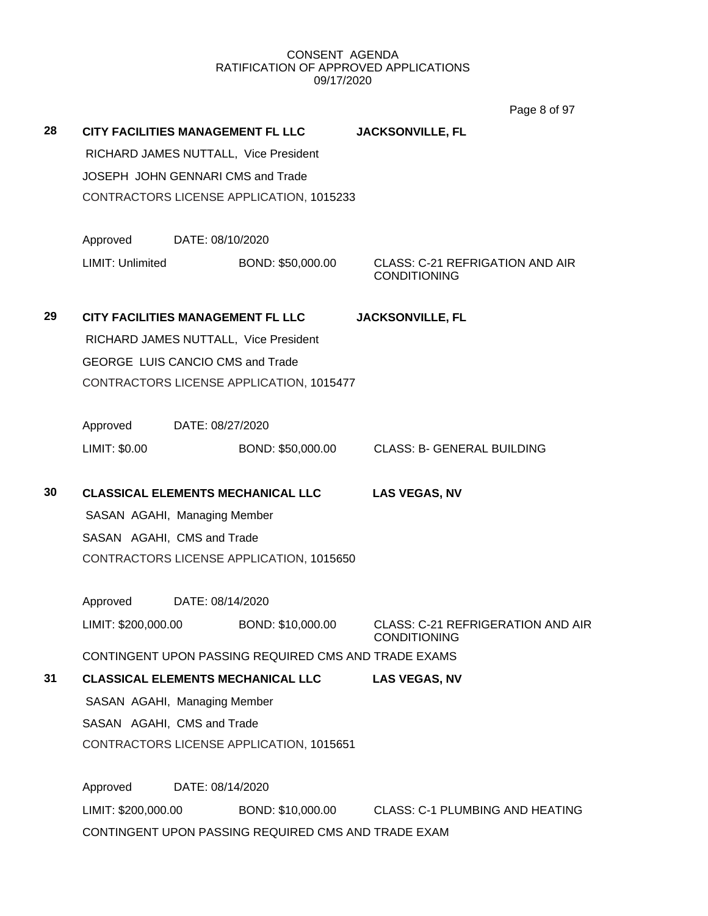Page 8 of 97

| 28 | CITY FACILITIES MANAGEMENT FL LLC        |                  |                                                      | <b>JACKSONVILLE, FL</b>                                       |  |  |  |
|----|------------------------------------------|------------------|------------------------------------------------------|---------------------------------------------------------------|--|--|--|
|    |                                          |                  | RICHARD JAMES NUTTALL, Vice President                |                                                               |  |  |  |
|    | JOSEPH JOHN GENNARI CMS and Trade        |                  |                                                      |                                                               |  |  |  |
|    | CONTRACTORS LICENSE APPLICATION, 1015233 |                  |                                                      |                                                               |  |  |  |
|    | Approved                                 | DATE: 08/10/2020 |                                                      |                                                               |  |  |  |
|    | LIMIT: Unlimited                         |                  | BOND: \$50,000.00                                    | <b>CLASS: C-21 REFRIGATION AND AIR</b><br><b>CONDITIONING</b> |  |  |  |
| 29 | CITY FACILITIES MANAGEMENT FL LLC        |                  |                                                      | <b>JACKSONVILLE, FL</b>                                       |  |  |  |
|    |                                          |                  | RICHARD JAMES NUTTALL, Vice President                |                                                               |  |  |  |
|    | <b>GEORGE LUIS CANCIO CMS and Trade</b>  |                  |                                                      |                                                               |  |  |  |
|    |                                          |                  | CONTRACTORS LICENSE APPLICATION, 1015477             |                                                               |  |  |  |
|    | Approved<br>DATE: 08/27/2020             |                  |                                                      |                                                               |  |  |  |
|    | LIMIT: \$0.00                            |                  | BOND: \$50,000.00                                    | <b>CLASS: B- GENERAL BUILDING</b>                             |  |  |  |
| 30 |                                          |                  | <b>CLASSICAL ELEMENTS MECHANICAL LLC</b>             | <b>LAS VEGAS, NV</b>                                          |  |  |  |
|    | SASAN AGAHI, Managing Member             |                  |                                                      |                                                               |  |  |  |
|    | SASAN AGAHI, CMS and Trade               |                  |                                                      |                                                               |  |  |  |
|    |                                          |                  | CONTRACTORS LICENSE APPLICATION, 1015650             |                                                               |  |  |  |
|    | Approved                                 | DATE: 08/14/2020 |                                                      |                                                               |  |  |  |
|    | LIMIT: \$200,000.00                      |                  | BOND: \$10,000.00                                    | CLASS: C-21 REFRIGERATION AND AIR<br><b>CONDITIONING</b>      |  |  |  |
|    |                                          |                  | CONTINGENT UPON PASSING REQUIRED CMS AND TRADE EXAMS |                                                               |  |  |  |
| 31 |                                          |                  | <b>CLASSICAL ELEMENTS MECHANICAL LLC</b>             | <b>LAS VEGAS, NV</b>                                          |  |  |  |
|    | SASAN AGAHI, Managing Member             |                  |                                                      |                                                               |  |  |  |
|    | SASAN AGAHI, CMS and Trade               |                  |                                                      |                                                               |  |  |  |
|    | CONTRACTORS LICENSE APPLICATION, 1015651 |                  |                                                      |                                                               |  |  |  |
|    | Approved                                 | DATE: 08/14/2020 |                                                      |                                                               |  |  |  |
|    | LIMIT: \$200,000.00                      |                  | BOND: \$10,000.00                                    | <b>CLASS: C-1 PLUMBING AND HEATING</b>                        |  |  |  |
|    |                                          |                  | CONTINGENT UPON PASSING REQUIRED CMS AND TRADE EXAM  |                                                               |  |  |  |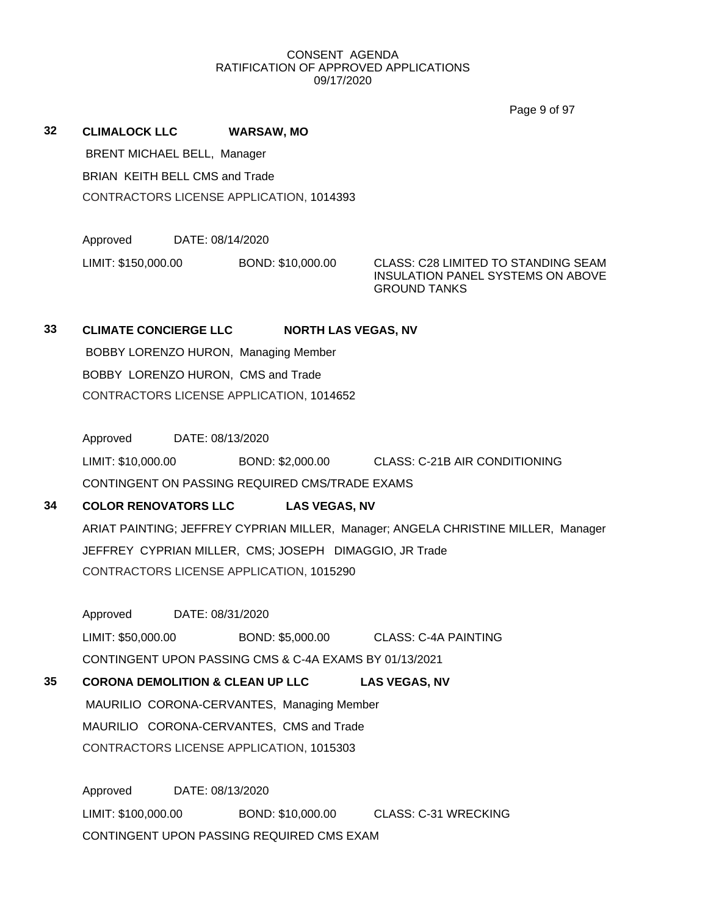Page 9 of 97

| 32 | <b>CLIMALOCK LLC</b>               | WARSAW, MO                                      |
|----|------------------------------------|-------------------------------------------------|
|    | <b>BRENT MICHAEL BELL, Manager</b> |                                                 |
|    | BRIAN KEITH BELL CMS and Trade     |                                                 |
|    |                                    | <b>CONTRACTORS LICENSE APPLICATION, 1014393</b> |
|    |                                    |                                                 |

Approved DATE: 08/14/2020

LIMIT: \$150,000.00 BOND: \$10,000.00 CLASS: C28 LIMITED TO STANDING SEAM

INSULATION PANEL SYSTEMS ON ABOVE GROUND TANKS

# **33 CLIMATE CONCIERGE LLC NORTH LAS VEGAS, NV**

BOBBY LORENZO HURON, Managing Member BOBBY LORENZO HURON, CMS and Trade CONTRACTORS LICENSE APPLICATION, 1014652

Approved DATE: 08/13/2020

LIMIT: \$10,000.00 BOND: \$2,000.00 CLASS: C-21B AIR CONDITIONING

CONTINGENT ON PASSING REQUIRED CMS/TRADE EXAMS

# **34 COLOR RENOVATORS LLC LAS VEGAS, NV**

ARIAT PAINTING; JEFFREY CYPRIAN MILLER, Manager; ANGELA CHRISTINE MILLER, Manager JEFFREY CYPRIAN MILLER, CMS; JOSEPH DIMAGGIO, JR Trade CONTRACTORS LICENSE APPLICATION, 1015290

Approved DATE: 08/31/2020

LIMIT: \$50,000.00 BOND: \$5,000.00 CLASS: C-4A PAINTING CONTINGENT UPON PASSING CMS & C-4A EXAMS BY 01/13/2021

# **35 CORONA DEMOLITION & CLEAN UP LLC LAS VEGAS, NV** MAURILIO CORONA-CERVANTES, Managing Member MAURILIO CORONA-CERVANTES, CMS and Trade CONTRACTORS LICENSE APPLICATION, 1015303

Approved DATE: 08/13/2020 LIMIT: \$100,000.00 BOND: \$10,000.00 CLASS: C-31 WRECKING CONTINGENT UPON PASSING REQUIRED CMS EXAM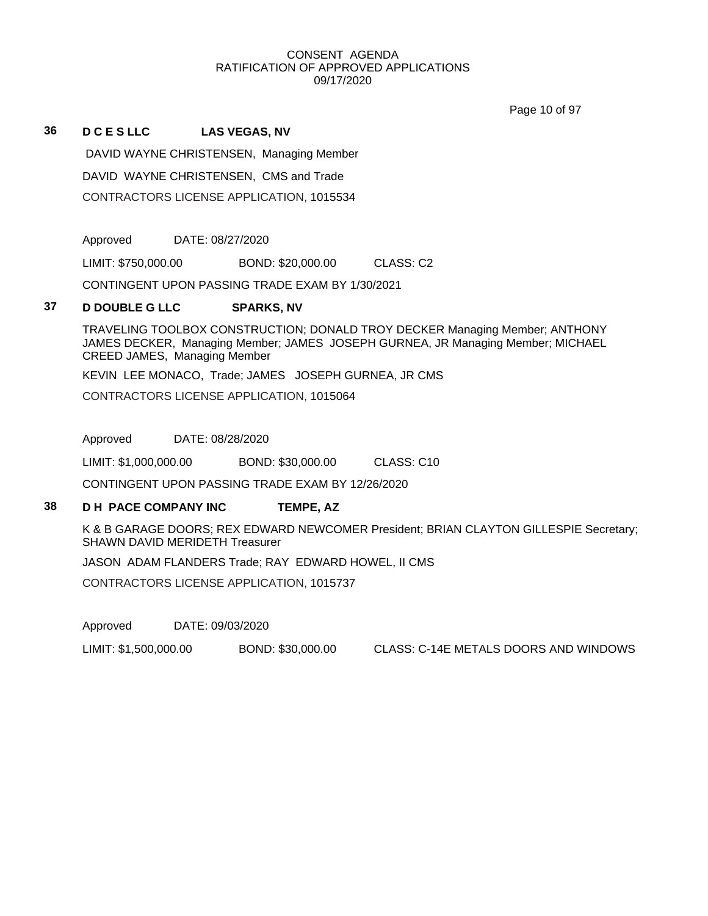Page 10 of 97

### **36 D C E S LLC LAS VEGAS, NV**

DAVID WAYNE CHRISTENSEN, Managing Member DAVID WAYNE CHRISTENSEN, CMS and Trade CONTRACTORS LICENSE APPLICATION, 1015534

Approved DATE: 08/27/2020

LIMIT: \$750,000.00 BOND: \$20,000.00 CLASS: C2

CONTINGENT UPON PASSING TRADE EXAM BY 1/30/2021

## **37 D DOUBLE G LLC SPARKS, NV**

TRAVELING TOOLBOX CONSTRUCTION; DONALD TROY DECKER Managing Member; ANTHONY JAMES DECKER, Managing Member; JAMES JOSEPH GURNEA, JR Managing Member; MICHAEL CREED JAMES, Managing Member

KEVIN LEE MONACO, Trade; JAMES JOSEPH GURNEA, JR CMS

CONTRACTORS LICENSE APPLICATION, 1015064

Approved DATE: 08/28/2020

LIMIT: \$1,000,000.00 BOND: \$30,000.00 CLASS: C10

CONTINGENT UPON PASSING TRADE EXAM BY 12/26/2020

## **38 D H PACE COMPANY INC TEMPE, AZ**

K & B GARAGE DOORS; REX EDWARD NEWCOMER President; BRIAN CLAYTON GILLESPIE Secretary; SHAWN DAVID MERIDETH Treasurer

JASON ADAM FLANDERS Trade; RAY EDWARD HOWEL, II CMS

CONTRACTORS LICENSE APPLICATION, 1015737

Approved DATE: 09/03/2020

LIMIT: \$1,500,000.00 BOND: \$30,000.00 CLASS: C-14E METALS DOORS AND WINDOWS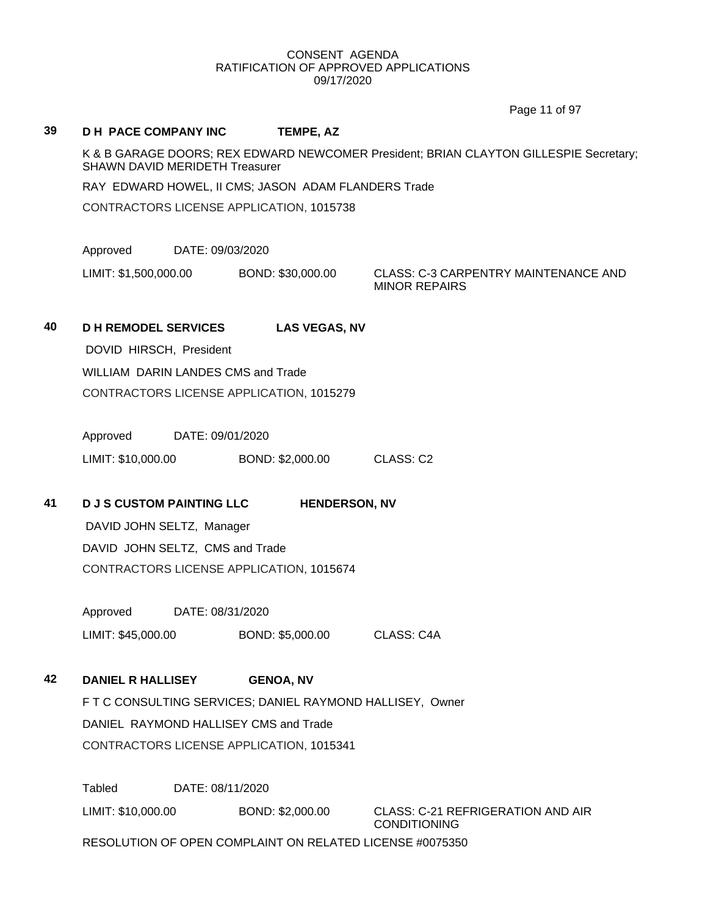Page 11 of 97

# **39 D H PACE COMPANY INC TEMPE, AZ** K & B GARAGE DOORS; REX EDWARD NEWCOMER President; BRIAN CLAYTON GILLESPIE Secretary; SHAWN DAVID MERIDETH Treasurer RAY EDWARD HOWEL, II CMS; JASON ADAM FLANDERS Trade CONTRACTORS LICENSE APPLICATION, 1015738 Approved DATE: 09/03/2020 LIMIT: \$1,500,000.00 BOND: \$30,000.00 CLASS: C-3 CARPENTRY MAINTENANCE AND MINOR REPAIRS **40 D H REMODEL SERVICES LAS VEGAS, NV** DOVID HIRSCH, President WILLIAM DARIN LANDES CMS and Trade CONTRACTORS LICENSE APPLICATION, 1015279 Approved DATE: 09/01/2020 LIMIT: \$10,000.00 BOND: \$2,000.00 CLASS: C2 **41 D J S CUSTOM PAINTING LLC HENDERSON, NV** DAVID JOHN SELTZ, Manager DAVID JOHN SELTZ, CMS and Trade CONTRACTORS LICENSE APPLICATION, 1015674 Approved DATE: 08/31/2020 LIMIT: \$45,000.00 BOND: \$5,000.00 CLASS: C4A **42 DANIEL R HALLISEY GENOA, NV** F T C CONSULTING SERVICES; DANIEL RAYMOND HALLISEY, Owner DANIEL RAYMOND HALLISEY CMS and Trade CONTRACTORS LICENSE APPLICATION, 1015341 Tabled DATE: 08/11/2020 LIMIT: \$10,000.00 BOND: \$2,000.00 CLASS: C-21 REFRIGERATION AND AIR CONDITIONING RESOLUTION OF OPEN COMPLAINT ON RELATED LICENSE #0075350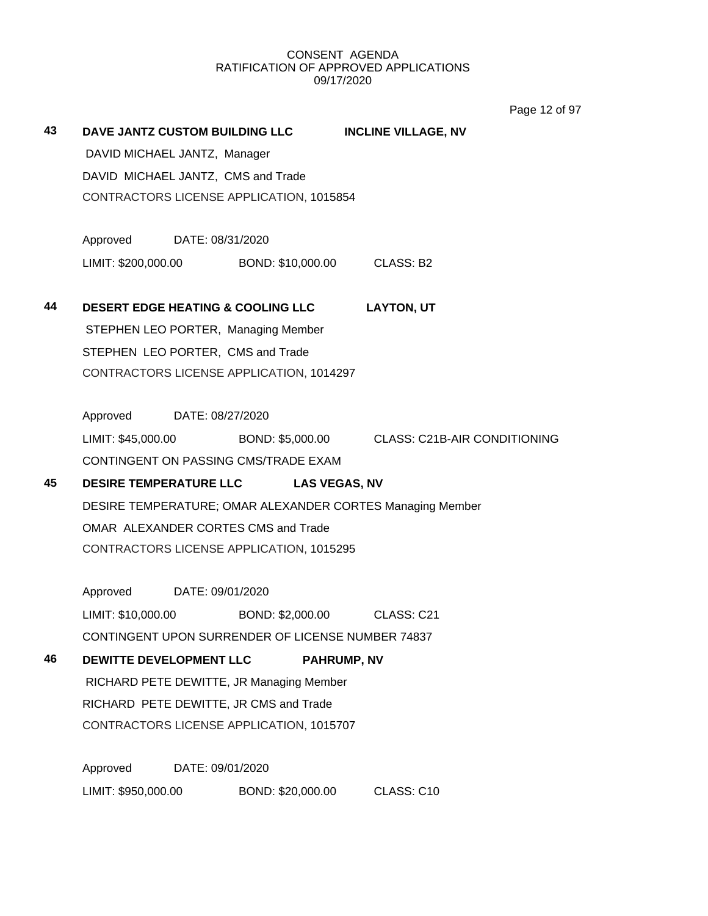Page 12 of 97

| 43 |                                    |                  | DAVE JANTZ CUSTOM BUILDING LLC                    | <b>INCLINE VILLAGE, NV</b>                                       |
|----|------------------------------------|------------------|---------------------------------------------------|------------------------------------------------------------------|
|    | DAVID MICHAEL JANTZ, Manager       |                  |                                                   |                                                                  |
|    | DAVID MICHAEL JANTZ, CMS and Trade |                  |                                                   |                                                                  |
|    |                                    |                  | CONTRACTORS LICENSE APPLICATION, 1015854          |                                                                  |
|    | Approved DATE: 08/31/2020          |                  |                                                   |                                                                  |
|    |                                    |                  | LIMIT: \$200,000.00 BOND: \$10,000.00 CLASS: B2   |                                                                  |
| 44 |                                    |                  | DESERT EDGE HEATING & COOLING LLC LAYTON, UT      |                                                                  |
|    |                                    |                  | STEPHEN LEO PORTER, Managing Member               |                                                                  |
|    | STEPHEN LEO PORTER, CMS and Trade  |                  |                                                   |                                                                  |
|    |                                    |                  | CONTRACTORS LICENSE APPLICATION, 1014297          |                                                                  |
|    | Approved DATE: 08/27/2020          |                  |                                                   |                                                                  |
|    |                                    |                  |                                                   | LIMIT: \$45,000.00 BOND: \$5,000.00 CLASS: C21B-AIR CONDITIONING |
|    |                                    |                  | CONTINGENT ON PASSING CMS/TRADE EXAM              |                                                                  |
| 45 | <b>DESIRE TEMPERATURE LLC</b>      |                  | <b>LAS VEGAS, NV</b>                              |                                                                  |
|    |                                    |                  |                                                   | DESIRE TEMPERATURE; OMAR ALEXANDER CORTES Managing Member        |
|    |                                    |                  | OMAR ALEXANDER CORTES CMS and Trade               |                                                                  |
|    |                                    |                  | CONTRACTORS LICENSE APPLICATION, 1015295          |                                                                  |
|    |                                    |                  |                                                   |                                                                  |
|    | Approved DATE: 09/01/2020          |                  |                                                   |                                                                  |
|    | LIMIT: \$10,000.00                 |                  | BOND: \$2,000.00 CLASS: C21                       |                                                                  |
|    |                                    |                  | CONTINGENT UPON SURRENDER OF LICENSE NUMBER 74837 |                                                                  |
| 46 | DEWITTE DEVELOPMENT LLC            |                  |                                                   | <b>PAHRUMP, NV</b>                                               |
|    |                                    |                  | RICHARD PETE DEWITTE, JR Managing Member          |                                                                  |
|    |                                    |                  | RICHARD PETE DEWITTE, JR CMS and Trade            |                                                                  |
|    |                                    |                  | CONTRACTORS LICENSE APPLICATION, 1015707          |                                                                  |
|    | Approved                           | DATE: 09/01/2020 |                                                   |                                                                  |
|    | LIMIT: \$950,000.00                |                  | BOND: \$20,000.00                                 | CLASS: C10                                                       |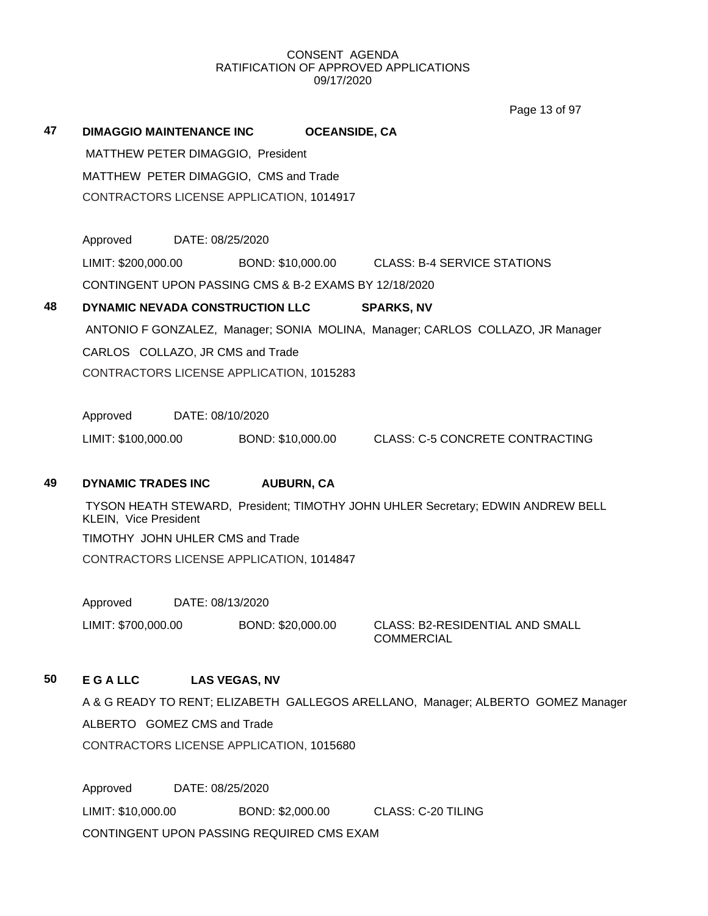Page 13 of 97

| 47 | <b>DIMAGGIO MAINTENANCE INC</b>                       | <b>OCEANSIDE, CA</b> |                                                                                 |
|----|-------------------------------------------------------|----------------------|---------------------------------------------------------------------------------|
|    | MATTHEW PETER DIMAGGIO, President                     |                      |                                                                                 |
|    | MATTHEW PETER DIMAGGIO, CMS and Trade                 |                      |                                                                                 |
|    | CONTRACTORS LICENSE APPLICATION, 1014917              |                      |                                                                                 |
|    |                                                       |                      |                                                                                 |
|    | Approved<br>DATE: 08/25/2020                          |                      |                                                                                 |
|    | LIMIT: \$200,000.00                                   |                      | BOND: \$10,000.00 CLASS: B-4 SERVICE STATIONS                                   |
|    | CONTINGENT UPON PASSING CMS & B-2 EXAMS BY 12/18/2020 |                      |                                                                                 |
| 48 | DYNAMIC NEVADA CONSTRUCTION LLC                       |                      | <b>SPARKS, NV</b>                                                               |
|    |                                                       |                      | ANTONIO F GONZALEZ, Manager; SONIA MOLINA, Manager; CARLOS COLLAZO, JR Manager  |
|    | CARLOS COLLAZO, JR CMS and Trade                      |                      |                                                                                 |
|    | CONTRACTORS LICENSE APPLICATION, 1015283              |                      |                                                                                 |
|    |                                                       |                      |                                                                                 |
|    | Approved<br>DATE: 08/10/2020                          |                      |                                                                                 |
|    | LIMIT: \$100,000.00                                   | BOND: \$10,000.00    | <b>CLASS: C-5 CONCRETE CONTRACTING</b>                                          |
|    |                                                       |                      |                                                                                 |
| 49 | DYNAMIC TRADES INC                                    | <b>AUBURN, CA</b>    |                                                                                 |
|    | KLEIN, Vice President                                 |                      | TYSON HEATH STEWARD, President; TIMOTHY JOHN UHLER Secretary; EDWIN ANDREW BELL |
|    | TIMOTHY JOHN UHLER CMS and Trade                      |                      |                                                                                 |
|    | CONTRACTORS LICENSE APPLICATION, 1014847              |                      |                                                                                 |
|    |                                                       |                      |                                                                                 |
|    | Approved<br>DATE: 08/13/2020                          |                      |                                                                                 |
|    | LIMIT: \$700,000.00                                   | BOND: \$20,000.00    | <b>CLASS: B2-RESIDENTIAL AND SMALL</b><br><b>COMMERCIAL</b>                     |

## **50 E G A LLC LAS VEGAS, NV**

A & G READY TO RENT; ELIZABETH GALLEGOS ARELLANO, Manager; ALBERTO GOMEZ Manager ALBERTO GOMEZ CMS and Trade CONTRACTORS LICENSE APPLICATION, 1015680

Approved DATE: 08/25/2020 LIMIT: \$10,000.00 BOND: \$2,000.00 CLASS: C-20 TILING CONTINGENT UPON PASSING REQUIRED CMS EXAM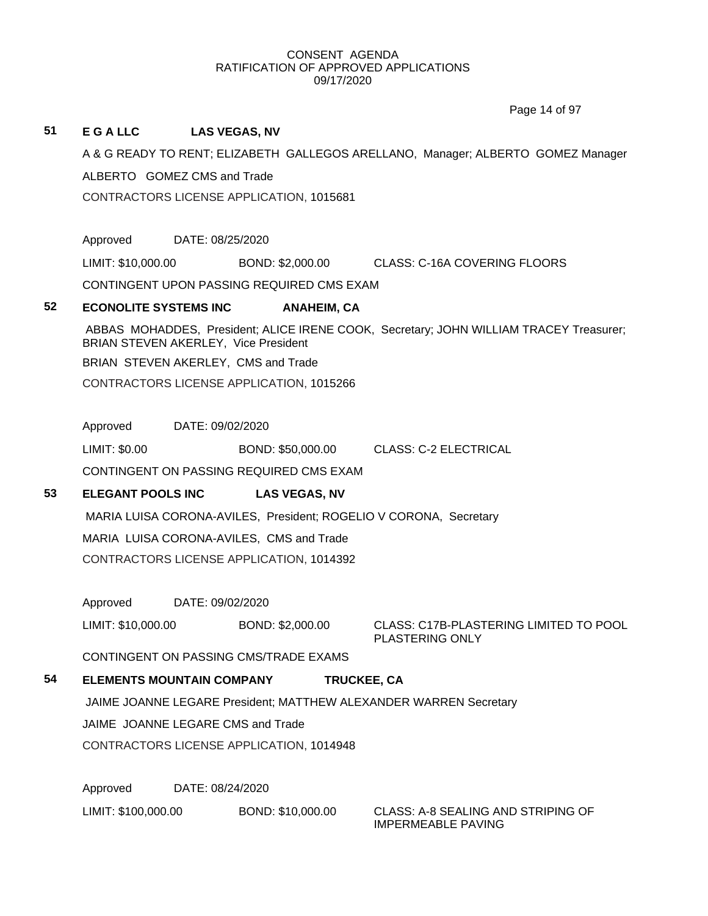Page 14 of 97

## **51 E G A LLC LAS VEGAS, NV**

A & G READY TO RENT; ELIZABETH GALLEGOS ARELLANO, Manager; ALBERTO GOMEZ Manager ALBERTO GOMEZ CMS and Trade

CONTRACTORS LICENSE APPLICATION, 1015681

Approved DATE: 08/25/2020

LIMIT: \$10,000.00 BOND: \$2,000.00 CLASS: C-16A COVERING FLOORS

CONTINGENT UPON PASSING REQUIRED CMS EXAM

## **52 ECONOLITE SYSTEMS INC ANAHEIM, CA**

ABBAS MOHADDES, President; ALICE IRENE COOK, Secretary; JOHN WILLIAM TRACEY Treasurer; BRIAN STEVEN AKERLEY, Vice President

BRIAN STEVEN AKERLEY, CMS and Trade

CONTRACTORS LICENSE APPLICATION, 1015266

Approved DATE: 09/02/2020

LIMIT: \$0.00 BOND: \$50,000.00 CLASS: C-2 ELECTRICAL

CONTINGENT ON PASSING REQUIRED CMS EXAM

# **53 ELEGANT POOLS INC LAS VEGAS, NV**

MARIA LUISA CORONA-AVILES, President; ROGELIO V CORONA, Secretary MARIA LUISA CORONA-AVILES, CMS and Trade CONTRACTORS LICENSE APPLICATION, 1014392

Approved DATE: 09/02/2020

LIMIT: \$10,000.00 BOND: \$2,000.00 CLASS: C17B-PLASTERING LIMITED TO POOL PLASTERING ONLY

CONTINGENT ON PASSING CMS/TRADE EXAMS

# **54 ELEMENTS MOUNTAIN COMPANY TRUCKEE, CA**

JAIME JOANNE LEGARE President; MATTHEW ALEXANDER WARREN Secretary

JAIME JOANNE LEGARE CMS and Trade

CONTRACTORS LICENSE APPLICATION, 1014948

Approved DATE: 08/24/2020

LIMIT: \$100,000.00 BOND: \$10,000.00 CLASS: A-8 SEALING AND STRIPING OF

IMPERMEABLE PAVING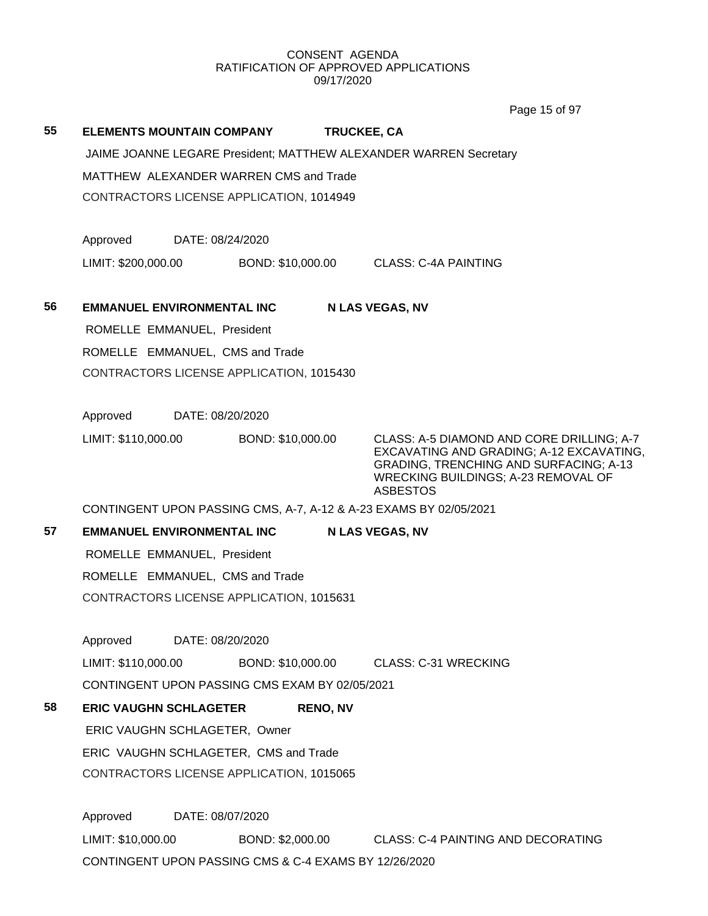|    |                                        |                                                                   | Page 15 of 97                                                                             |  |  |  |  |
|----|----------------------------------------|-------------------------------------------------------------------|-------------------------------------------------------------------------------------------|--|--|--|--|
| 55 | <b>ELEMENTS MOUNTAIN COMPANY</b>       |                                                                   | TRUCKEE, CA                                                                               |  |  |  |  |
|    |                                        |                                                                   | JAIME JOANNE LEGARE President; MATTHEW ALEXANDER WARREN Secretary                         |  |  |  |  |
|    | MATTHEW ALEXANDER WARREN CMS and Trade |                                                                   |                                                                                           |  |  |  |  |
|    |                                        | CONTRACTORS LICENSE APPLICATION, 1014949                          |                                                                                           |  |  |  |  |
|    |                                        |                                                                   |                                                                                           |  |  |  |  |
|    | Approved                               | DATE: 08/24/2020                                                  |                                                                                           |  |  |  |  |
|    | LIMIT: \$200,000.00                    | BOND: \$10,000.00                                                 | CLASS: C-4A PAINTING                                                                      |  |  |  |  |
|    |                                        |                                                                   |                                                                                           |  |  |  |  |
| 56 | <b>EMMANUEL ENVIRONMENTAL INC</b>      |                                                                   | <b>N LAS VEGAS, NV</b>                                                                    |  |  |  |  |
|    | ROMELLE EMMANUEL, President            |                                                                   |                                                                                           |  |  |  |  |
|    | ROMELLE EMMANUEL, CMS and Trade        |                                                                   |                                                                                           |  |  |  |  |
|    |                                        | CONTRACTORS LICENSE APPLICATION, 1015430                          |                                                                                           |  |  |  |  |
|    | Approved                               | DATE: 08/20/2020                                                  |                                                                                           |  |  |  |  |
|    | LIMIT: \$110,000.00                    | BOND: \$10,000.00                                                 | CLASS: A-5 DIAMOND AND CORE DRILLING; A-7                                                 |  |  |  |  |
|    |                                        |                                                                   | EXCAVATING AND GRADING; A-12 EXCAVATING,<br><b>GRADING, TRENCHING AND SURFACING; A-13</b> |  |  |  |  |
|    |                                        |                                                                   | WRECKING BUILDINGS; A-23 REMOVAL OF                                                       |  |  |  |  |
|    |                                        | CONTINGENT UPON PASSING CMS, A-7, A-12 & A-23 EXAMS BY 02/05/2021 | <b>ASBESTOS</b>                                                                           |  |  |  |  |
| 57 | <b>EMMANUEL ENVIRONMENTAL INC</b>      |                                                                   | <b>N LAS VEGAS, NV</b>                                                                    |  |  |  |  |
|    | ROMELLE EMMANUEL, President            |                                                                   |                                                                                           |  |  |  |  |
|    | ROMELLE EMMANUEL, CMS and Trade        |                                                                   |                                                                                           |  |  |  |  |
|    |                                        | CONTRACTORS LICENSE APPLICATION, 1015631                          |                                                                                           |  |  |  |  |
|    |                                        |                                                                   |                                                                                           |  |  |  |  |
|    | Approved                               | DATE: 08/20/2020                                                  |                                                                                           |  |  |  |  |
|    | LIMIT: \$110,000.00                    | BOND: \$10,000.00                                                 | CLASS: C-31 WRECKING                                                                      |  |  |  |  |
|    |                                        | CONTINGENT UPON PASSING CMS EXAM BY 02/05/2021                    |                                                                                           |  |  |  |  |
| 58 | <b>ERIC VAUGHN SCHLAGETER</b>          | <b>RENO, NV</b>                                                   |                                                                                           |  |  |  |  |
|    | ERIC VAUGHN SCHLAGETER, Owner          |                                                                   |                                                                                           |  |  |  |  |
|    | ERIC VAUGHN SCHLAGETER, CMS and Trade  |                                                                   |                                                                                           |  |  |  |  |
|    |                                        | CONTRACTORS LICENSE APPLICATION, 1015065                          |                                                                                           |  |  |  |  |
|    |                                        | DATE: 08/07/2020                                                  |                                                                                           |  |  |  |  |
|    | Approved                               |                                                                   |                                                                                           |  |  |  |  |
|    | LIMIT: \$10,000.00                     | CONTINGENT UPON PASSING CMS & C-4 EXAMS BY 12/26/2020             | BOND: \$2,000.00 CLASS: C-4 PAINTING AND DECORATING                                       |  |  |  |  |
|    |                                        |                                                                   |                                                                                           |  |  |  |  |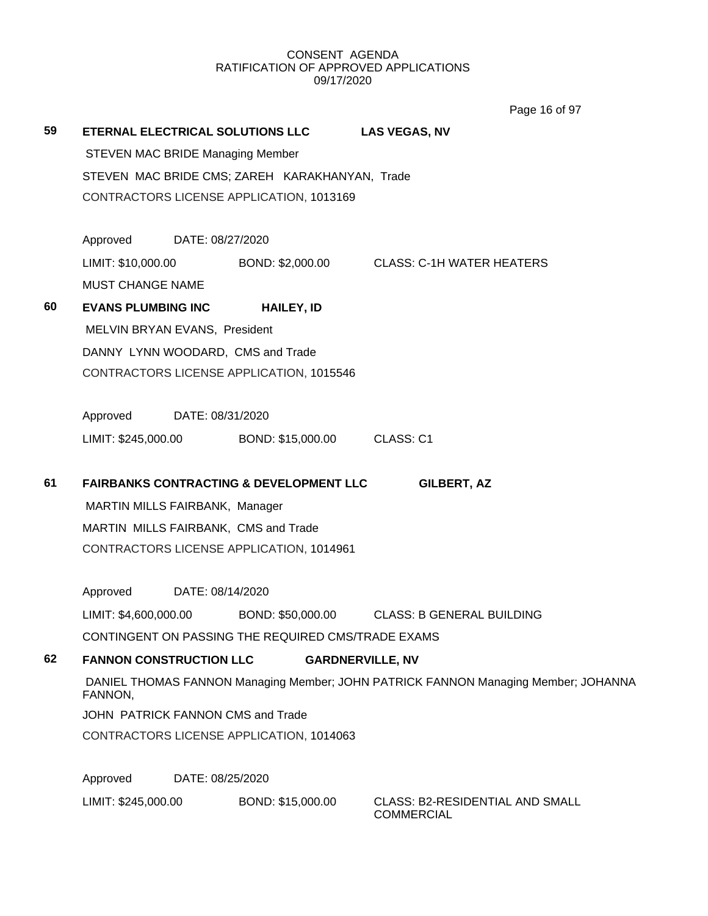Page 16 of 97

| 59 | ETERNAL ELECTRICAL SOLUTIONS LLC        |                  |                                                                                  | <b>LAS VEGAS, NV</b>                                                               |  |  |  |
|----|-----------------------------------------|------------------|----------------------------------------------------------------------------------|------------------------------------------------------------------------------------|--|--|--|
|    | <b>STEVEN MAC BRIDE Managing Member</b> |                  |                                                                                  |                                                                                    |  |  |  |
|    |                                         |                  | STEVEN MAC BRIDE CMS; ZAREH KARAKHANYAN, Trade                                   |                                                                                    |  |  |  |
|    |                                         |                  | CONTRACTORS LICENSE APPLICATION, 1013169                                         |                                                                                    |  |  |  |
|    |                                         |                  |                                                                                  |                                                                                    |  |  |  |
|    | Approved                                | DATE: 08/27/2020 |                                                                                  |                                                                                    |  |  |  |
|    | LIMIT: \$10,000.00                      |                  | BOND: \$2,000.00                                                                 | <b>CLASS: C-1H WATER HEATERS</b>                                                   |  |  |  |
|    | <b>MUST CHANGE NAME</b>                 |                  |                                                                                  |                                                                                    |  |  |  |
| 60 | <b>EVANS PLUMBING INC</b>               |                  | <b>HAILEY, ID</b>                                                                |                                                                                    |  |  |  |
|    | MELVIN BRYAN EVANS, President           |                  |                                                                                  |                                                                                    |  |  |  |
|    |                                         |                  | DANNY LYNN WOODARD, CMS and Trade                                                |                                                                                    |  |  |  |
|    |                                         |                  | CONTRACTORS LICENSE APPLICATION, 1015546                                         |                                                                                    |  |  |  |
|    | Approved                                | DATE: 08/31/2020 |                                                                                  |                                                                                    |  |  |  |
|    | LIMIT: \$245,000.00                     |                  | BOND: \$15,000.00                                                                | CLASS: C1                                                                          |  |  |  |
|    |                                         |                  |                                                                                  |                                                                                    |  |  |  |
| 61 |                                         |                  | <b>FAIRBANKS CONTRACTING &amp; DEVELOPMENT LLC</b>                               | <b>GILBERT, AZ</b>                                                                 |  |  |  |
|    | MARTIN MILLS FAIRBANK, Manager          |                  |                                                                                  |                                                                                    |  |  |  |
|    |                                         |                  | MARTIN MILLS FAIRBANK, CMS and Trade<br>CONTRACTORS LICENSE APPLICATION, 1014961 |                                                                                    |  |  |  |
|    |                                         |                  |                                                                                  |                                                                                    |  |  |  |
|    | Approved                                | DATE: 08/14/2020 |                                                                                  |                                                                                    |  |  |  |
|    | LIMIT: \$4,600,000.00                   |                  | BOND: \$50,000.00                                                                | <b>CLASS: B GENERAL BUILDING</b>                                                   |  |  |  |
|    |                                         |                  | CONTINGENT ON PASSING THE REQUIRED CMS/TRADE EXAMS                               |                                                                                    |  |  |  |
| 62 | <b>FANNON CONSTRUCTION LLC</b>          |                  |                                                                                  | <b>GARDNERVILLE, NV</b>                                                            |  |  |  |
|    | FANNON,                                 |                  |                                                                                  | DANIEL THOMAS FANNON Managing Member; JOHN PATRICK FANNON Managing Member; JOHANNA |  |  |  |
|    | JOHN PATRICK FANNON CMS and Trade       |                  |                                                                                  |                                                                                    |  |  |  |
|    |                                         |                  | CONTRACTORS LICENSE APPLICATION, 1014063                                         |                                                                                    |  |  |  |
|    | Approved                                | DATE: 08/25/2020 |                                                                                  |                                                                                    |  |  |  |
|    | LIMIT: \$245,000.00                     |                  | BOND: \$15,000.00                                                                | <b>CLASS: B2-RESIDENTIAL AND SMALL</b>                                             |  |  |  |
|    |                                         |                  |                                                                                  | <b>COMMERCIAL</b>                                                                  |  |  |  |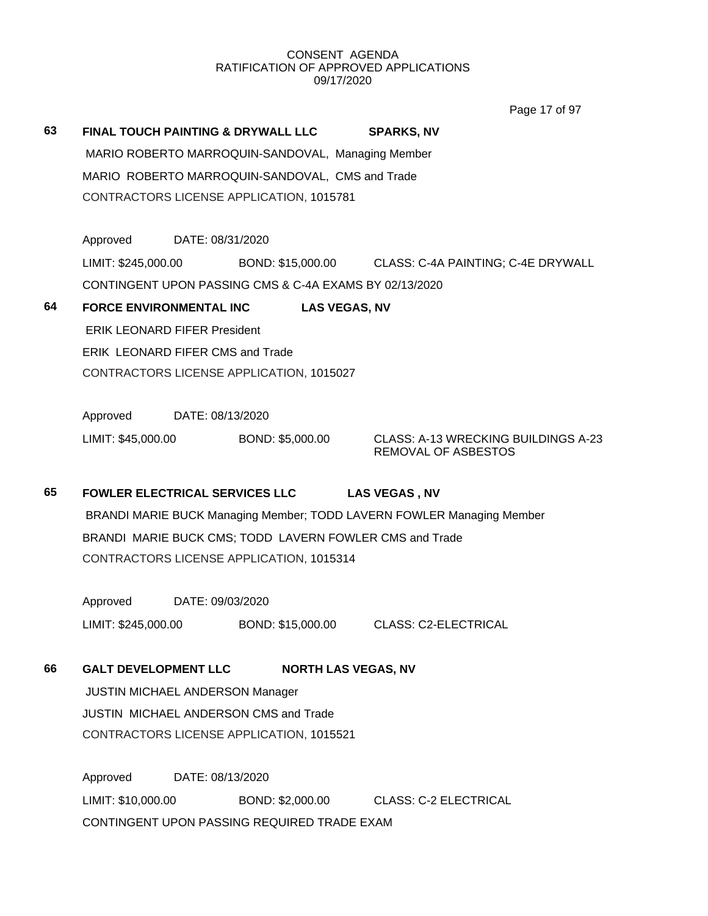Page 17 of 97

| 63 |                                          | <b>FINAL TOUCH PAINTING &amp; DRYWALL LLC</b>           | <b>SPARKS, NV</b>                                                     |
|----|------------------------------------------|---------------------------------------------------------|-----------------------------------------------------------------------|
|    |                                          | MARIO ROBERTO MARROQUIN-SANDOVAL, Managing Member       |                                                                       |
|    |                                          | MARIO ROBERTO MARROQUIN-SANDOVAL, CMS and Trade         |                                                                       |
|    | CONTRACTORS LICENSE APPLICATION, 1015781 |                                                         |                                                                       |
|    |                                          |                                                         |                                                                       |
|    | Approved                                 | DATE: 08/31/2020                                        |                                                                       |
|    | LIMIT: \$245,000.00                      |                                                         | BOND: \$15,000.00 CLASS: C-4A PAINTING; C-4E DRYWALL                  |
|    |                                          | CONTINGENT UPON PASSING CMS & C-4A EXAMS BY 02/13/2020  |                                                                       |
| 64 | <b>FORCE ENVIRONMENTAL INC</b>           | <b>LAS VEGAS, NV</b>                                    |                                                                       |
|    | <b>ERIK LEONARD FIFER President</b>      |                                                         |                                                                       |
|    | <b>ERIK LEONARD FIFER CMS and Trade</b>  |                                                         |                                                                       |
|    |                                          | CONTRACTORS LICENSE APPLICATION, 1015027                |                                                                       |
|    |                                          |                                                         |                                                                       |
|    | DATE: 08/13/2020<br>Approved             |                                                         |                                                                       |
|    | LIMIT: \$45,000.00                       | BOND: \$5,000.00                                        | CLASS: A-13 WRECKING BUILDINGS A-23<br><b>REMOVAL OF ASBESTOS</b>     |
| 65 | <b>FOWLER ELECTRICAL SERVICES LLC</b>    |                                                         | <b>LAS VEGAS, NV</b>                                                  |
|    |                                          |                                                         | BRANDI MARIE BUCK Managing Member; TODD LAVERN FOWLER Managing Member |
|    |                                          | BRANDI MARIE BUCK CMS; TODD LAVERN FOWLER CMS and Trade |                                                                       |
|    |                                          | CONTRACTORS LICENSE APPLICATION, 1015314                |                                                                       |
|    |                                          |                                                         |                                                                       |

Approved DATE: 09/03/2020 LIMIT: \$245,000.00 BOND: \$15,000.00 CLASS: C2-ELECTRICAL

**66 GALT DEVELOPMENT LLC NORTH LAS VEGAS, NV**

JUSTIN MICHAEL ANDERSON Manager JUSTIN MICHAEL ANDERSON CMS and Trade CONTRACTORS LICENSE APPLICATION, 1015521

Approved DATE: 08/13/2020 LIMIT: \$10,000.00 BOND: \$2,000.00 CLASS: C-2 ELECTRICAL CONTINGENT UPON PASSING REQUIRED TRADE EXAM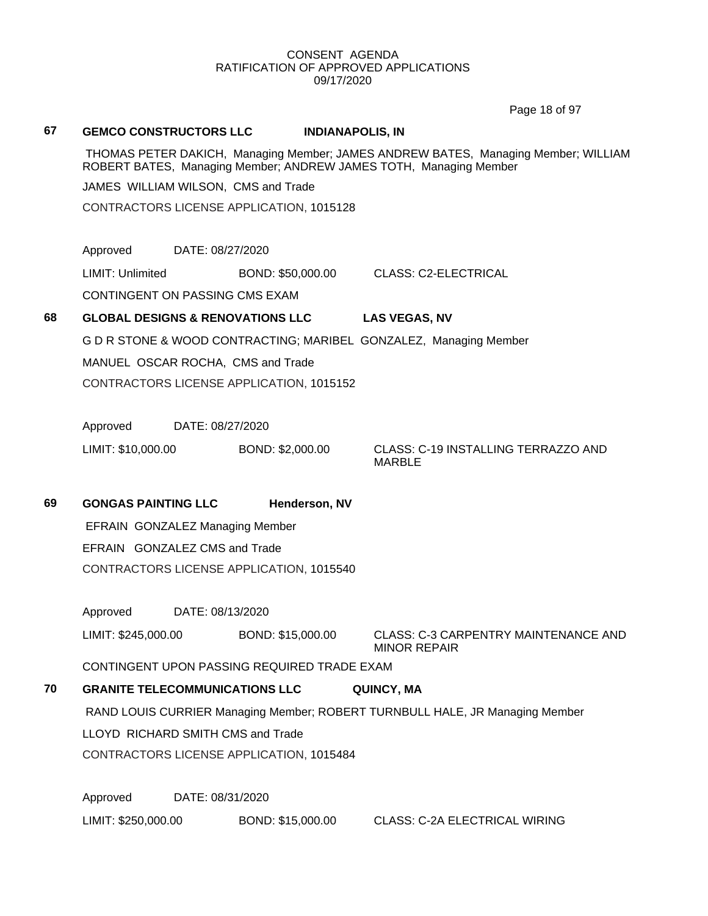Page 18 of 97

#### **67 GEMCO CONSTRUCTORS LLC INDIANAPOLIS, IN**

THOMAS PETER DAKICH, Managing Member; JAMES ANDREW BATES, Managing Member; WILLIAM ROBERT BATES, Managing Member; ANDREW JAMES TOTH, Managing Member

JAMES WILLIAM WILSON, CMS and Trade

CONTRACTORS LICENSE APPLICATION, 1015128

Approved DATE: 08/27/2020

LIMIT: Unlimited BOND: \$50,000.00 CLASS: C2-ELECTRICAL

CONTINGENT ON PASSING CMS EXAM

# **68 GLOBAL DESIGNS & RENOVATIONS LLC LAS VEGAS, NV**

G D R STONE & WOOD CONTRACTING; MARIBEL GONZALEZ, Managing Member

MANUEL OSCAR ROCHA, CMS and Trade

CONTRACTORS LICENSE APPLICATION, 1015152

Approved DATE: 08/27/2020

LIMIT: \$10,000.00 BOND: \$2,000.00 CLASS: C-19 INSTALLING TERRAZZO AND

MARBLE

**69 GONGAS PAINTING LLC Henderson, NV** EFRAIN GONZALEZ Managing Member EFRAIN GONZALEZ CMS and Trade

CONTRACTORS LICENSE APPLICATION, 1015540

Approved DATE: 08/13/2020

LIMIT: \$245,000.00 BOND: \$15,000.00 CLASS: C-3 CARPENTRY MAINTENANCE AND MINOR REPAIR

CONTINGENT UPON PASSING REQUIRED TRADE EXAM

# **70 GRANITE TELECOMMUNICATIONS LLC QUINCY, MA**

RAND LOUIS CURRIER Managing Member; ROBERT TURNBULL HALE, JR Managing Member

LLOYD RICHARD SMITH CMS and Trade

CONTRACTORS LICENSE APPLICATION, 1015484

Approved DATE: 08/31/2020 LIMIT: \$250,000.00 BOND: \$15,000.00 CLASS: C-2A ELECTRICAL WIRING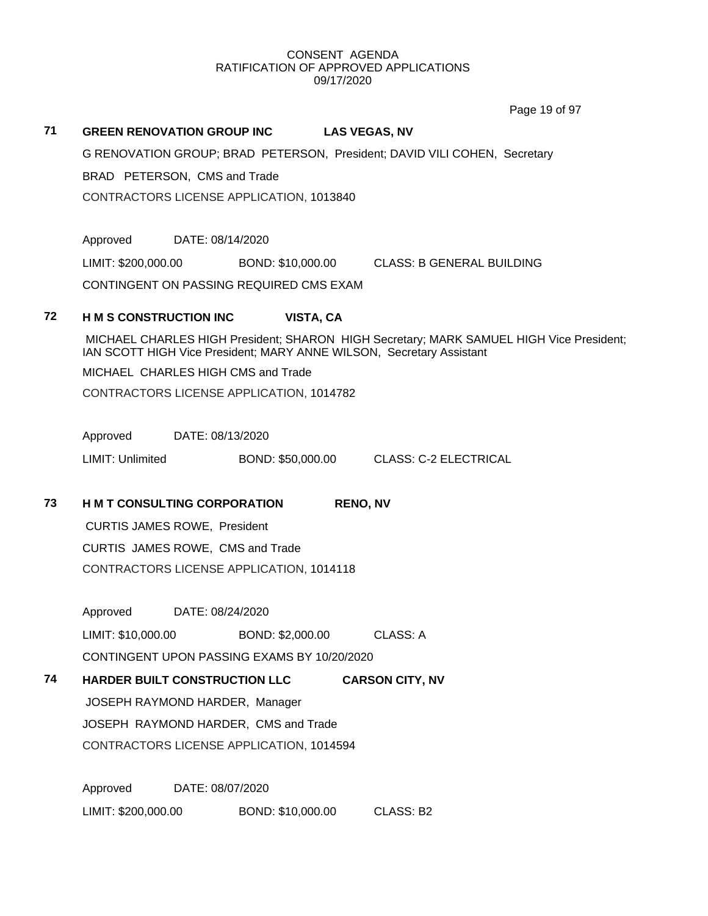Page 19 of 97

# **71 GREEN RENOVATION GROUP INC LAS VEGAS, NV** G RENOVATION GROUP; BRAD PETERSON, President; DAVID VILI COHEN, Secretary BRAD PETERSON, CMS and Trade CONTRACTORS LICENSE APPLICATION, 1013840 Approved DATE: 08/14/2020 LIMIT: \$200,000.00 BOND: \$10,000.00 CLASS: B GENERAL BUILDING CONTINGENT ON PASSING REQUIRED CMS EXAM **72 H M S CONSTRUCTION INC VISTA, CA** MICHAEL CHARLES HIGH President; SHARON HIGH Secretary; MARK SAMUEL HIGH Vice President; IAN SCOTT HIGH Vice President; MARY ANNE WILSON, Secretary Assistant MICHAEL CHARLES HIGH CMS and Trade CONTRACTORS LICENSE APPLICATION, 1014782 Approved DATE: 08/13/2020 LIMIT: Unlimited BOND: \$50,000.00 CLASS: C-2 ELECTRICAL **73 H M T CONSULTING CORPORATION RENO, NV** CURTIS JAMES ROWE, President CURTIS JAMES ROWE, CMS and Trade CONTRACTORS LICENSE APPLICATION, 1014118 Approved DATE: 08/24/2020 LIMIT: \$10,000.00 BOND: \$2,000.00 CLASS: A CONTINGENT UPON PASSING EXAMS BY 10/20/2020 **74 HARDER BUILT CONSTRUCTION LLC CARSON CITY, NV** JOSEPH RAYMOND HARDER, Manager JOSEPH RAYMOND HARDER, CMS and Trade CONTRACTORS LICENSE APPLICATION, 1014594 Approved DATE: 08/07/2020 LIMIT: \$200,000.00 BOND: \$10,000.00 CLASS: B2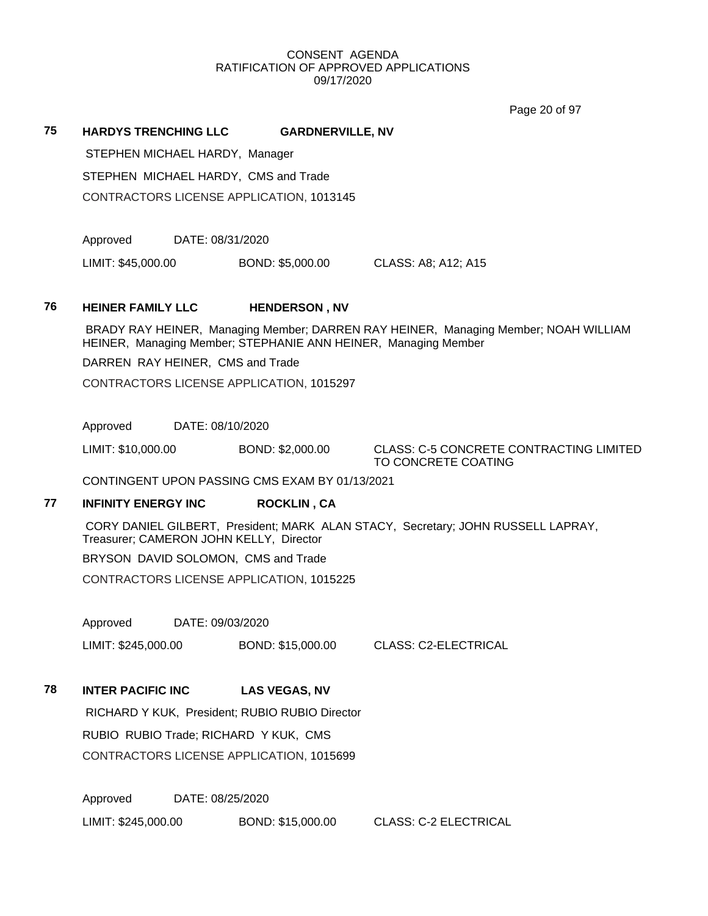Page 20 of 97

#### **75 HARDYS TRENCHING LLC GARDNERVILLE, NV**

STEPHEN MICHAEL HARDY, Manager STEPHEN MICHAEL HARDY, CMS and Trade CONTRACTORS LICENSE APPLICATION, 1013145

Approved DATE: 08/31/2020

LIMIT: \$45,000.00 BOND: \$5,000.00 CLASS: A8; A12; A15

### **76 HEINER FAMILY LLC HENDERSON , NV**

BRADY RAY HEINER, Managing Member; DARREN RAY HEINER, Managing Member; NOAH WILLIAM HEINER, Managing Member; STEPHANIE ANN HEINER, Managing Member

DARREN RAY HEINER, CMS and Trade

CONTRACTORS LICENSE APPLICATION, 1015297

Approved DATE: 08/10/2020

LIMIT: \$10,000.00 BOND: \$2,000.00 CLASS: C-5 CONCRETE CONTRACTING LIMITED

TO CONCRETE COATING

CONTINGENT UPON PASSING CMS EXAM BY 01/13/2021

# **77 INFINITY ENERGY INC ROCKLIN , CA**

CORY DANIEL GILBERT, President; MARK ALAN STACY, Secretary; JOHN RUSSELL LAPRAY, Treasurer; CAMERON JOHN KELLY, Director

BRYSON DAVID SOLOMON, CMS and Trade

CONTRACTORS LICENSE APPLICATION, 1015225

Approved DATE: 09/03/2020

LIMIT: \$245,000.00 BOND: \$15,000.00 CLASS: C2-ELECTRICAL

## **78 INTER PACIFIC INC LAS VEGAS, NV**

RICHARD Y KUK, President; RUBIO RUBIO Director RUBIO RUBIO Trade; RICHARD Y KUK, CMS CONTRACTORS LICENSE APPLICATION, 1015699

Approved DATE: 08/25/2020

LIMIT: \$245,000.00 BOND: \$15,000.00 CLASS: C-2 ELECTRICAL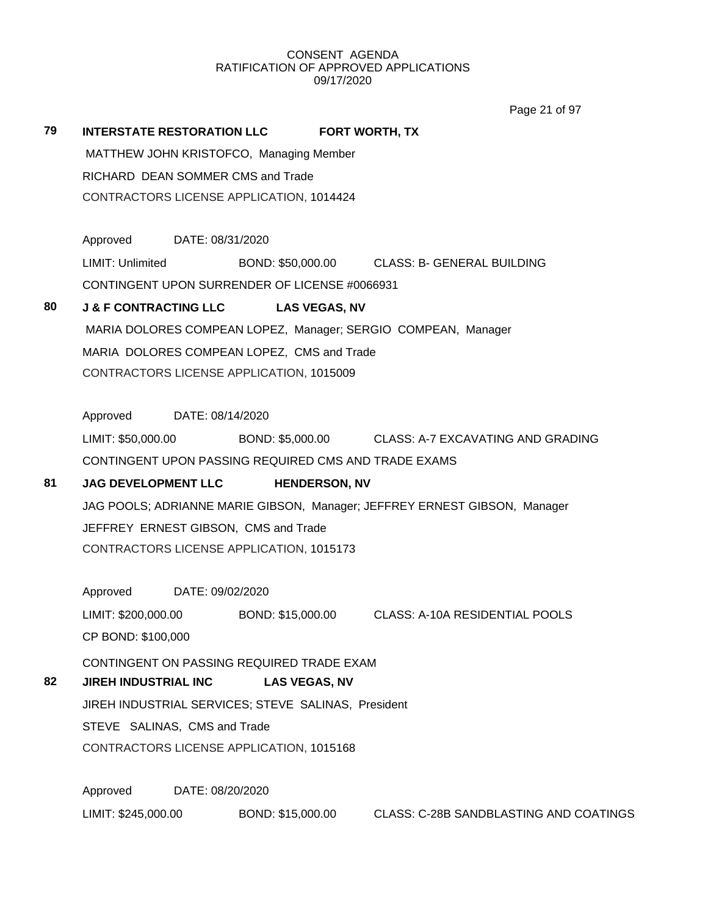Page 21 of 97

|                                          |                                                                                      | Page 21 01 97                                                                                                                                                                                                                                                                                                                                                                                                                                                                                                                                                                                                                                                                                                                                                                                                                                                                                                                                  |
|------------------------------------------|--------------------------------------------------------------------------------------|------------------------------------------------------------------------------------------------------------------------------------------------------------------------------------------------------------------------------------------------------------------------------------------------------------------------------------------------------------------------------------------------------------------------------------------------------------------------------------------------------------------------------------------------------------------------------------------------------------------------------------------------------------------------------------------------------------------------------------------------------------------------------------------------------------------------------------------------------------------------------------------------------------------------------------------------|
|                                          |                                                                                      | <b>FORT WORTH, TX</b>                                                                                                                                                                                                                                                                                                                                                                                                                                                                                                                                                                                                                                                                                                                                                                                                                                                                                                                          |
|                                          |                                                                                      |                                                                                                                                                                                                                                                                                                                                                                                                                                                                                                                                                                                                                                                                                                                                                                                                                                                                                                                                                |
|                                          |                                                                                      |                                                                                                                                                                                                                                                                                                                                                                                                                                                                                                                                                                                                                                                                                                                                                                                                                                                                                                                                                |
|                                          |                                                                                      |                                                                                                                                                                                                                                                                                                                                                                                                                                                                                                                                                                                                                                                                                                                                                                                                                                                                                                                                                |
|                                          |                                                                                      |                                                                                                                                                                                                                                                                                                                                                                                                                                                                                                                                                                                                                                                                                                                                                                                                                                                                                                                                                |
|                                          |                                                                                      |                                                                                                                                                                                                                                                                                                                                                                                                                                                                                                                                                                                                                                                                                                                                                                                                                                                                                                                                                |
| <b>LIMIT: Unlimited</b>                  |                                                                                      | BOND: \$50,000.00 CLASS: B- GENERAL BUILDING                                                                                                                                                                                                                                                                                                                                                                                                                                                                                                                                                                                                                                                                                                                                                                                                                                                                                                   |
|                                          |                                                                                      |                                                                                                                                                                                                                                                                                                                                                                                                                                                                                                                                                                                                                                                                                                                                                                                                                                                                                                                                                |
|                                          | <b>LAS VEGAS, NV</b>                                                                 |                                                                                                                                                                                                                                                                                                                                                                                                                                                                                                                                                                                                                                                                                                                                                                                                                                                                                                                                                |
|                                          |                                                                                      |                                                                                                                                                                                                                                                                                                                                                                                                                                                                                                                                                                                                                                                                                                                                                                                                                                                                                                                                                |
|                                          |                                                                                      |                                                                                                                                                                                                                                                                                                                                                                                                                                                                                                                                                                                                                                                                                                                                                                                                                                                                                                                                                |
|                                          |                                                                                      |                                                                                                                                                                                                                                                                                                                                                                                                                                                                                                                                                                                                                                                                                                                                                                                                                                                                                                                                                |
|                                          |                                                                                      |                                                                                                                                                                                                                                                                                                                                                                                                                                                                                                                                                                                                                                                                                                                                                                                                                                                                                                                                                |
| Approved                                 |                                                                                      |                                                                                                                                                                                                                                                                                                                                                                                                                                                                                                                                                                                                                                                                                                                                                                                                                                                                                                                                                |
|                                          |                                                                                      |                                                                                                                                                                                                                                                                                                                                                                                                                                                                                                                                                                                                                                                                                                                                                                                                                                                                                                                                                |
|                                          |                                                                                      |                                                                                                                                                                                                                                                                                                                                                                                                                                                                                                                                                                                                                                                                                                                                                                                                                                                                                                                                                |
|                                          | <b>HENDERSON, NV</b>                                                                 |                                                                                                                                                                                                                                                                                                                                                                                                                                                                                                                                                                                                                                                                                                                                                                                                                                                                                                                                                |
|                                          |                                                                                      |                                                                                                                                                                                                                                                                                                                                                                                                                                                                                                                                                                                                                                                                                                                                                                                                                                                                                                                                                |
|                                          |                                                                                      |                                                                                                                                                                                                                                                                                                                                                                                                                                                                                                                                                                                                                                                                                                                                                                                                                                                                                                                                                |
|                                          |                                                                                      |                                                                                                                                                                                                                                                                                                                                                                                                                                                                                                                                                                                                                                                                                                                                                                                                                                                                                                                                                |
|                                          |                                                                                      |                                                                                                                                                                                                                                                                                                                                                                                                                                                                                                                                                                                                                                                                                                                                                                                                                                                                                                                                                |
|                                          |                                                                                      |                                                                                                                                                                                                                                                                                                                                                                                                                                                                                                                                                                                                                                                                                                                                                                                                                                                                                                                                                |
|                                          |                                                                                      | BOND: \$15,000.00 CLASS: A-10A RESIDENTIAL POOLS                                                                                                                                                                                                                                                                                                                                                                                                                                                                                                                                                                                                                                                                                                                                                                                                                                                                                               |
|                                          |                                                                                      |                                                                                                                                                                                                                                                                                                                                                                                                                                                                                                                                                                                                                                                                                                                                                                                                                                                                                                                                                |
|                                          |                                                                                      |                                                                                                                                                                                                                                                                                                                                                                                                                                                                                                                                                                                                                                                                                                                                                                                                                                                                                                                                                |
|                                          |                                                                                      |                                                                                                                                                                                                                                                                                                                                                                                                                                                                                                                                                                                                                                                                                                                                                                                                                                                                                                                                                |
|                                          |                                                                                      |                                                                                                                                                                                                                                                                                                                                                                                                                                                                                                                                                                                                                                                                                                                                                                                                                                                                                                                                                |
|                                          |                                                                                      |                                                                                                                                                                                                                                                                                                                                                                                                                                                                                                                                                                                                                                                                                                                                                                                                                                                                                                                                                |
| STEVE SALINAS, CMS and Trade             |                                                                                      |                                                                                                                                                                                                                                                                                                                                                                                                                                                                                                                                                                                                                                                                                                                                                                                                                                                                                                                                                |
| CONTRACTORS LICENSE APPLICATION, 1015168 |                                                                                      |                                                                                                                                                                                                                                                                                                                                                                                                                                                                                                                                                                                                                                                                                                                                                                                                                                                                                                                                                |
|                                          | Approved<br>LIMIT: \$200,000.00<br>CP BOND: \$100,000<br><b>JIREH INDUSTRIAL INC</b> | <b>INTERSTATE RESTORATION LLC</b><br>MATTHEW JOHN KRISTOFCO, Managing Member<br>RICHARD DEAN SOMMER CMS and Trade<br>CONTRACTORS LICENSE APPLICATION, 1014424<br>Approved DATE: 08/31/2020<br>CONTINGENT UPON SURRENDER OF LICENSE #0066931<br><b>J &amp; F CONTRACTING LLC</b><br>MARIA DOLORES COMPEAN LOPEZ, Manager; SERGIO COMPEAN, Manager<br>MARIA DOLORES COMPEAN LOPEZ, CMS and Trade<br>CONTRACTORS LICENSE APPLICATION, 1015009<br>DATE: 08/14/2020<br>LIMIT: \$50,000.00 BOND: \$5,000.00 CLASS: A-7 EXCAVATING AND GRADING<br>CONTINGENT UPON PASSING REQUIRED CMS AND TRADE EXAMS<br><b>JAG DEVELOPMENT LLC</b><br>JAG POOLS; ADRIANNE MARIE GIBSON, Manager; JEFFREY ERNEST GIBSON, Manager<br>JEFFREY ERNEST GIBSON, CMS and Trade<br>CONTRACTORS LICENSE APPLICATION, 1015173<br>DATE: 09/02/2020<br>CONTINGENT ON PASSING REQUIRED TRADE EXAM<br><b>LAS VEGAS, NV</b><br>JIREH INDUSTRIAL SERVICES; STEVE SALINAS, President |

LIMIT: \$245,000.00 BOND: \$15,000.00 CLASS: C-28B SANDBLASTING AND COATINGS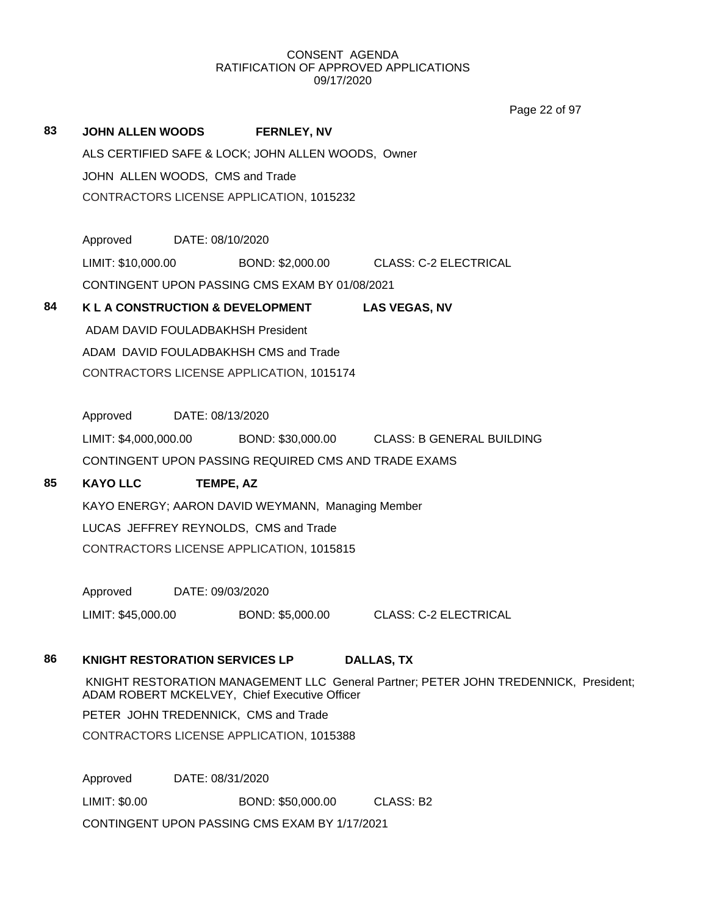Page 22 of 97

| 83 | <b>JOHN ALLEN WOODS</b>                                                                                                               |                  | <b>FERNLEY, NV</b>                                   |                                                                   |  |
|----|---------------------------------------------------------------------------------------------------------------------------------------|------------------|------------------------------------------------------|-------------------------------------------------------------------|--|
|    | ALS CERTIFIED SAFE & LOCK; JOHN ALLEN WOODS, Owner                                                                                    |                  |                                                      |                                                                   |  |
|    | JOHN ALLEN WOODS, CMS and Trade                                                                                                       |                  |                                                      |                                                                   |  |
|    |                                                                                                                                       |                  | CONTRACTORS LICENSE APPLICATION, 1015232             |                                                                   |  |
|    |                                                                                                                                       |                  |                                                      |                                                                   |  |
|    | Approved DATE: 08/10/2020                                                                                                             |                  |                                                      |                                                                   |  |
|    |                                                                                                                                       |                  |                                                      | LIMIT: \$10,000.00 BOND: \$2,000.00 CLASS: C-2 ELECTRICAL         |  |
|    |                                                                                                                                       |                  | CONTINGENT UPON PASSING CMS EXAM BY 01/08/2021       |                                                                   |  |
| 84 | K L A CONSTRUCTION & DEVELOPMENT                                                                                                      |                  |                                                      | <b>LAS VEGAS, NV</b>                                              |  |
|    | ADAM DAVID FOULADBAKHSH President                                                                                                     |                  |                                                      |                                                                   |  |
|    |                                                                                                                                       |                  | ADAM DAVID FOULADBAKHSH CMS and Trade                |                                                                   |  |
|    |                                                                                                                                       |                  | CONTRACTORS LICENSE APPLICATION, 1015174             |                                                                   |  |
|    |                                                                                                                                       |                  |                                                      |                                                                   |  |
|    | Approved DATE: 08/13/2020                                                                                                             |                  |                                                      |                                                                   |  |
|    |                                                                                                                                       |                  |                                                      | LIMIT: \$4,000,000.00 BOND: \$30,000.00 CLASS: B GENERAL BUILDING |  |
|    |                                                                                                                                       |                  | CONTINGENT UPON PASSING REQUIRED CMS AND TRADE EXAMS |                                                                   |  |
| 85 | <b>KAYO LLC</b>                                                                                                                       | <b>TEMPE, AZ</b> |                                                      |                                                                   |  |
|    | KAYO ENERGY; AARON DAVID WEYMANN, Managing Member                                                                                     |                  |                                                      |                                                                   |  |
|    | LUCAS JEFFREY REYNOLDS, CMS and Trade                                                                                                 |                  |                                                      |                                                                   |  |
|    | CONTRACTORS LICENSE APPLICATION, 1015815                                                                                              |                  |                                                      |                                                                   |  |
|    |                                                                                                                                       |                  |                                                      |                                                                   |  |
|    | Approved DATE: 09/03/2020                                                                                                             |                  |                                                      |                                                                   |  |
|    | LIMIT: \$45,000.00                                                                                                                    |                  | BOND: \$5,000.00                                     | <b>CLASS: C-2 ELECTRICAL</b>                                      |  |
|    |                                                                                                                                       |                  |                                                      |                                                                   |  |
| 86 | <b>KNIGHT RESTORATION SERVICES LP</b>                                                                                                 |                  |                                                      | <b>DALLAS, TX</b>                                                 |  |
|    | KNIGHT RESTORATION MANAGEMENT LLC General Partner; PETER JOHN TREDENNICK, President;<br>ADAM ROBERT MCKELVEY, Chief Executive Officer |                  |                                                      |                                                                   |  |
|    | PETER JOHN TREDENNICK, CMS and Trade                                                                                                  |                  |                                                      |                                                                   |  |
|    |                                                                                                                                       |                  | CONTRACTORS LICENSE APPLICATION, 1015388             |                                                                   |  |
|    | Approved                                                                                                                              | DATE: 08/31/2020 |                                                      |                                                                   |  |
|    | LIMIT: \$0.00                                                                                                                         |                  | BOND: \$50,000.00                                    | CLASS: B2                                                         |  |

CONTINGENT UPON PASSING CMS EXAM BY 1/17/2021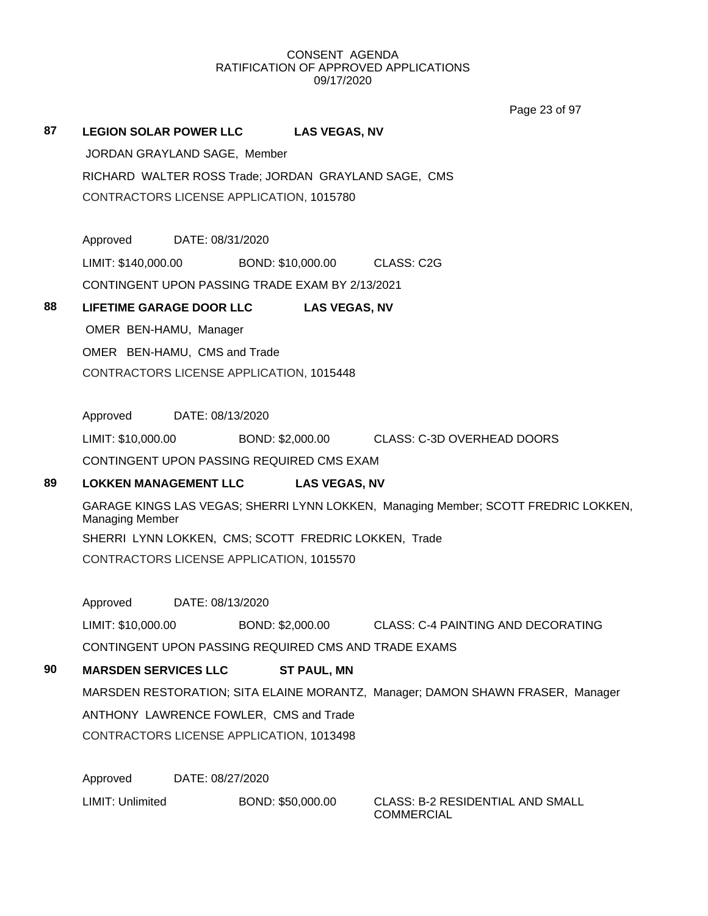Page 23 of 97

### **87 LEGION SOLAR POWER LLC LAS VEGAS, NV**

JORDAN GRAYLAND SAGE, Member RICHARD WALTER ROSS Trade; JORDAN GRAYLAND SAGE, CMS CONTRACTORS LICENSE APPLICATION, 1015780

Approved DATE: 08/31/2020

LIMIT: \$140,000.00 BOND: \$10,000.00 CLASS: C2G

CONTINGENT UPON PASSING TRADE EXAM BY 2/13/2021

### **88 LIFETIME GARAGE DOOR LLC LAS VEGAS, NV**

OMER BEN-HAMU, Manager OMER BEN-HAMU, CMS and Trade CONTRACTORS LICENSE APPLICATION, 1015448

Approved DATE: 08/13/2020

LIMIT: \$10,000.00 BOND: \$2,000.00 CLASS: C-3D OVERHEAD DOORS

CONTINGENT UPON PASSING REQUIRED CMS EXAM

## **89 LOKKEN MANAGEMENT LLC LAS VEGAS, NV**

GARAGE KINGS LAS VEGAS; SHERRI LYNN LOKKEN, Managing Member; SCOTT FREDRIC LOKKEN, Managing Member SHERRI LYNN LOKKEN, CMS; SCOTT FREDRIC LOKKEN, Trade CONTRACTORS LICENSE APPLICATION, 1015570

Approved DATE: 08/13/2020

LIMIT: \$10,000.00 BOND: \$2,000.00 CLASS: C-4 PAINTING AND DECORATING

CONTINGENT UPON PASSING REQUIRED CMS AND TRADE EXAMS

# **90 MARSDEN SERVICES LLC ST PAUL, MN**

MARSDEN RESTORATION; SITA ELAINE MORANTZ, Manager; DAMON SHAWN FRASER, Manager ANTHONY LAWRENCE FOWLER, CMS and Trade CONTRACTORS LICENSE APPLICATION, 1013498

Approved DATE: 08/27/2020

LIMIT: Unlimited BOND: \$50,000.00 CLASS: B-2 RESIDENTIAL AND SMALL

COMMERCIAL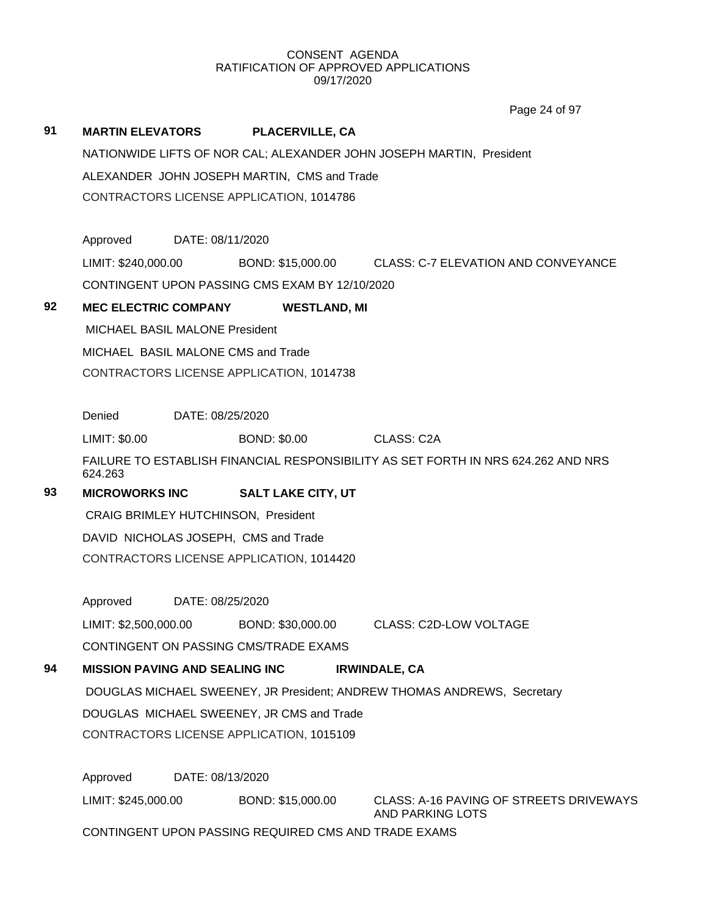**91 MARTIN ELEVATORS PLACERVILLE, CA** NATIONWIDE LIFTS OF NOR CAL; ALEXANDER JOHN JOSEPH MARTIN, President ALEXANDER JOHN JOSEPH MARTIN, CMS and Trade CONTRACTORS LICENSE APPLICATION, 1014786 Approved DATE: 08/11/2020 LIMIT: \$240,000.00 BOND: \$15,000.00 CLASS: C-7 ELEVATION AND CONVEYANCE CONTINGENT UPON PASSING CMS EXAM BY 12/10/2020 **92 MEC ELECTRIC COMPANY WESTLAND, MI** MICHAEL BASIL MALONE President MICHAEL BASIL MALONE CMS and Trade CONTRACTORS LICENSE APPLICATION, 1014738 Denied DATE: 08/25/2020 LIMIT: \$0.00 BOND: \$0.00 CLASS: C2A FAILURE TO ESTABLISH FINANCIAL RESPONSIBILITY AS SET FORTH IN NRS 624.262 AND NRS 624.263 **93 MICROWORKS INC SALT LAKE CITY, UT** CRAIG BRIMLEY HUTCHINSON, President DAVID NICHOLAS JOSEPH, CMS and Trade CONTRACTORS LICENSE APPLICATION, 1014420 Approved DATE: 08/25/2020 LIMIT: \$2,500,000.00 BOND: \$30,000.00 CLASS: C2D-LOW VOLTAGE CONTINGENT ON PASSING CMS/TRADE EXAMS **94 MISSION PAVING AND SEALING INC IRWINDALE, CA** DOUGLAS MICHAEL SWEENEY, JR President; ANDREW THOMAS ANDREWS, Secretary DOUGLAS MICHAEL SWEENEY, JR CMS and Trade CONTRACTORS LICENSE APPLICATION, 1015109 Approved DATE: 08/13/2020 LIMIT: \$245,000.00 BOND: \$15,000.00 CLASS: A-16 PAVING OF STREETS DRIVEWAYS AND PARKING LOTS CONTINGENT UPON PASSING REQUIRED CMS AND TRADE EXAMS Page 24 of 97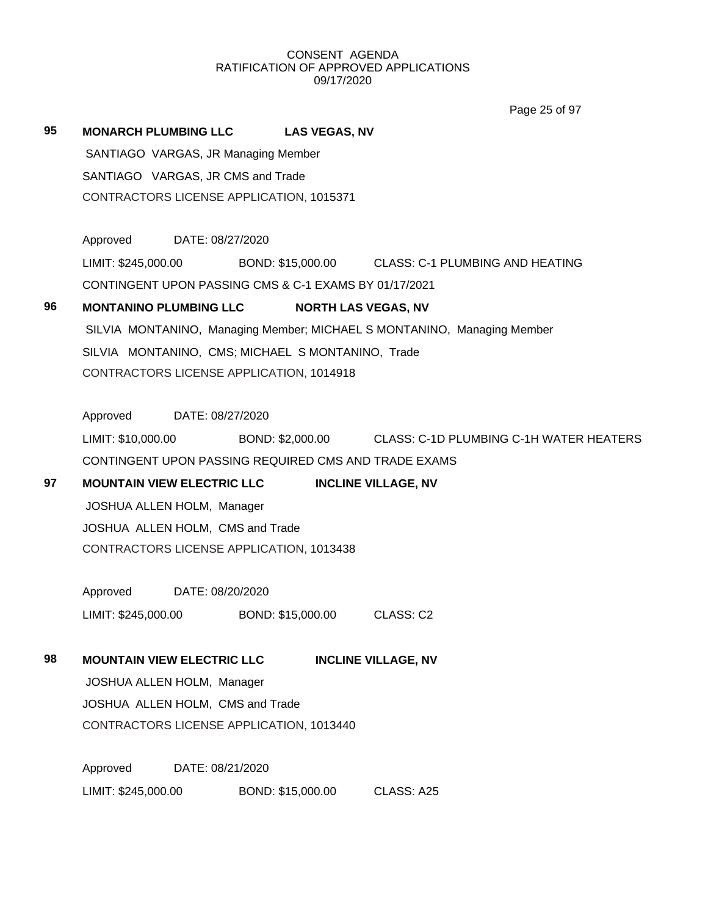Page 25 of 97

# **95 MONARCH PLUMBING LLC LAS VEGAS, NV** SANTIAGO VARGAS, JR Managing Member SANTIAGO VARGAS, JR CMS and Trade CONTRACTORS LICENSE APPLICATION, 1015371

Approved DATE: 08/27/2020 LIMIT: \$245,000.00 BOND: \$15,000.00 CLASS: C-1 PLUMBING AND HEATING CONTINGENT UPON PASSING CMS & C-1 EXAMS BY 01/17/2021

## **96 MONTANINO PLUMBING LLC NORTH LAS VEGAS, NV**

SILVIA MONTANINO, Managing Member; MICHAEL S MONTANINO, Managing Member SILVIA MONTANINO, CMS; MICHAEL S MONTANINO, Trade CONTRACTORS LICENSE APPLICATION, 1014918

Approved DATE: 08/27/2020

LIMIT: \$10,000.00 BOND: \$2,000.00 CLASS: C-1D PLUMBING C-1H WATER HEATERS CONTINGENT UPON PASSING REQUIRED CMS AND TRADE EXAMS

# **97 MOUNTAIN VIEW ELECTRIC LLC INCLINE VILLAGE, NV**

JOSHUA ALLEN HOLM, Manager JOSHUA ALLEN HOLM, CMS and Trade CONTRACTORS LICENSE APPLICATION, 1013438

Approved DATE: 08/20/2020 LIMIT: \$245,000.00 BOND: \$15,000.00 CLASS: C2

# **98 MOUNTAIN VIEW ELECTRIC LLC INCLINE VILLAGE, NV**

JOSHUA ALLEN HOLM, Manager JOSHUA ALLEN HOLM, CMS and Trade CONTRACTORS LICENSE APPLICATION, 1013440

Approved DATE: 08/21/2020 LIMIT: \$245,000.00 BOND: \$15,000.00 CLASS: A25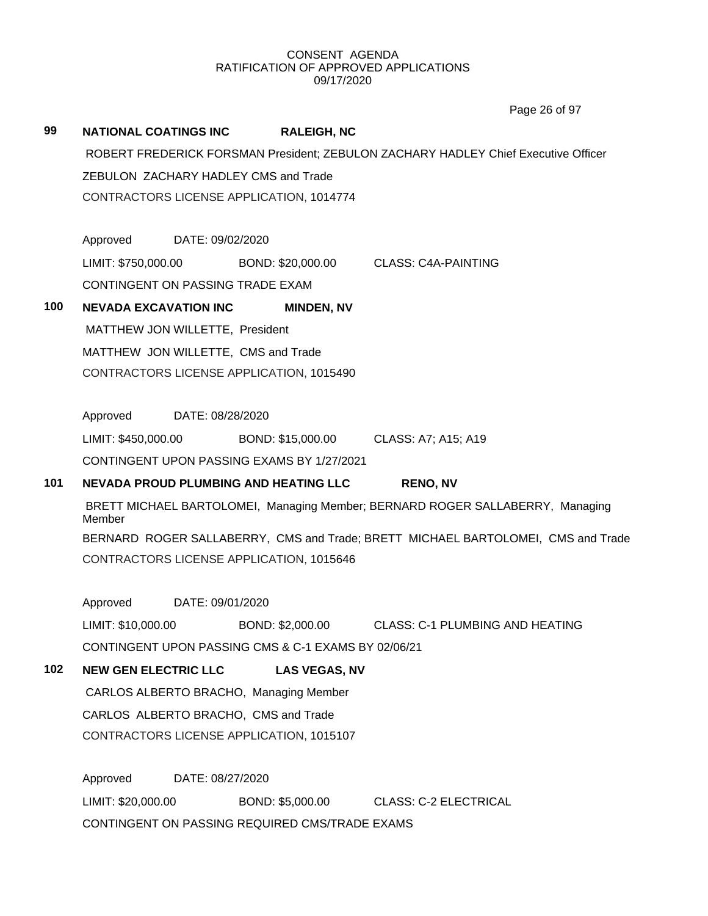Page 26 of 97

| 99  | <b>NATIONAL COATINGS INC</b><br><b>RALEIGH, NC</b>                                      |  |  |
|-----|-----------------------------------------------------------------------------------------|--|--|
|     | ROBERT FREDERICK FORSMAN President; ZEBULON ZACHARY HADLEY Chief Executive Officer      |  |  |
|     | ZEBULON ZACHARY HADLEY CMS and Trade                                                    |  |  |
|     | CONTRACTORS LICENSE APPLICATION, 1014774                                                |  |  |
|     | Approved<br>DATE: 09/02/2020                                                            |  |  |
|     | LIMIT: \$750,000.00 BOND: \$20,000.00 CLASS: C4A-PAINTING                               |  |  |
|     | CONTINGENT ON PASSING TRADE EXAM                                                        |  |  |
| 100 | <b>NEVADA EXCAVATION INC</b><br><b>MINDEN, NV</b>                                       |  |  |
|     | MATTHEW JON WILLETTE, President                                                         |  |  |
|     | MATTHEW JON WILLETTE, CMS and Trade                                                     |  |  |
|     | CONTRACTORS LICENSE APPLICATION, 1015490                                                |  |  |
|     | Approved<br>DATE: 08/28/2020                                                            |  |  |
|     | LIMIT: \$450,000.00<br>BOND: \$15,000.00<br>CLASS: A7; A15; A19                         |  |  |
|     | CONTINGENT UPON PASSING EXAMS BY 1/27/2021                                              |  |  |
| 101 | <b>NEVADA PROUD PLUMBING AND HEATING LLC</b><br><b>RENO, NV</b>                         |  |  |
|     | BRETT MICHAEL BARTOLOMEI, Managing Member; BERNARD ROGER SALLABERRY, Managing<br>Member |  |  |
|     | BERNARD ROGER SALLABERRY, CMS and Trade; BRETT MICHAEL BARTOLOMEI, CMS and Trade        |  |  |
|     | CONTRACTORS LICENSE APPLICATION, 1015646                                                |  |  |
|     | Approved DATE: 09/01/2020                                                               |  |  |
|     | LIMIT: \$10,000.00<br>BOND: \$2,000.00<br>CLASS: C-1 PLUMBING AND HEATING               |  |  |
|     | CONTINGENT UPON PASSING CMS & C-1 EXAMS BY 02/06/21                                     |  |  |
| 102 | <b>NEW GEN ELECTRIC LLC</b><br><b>LAS VEGAS, NV</b>                                     |  |  |
|     | CARLOS ALBERTO BRACHO, Managing Member                                                  |  |  |
|     | CARLOS ALBERTO BRACHO, CMS and Trade                                                    |  |  |
|     | CONTRACTORS LICENSE APPLICATION, 1015107                                                |  |  |
|     | Approved<br>DATE: 08/27/2020                                                            |  |  |
|     | LIMIT: \$20,000.00<br>BOND: \$5,000.00<br><b>CLASS: C-2 ELECTRICAL</b>                  |  |  |
|     | CONTINGENT ON PASSING REQUIRED CMS/TRADE EXAMS                                          |  |  |
|     |                                                                                         |  |  |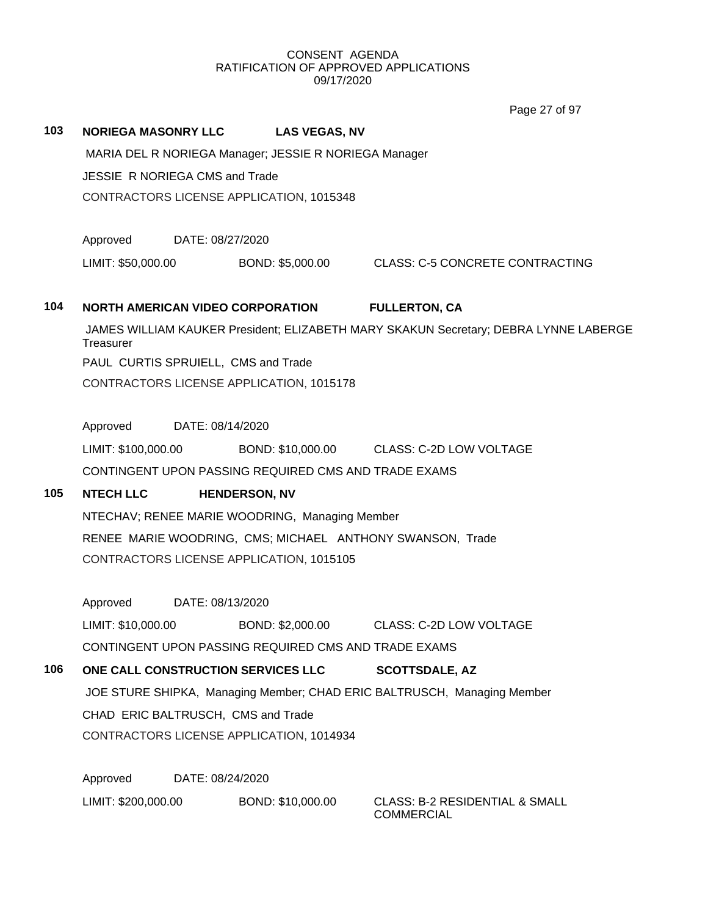# **103 NORIEGA MASONRY LLC LAS VEGAS, NV** MARIA DEL R NORIEGA Manager; JESSIE R NORIEGA Manager JESSIE R NORIEGA CMS and Trade CONTRACTORS LICENSE APPLICATION, 1015348 Approved DATE: 08/27/2020 LIMIT: \$50,000.00 BOND: \$5,000.00 CLASS: C-5 CONCRETE CONTRACTING **104 NORTH AMERICAN VIDEO CORPORATION FULLERTON, CA** JAMES WILLIAM KAUKER President; ELIZABETH MARY SKAKUN Secretary; DEBRA LYNNE LABERGE **Treasurer** PAUL CURTIS SPRUIELL, CMS and Trade CONTRACTORS LICENSE APPLICATION, 1015178 Approved DATE: 08/14/2020 LIMIT: \$100,000.00 BOND: \$10,000.00 CLASS: C-2D LOW VOLTAGE CONTINGENT UPON PASSING REQUIRED CMS AND TRADE EXAMS **105 NTECH LLC HENDERSON, NV** NTECHAV; RENEE MARIE WOODRING, Managing Member RENEE MARIE WOODRING, CMS; MICHAEL ANTHONY SWANSON, Trade CONTRACTORS LICENSE APPLICATION, 1015105 Approved DATE: 08/13/2020 LIMIT: \$10,000.00 BOND: \$2,000.00 CLASS: C-2D LOW VOLTAGE CONTINGENT UPON PASSING REQUIRED CMS AND TRADE EXAMS **106 ONE CALL CONSTRUCTION SERVICES LLC SCOTTSDALE, AZ** JOE STURE SHIPKA, Managing Member; CHAD ERIC BALTRUSCH, Managing Member CHAD ERIC BALTRUSCH, CMS and Trade CONTRACTORS LICENSE APPLICATION, 1014934 Approved DATE: 08/24/2020 LIMIT: \$200,000.00 BOND: \$10,000.00 CLASS: B-2 RESIDENTIAL & SMALL COMMERCIAL Page 27 of 97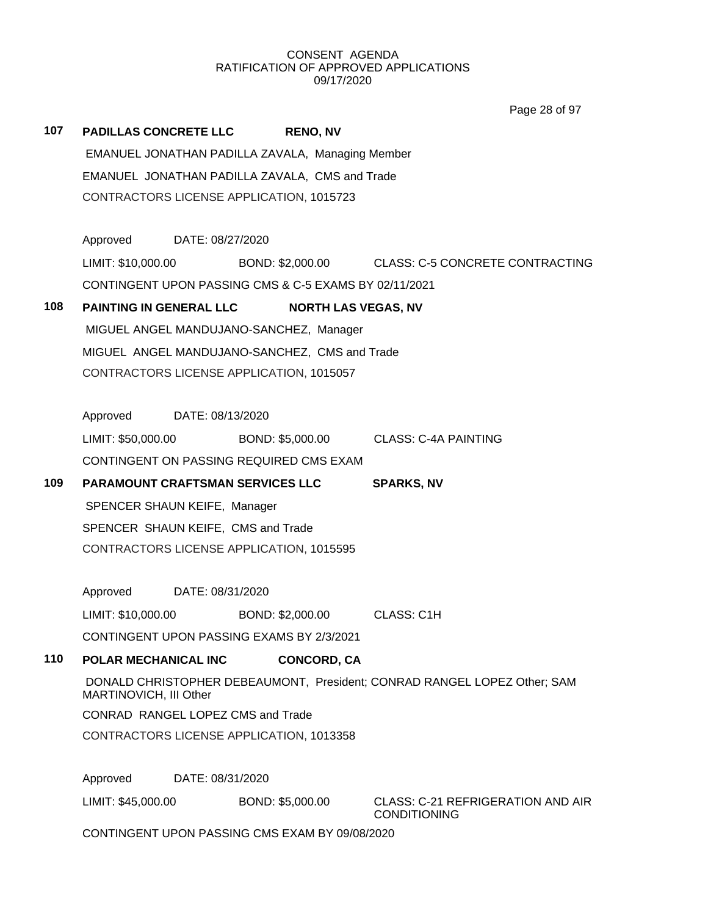Page 28 of 97

| 107                                            | <b>PADILLAS CONCRETE LLC</b>                                                                       | <b>RENO, NV</b>                                       |                                                                     |  |  |  |
|------------------------------------------------|----------------------------------------------------------------------------------------------------|-------------------------------------------------------|---------------------------------------------------------------------|--|--|--|
|                                                |                                                                                                    | EMANUEL JONATHAN PADILLA ZAVALA, Managing Member      |                                                                     |  |  |  |
|                                                |                                                                                                    | EMANUEL JONATHAN PADILLA ZAVALA, CMS and Trade        |                                                                     |  |  |  |
|                                                |                                                                                                    | CONTRACTORS LICENSE APPLICATION, 1015723              |                                                                     |  |  |  |
|                                                | Approved DATE: 08/27/2020                                                                          |                                                       |                                                                     |  |  |  |
|                                                |                                                                                                    |                                                       | LIMIT: \$10,000.00 BOND: \$2,000.00 CLASS: C-5 CONCRETE CONTRACTING |  |  |  |
|                                                |                                                                                                    | CONTINGENT UPON PASSING CMS & C-5 EXAMS BY 02/11/2021 |                                                                     |  |  |  |
| 108                                            | PAINTING IN GENERAL LLC                                                                            |                                                       | <b>NORTH LAS VEGAS, NV</b>                                          |  |  |  |
|                                                |                                                                                                    | MIGUEL ANGEL MANDUJANO-SANCHEZ, Manager               |                                                                     |  |  |  |
|                                                |                                                                                                    | MIGUEL ANGEL MANDUJANO-SANCHEZ, CMS and Trade         |                                                                     |  |  |  |
|                                                |                                                                                                    | CONTRACTORS LICENSE APPLICATION, 1015057              |                                                                     |  |  |  |
|                                                | Approved DATE: 08/13/2020                                                                          |                                                       |                                                                     |  |  |  |
|                                                |                                                                                                    |                                                       | LIMIT: \$50,000.00 BOND: \$5,000.00 CLASS: C-4A PAINTING            |  |  |  |
|                                                |                                                                                                    | CONTINGENT ON PASSING REQUIRED CMS EXAM               |                                                                     |  |  |  |
| 109                                            |                                                                                                    | PARAMOUNT CRAFTSMAN SERVICES LLC                      | <b>SPARKS, NV</b>                                                   |  |  |  |
|                                                | SPENCER SHAUN KEIFE, Manager                                                                       |                                                       |                                                                     |  |  |  |
|                                                |                                                                                                    | SPENCER SHAUN KEIFE, CMS and Trade                    |                                                                     |  |  |  |
|                                                |                                                                                                    | CONTRACTORS LICENSE APPLICATION, 1015595              |                                                                     |  |  |  |
|                                                | Approved DATE: 08/31/2020                                                                          |                                                       |                                                                     |  |  |  |
|                                                | LIMIT: \$10,000.00                                                                                 | BOND: \$2,000.00 CLASS: C1H                           |                                                                     |  |  |  |
|                                                |                                                                                                    | CONTINGENT UPON PASSING EXAMS BY 2/3/2021             |                                                                     |  |  |  |
| 110                                            | POLAR MECHANICAL INC                                                                               | <b>CONCORD, CA</b>                                    |                                                                     |  |  |  |
|                                                | DONALD CHRISTOPHER DEBEAUMONT, President; CONRAD RANGEL LOPEZ Other; SAM<br>MARTINOVICH, III Other |                                                       |                                                                     |  |  |  |
|                                                | CONRAD RANGEL LOPEZ CMS and Trade                                                                  |                                                       |                                                                     |  |  |  |
|                                                |                                                                                                    | CONTRACTORS LICENSE APPLICATION, 1013358              |                                                                     |  |  |  |
|                                                | Approved                                                                                           | DATE: 08/31/2020                                      |                                                                     |  |  |  |
|                                                | LIMIT: \$45,000.00                                                                                 | BOND: \$5,000.00                                      | <b>CLASS: C-21 REFRIGERATION AND AIR</b><br><b>CONDITIONING</b>     |  |  |  |
| CONTINGENT UPON PASSING CMS EXAM BY 09/08/2020 |                                                                                                    |                                                       |                                                                     |  |  |  |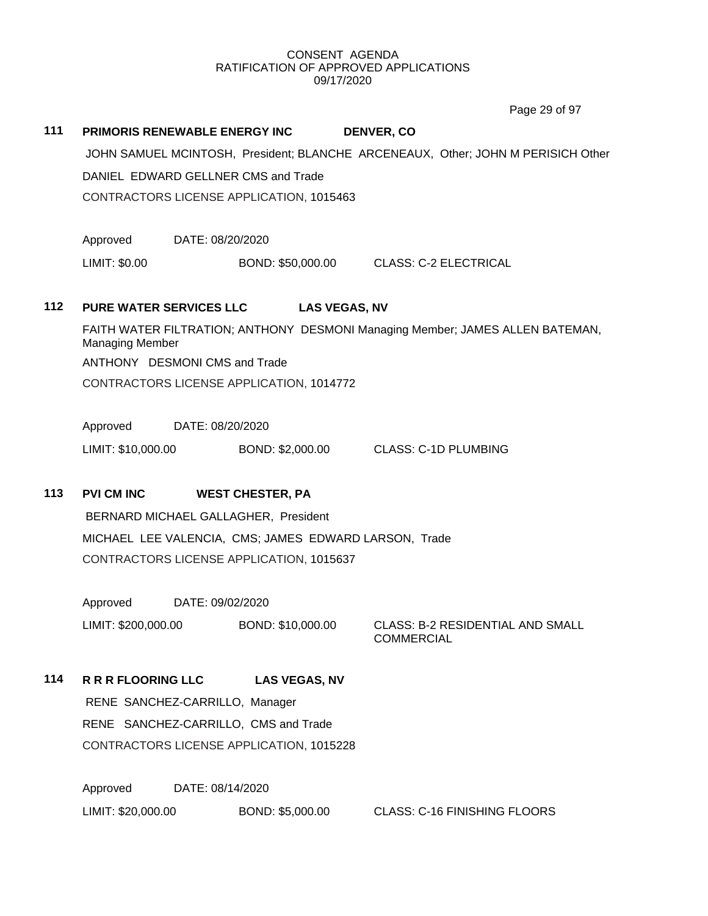Page 29 of 97

| 111 |                                                       | PRIMORIS RENEWABLE ENERGY INC                                                    | <b>DENVER, CO</b>                     |                                         |  |  |  |
|-----|-------------------------------------------------------|----------------------------------------------------------------------------------|---------------------------------------|-----------------------------------------|--|--|--|
|     |                                                       | JOHN SAMUEL MCINTOSH, President; BLANCHE ARCENEAUX, Other; JOHN M PERISICH Other |                                       |                                         |  |  |  |
|     |                                                       | DANIEL EDWARD GELLNER CMS and Trade                                              |                                       |                                         |  |  |  |
|     |                                                       | CONTRACTORS LICENSE APPLICATION, 1015463                                         |                                       |                                         |  |  |  |
|     | Approved                                              | DATE: 08/20/2020                                                                 |                                       |                                         |  |  |  |
|     | LIMIT: \$0.00                                         | BOND: \$50,000.00                                                                | <b>CLASS: C-2 ELECTRICAL</b>          |                                         |  |  |  |
| 112 | PURE WATER SERVICES LLC                               |                                                                                  | <b>LAS VEGAS, NV</b>                  |                                         |  |  |  |
|     | <b>Managing Member</b>                                | FAITH WATER FILTRATION; ANTHONY DESMONI Managing Member; JAMES ALLEN BATEMAN,    |                                       |                                         |  |  |  |
|     |                                                       | ANTHONY DESMONI CMS and Trade                                                    |                                       |                                         |  |  |  |
|     |                                                       | CONTRACTORS LICENSE APPLICATION, 1014772                                         |                                       |                                         |  |  |  |
|     | Approved DATE: 08/20/2020                             |                                                                                  |                                       |                                         |  |  |  |
|     | LIMIT: \$10,000.00                                    |                                                                                  | BOND: \$2,000.00 CLASS: C-1D PLUMBING |                                         |  |  |  |
| 113 | <b>PVI CM INC</b>                                     | <b>WEST CHESTER, PA</b>                                                          |                                       |                                         |  |  |  |
|     | BERNARD MICHAEL GALLAGHER, President                  |                                                                                  |                                       |                                         |  |  |  |
|     | MICHAEL LEE VALENCIA, CMS; JAMES EDWARD LARSON, Trade |                                                                                  |                                       |                                         |  |  |  |
|     | CONTRACTORS LICENSE APPLICATION, 1015637              |                                                                                  |                                       |                                         |  |  |  |
|     | Approved<br>DATE: 09/02/2020                          |                                                                                  |                                       |                                         |  |  |  |
|     | LIMIT: \$200,000.00                                   | BOND: \$10,000.00                                                                | <b>COMMERCIAL</b>                     | <b>CLASS: B-2 RESIDENTIAL AND SMALL</b> |  |  |  |
| 114 | <b>R R R FLOORING LLC</b>                             | <b>LAS VEGAS, NV</b>                                                             |                                       |                                         |  |  |  |
|     | RENE SANCHEZ-CARRILLO, Manager                        |                                                                                  |                                       |                                         |  |  |  |
|     |                                                       | RENE SANCHEZ-CARRILLO, CMS and Trade                                             |                                       |                                         |  |  |  |
|     |                                                       | CONTRACTORS LICENSE APPLICATION, 1015228                                         |                                       |                                         |  |  |  |
|     |                                                       |                                                                                  |                                       |                                         |  |  |  |

Approved DATE: 08/14/2020 LIMIT: \$20,000.00 BOND: \$5,000.00 CLASS: C-16 FINISHING FLOORS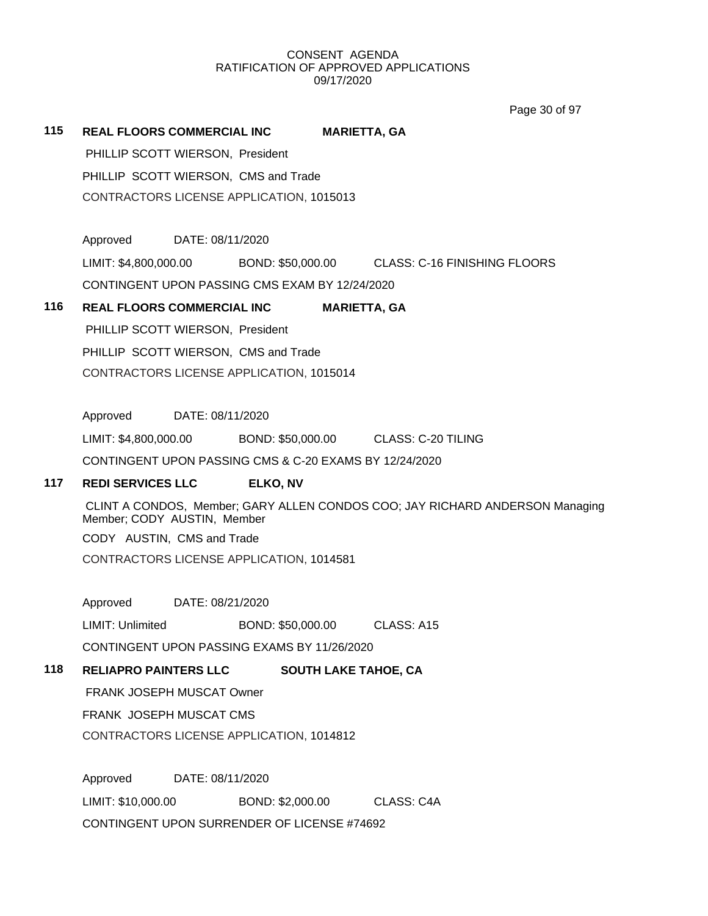Page 30 of 97

### **115 REAL FLOORS COMMERCIAL INC MARIETTA, GA**

PHILLIP SCOTT WIERSON, President PHILLIP SCOTT WIERSON, CMS and Trade CONTRACTORS LICENSE APPLICATION, 1015013

Approved DATE: 08/11/2020

LIMIT: \$4,800,000.00 BOND: \$50,000.00 CLASS: C-16 FINISHING FLOORS

CONTINGENT UPON PASSING CMS EXAM BY 12/24/2020

## **116 REAL FLOORS COMMERCIAL INC MARIETTA, GA**

PHILLIP SCOTT WIERSON, President PHILLIP SCOTT WIERSON, CMS and Trade CONTRACTORS LICENSE APPLICATION, 1015014

Approved DATE: 08/11/2020

LIMIT: \$4,800,000.00 BOND: \$50,000.00 CLASS: C-20 TILING

CONTINGENT UPON PASSING CMS & C-20 EXAMS BY 12/24/2020

# **117 REDI SERVICES LLC ELKO, NV**

CLINT A CONDOS, Member; GARY ALLEN CONDOS COO; JAY RICHARD ANDERSON Managing Member; CODY AUSTIN, Member CODY AUSTIN, CMS and Trade CONTRACTORS LICENSE APPLICATION, 1014581

Approved DATE: 08/21/2020

LIMIT: Unlimited BOND: \$50,000.00 CLASS: A15

CONTINGENT UPON PASSING EXAMS BY 11/26/2020

## **118 RELIAPRO PAINTERS LLC SOUTH LAKE TAHOE, CA**

FRANK JOSEPH MUSCAT Owner

FRANK JOSEPH MUSCAT CMS

CONTRACTORS LICENSE APPLICATION, 1014812

Approved DATE: 08/11/2020 LIMIT: \$10,000.00 BOND: \$2,000.00 CLASS: C4A CONTINGENT UPON SURRENDER OF LICENSE #74692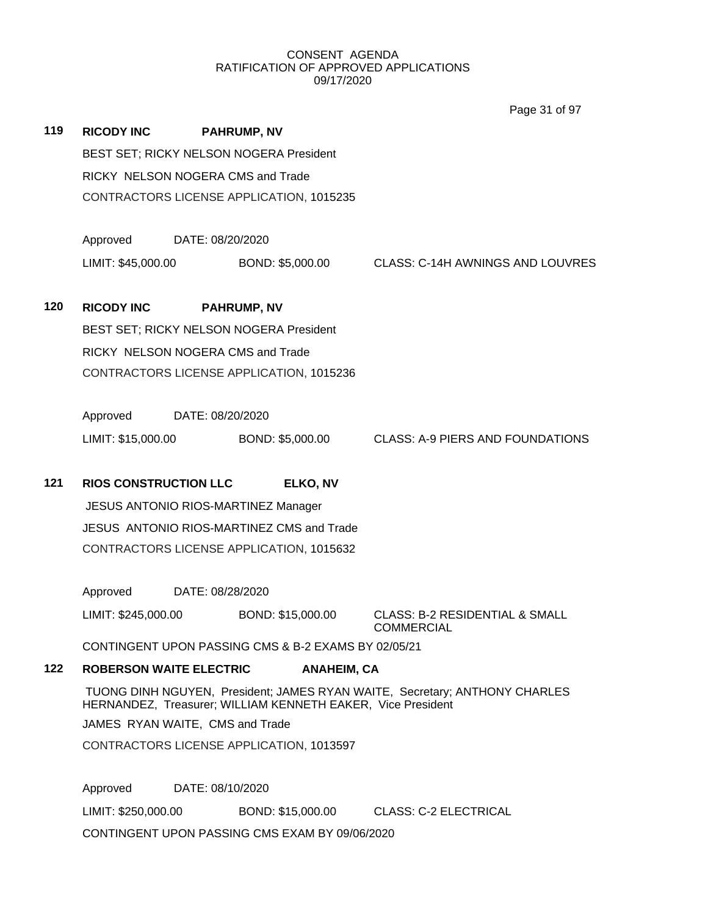|     |                                 |                                          |                                                             |                    | Page 31 of 97                                                              |  |
|-----|---------------------------------|------------------------------------------|-------------------------------------------------------------|--------------------|----------------------------------------------------------------------------|--|
| 119 | <b>RICODY INC</b>               |                                          | <b>PAHRUMP, NV</b>                                          |                    |                                                                            |  |
|     |                                 |                                          | BEST SET; RICKY NELSON NOGERA President                     |                    |                                                                            |  |
|     |                                 |                                          | RICKY NELSON NOGERA CMS and Trade                           |                    |                                                                            |  |
|     |                                 |                                          | CONTRACTORS LICENSE APPLICATION, 1015235                    |                    |                                                                            |  |
|     | Approved                        | DATE: 08/20/2020                         |                                                             |                    |                                                                            |  |
|     | LIMIT: \$45,000.00              |                                          | BOND: \$5,000.00                                            |                    | CLASS: C-14H AWNINGS AND LOUVRES                                           |  |
| 120 | <b>RICODY INC</b>               |                                          | <b>PAHRUMP, NV</b>                                          |                    |                                                                            |  |
|     |                                 |                                          | BEST SET; RICKY NELSON NOGERA President                     |                    |                                                                            |  |
|     |                                 |                                          | RICKY NELSON NOGERA CMS and Trade                           |                    |                                                                            |  |
|     |                                 | CONTRACTORS LICENSE APPLICATION, 1015236 |                                                             |                    |                                                                            |  |
|     | Approved                        | DATE: 08/20/2020                         |                                                             |                    |                                                                            |  |
|     | LIMIT: \$15,000.00              |                                          | BOND: \$5,000.00                                            |                    | CLASS: A-9 PIERS AND FOUNDATIONS                                           |  |
| 121 | <b>RIOS CONSTRUCTION LLC</b>    |                                          | ELKO, NV                                                    |                    |                                                                            |  |
|     |                                 |                                          | <b>JESUS ANTONIO RIOS-MARTINEZ Manager</b>                  |                    |                                                                            |  |
|     |                                 |                                          | JESUS ANTONIO RIOS-MARTINEZ CMS and Trade                   |                    |                                                                            |  |
|     |                                 |                                          | CONTRACTORS LICENSE APPLICATION, 1015632                    |                    |                                                                            |  |
|     | Approved DATE: 08/28/2020       |                                          |                                                             |                    |                                                                            |  |
|     | LIMIT: \$245,000.00             |                                          | BOND: \$15,000.00                                           |                    | <b>CLASS: B-2 RESIDENTIAL &amp; SMALL</b><br><b>COMMERCIAL</b>             |  |
|     |                                 |                                          | CONTINGENT UPON PASSING CMS & B-2 EXAMS BY 02/05/21         |                    |                                                                            |  |
| 122 | <b>ROBERSON WAITE ELECTRIC</b>  |                                          |                                                             | <b>ANAHEIM, CA</b> |                                                                            |  |
|     |                                 |                                          | HERNANDEZ, Treasurer; WILLIAM KENNETH EAKER, Vice President |                    | TUONG DINH NGUYEN, President; JAMES RYAN WAITE, Secretary; ANTHONY CHARLES |  |
|     | JAMES RYAN WAITE, CMS and Trade |                                          |                                                             |                    |                                                                            |  |
|     |                                 |                                          | CONTRACTORS LICENSE APPLICATION, 1013597                    |                    |                                                                            |  |
|     | Approved                        | DATE: 08/10/2020                         |                                                             |                    |                                                                            |  |

LIMIT: \$250,000.00 BOND: \$15,000.00 CLASS: C-2 ELECTRICAL CONTINGENT UPON PASSING CMS EXAM BY 09/06/2020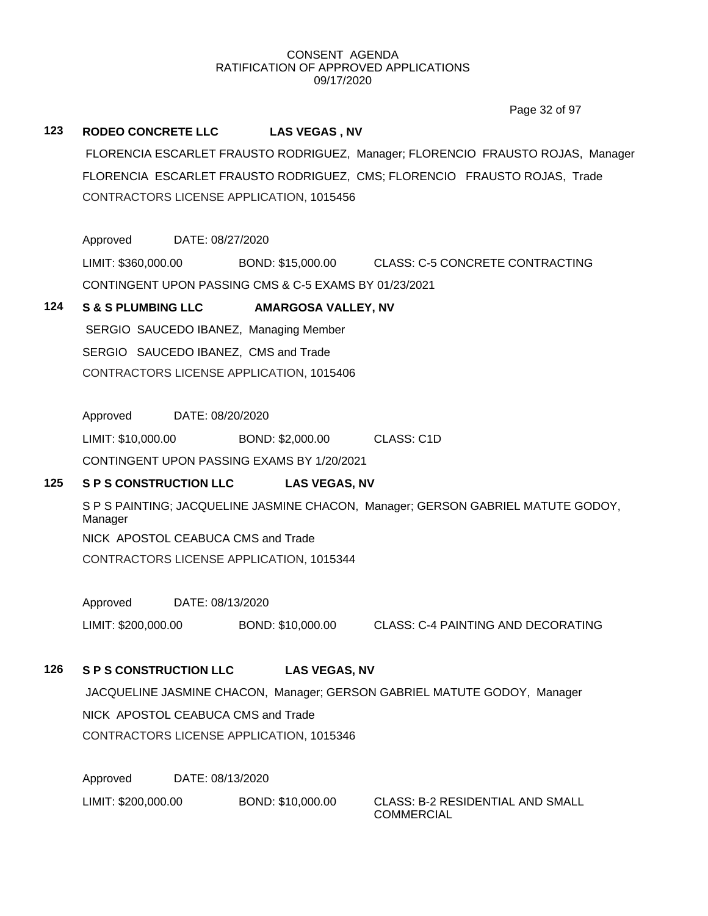Page 32 of 97

## **123 RODEO CONCRETE LLC LAS VEGAS , NV**

FLORENCIA ESCARLET FRAUSTO RODRIGUEZ, Manager; FLORENCIO FRAUSTO ROJAS, Manager FLORENCIA ESCARLET FRAUSTO RODRIGUEZ, CMS; FLORENCIO FRAUSTO ROJAS, Trade CONTRACTORS LICENSE APPLICATION, 1015456

Approved DATE: 08/27/2020

LIMIT: \$360,000.00 BOND: \$15,000.00 CLASS: C-5 CONCRETE CONTRACTING CONTINGENT UPON PASSING CMS & C-5 EXAMS BY 01/23/2021

### **124 S & S PLUMBING LLC AMARGOSA VALLEY, NV**

SERGIO SAUCEDO IBANEZ, Managing Member SERGIO SAUCEDO IBANEZ, CMS and Trade CONTRACTORS LICENSE APPLICATION, 1015406

Approved DATE: 08/20/2020

LIMIT: \$10,000.00 BOND: \$2,000.00 CLASS: C1D

CONTINGENT UPON PASSING EXAMS BY 1/20/2021

## **125 S P S CONSTRUCTION LLC LAS VEGAS, NV**

S P S PAINTING; JACQUELINE JASMINE CHACON, Manager; GERSON GABRIEL MATUTE GODOY, Manager NICK APOSTOL CEABUCA CMS and Trade CONTRACTORS LICENSE APPLICATION, 1015344

Approved DATE: 08/13/2020

LIMIT: \$200,000.00 BOND: \$10,000.00 CLASS: C-4 PAINTING AND DECORATING

## **126 S P S CONSTRUCTION LLC LAS VEGAS, NV**

JACQUELINE JASMINE CHACON, Manager; GERSON GABRIEL MATUTE GODOY, Manager NICK APOSTOL CEABUCA CMS and Trade CONTRACTORS LICENSE APPLICATION, 1015346

Approved DATE: 08/13/2020 LIMIT: \$200,000.00 BOND: \$10,000.00 CLASS: B-2 RESIDENTIAL AND SMALL

COMMERCIAL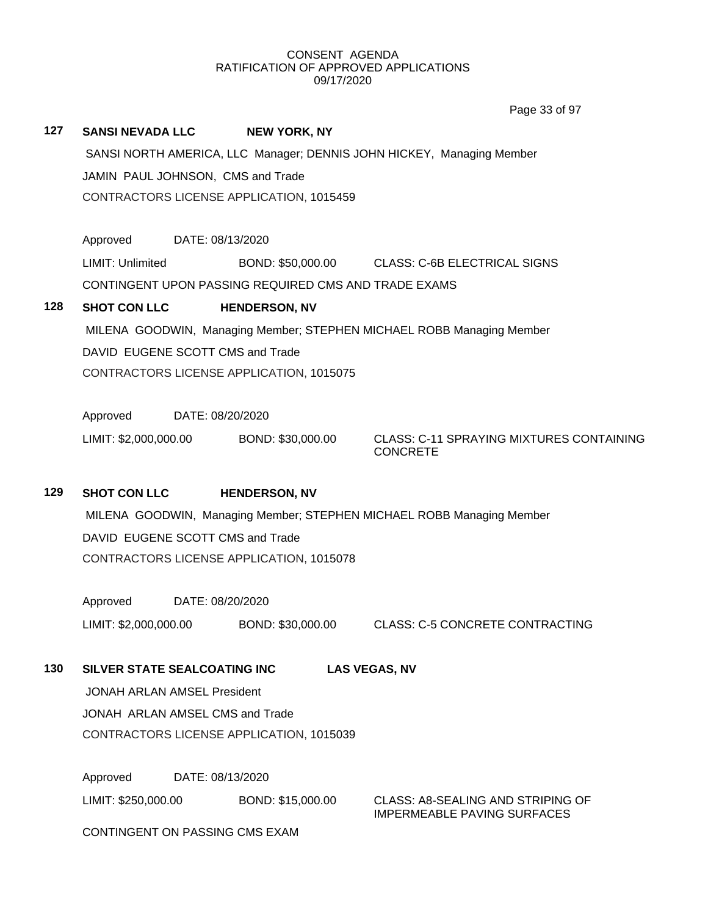|                                  |                                                                               |                                                                       |                                                      | Page 33 of 97                                                      |  |  |  |
|----------------------------------|-------------------------------------------------------------------------------|-----------------------------------------------------------------------|------------------------------------------------------|--------------------------------------------------------------------|--|--|--|
| 127                              | <b>SANSI NEVADA LLC</b>                                                       |                                                                       | <b>NEW YORK, NY</b>                                  |                                                                    |  |  |  |
|                                  | SANSI NORTH AMERICA, LLC Manager; DENNIS JOHN HICKEY, Managing Member         |                                                                       |                                                      |                                                                    |  |  |  |
|                                  | JAMIN PAUL JOHNSON, CMS and Trade<br>CONTRACTORS LICENSE APPLICATION, 1015459 |                                                                       |                                                      |                                                                    |  |  |  |
|                                  |                                                                               |                                                                       |                                                      |                                                                    |  |  |  |
|                                  |                                                                               |                                                                       |                                                      |                                                                    |  |  |  |
|                                  | Approved                                                                      | DATE: 08/13/2020                                                      |                                                      |                                                                    |  |  |  |
|                                  | LIMIT: Unlimited                                                              |                                                                       |                                                      | BOND: \$50,000.00 CLASS: C-6B ELECTRICAL SIGNS                     |  |  |  |
|                                  |                                                                               |                                                                       | CONTINGENT UPON PASSING REQUIRED CMS AND TRADE EXAMS |                                                                    |  |  |  |
| 128                              | <b>SHOT CON LLC</b>                                                           |                                                                       | <b>HENDERSON, NV</b>                                 |                                                                    |  |  |  |
|                                  |                                                                               | MILENA GOODWIN, Managing Member; STEPHEN MICHAEL ROBB Managing Member |                                                      |                                                                    |  |  |  |
| DAVID EUGENE SCOTT CMS and Trade |                                                                               |                                                                       |                                                      |                                                                    |  |  |  |
|                                  | CONTRACTORS LICENSE APPLICATION, 1015075                                      |                                                                       |                                                      |                                                                    |  |  |  |
|                                  |                                                                               |                                                                       |                                                      |                                                                    |  |  |  |
|                                  | Approved                                                                      | DATE: 08/20/2020                                                      |                                                      |                                                                    |  |  |  |
|                                  | LIMIT: \$2,000,000.00                                                         |                                                                       | BOND: \$30,000.00                                    | <b>CLASS: C-11 SPRAYING MIXTURES CONTAINING</b><br><b>CONCRETE</b> |  |  |  |
|                                  |                                                                               |                                                                       |                                                      |                                                                    |  |  |  |
| 129                              | <b>SHOT CON LLC</b>                                                           |                                                                       | <b>HENDERSON, NV</b>                                 |                                                                    |  |  |  |
|                                  | MILENA GOODWIN, Managing Member; STEPHEN MICHAEL ROBB Managing Member         |                                                                       |                                                      |                                                                    |  |  |  |
|                                  | DAVID EUGENE SCOTT CMS and Trade                                              |                                                                       |                                                      |                                                                    |  |  |  |
|                                  | CONTRACTORS LICENSE APPLICATION, 1015078                                      |                                                                       |                                                      |                                                                    |  |  |  |
|                                  |                                                                               |                                                                       |                                                      |                                                                    |  |  |  |
|                                  | Approved                                                                      | DATE: 08/20/2020                                                      |                                                      |                                                                    |  |  |  |
|                                  | LIMIT: \$2,000,000.00                                                         |                                                                       | BOND: \$30,000.00                                    | <b>CLASS: C-5 CONCRETE CONTRACTING</b>                             |  |  |  |
|                                  |                                                                               |                                                                       |                                                      |                                                                    |  |  |  |
| 130                              | SILVER STATE SEALCOATING INC<br><b>LAS VEGAS, NV</b>                          |                                                                       |                                                      |                                                                    |  |  |  |
|                                  | <b>JONAH ARLAN AMSEL President</b>                                            |                                                                       |                                                      |                                                                    |  |  |  |
|                                  | JONAH ARLAN AMSEL CMS and Trade                                               |                                                                       |                                                      |                                                                    |  |  |  |
|                                  | CONTRACTORS LICENSE APPLICATION, 1015039                                      |                                                                       |                                                      |                                                                    |  |  |  |
|                                  | Approved                                                                      | DATE: 08/13/2020                                                      |                                                      |                                                                    |  |  |  |
|                                  | LIMIT: \$250,000.00                                                           |                                                                       | BOND: \$15,000.00                                    | <b>CLASS: A8-SEALING AND STRIPING OF</b>                           |  |  |  |
|                                  |                                                                               |                                                                       |                                                      | <b>IMPERMEABLE PAVING SURFACES</b>                                 |  |  |  |

CONTINGENT ON PASSING CMS EXAM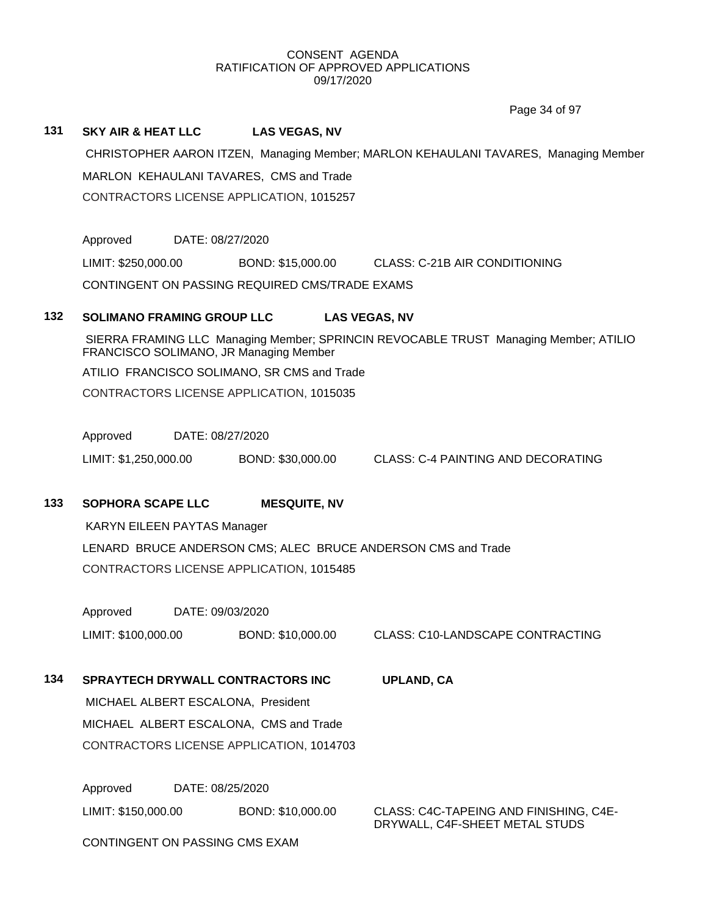Page 34 of 97

#### **131 SKY AIR & HEAT LLC LAS VEGAS, NV**

CHRISTOPHER AARON ITZEN, Managing Member; MARLON KEHAULANI TAVARES, Managing Member MARLON KEHAULANI TAVARES, CMS and Trade CONTRACTORS LICENSE APPLICATION, 1015257

Approved DATE: 08/27/2020

LIMIT: \$250,000.00 BOND: \$15,000.00 CLASS: C-21B AIR CONDITIONING

CONTINGENT ON PASSING REQUIRED CMS/TRADE EXAMS

# **132 SOLIMANO FRAMING GROUP LLC LAS VEGAS, NV**

SIERRA FRAMING LLC Managing Member; SPRINCIN REVOCABLE TRUST Managing Member; ATILIO FRANCISCO SOLIMANO, JR Managing Member

ATILIO FRANCISCO SOLIMANO, SR CMS and Trade

CONTRACTORS LICENSE APPLICATION, 1015035

Approved DATE: 08/27/2020

LIMIT: \$1,250,000.00 BOND: \$30,000.00 CLASS: C-4 PAINTING AND DECORATING

# **133 SOPHORA SCAPE LLC MESQUITE, NV**

KARYN EILEEN PAYTAS Manager

LENARD BRUCE ANDERSON CMS; ALEC BRUCE ANDERSON CMS and Trade CONTRACTORS LICENSE APPLICATION, 1015485

Approved DATE: 09/03/2020

LIMIT: \$100,000.00 BOND: \$10,000.00 CLASS: C10-LANDSCAPE CONTRACTING

# **134 SPRAYTECH DRYWALL CONTRACTORS INC UPLAND, CA**

MICHAEL ALBERT ESCALONA, President MICHAEL ALBERT ESCALONA, CMS and Trade CONTRACTORS LICENSE APPLICATION, 1014703

Approved DATE: 08/25/2020

LIMIT: \$150,000.00 BOND: \$10,000.00 CLASS: C4C-TAPEING AND FINISHING, C4E-DRYWALL, C4F-SHEET METAL STUDS

CONTINGENT ON PASSING CMS EXAM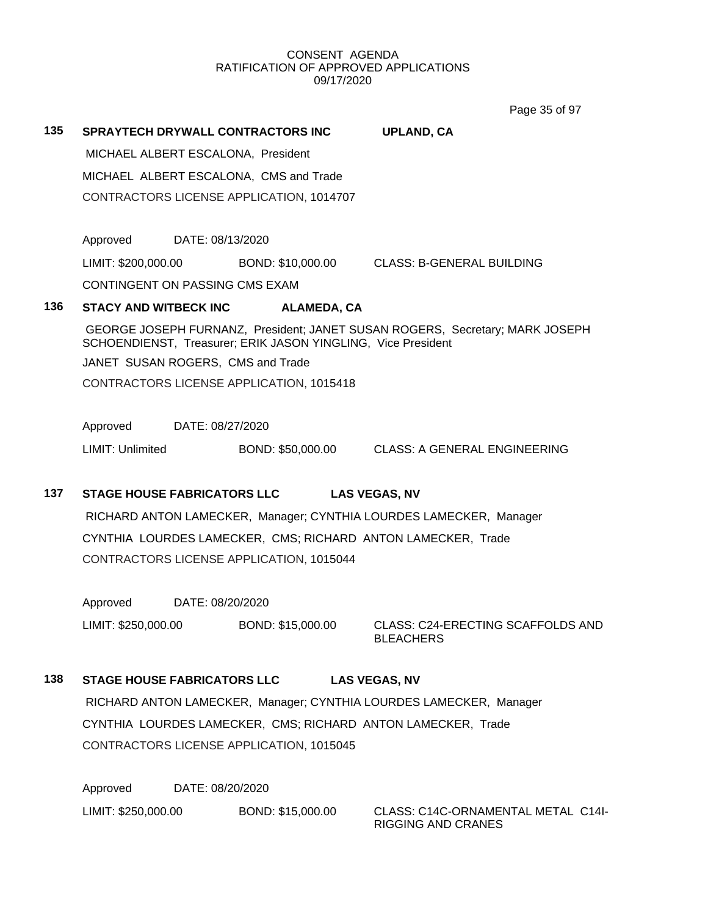Page 35 of 97

**135 SPRAYTECH DRYWALL CONTRACTORS INC UPLAND, CA** MICHAEL ALBERT ESCALONA, President MICHAEL ALBERT ESCALONA, CMS and Trade CONTRACTORS LICENSE APPLICATION, 1014707 Approved DATE: 08/13/2020 LIMIT: \$200,000.00 BOND: \$10,000.00 CLASS: B-GENERAL BUILDING CONTINGENT ON PASSING CMS EXAM **136 STACY AND WITBECK INC ALAMEDA, CA** GEORGE JOSEPH FURNANZ, President; JANET SUSAN ROGERS, Secretary; MARK JOSEPH SCHOENDIENST, Treasurer; ERIK JASON YINGLING, Vice President JANET SUSAN ROGERS, CMS and Trade CONTRACTORS LICENSE APPLICATION, 1015418 Approved DATE: 08/27/2020 LIMIT: Unlimited BOND: \$50,000.00 CLASS: A GENERAL ENGINEERING

# **137 STAGE HOUSE FABRICATORS LLC LAS VEGAS, NV**

RICHARD ANTON LAMECKER, Manager; CYNTHIA LOURDES LAMECKER, Manager CYNTHIA LOURDES LAMECKER, CMS; RICHARD ANTON LAMECKER, Trade CONTRACTORS LICENSE APPLICATION, 1015044

Approved DATE: 08/20/2020

LIMIT: \$250,000.00 BOND: \$15,000.00 CLASS: C24-ERECTING SCAFFOLDS AND

BLEACHERS

# **138 STAGE HOUSE FABRICATORS LLC LAS VEGAS, NV**

RICHARD ANTON LAMECKER, Manager; CYNTHIA LOURDES LAMECKER, Manager CYNTHIA LOURDES LAMECKER, CMS; RICHARD ANTON LAMECKER, Trade CONTRACTORS LICENSE APPLICATION, 1015045

Approved DATE: 08/20/2020 LIMIT: \$250,000.00 BOND: \$15,000.00 CLASS: C14C-ORNAMENTAL METAL C14I-

RIGGING AND CRANES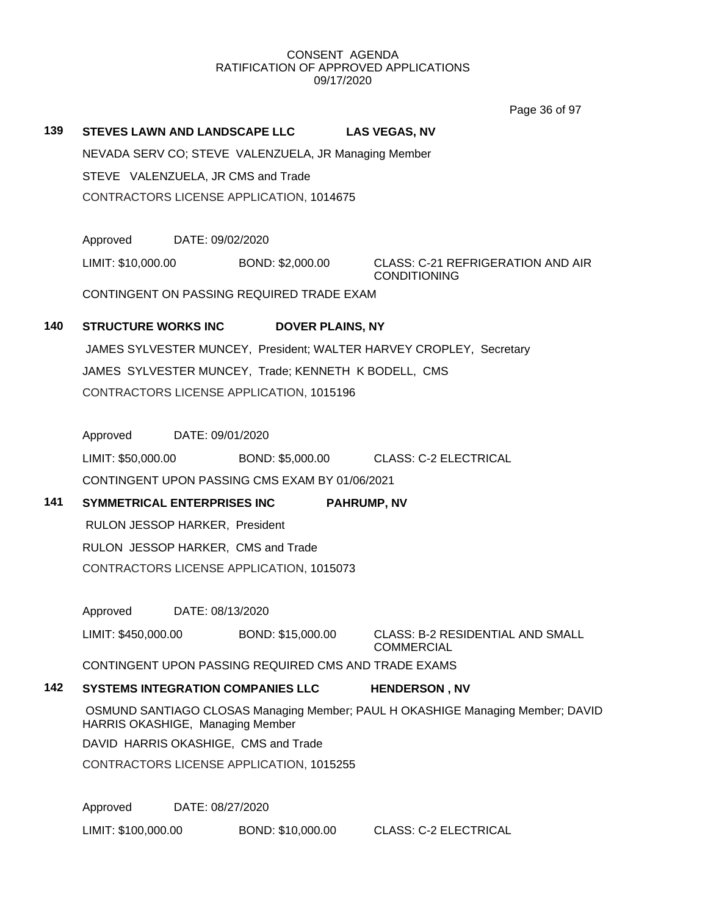Page 36 of 97

| 139                                                      | <b>STEVES LAWN AND LANDSCAPE LLC</b>                                                                               |                  |                                                | <b>LAS VEGAS, NV</b>                                                |  |  |
|----------------------------------------------------------|--------------------------------------------------------------------------------------------------------------------|------------------|------------------------------------------------|---------------------------------------------------------------------|--|--|
| NEVADA SERV CO; STEVE VALENZUELA, JR Managing Member     |                                                                                                                    |                  |                                                |                                                                     |  |  |
| STEVE VALENZUELA, JR CMS and Trade                       |                                                                                                                    |                  |                                                |                                                                     |  |  |
|                                                          |                                                                                                                    |                  | CONTRACTORS LICENSE APPLICATION, 1014675       |                                                                     |  |  |
|                                                          |                                                                                                                    |                  |                                                |                                                                     |  |  |
|                                                          | Approved                                                                                                           | DATE: 09/02/2020 |                                                |                                                                     |  |  |
|                                                          | LIMIT: \$10,000.00                                                                                                 |                  | BOND: \$2,000.00                               | CLASS: C-21 REFRIGERATION AND AIR<br><b>CONDITIONING</b>            |  |  |
|                                                          |                                                                                                                    |                  | CONTINGENT ON PASSING REQUIRED TRADE EXAM      |                                                                     |  |  |
| 140                                                      | <b>STRUCTURE WORKS INC</b>                                                                                         |                  | <b>DOVER PLAINS, NY</b>                        |                                                                     |  |  |
|                                                          |                                                                                                                    |                  |                                                | JAMES SYLVESTER MUNCEY, President; WALTER HARVEY CROPLEY, Secretary |  |  |
| JAMES SYLVESTER MUNCEY, Trade; KENNETH K BODELL, CMS     |                                                                                                                    |                  |                                                |                                                                     |  |  |
|                                                          |                                                                                                                    |                  | CONTRACTORS LICENSE APPLICATION, 1015196       |                                                                     |  |  |
|                                                          |                                                                                                                    |                  |                                                |                                                                     |  |  |
|                                                          | Approved DATE: 09/01/2020                                                                                          |                  |                                                |                                                                     |  |  |
|                                                          |                                                                                                                    |                  |                                                | LIMIT: \$50,000.00 BOND: \$5,000.00 CLASS: C-2 ELECTRICAL           |  |  |
|                                                          |                                                                                                                    |                  | CONTINGENT UPON PASSING CMS EXAM BY 01/06/2021 |                                                                     |  |  |
| 141<br>SYMMETRICAL ENTERPRISES INC<br><b>PAHRUMP, NV</b> |                                                                                                                    |                  |                                                |                                                                     |  |  |
|                                                          | RULON JESSOP HARKER, President                                                                                     |                  |                                                |                                                                     |  |  |
|                                                          |                                                                                                                    |                  | RULON JESSOP HARKER, CMS and Trade             |                                                                     |  |  |
| CONTRACTORS LICENSE APPLICATION, 1015073                 |                                                                                                                    |                  |                                                |                                                                     |  |  |
|                                                          | Approved                                                                                                           | DATE: 08/13/2020 |                                                |                                                                     |  |  |
|                                                          | LIMIT: \$450,000.00                                                                                                |                  | BOND: \$15,000.00                              | <b>CLASS: B-2 RESIDENTIAL AND SMALL</b>                             |  |  |
|                                                          |                                                                                                                    |                  |                                                | <b>COMMERCIAL</b>                                                   |  |  |
|                                                          |                                                                                                                    |                  |                                                | CONTINGENT UPON PASSING REQUIRED CMS AND TRADE EXAMS                |  |  |
| 142                                                      | <b>SYSTEMS INTEGRATION COMPANIES LLC</b><br><b>HENDERSON, NV</b>                                                   |                  |                                                |                                                                     |  |  |
|                                                          | OSMUND SANTIAGO CLOSAS Managing Member; PAUL H OKASHIGE Managing Member; DAVID<br>HARRIS OKASHIGE, Managing Member |                  |                                                |                                                                     |  |  |
|                                                          | DAVID HARRIS OKASHIGE, CMS and Trade                                                                               |                  |                                                |                                                                     |  |  |
|                                                          | CONTRACTORS LICENSE APPLICATION, 1015255                                                                           |                  |                                                |                                                                     |  |  |
|                                                          |                                                                                                                    |                  |                                                |                                                                     |  |  |
|                                                          | Approved                                                                                                           | DATE: 08/27/2020 |                                                |                                                                     |  |  |
|                                                          | LIMIT: \$100,000.00                                                                                                |                  | BOND: \$10,000.00                              | <b>CLASS: C-2 ELECTRICAL</b>                                        |  |  |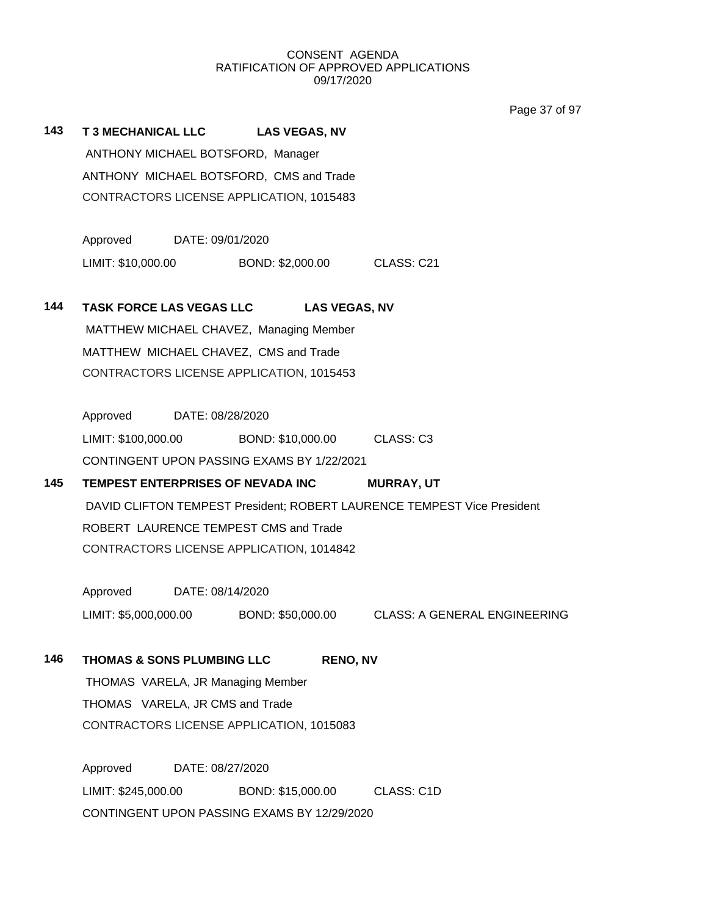Page 37 of 97

| 143 | <b>T 3 MECHANICAL LLC</b><br><b>LAS VEGAS, NV</b><br>ANTHONY MICHAEL BOTSFORD, Manager<br>ANTHONY MICHAEL BOTSFORD, CMS and Trade |                                                |  |  |  |  |  |
|-----|-----------------------------------------------------------------------------------------------------------------------------------|------------------------------------------------|--|--|--|--|--|
|     |                                                                                                                                   | CONTRACTORS LICENSE APPLICATION, 1015483       |  |  |  |  |  |
|     | Approved<br>DATE: 09/01/2020                                                                                                      |                                                |  |  |  |  |  |
|     | LIMIT: \$10,000.00<br>BOND: \$2,000.00                                                                                            | CLASS: C21                                     |  |  |  |  |  |
| 144 | <b>TASK FORCE LAS VEGAS LLC</b>                                                                                                   | <b>LAS VEGAS, NV</b>                           |  |  |  |  |  |
|     | MATTHEW MICHAEL CHAVEZ, Managing Member                                                                                           |                                                |  |  |  |  |  |
|     | MATTHEW MICHAEL CHAVEZ, CMS and Trade                                                                                             |                                                |  |  |  |  |  |
|     | CONTRACTORS LICENSE APPLICATION, 1015453                                                                                          |                                                |  |  |  |  |  |
|     |                                                                                                                                   |                                                |  |  |  |  |  |
|     | Approved<br>DATE: 08/28/2020                                                                                                      |                                                |  |  |  |  |  |
|     | LIMIT: \$100,000.00                                                                                                               | BOND: \$10,000.00 CLASS: C3                    |  |  |  |  |  |
|     | CONTINGENT UPON PASSING EXAMS BY 1/22/2021                                                                                        |                                                |  |  |  |  |  |
| 145 | TEMPEST ENTERPRISES OF NEVADA INC                                                                                                 | <b>MURRAY, UT</b>                              |  |  |  |  |  |
|     | DAVID CLIFTON TEMPEST President; ROBERT LAURENCE TEMPEST Vice President                                                           |                                                |  |  |  |  |  |
|     | ROBERT LAURENCE TEMPEST CMS and Trade                                                                                             |                                                |  |  |  |  |  |
|     | CONTRACTORS LICENSE APPLICATION, 1014842                                                                                          |                                                |  |  |  |  |  |
|     | Approved<br>DATE: 08/14/2020                                                                                                      |                                                |  |  |  |  |  |
|     | LIMIT: \$5,000,000.00                                                                                                             | BOND: \$50,000.00 CLASS: A GENERAL ENGINEERING |  |  |  |  |  |
| 146 | <b>THOMAS &amp; SONS PLUMBING LLC</b>                                                                                             | <b>RENO, NV</b>                                |  |  |  |  |  |
|     | THOMAS VARELA, JR Managing Member                                                                                                 |                                                |  |  |  |  |  |
|     | THOMAS VARELA, JR CMS and Trade                                                                                                   |                                                |  |  |  |  |  |
|     | CONTRACTORS LICENSE APPLICATION, 1015083                                                                                          |                                                |  |  |  |  |  |
|     | Approved<br>DATE: 08/27/2020                                                                                                      |                                                |  |  |  |  |  |
|     | LIMIT: \$245,000.00<br>BOND: \$15,000.00                                                                                          | CLASS: C1D                                     |  |  |  |  |  |
|     | CONTINGENT UPON PASSING EXAMS BY 12/29/2020                                                                                       |                                                |  |  |  |  |  |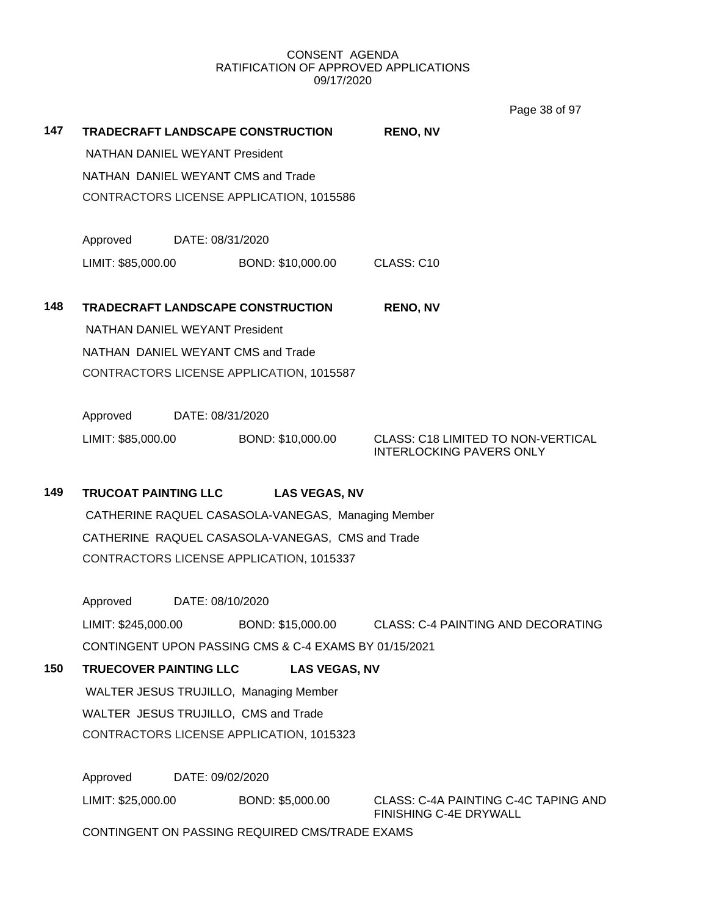|                                          |                                                                                  |                      | Page 38 of 97                                                         |  |  |  |
|------------------------------------------|----------------------------------------------------------------------------------|----------------------|-----------------------------------------------------------------------|--|--|--|
| 147                                      | TRADECRAFT LANDSCAPE CONSTRUCTION                                                |                      | <b>RENO, NV</b>                                                       |  |  |  |
|                                          | <b>NATHAN DANIEL WEYANT President</b>                                            |                      |                                                                       |  |  |  |
|                                          | NATHAN DANIEL WEYANT CMS and Trade                                               |                      |                                                                       |  |  |  |
|                                          | CONTRACTORS LICENSE APPLICATION, 1015586                                         |                      |                                                                       |  |  |  |
|                                          |                                                                                  |                      |                                                                       |  |  |  |
|                                          | Approved<br>DATE: 08/31/2020                                                     |                      |                                                                       |  |  |  |
|                                          | LIMIT: \$85,000.00                                                               | BOND: \$10,000.00    | CLASS: C10                                                            |  |  |  |
| 148                                      | TRADECRAFT LANDSCAPE CONSTRUCTION                                                |                      | <b>RENO, NV</b>                                                       |  |  |  |
|                                          | NATHAN DANIEL WEYANT President                                                   |                      |                                                                       |  |  |  |
|                                          | NATHAN DANIEL WEYANT CMS and Trade                                               |                      |                                                                       |  |  |  |
|                                          |                                                                                  |                      |                                                                       |  |  |  |
|                                          | CONTRACTORS LICENSE APPLICATION, 1015587                                         |                      |                                                                       |  |  |  |
|                                          | Approved<br>DATE: 08/31/2020                                                     |                      |                                                                       |  |  |  |
|                                          | LIMIT: \$85,000.00                                                               | BOND: \$10,000.00    | <b>CLASS: C18 LIMITED TO NON-VERTICAL</b>                             |  |  |  |
|                                          |                                                                                  |                      | <b>INTERLOCKING PAVERS ONLY</b>                                       |  |  |  |
| 149                                      | TRUCOAT PAINTING LLC                                                             | <b>LAS VEGAS, NV</b> |                                                                       |  |  |  |
|                                          | CATHERINE RAQUEL CASASOLA-VANEGAS, Managing Member                               |                      |                                                                       |  |  |  |
|                                          | CATHERINE RAQUEL CASASOLA-VANEGAS, CMS and Trade                                 |                      |                                                                       |  |  |  |
| CONTRACTORS LICENSE APPLICATION, 1015337 |                                                                                  |                      |                                                                       |  |  |  |
|                                          |                                                                                  |                      |                                                                       |  |  |  |
|                                          | Approved<br>DATE: 08/10/2020                                                     |                      |                                                                       |  |  |  |
|                                          | LIMIT: \$245,000.00                                                              | BOND: \$15,000.00    | CLASS: C-4 PAINTING AND DECORATING                                    |  |  |  |
|                                          | CONTINGENT UPON PASSING CMS & C-4 EXAMS BY 01/15/2021                            |                      |                                                                       |  |  |  |
| 150                                      | <b>TRUECOVER PAINTING LLC</b>                                                    | <b>LAS VEGAS, NV</b> |                                                                       |  |  |  |
|                                          | WALTER JESUS TRUJILLO, Managing Member                                           |                      |                                                                       |  |  |  |
|                                          | WALTER JESUS TRUJILLO, CMS and Trade<br>CONTRACTORS LICENSE APPLICATION, 1015323 |                      |                                                                       |  |  |  |
|                                          |                                                                                  |                      |                                                                       |  |  |  |
|                                          | Approved<br>DATE: 09/02/2020                                                     |                      |                                                                       |  |  |  |
|                                          | LIMIT: \$25,000.00                                                               | BOND: \$5,000.00     | CLASS: C-4A PAINTING C-4C TAPING AND<br><b>FINISHING C-4E DRYWALL</b> |  |  |  |
|                                          | CONTINGENT ON PASSING REQUIRED CMS/TRADE EXAMS                                   |                      |                                                                       |  |  |  |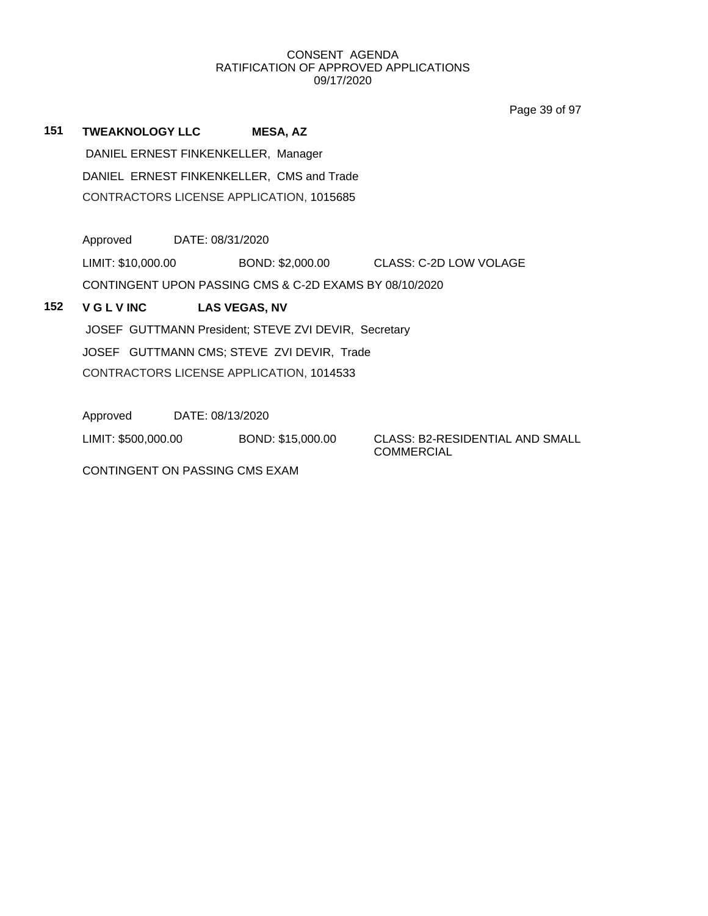Page 39 of 97

**151 TWEAKNOLOGY LLC MESA, AZ** DANIEL ERNEST FINKENKELLER, Manager DANIEL ERNEST FINKENKELLER, CMS and Trade CONTRACTORS LICENSE APPLICATION, 1015685

Approved DATE: 08/31/2020

LIMIT: \$10,000.00 BOND: \$2,000.00 CLASS: C-2D LOW VOLAGE

CONTINGENT UPON PASSING CMS & C-2D EXAMS BY 08/10/2020

# **152 V G L V INC LAS VEGAS, NV**

JOSEF GUTTMANN President; STEVE ZVI DEVIR, Secretary

JOSEF GUTTMANN CMS; STEVE ZVI DEVIR, Trade

CONTRACTORS LICENSE APPLICATION, 1014533

Approved DATE: 08/13/2020

LIMIT: \$500,000.00 BOND: \$15,000.00 CLASS: B2-RESIDENTIAL AND SMALL

CONTINGENT ON PASSING CMS EXAM

COMMERCIAL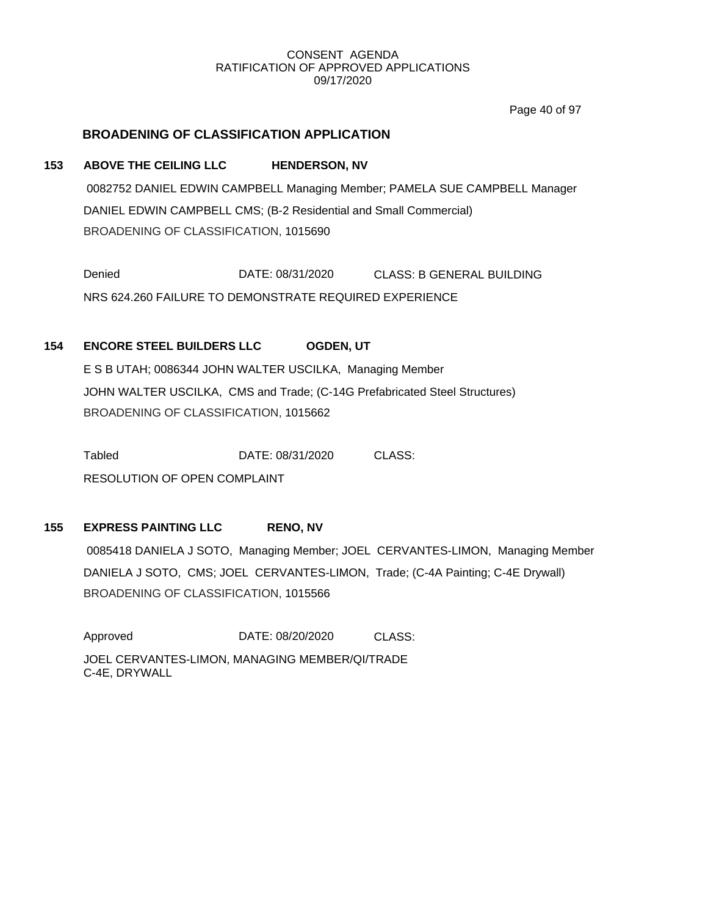Page 40 of 97

# **BROADENING OF CLASSIFICATION APPLICATION**

# **153 ABOVE THE CEILING LLC HENDERSON, NV**

0082752 DANIEL EDWIN CAMPBELL Managing Member; PAMELA SUE CAMPBELL Manager DANIEL EDWIN CAMPBELL CMS; (B-2 Residential and Small Commercial) BROADENING OF CLASSIFICATION, 1015690

Denied DATE: 08/31/2020 CLASS: B GENERAL BUILDING NRS 624.260 FAILURE TO DEMONSTRATE REQUIRED EXPERIENCE

# **154 ENCORE STEEL BUILDERS LLC OGDEN, UT**

E S B UTAH; 0086344 JOHN WALTER USCILKA, Managing Member JOHN WALTER USCILKA, CMS and Trade; (C-14G Prefabricated Steel Structures) BROADENING OF CLASSIFICATION, 1015662

Tabled DATE: 08/31/2020 CLASS: RESOLUTION OF OPEN COMPLAINT

# **155 EXPRESS PAINTING LLC RENO, NV**

0085418 DANIELA J SOTO, Managing Member; JOEL CERVANTES-LIMON, Managing Member DANIELA J SOTO, CMS; JOEL CERVANTES-LIMON, Trade; (C-4A Painting; C-4E Drywall) BROADENING OF CLASSIFICATION, 1015566

Approved DATE: 08/20/2020 CLASS: JOEL CERVANTES-LIMON, MANAGING MEMBER/QI/TRADE C-4E, DRYWALL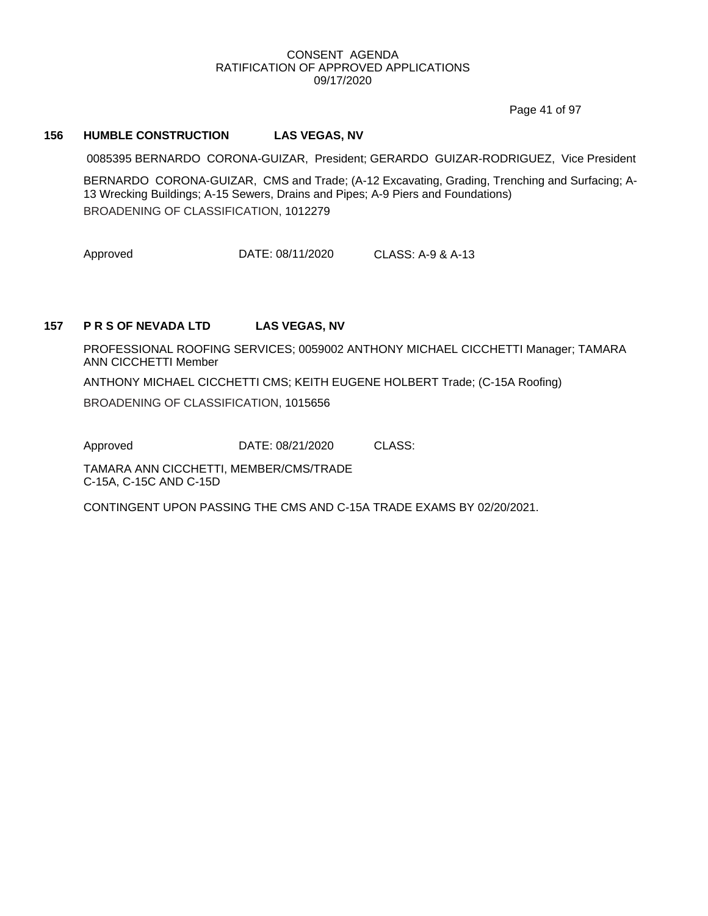Page 41 of 97

## **156 HUMBLE CONSTRUCTION LAS VEGAS, NV**

0085395 BERNARDO CORONA-GUIZAR, President; GERARDO GUIZAR-RODRIGUEZ, Vice President

BERNARDO CORONA-GUIZAR, CMS and Trade; (A-12 Excavating, Grading, Trenching and Surfacing; A-13 Wrecking Buildings; A-15 Sewers, Drains and Pipes; A-9 Piers and Foundations) BROADENING OF CLASSIFICATION, 1012279

Approved DATE: 08/11/2020 CLASS: A-9 & A-13

#### **157 P R S OF NEVADA LTD LAS VEGAS, NV**

PROFESSIONAL ROOFING SERVICES; 0059002 ANTHONY MICHAEL CICCHETTI Manager; TAMARA ANN CICCHETTI Member

ANTHONY MICHAEL CICCHETTI CMS; KEITH EUGENE HOLBERT Trade; (C-15A Roofing)

BROADENING OF CLASSIFICATION, 1015656

Approved **DATE: 08/21/2020 CLASS:** 

TAMARA ANN CICCHETTI, MEMBER/CMS/TRADE C-15A, C-15C AND C-15D

CONTINGENT UPON PASSING THE CMS AND C-15A TRADE EXAMS BY 02/20/2021.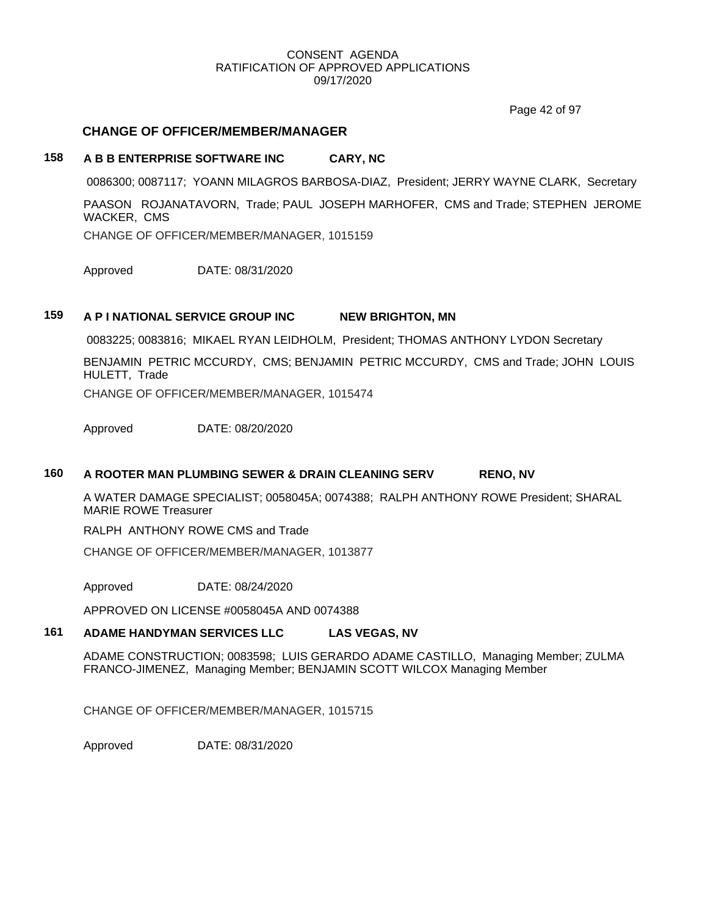Page 42 of 97

## **CHANGE OF OFFICER/MEMBER/MANAGER**

# **158 A B B ENTERPRISE SOFTWARE INC CARY, NC**

0086300; 0087117; YOANN MILAGROS BARBOSA-DIAZ, President; JERRY WAYNE CLARK, Secretary

PAASON ROJANATAVORN, Trade; PAUL JOSEPH MARHOFER, CMS and Trade; STEPHEN JEROME WACKER, CMS

CHANGE OF OFFICER/MEMBER/MANAGER, 1015159

Approved DATE: 08/31/2020

## **159 A P I NATIONAL SERVICE GROUP INC NEW BRIGHTON, MN**

0083225; 0083816; MIKAEL RYAN LEIDHOLM, President; THOMAS ANTHONY LYDON Secretary

BENJAMIN PETRIC MCCURDY, CMS; BENJAMIN PETRIC MCCURDY, CMS and Trade; JOHN LOUIS HULETT, Trade

CHANGE OF OFFICER/MEMBER/MANAGER, 1015474

Approved DATE: 08/20/2020

### **160 A ROOTER MAN PLUMBING SEWER & DRAIN CLEANING SERV RENO, NV**

A WATER DAMAGE SPECIALIST; 0058045A; 0074388; RALPH ANTHONY ROWE President; SHARAL MARIE ROWE Treasurer

RALPH ANTHONY ROWE CMS and Trade

CHANGE OF OFFICER/MEMBER/MANAGER, 1013877

Approved DATE: 08/24/2020

APPROVED ON LICENSE #0058045A AND 0074388

# **161 ADAME HANDYMAN SERVICES LLC LAS VEGAS, NV**

ADAME CONSTRUCTION; 0083598; LUIS GERARDO ADAME CASTILLO, Managing Member; ZULMA FRANCO-JIMENEZ, Managing Member; BENJAMIN SCOTT WILCOX Managing Member

CHANGE OF OFFICER/MEMBER/MANAGER, 1015715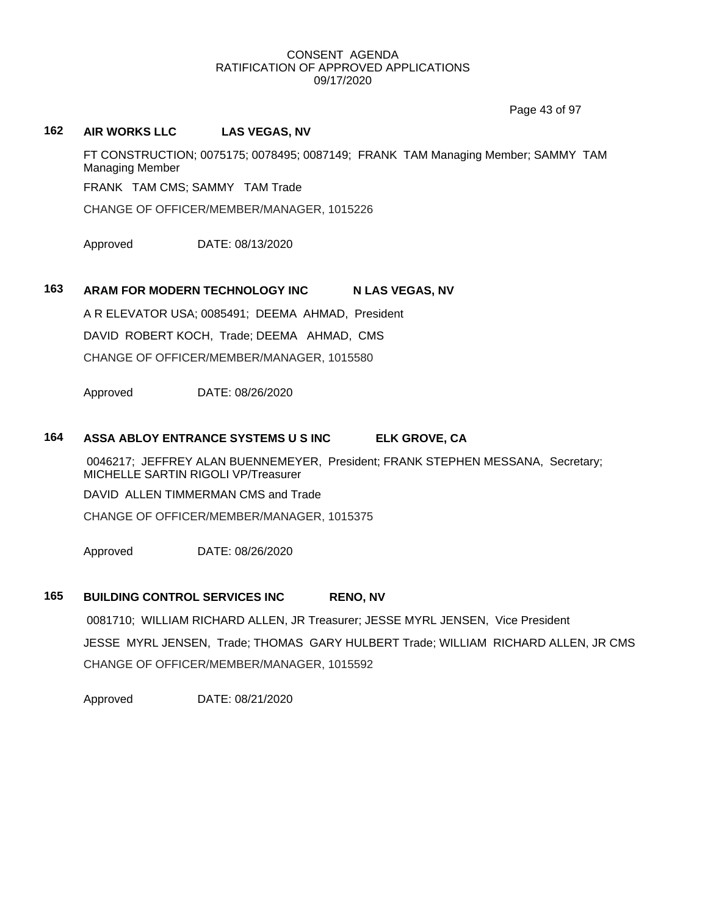Page 43 of 97

# **162 AIR WORKS LLC LAS VEGAS, NV**

FT CONSTRUCTION; 0075175; 0078495; 0087149; FRANK TAM Managing Member; SAMMY TAM Managing Member

FRANK TAM CMS; SAMMY TAM Trade

CHANGE OF OFFICER/MEMBER/MANAGER, 1015226

Approved DATE: 08/13/2020

## 163 ARAM FOR MODERN TECHNOLOGY INC N LAS VEGAS, NV

A R ELEVATOR USA; 0085491; DEEMA AHMAD, President

DAVID ROBERT KOCH, Trade; DEEMA AHMAD, CMS

CHANGE OF OFFICER/MEMBER/MANAGER, 1015580

Approved DATE: 08/26/2020

# **164 ASSA ABLOY ENTRANCE SYSTEMS U S INC ELK GROVE, CA**

0046217; JEFFREY ALAN BUENNEMEYER, President; FRANK STEPHEN MESSANA, Secretary; MICHELLE SARTIN RIGOLI VP/Treasurer

DAVID ALLEN TIMMERMAN CMS and Trade

CHANGE OF OFFICER/MEMBER/MANAGER, 1015375

Approved DATE: 08/26/2020

# **165 BUILDING CONTROL SERVICES INC RENO, NV**

0081710; WILLIAM RICHARD ALLEN, JR Treasurer; JESSE MYRL JENSEN, Vice President JESSE MYRL JENSEN, Trade; THOMAS GARY HULBERT Trade; WILLIAM RICHARD ALLEN, JR CMS CHANGE OF OFFICER/MEMBER/MANAGER, 1015592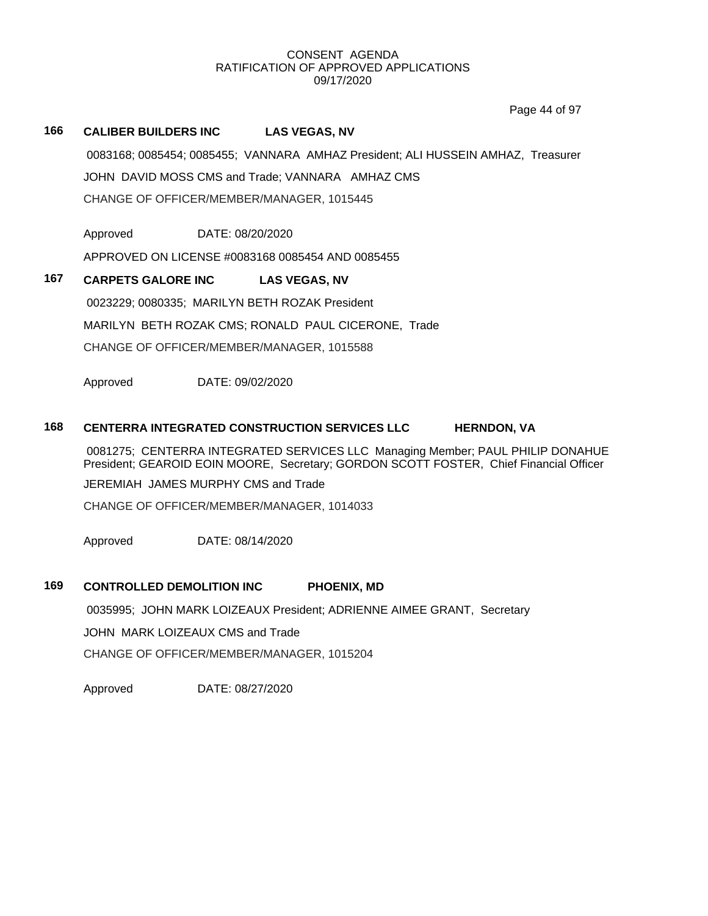Page 44 of 97

## **166 CALIBER BUILDERS INC LAS VEGAS, NV**

0083168; 0085454; 0085455; VANNARA AMHAZ President; ALI HUSSEIN AMHAZ, Treasurer JOHN DAVID MOSS CMS and Trade; VANNARA AMHAZ CMS CHANGE OF OFFICER/MEMBER/MANAGER, 1015445

Approved DATE: 08/20/2020

APPROVED ON LICENSE #0083168 0085454 AND 0085455

# **167 CARPETS GALORE INC LAS VEGAS, NV**

0023229; 0080335; MARILYN BETH ROZAK President MARILYN BETH ROZAK CMS; RONALD PAUL CICERONE, Trade CHANGE OF OFFICER/MEMBER/MANAGER, 1015588

Approved DATE: 09/02/2020

## **168 CENTERRA INTEGRATED CONSTRUCTION SERVICES LLC HERNDON, VA**

0081275; CENTERRA INTEGRATED SERVICES LLC Managing Member; PAUL PHILIP DONAHUE President; GEAROID EOIN MOORE, Secretary; GORDON SCOTT FOSTER, Chief Financial Officer JEREMIAH JAMES MURPHY CMS and Trade

CHANGE OF OFFICER/MEMBER/MANAGER, 1014033

Approved DATE: 08/14/2020

## **169 CONTROLLED DEMOLITION INC PHOENIX, MD**

0035995; JOHN MARK LOIZEAUX President; ADRIENNE AIMEE GRANT, Secretary

JOHN MARK LOIZEAUX CMS and Trade

CHANGE OF OFFICER/MEMBER/MANAGER, 1015204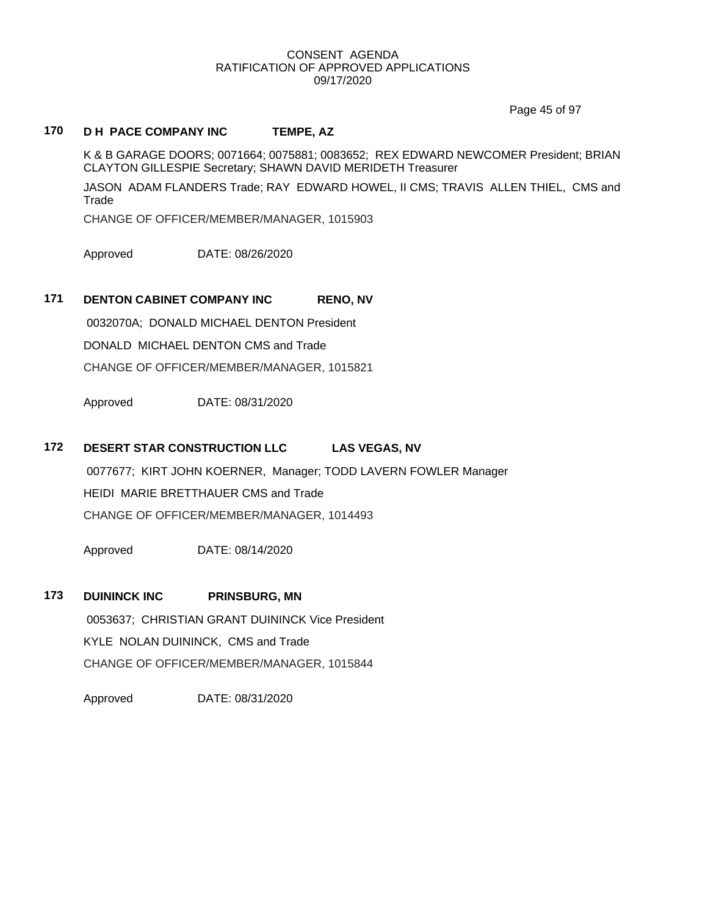Page 45 of 97

# **170 D H PACE COMPANY INC TEMPE, AZ**

K & B GARAGE DOORS; 0071664; 0075881; 0083652; REX EDWARD NEWCOMER President; BRIAN CLAYTON GILLESPIE Secretary; SHAWN DAVID MERIDETH Treasurer

JASON ADAM FLANDERS Trade; RAY EDWARD HOWEL, II CMS; TRAVIS ALLEN THIEL, CMS and Trade

CHANGE OF OFFICER/MEMBER/MANAGER, 1015903

Approved DATE: 08/26/2020

# **171 DENTON CABINET COMPANY INC RENO, NV**

0032070A; DONALD MICHAEL DENTON President DONALD MICHAEL DENTON CMS and Trade CHANGE OF OFFICER/MEMBER/MANAGER, 1015821

Approved DATE: 08/31/2020

# **172 DESERT STAR CONSTRUCTION LLC LAS VEGAS, NV**

0077677; KIRT JOHN KOERNER, Manager; TODD LAVERN FOWLER Manager HEIDI MARIE BRETTHAUER CMS and Trade CHANGE OF OFFICER/MEMBER/MANAGER, 1014493

Approved DATE: 08/14/2020

**173 DUININCK INC PRINSBURG, MN** 0053637; CHRISTIAN GRANT DUININCK Vice President KYLE NOLAN DUININCK, CMS and Trade CHANGE OF OFFICER/MEMBER/MANAGER, 1015844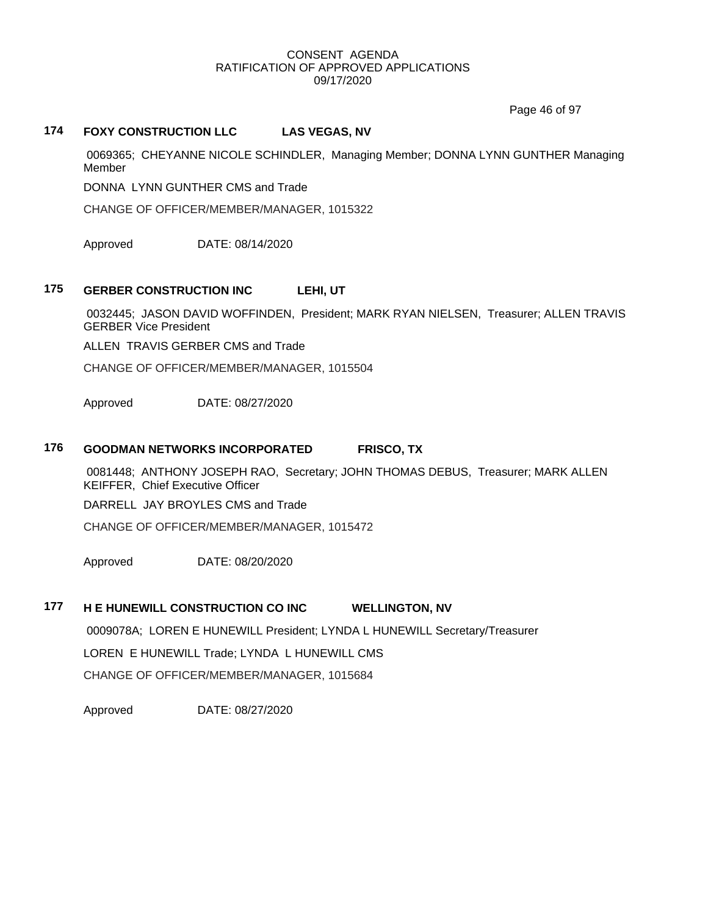Page 46 of 97

# **174 FOXY CONSTRUCTION LLC LAS VEGAS, NV**

0069365; CHEYANNE NICOLE SCHINDLER, Managing Member; DONNA LYNN GUNTHER Managing Member

DONNA LYNN GUNTHER CMS and Trade

CHANGE OF OFFICER/MEMBER/MANAGER, 1015322

Approved DATE: 08/14/2020

# **175 GERBER CONSTRUCTION INC LEHI, UT**

0032445; JASON DAVID WOFFINDEN, President; MARK RYAN NIELSEN, Treasurer; ALLEN TRAVIS GERBER Vice President

ALLEN TRAVIS GERBER CMS and Trade

CHANGE OF OFFICER/MEMBER/MANAGER, 1015504

Approved DATE: 08/27/2020

# **176 GOODMAN NETWORKS INCORPORATED FRISCO, TX**

0081448; ANTHONY JOSEPH RAO, Secretary; JOHN THOMAS DEBUS, Treasurer; MARK ALLEN KEIFFER, Chief Executive Officer

DARRELL JAY BROYLES CMS and Trade

CHANGE OF OFFICER/MEMBER/MANAGER, 1015472

Approved DATE: 08/20/2020

### **177 H E HUNEWILL CONSTRUCTION CO INC WELLINGTON, NV**

0009078A; LOREN E HUNEWILL President; LYNDA L HUNEWILL Secretary/Treasurer

LOREN E HUNEWILL Trade; LYNDA L HUNEWILL CMS

CHANGE OF OFFICER/MEMBER/MANAGER, 1015684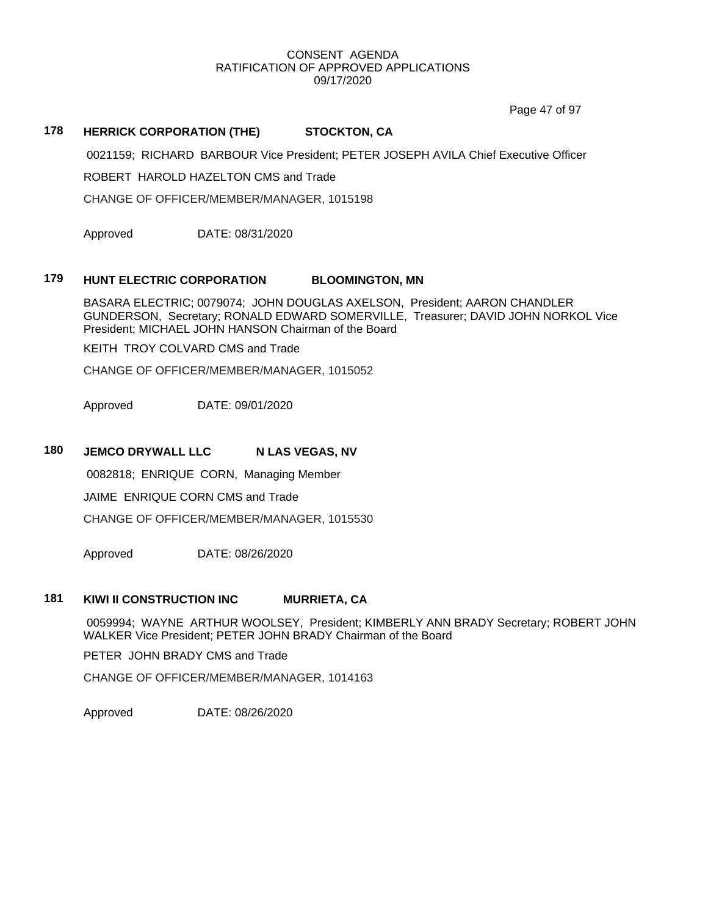Page 47 of 97

# **178 HERRICK CORPORATION (THE) STOCKTON, CA**

0021159; RICHARD BARBOUR Vice President; PETER JOSEPH AVILA Chief Executive Officer

ROBERT HAROLD HAZELTON CMS and Trade

CHANGE OF OFFICER/MEMBER/MANAGER, 1015198

Approved DATE: 08/31/2020

## **179 HUNT ELECTRIC CORPORATION BLOOMINGTON, MN**

BASARA ELECTRIC; 0079074; JOHN DOUGLAS AXELSON, President; AARON CHANDLER GUNDERSON, Secretary; RONALD EDWARD SOMERVILLE, Treasurer; DAVID JOHN NORKOL Vice President; MICHAEL JOHN HANSON Chairman of the Board

KEITH TROY COLVARD CMS and Trade

CHANGE OF OFFICER/MEMBER/MANAGER, 1015052

Approved DATE: 09/01/2020

### **180 JEMCO DRYWALL LLC N LAS VEGAS, NV**

0082818; ENRIQUE CORN, Managing Member

JAIME ENRIQUE CORN CMS and Trade

CHANGE OF OFFICER/MEMBER/MANAGER, 1015530

Approved DATE: 08/26/2020

## **181 KIWI II CONSTRUCTION INC MURRIETA, CA**

0059994; WAYNE ARTHUR WOOLSEY, President; KIMBERLY ANN BRADY Secretary; ROBERT JOHN WALKER Vice President; PETER JOHN BRADY Chairman of the Board

PETER JOHN BRADY CMS and Trade

CHANGE OF OFFICER/MEMBER/MANAGER, 1014163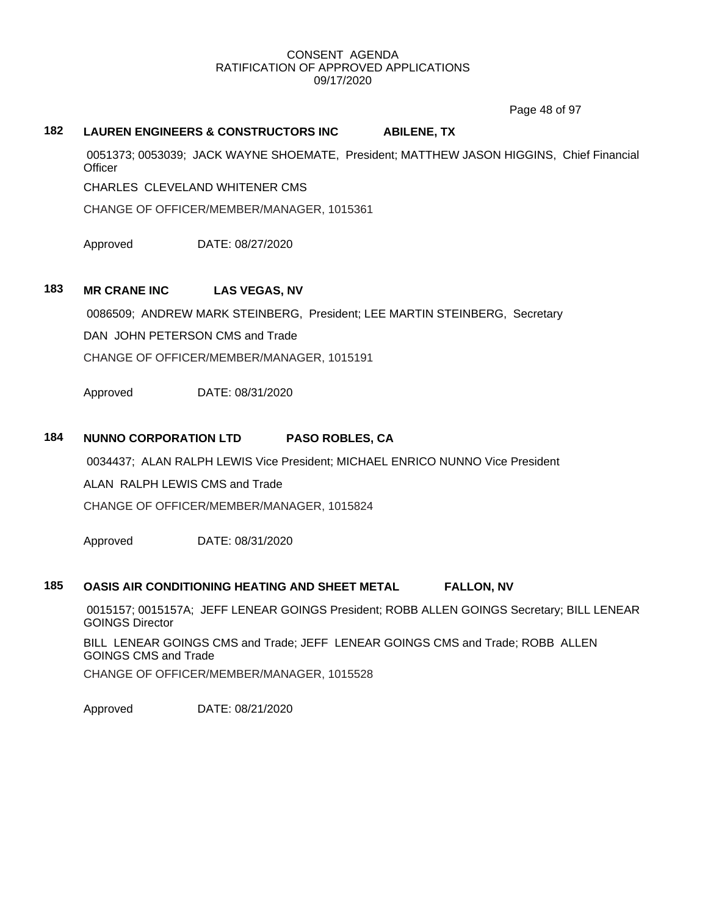Page 48 of 97

# **182 LAUREN ENGINEERS & CONSTRUCTORS INC ABILENE, TX**

0051373; 0053039; JACK WAYNE SHOEMATE, President; MATTHEW JASON HIGGINS, Chief Financial **Officer** 

CHARLES CLEVELAND WHITENER CMS

CHANGE OF OFFICER/MEMBER/MANAGER, 1015361

Approved DATE: 08/27/2020

## **183 MR CRANE INC LAS VEGAS, NV**

0086509; ANDREW MARK STEINBERG, President; LEE MARTIN STEINBERG, Secretary

DAN JOHN PETERSON CMS and Trade

CHANGE OF OFFICER/MEMBER/MANAGER, 1015191

Approved DATE: 08/31/2020

# **184 NUNNO CORPORATION LTD PASO ROBLES, CA**

0034437; ALAN RALPH LEWIS Vice President; MICHAEL ENRICO NUNNO Vice President

ALAN RALPH LEWIS CMS and Trade

CHANGE OF OFFICER/MEMBER/MANAGER, 1015824

Approved DATE: 08/31/2020

## **185 OASIS AIR CONDITIONING HEATING AND SHEET METAL FALLON, NV**

0015157; 0015157A; JEFF LENEAR GOINGS President; ROBB ALLEN GOINGS Secretary; BILL LENEAR GOINGS Director

BILL LENEAR GOINGS CMS and Trade; JEFF LENEAR GOINGS CMS and Trade; ROBB ALLEN GOINGS CMS and Trade

CHANGE OF OFFICER/MEMBER/MANAGER, 1015528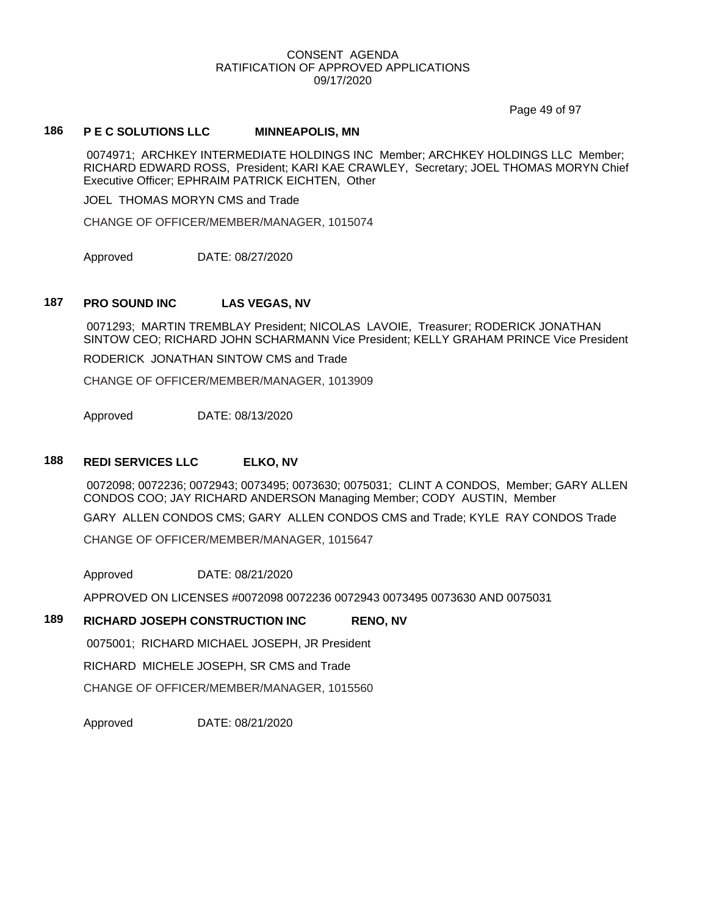Page 49 of 97

## **186 P E C SOLUTIONS LLC MINNEAPOLIS, MN**

0074971; ARCHKEY INTERMEDIATE HOLDINGS INC Member; ARCHKEY HOLDINGS LLC Member; RICHARD EDWARD ROSS, President; KARI KAE CRAWLEY, Secretary; JOEL THOMAS MORYN Chief Executive Officer; EPHRAIM PATRICK EICHTEN, Other

JOEL THOMAS MORYN CMS and Trade

CHANGE OF OFFICER/MEMBER/MANAGER, 1015074

Approved DATE: 08/27/2020

### **187 PRO SOUND INC LAS VEGAS, NV**

0071293; MARTIN TREMBLAY President; NICOLAS LAVOIE, Treasurer; RODERICK JONATHAN SINTOW CEO; RICHARD JOHN SCHARMANN Vice President; KELLY GRAHAM PRINCE Vice President

RODERICK JONATHAN SINTOW CMS and Trade

CHANGE OF OFFICER/MEMBER/MANAGER, 1013909

Approved DATE: 08/13/2020

### **188 REDI SERVICES LLC ELKO, NV**

0072098; 0072236; 0072943; 0073495; 0073630; 0075031; CLINT A CONDOS, Member; GARY ALLEN CONDOS COO; JAY RICHARD ANDERSON Managing Member; CODY AUSTIN, Member

GARY ALLEN CONDOS CMS; GARY ALLEN CONDOS CMS and Trade; KYLE RAY CONDOS Trade

CHANGE OF OFFICER/MEMBER/MANAGER, 1015647

Approved DATE: 08/21/2020

APPROVED ON LICENSES #0072098 0072236 0072943 0073495 0073630 AND 0075031

## **189 RICHARD JOSEPH CONSTRUCTION INC RENO, NV**

0075001; RICHARD MICHAEL JOSEPH, JR President

RICHARD MICHELE JOSEPH, SR CMS and Trade

CHANGE OF OFFICER/MEMBER/MANAGER, 1015560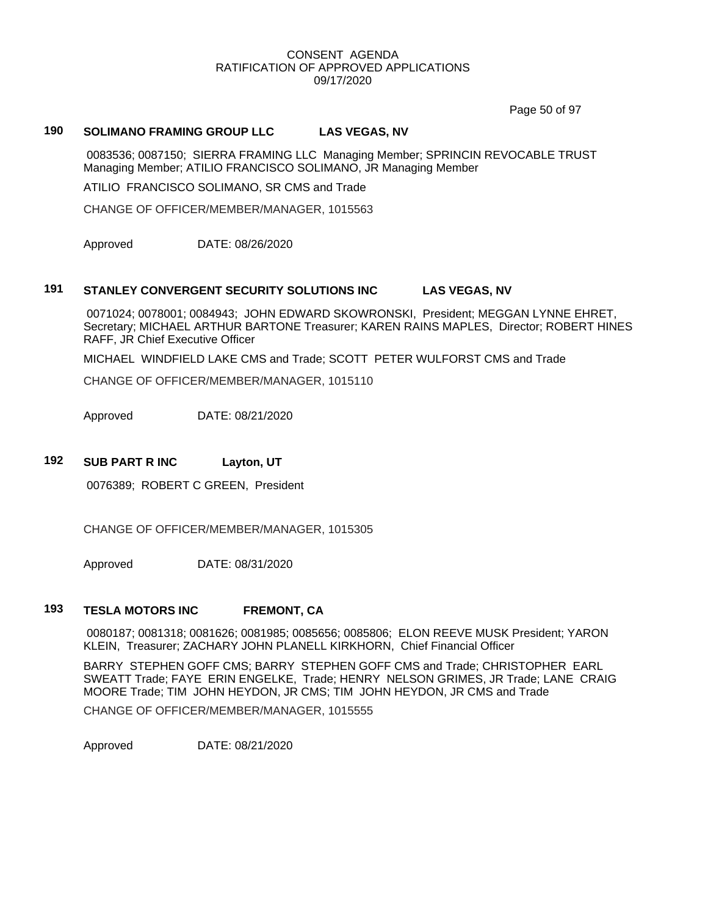Page 50 of 97

# **190 SOLIMANO FRAMING GROUP LLC LAS VEGAS, NV**

0083536; 0087150; SIERRA FRAMING LLC Managing Member; SPRINCIN REVOCABLE TRUST Managing Member; ATILIO FRANCISCO SOLIMANO, JR Managing Member

ATILIO FRANCISCO SOLIMANO, SR CMS and Trade

CHANGE OF OFFICER/MEMBER/MANAGER, 1015563

Approved DATE: 08/26/2020

# **191 STANLEY CONVERGENT SECURITY SOLUTIONS INC LAS VEGAS, NV**

0071024; 0078001; 0084943; JOHN EDWARD SKOWRONSKI, President; MEGGAN LYNNE EHRET, Secretary; MICHAEL ARTHUR BARTONE Treasurer; KAREN RAINS MAPLES, Director; ROBERT HINES RAFF, JR Chief Executive Officer

MICHAEL WINDFIELD LAKE CMS and Trade; SCOTT PETER WULFORST CMS and Trade

CHANGE OF OFFICER/MEMBER/MANAGER, 1015110

Approved DATE: 08/21/2020

#### **192 SUB PART R INC Layton, UT**

0076389; ROBERT C GREEN, President

CHANGE OF OFFICER/MEMBER/MANAGER, 1015305

Approved DATE: 08/31/2020

### **193 TESLA MOTORS INC FREMONT, CA**

0080187; 0081318; 0081626; 0081985; 0085656; 0085806; ELON REEVE MUSK President; YARON KLEIN, Treasurer; ZACHARY JOHN PLANELL KIRKHORN, Chief Financial Officer

BARRY STEPHEN GOFF CMS; BARRY STEPHEN GOFF CMS and Trade; CHRISTOPHER EARL SWEATT Trade; FAYE ERIN ENGELKE, Trade; HENRY NELSON GRIMES, JR Trade; LANE CRAIG MOORE Trade; TIM JOHN HEYDON, JR CMS; TIM JOHN HEYDON, JR CMS and Trade

CHANGE OF OFFICER/MEMBER/MANAGER, 1015555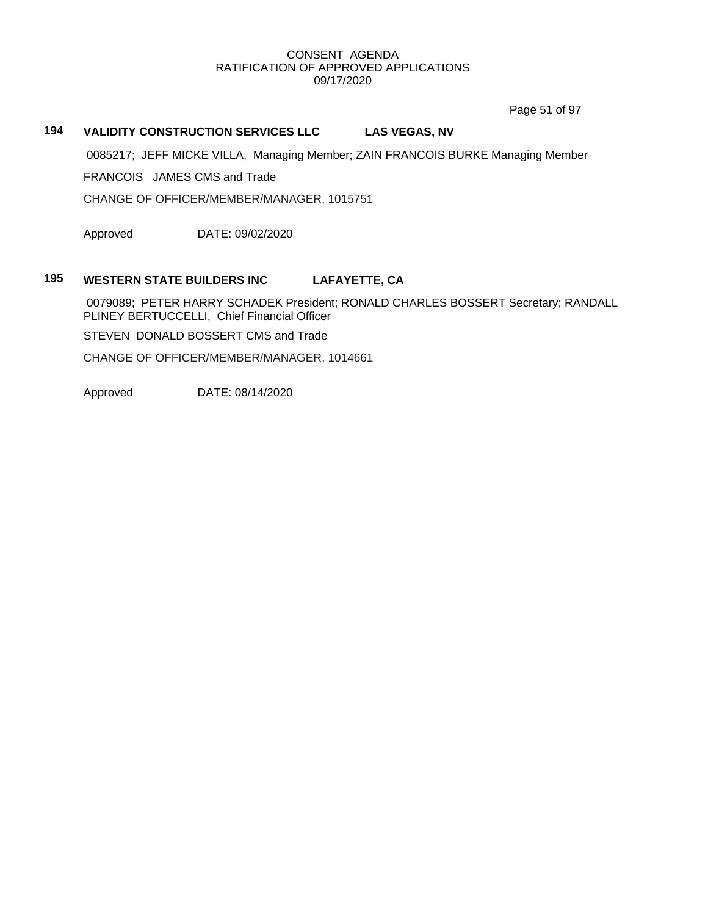Page 51 of 97

# **194 VALIDITY CONSTRUCTION SERVICES LLC LAS VEGAS, NV**

0085217; JEFF MICKE VILLA, Managing Member; ZAIN FRANCOIS BURKE Managing Member

FRANCOIS JAMES CMS and Trade

CHANGE OF OFFICER/MEMBER/MANAGER, 1015751

Approved DATE: 09/02/2020

## **195 WESTERN STATE BUILDERS INC LAFAYETTE, CA**

0079089; PETER HARRY SCHADEK President; RONALD CHARLES BOSSERT Secretary; RANDALL PLINEY BERTUCCELLI, Chief Financial Officer

STEVEN DONALD BOSSERT CMS and Trade

CHANGE OF OFFICER/MEMBER/MANAGER, 1014661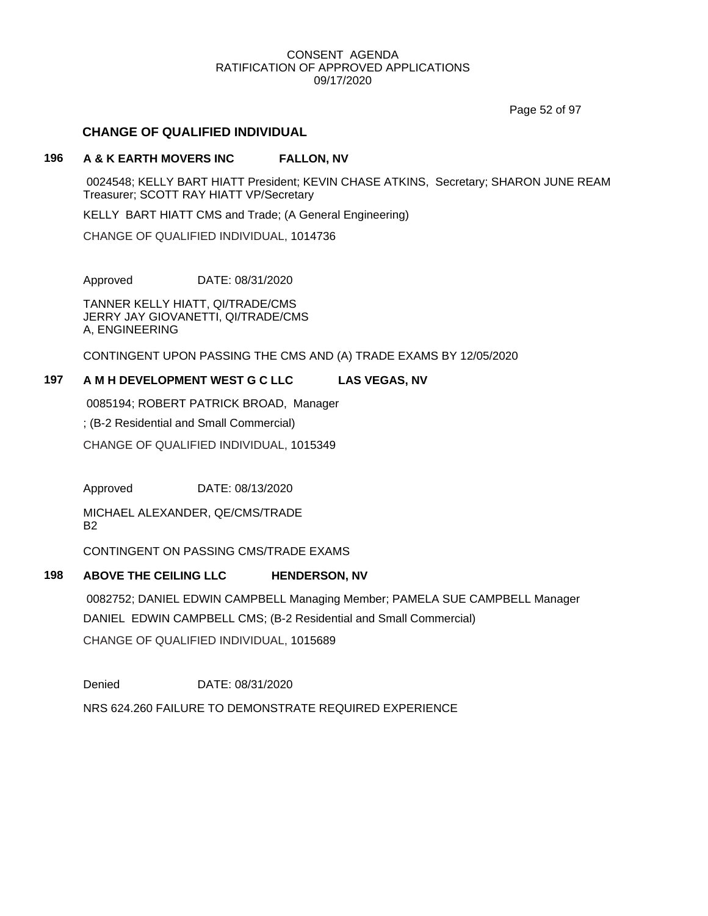Page 52 of 97

## **CHANGE OF QUALIFIED INDIVIDUAL**

## **196 A & K EARTH MOVERS INC FALLON, NV**

0024548; KELLY BART HIATT President; KEVIN CHASE ATKINS, Secretary; SHARON JUNE REAM Treasurer; SCOTT RAY HIATT VP/Secretary

KELLY BART HIATT CMS and Trade; (A General Engineering)

CHANGE OF QUALIFIED INDIVIDUAL, 1014736

Approved DATE: 08/31/2020

TANNER KELLY HIATT, QI/TRADE/CMS JERRY JAY GIOVANETTI, QI/TRADE/CMS A, ENGINEERING

CONTINGENT UPON PASSING THE CMS AND (A) TRADE EXAMS BY 12/05/2020

# **197 A M H DEVELOPMENT WEST G C LLC LAS VEGAS, NV**

0085194; ROBERT PATRICK BROAD, Manager

; (B-2 Residential and Small Commercial)

CHANGE OF QUALIFIED INDIVIDUAL, 1015349

Approved DATE: 08/13/2020

MICHAEL ALEXANDER, QE/CMS/TRADE B2

CONTINGENT ON PASSING CMS/TRADE EXAMS

# **198 ABOVE THE CEILING LLC HENDERSON, NV**

0082752; DANIEL EDWIN CAMPBELL Managing Member; PAMELA SUE CAMPBELL Manager DANIEL EDWIN CAMPBELL CMS; (B-2 Residential and Small Commercial) CHANGE OF QUALIFIED INDIVIDUAL, 1015689

Denied DATE: 08/31/2020

NRS 624.260 FAILURE TO DEMONSTRATE REQUIRED EXPERIENCE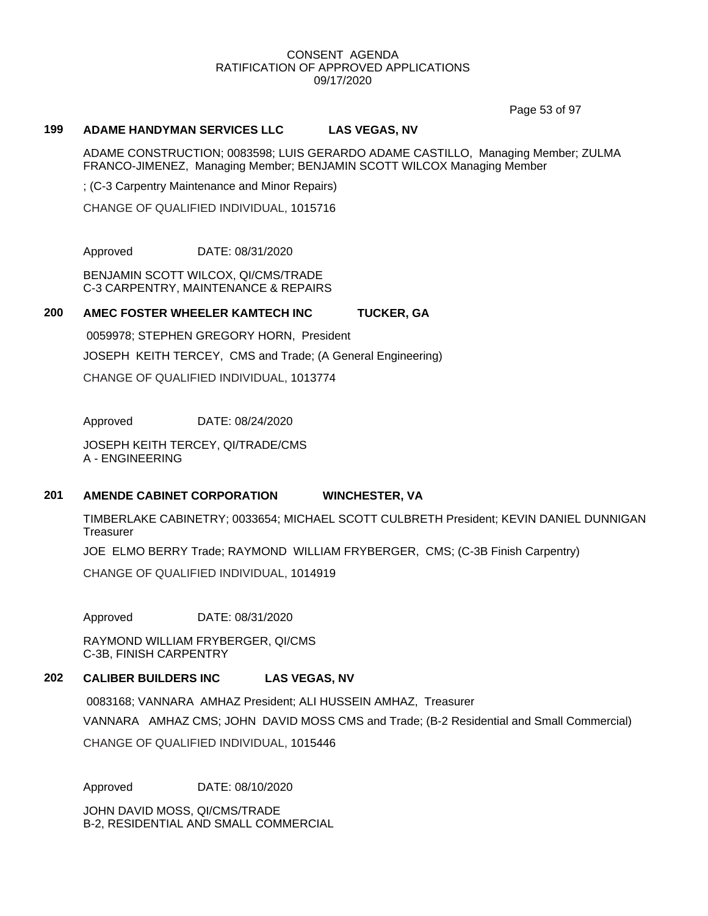Page 53 of 97

## **199 ADAME HANDYMAN SERVICES LLC LAS VEGAS, NV**

ADAME CONSTRUCTION; 0083598; LUIS GERARDO ADAME CASTILLO, Managing Member; ZULMA FRANCO-JIMENEZ, Managing Member; BENJAMIN SCOTT WILCOX Managing Member

; (C-3 Carpentry Maintenance and Minor Repairs)

CHANGE OF QUALIFIED INDIVIDUAL, 1015716

Approved DATE: 08/31/2020

BENJAMIN SCOTT WILCOX, QI/CMS/TRADE C-3 CARPENTRY, MAINTENANCE & REPAIRS

## **200 AMEC FOSTER WHEELER KAMTECH INC TUCKER, GA**

0059978; STEPHEN GREGORY HORN, President JOSEPH KEITH TERCEY, CMS and Trade; (A General Engineering) CHANGE OF QUALIFIED INDIVIDUAL, 1013774

Approved DATE: 08/24/2020

JOSEPH KEITH TERCEY, QI/TRADE/CMS A - ENGINEERING

### **201 AMENDE CABINET CORPORATION WINCHESTER, VA**

TIMBERLAKE CABINETRY; 0033654; MICHAEL SCOTT CULBRETH President; KEVIN DANIEL DUNNIGAN **Treasurer** 

JOE ELMO BERRY Trade; RAYMOND WILLIAM FRYBERGER, CMS; (C-3B Finish Carpentry)

CHANGE OF QUALIFIED INDIVIDUAL, 1014919

Approved DATE: 08/31/2020

RAYMOND WILLIAM FRYBERGER, QI/CMS C-3B, FINISH CARPENTRY

## **202 CALIBER BUILDERS INC LAS VEGAS, NV**

0083168; VANNARA AMHAZ President; ALI HUSSEIN AMHAZ, Treasurer VANNARA AMHAZ CMS; JOHN DAVID MOSS CMS and Trade; (B-2 Residential and Small Commercial) CHANGE OF QUALIFIED INDIVIDUAL, 1015446

Approved DATE: 08/10/2020

JOHN DAVID MOSS, QI/CMS/TRADE B-2, RESIDENTIAL AND SMALL COMMERCIAL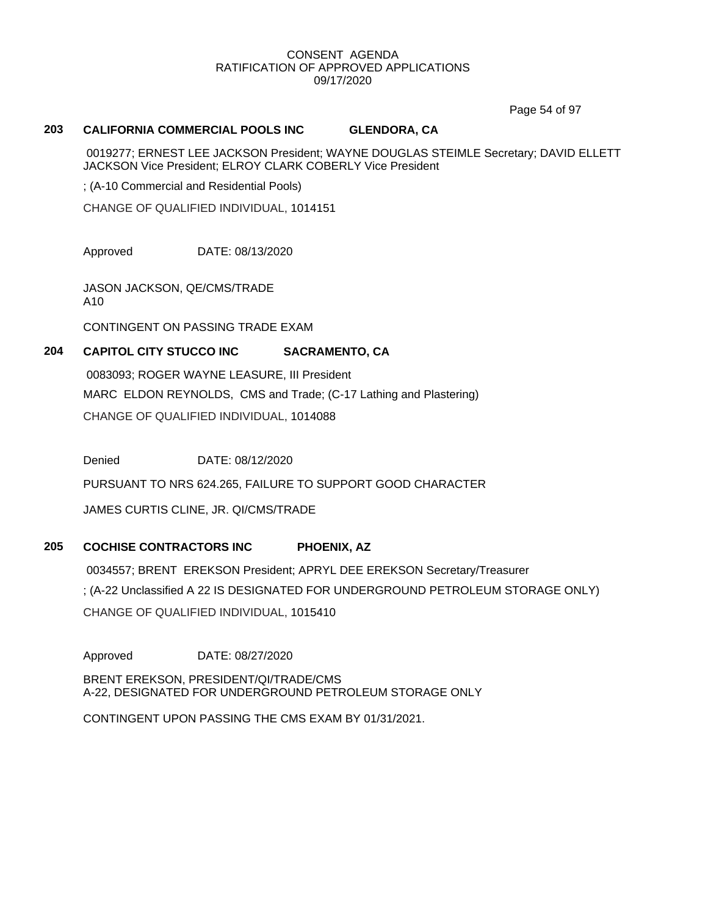Page 54 of 97

## **203 CALIFORNIA COMMERCIAL POOLS INC GLENDORA, CA**

0019277; ERNEST LEE JACKSON President; WAYNE DOUGLAS STEIMLE Secretary; DAVID ELLETT JACKSON Vice President; ELROY CLARK COBERLY Vice President

; (A-10 Commercial and Residential Pools)

CHANGE OF QUALIFIED INDIVIDUAL, 1014151

Approved DATE: 08/13/2020

JASON JACKSON, QE/CMS/TRADE A10

CONTINGENT ON PASSING TRADE EXAM

# **204 CAPITOL CITY STUCCO INC SACRAMENTO, CA**

0083093; ROGER WAYNE LEASURE, III President MARC ELDON REYNOLDS, CMS and Trade; (C-17 Lathing and Plastering) CHANGE OF QUALIFIED INDIVIDUAL, 1014088

Denied DATE: 08/12/2020

PURSUANT TO NRS 624.265, FAILURE TO SUPPORT GOOD CHARACTER

JAMES CURTIS CLINE, JR. QI/CMS/TRADE

# **205 COCHISE CONTRACTORS INC PHOENIX, AZ**

0034557; BRENT EREKSON President; APRYL DEE EREKSON Secretary/Treasurer ; (A-22 Unclassified A 22 IS DESIGNATED FOR UNDERGROUND PETROLEUM STORAGE ONLY) CHANGE OF QUALIFIED INDIVIDUAL, 1015410

Approved DATE: 08/27/2020

BRENT EREKSON, PRESIDENT/QI/TRADE/CMS A-22, DESIGNATED FOR UNDERGROUND PETROLEUM STORAGE ONLY

CONTINGENT UPON PASSING THE CMS EXAM BY 01/31/2021.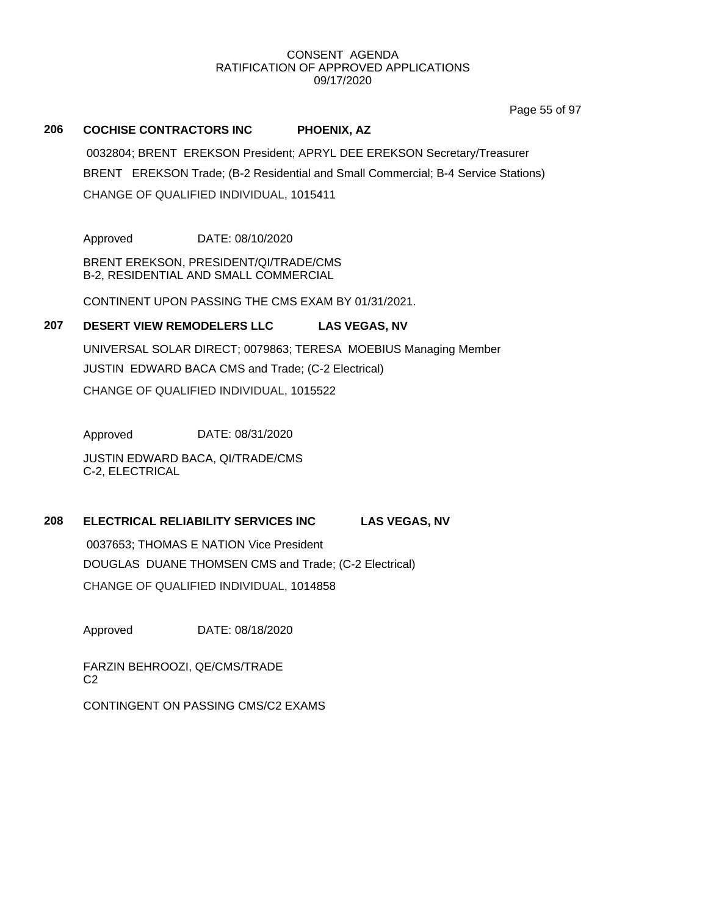Page 55 of 97

# **206 COCHISE CONTRACTORS INC PHOENIX, AZ**

0032804; BRENT EREKSON President; APRYL DEE EREKSON Secretary/Treasurer BRENT EREKSON Trade; (B-2 Residential and Small Commercial; B-4 Service Stations) CHANGE OF QUALIFIED INDIVIDUAL, 1015411

Approved DATE: 08/10/2020

BRENT EREKSON, PRESIDENT/QI/TRADE/CMS B-2, RESIDENTIAL AND SMALL COMMERCIAL

CONTINENT UPON PASSING THE CMS EXAM BY 01/31/2021.

## **207 DESERT VIEW REMODELERS LLC LAS VEGAS, NV**

UNIVERSAL SOLAR DIRECT; 0079863; TERESA MOEBIUS Managing Member JUSTIN EDWARD BACA CMS and Trade; (C-2 Electrical) CHANGE OF QUALIFIED INDIVIDUAL, 1015522

Approved DATE: 08/31/2020

JUSTIN EDWARD BACA, QI/TRADE/CMS C-2, ELECTRICAL

# **208 ELECTRICAL RELIABILITY SERVICES INC LAS VEGAS, NV**

0037653; THOMAS E NATION Vice President

DOUGLAS DUANE THOMSEN CMS and Trade; (C-2 Electrical)

CHANGE OF QUALIFIED INDIVIDUAL, 1014858

Approved DATE: 08/18/2020

FARZIN BEHROOZI, QE/CMS/TRADE C<sub>2</sub>

CONTINGENT ON PASSING CMS/C2 EXAMS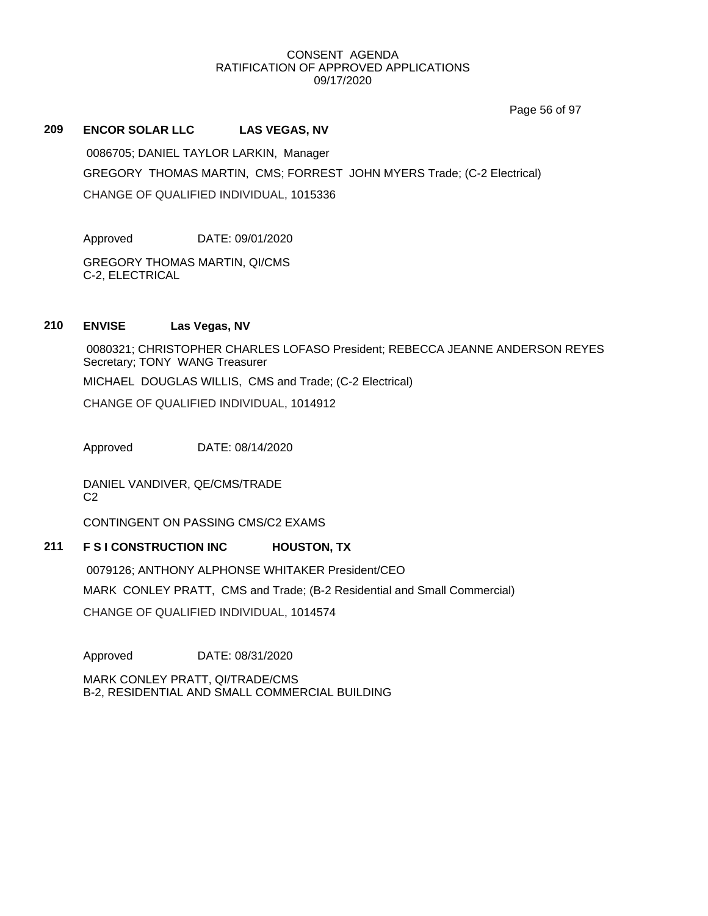Page 56 of 97

## **209 ENCOR SOLAR LLC LAS VEGAS, NV**

0086705; DANIEL TAYLOR LARKIN, Manager GREGORY THOMAS MARTIN, CMS; FORREST JOHN MYERS Trade; (C-2 Electrical) CHANGE OF QUALIFIED INDIVIDUAL, 1015336

Approved DATE: 09/01/2020

GREGORY THOMAS MARTIN, QI/CMS C-2, ELECTRICAL

## **210 ENVISE Las Vegas, NV**

0080321; CHRISTOPHER CHARLES LOFASO President; REBECCA JEANNE ANDERSON REYES Secretary; TONY WANG Treasurer

MICHAEL DOUGLAS WILLIS, CMS and Trade; (C-2 Electrical)

CHANGE OF QUALIFIED INDIVIDUAL, 1014912

Approved DATE: 08/14/2020

DANIEL VANDIVER, QE/CMS/TRADE  $C<sub>2</sub>$ 

CONTINGENT ON PASSING CMS/C2 EXAMS

# **211 F S I CONSTRUCTION INC HOUSTON, TX**

0079126; ANTHONY ALPHONSE WHITAKER President/CEO MARK CONLEY PRATT, CMS and Trade; (B-2 Residential and Small Commercial) CHANGE OF QUALIFIED INDIVIDUAL, 1014574

Approved DATE: 08/31/2020

MARK CONLEY PRATT, QI/TRADE/CMS B-2, RESIDENTIAL AND SMALL COMMERCIAL BUILDING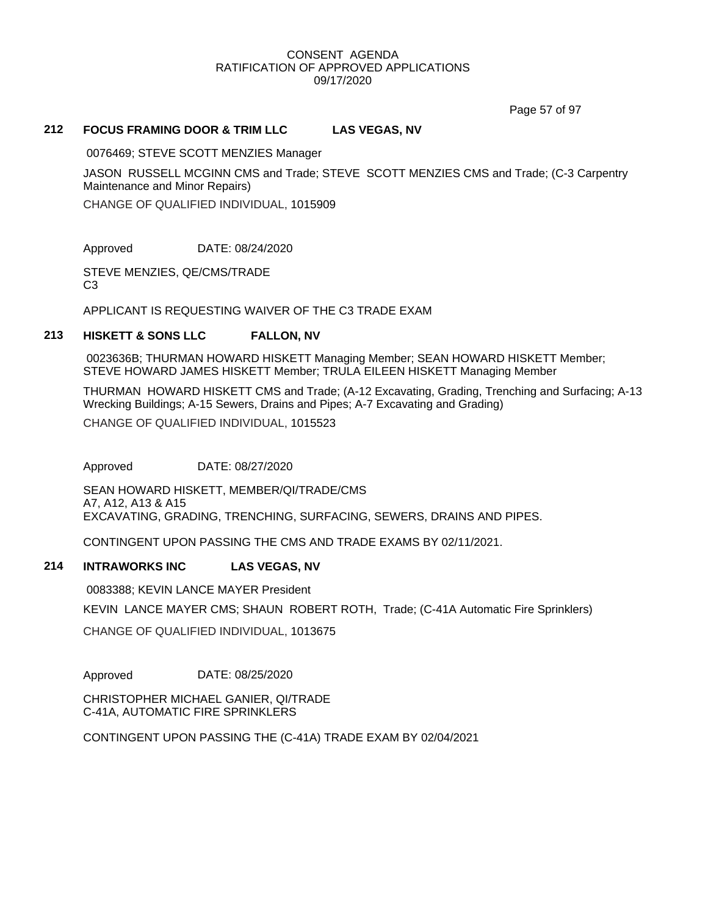Page 57 of 97

## **212 FOCUS FRAMING DOOR & TRIM LLC LAS VEGAS, NV**

0076469; STEVE SCOTT MENZIES Manager

JASON RUSSELL MCGINN CMS and Trade; STEVE SCOTT MENZIES CMS and Trade; (C-3 Carpentry Maintenance and Minor Repairs)

CHANGE OF QUALIFIED INDIVIDUAL, 1015909

Approved DATE: 08/24/2020

STEVE MENZIES, QE/CMS/TRADE C3

APPLICANT IS REQUESTING WAIVER OF THE C3 TRADE EXAM

### **213 HISKETT & SONS LLC FALLON, NV**

0023636B; THURMAN HOWARD HISKETT Managing Member; SEAN HOWARD HISKETT Member; STEVE HOWARD JAMES HISKETT Member; TRULA EILEEN HISKETT Managing Member

THURMAN HOWARD HISKETT CMS and Trade; (A-12 Excavating, Grading, Trenching and Surfacing; A-13 Wrecking Buildings; A-15 Sewers, Drains and Pipes; A-7 Excavating and Grading) CHANGE OF QUALIFIED INDIVIDUAL, 1015523

Approved DATE: 08/27/2020

SEAN HOWARD HISKETT, MEMBER/QI/TRADE/CMS A7, A12, A13 & A15 EXCAVATING, GRADING, TRENCHING, SURFACING, SEWERS, DRAINS AND PIPES.

CONTINGENT UPON PASSING THE CMS AND TRADE EXAMS BY 02/11/2021.

### **214 INTRAWORKS INC LAS VEGAS, NV**

0083388; KEVIN LANCE MAYER President

KEVIN LANCE MAYER CMS; SHAUN ROBERT ROTH, Trade; (C-41A Automatic Fire Sprinklers)

CHANGE OF QUALIFIED INDIVIDUAL, 1013675

Approved DATE: 08/25/2020

CHRISTOPHER MICHAEL GANIER, QI/TRADE C-41A, AUTOMATIC FIRE SPRINKLERS

CONTINGENT UPON PASSING THE (C-41A) TRADE EXAM BY 02/04/2021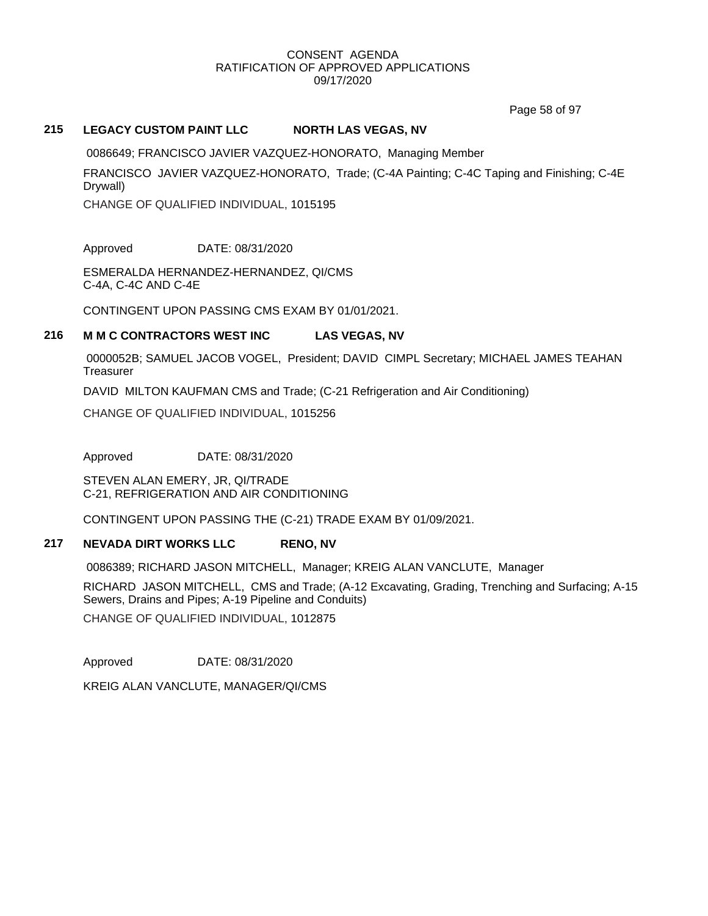Page 58 of 97

## **215 LEGACY CUSTOM PAINT LLC NORTH LAS VEGAS, NV**

0086649; FRANCISCO JAVIER VAZQUEZ-HONORATO, Managing Member

FRANCISCO JAVIER VAZQUEZ-HONORATO, Trade; (C-4A Painting; C-4C Taping and Finishing; C-4E Drywall)

CHANGE OF QUALIFIED INDIVIDUAL, 1015195

Approved DATE: 08/31/2020

ESMERALDA HERNANDEZ-HERNANDEZ, QI/CMS C-4A, C-4C AND C-4E

CONTINGENT UPON PASSING CMS EXAM BY 01/01/2021.

## **216 M M C CONTRACTORS WEST INC LAS VEGAS, NV**

0000052B; SAMUEL JACOB VOGEL, President; DAVID CIMPL Secretary; MICHAEL JAMES TEAHAN **Treasurer** 

DAVID MILTON KAUFMAN CMS and Trade; (C-21 Refrigeration and Air Conditioning)

CHANGE OF QUALIFIED INDIVIDUAL, 1015256

Approved DATE: 08/31/2020

STEVEN ALAN EMERY, JR, QI/TRADE C-21, REFRIGERATION AND AIR CONDITIONING

CONTINGENT UPON PASSING THE (C-21) TRADE EXAM BY 01/09/2021.

## **217 NEVADA DIRT WORKS LLC RENO, NV**

0086389; RICHARD JASON MITCHELL, Manager; KREIG ALAN VANCLUTE, Manager

RICHARD JASON MITCHELL, CMS and Trade; (A-12 Excavating, Grading, Trenching and Surfacing; A-15 Sewers, Drains and Pipes; A-19 Pipeline and Conduits)

CHANGE OF QUALIFIED INDIVIDUAL, 1012875

Approved DATE: 08/31/2020

KREIG ALAN VANCLUTE, MANAGER/QI/CMS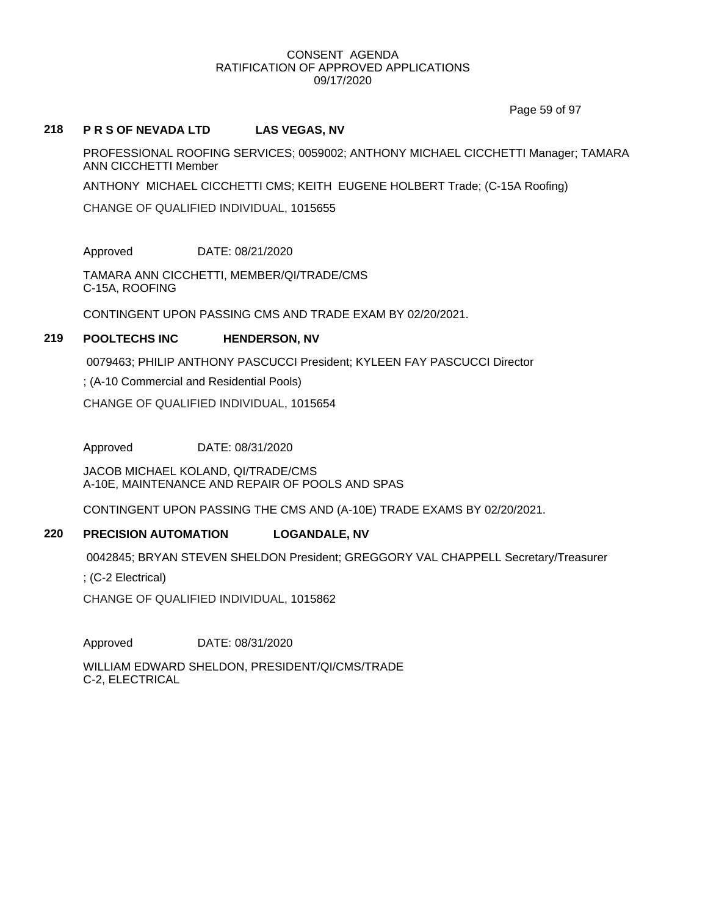Page 59 of 97

## **218 P R S OF NEVADA LTD LAS VEGAS, NV**

PROFESSIONAL ROOFING SERVICES; 0059002; ANTHONY MICHAEL CICCHETTI Manager; TAMARA ANN CICCHETTI Member

ANTHONY MICHAEL CICCHETTI CMS; KEITH EUGENE HOLBERT Trade; (C-15A Roofing)

CHANGE OF QUALIFIED INDIVIDUAL, 1015655

Approved DATE: 08/21/2020

TAMARA ANN CICCHETTI, MEMBER/QI/TRADE/CMS C-15A, ROOFING

CONTINGENT UPON PASSING CMS AND TRADE EXAM BY 02/20/2021.

## **219 POOLTECHS INC HENDERSON, NV**

0079463; PHILIP ANTHONY PASCUCCI President; KYLEEN FAY PASCUCCI Director

; (A-10 Commercial and Residential Pools)

CHANGE OF QUALIFIED INDIVIDUAL, 1015654

Approved DATE: 08/31/2020

JACOB MICHAEL KOLAND, QI/TRADE/CMS A-10E, MAINTENANCE AND REPAIR OF POOLS AND SPAS

CONTINGENT UPON PASSING THE CMS AND (A-10E) TRADE EXAMS BY 02/20/2021.

# **220 PRECISION AUTOMATION LOGANDALE, NV**

0042845; BRYAN STEVEN SHELDON President; GREGGORY VAL CHAPPELL Secretary/Treasurer

; (C-2 Electrical)

CHANGE OF QUALIFIED INDIVIDUAL, 1015862

Approved DATE: 08/31/2020

WILLIAM EDWARD SHELDON, PRESIDENT/QI/CMS/TRADE C-2, ELECTRICAL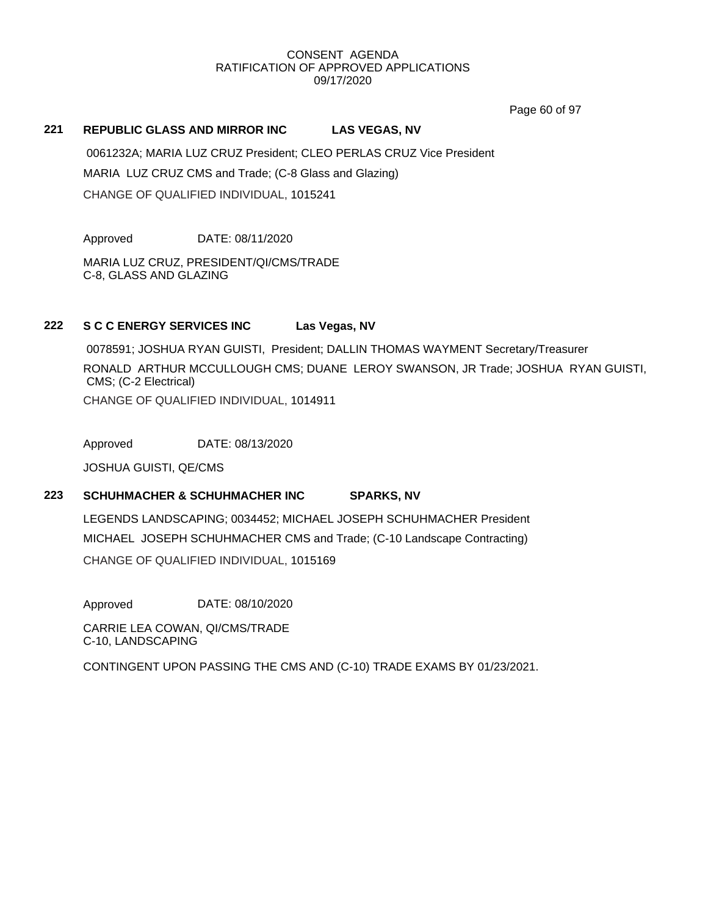Page 60 of 97

## **221 REPUBLIC GLASS AND MIRROR INC LAS VEGAS, NV**

0061232A; MARIA LUZ CRUZ President; CLEO PERLAS CRUZ Vice President MARIA LUZ CRUZ CMS and Trade; (C-8 Glass and Glazing) CHANGE OF QUALIFIED INDIVIDUAL, 1015241

Approved DATE: 08/11/2020

MARIA LUZ CRUZ, PRESIDENT/QI/CMS/TRADE C-8, GLASS AND GLAZING

## **222 S C C ENERGY SERVICES INC Las Vegas, NV**

0078591; JOSHUA RYAN GUISTI, President; DALLIN THOMAS WAYMENT Secretary/Treasurer RONALD ARTHUR MCCULLOUGH CMS; DUANE LEROY SWANSON, JR Trade; JOSHUA RYAN GUISTI, CMS; (C-2 Electrical) CHANGE OF QUALIFIED INDIVIDUAL, 1014911

Approved DATE: 08/13/2020

JOSHUA GUISTI, QE/CMS

# **223 SCHUHMACHER & SCHUHMACHER INC SPARKS, NV**

LEGENDS LANDSCAPING; 0034452; MICHAEL JOSEPH SCHUHMACHER President MICHAEL JOSEPH SCHUHMACHER CMS and Trade; (C-10 Landscape Contracting) CHANGE OF QUALIFIED INDIVIDUAL, 1015169

Approved DATE: 08/10/2020

CARRIE LEA COWAN, QI/CMS/TRADE C-10, LANDSCAPING

CONTINGENT UPON PASSING THE CMS AND (C-10) TRADE EXAMS BY 01/23/2021.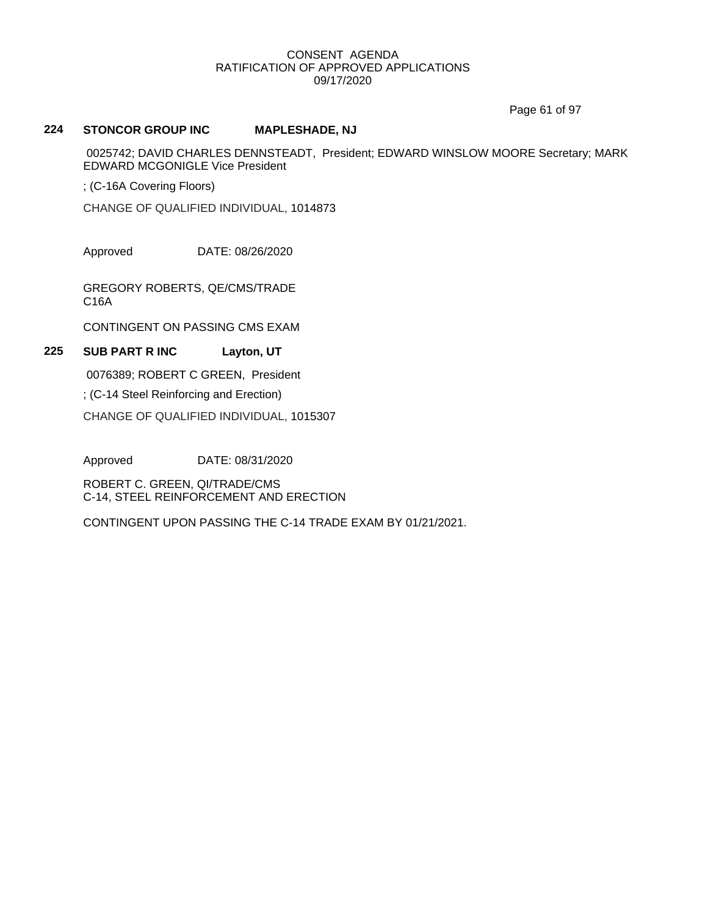Page 61 of 97

# **224 STONCOR GROUP INC MAPLESHADE, NJ**

0025742; DAVID CHARLES DENNSTEADT, President; EDWARD WINSLOW MOORE Secretary; MARK EDWARD MCGONIGLE Vice President

; (C-16A Covering Floors)

CHANGE OF QUALIFIED INDIVIDUAL, 1014873

Approved DATE: 08/26/2020

GREGORY ROBERTS, QE/CMS/TRADE C16A

CONTINGENT ON PASSING CMS EXAM

# **225 SUB PART R INC Layton, UT**

0076389; ROBERT C GREEN, President

; (C-14 Steel Reinforcing and Erection)

CHANGE OF QUALIFIED INDIVIDUAL, 1015307

Approved DATE: 08/31/2020

ROBERT C. GREEN, QI/TRADE/CMS C-14, STEEL REINFORCEMENT AND ERECTION

CONTINGENT UPON PASSING THE C-14 TRADE EXAM BY 01/21/2021.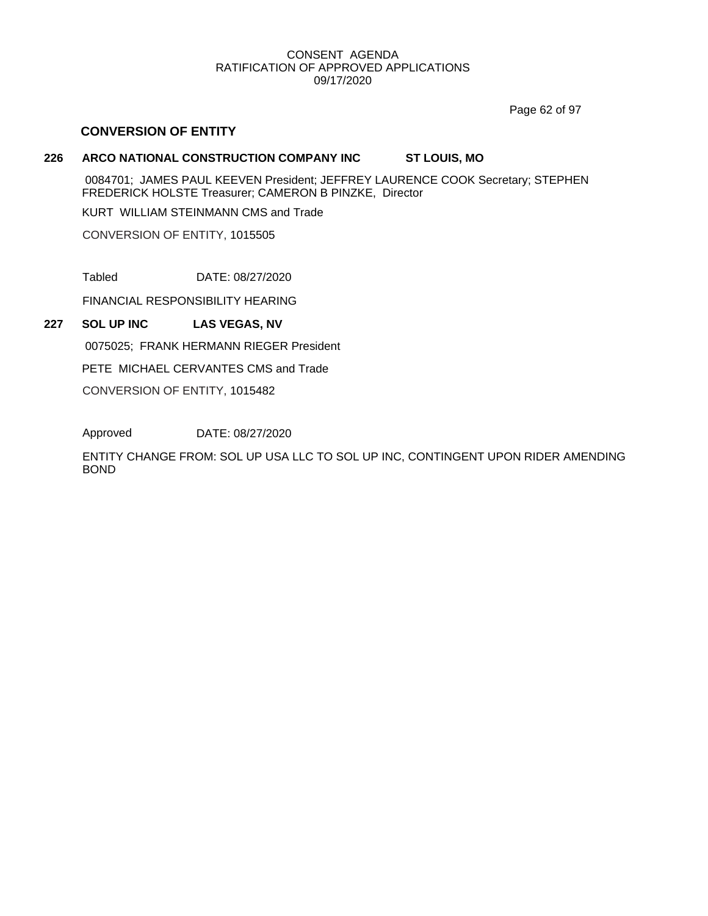Page 62 of 97

# **CONVERSION OF ENTITY**

# **226 ARCO NATIONAL CONSTRUCTION COMPANY INC ST LOUIS, MO**

0084701; JAMES PAUL KEEVEN President; JEFFREY LAURENCE COOK Secretary; STEPHEN FREDERICK HOLSTE Treasurer; CAMERON B PINZKE, Director

KURT WILLIAM STEINMANN CMS and Trade

CONVERSION OF ENTITY, 1015505

Tabled DATE: 08/27/2020

FINANCIAL RESPONSIBILITY HEARING

# **227 SOL UP INC LAS VEGAS, NV**

0075025; FRANK HERMANN RIEGER President

PETE MICHAEL CERVANTES CMS and Trade

CONVERSION OF ENTITY, 1015482

Approved DATE: 08/27/2020

ENTITY CHANGE FROM: SOL UP USA LLC TO SOL UP INC, CONTINGENT UPON RIDER AMENDING BOND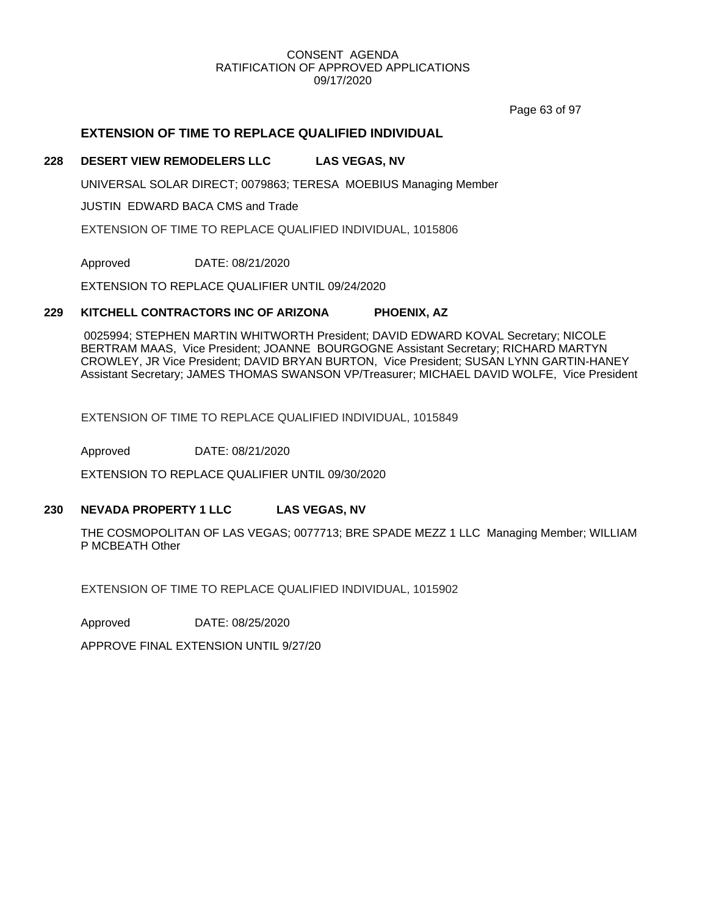Page 63 of 97

# **EXTENSION OF TIME TO REPLACE QUALIFIED INDIVIDUAL**

## **228 DESERT VIEW REMODELERS LLC LAS VEGAS, NV**

UNIVERSAL SOLAR DIRECT; 0079863; TERESA MOEBIUS Managing Member

JUSTIN EDWARD BACA CMS and Trade

EXTENSION OF TIME TO REPLACE QUALIFIED INDIVIDUAL, 1015806

Approved DATE: 08/21/2020

EXTENSION TO REPLACE QUALIFIER UNTIL 09/24/2020

## **229 KITCHELL CONTRACTORS INC OF ARIZONA PHOENIX, AZ**

0025994; STEPHEN MARTIN WHITWORTH President; DAVID EDWARD KOVAL Secretary; NICOLE BERTRAM MAAS, Vice President; JOANNE BOURGOGNE Assistant Secretary; RICHARD MARTYN CROWLEY, JR Vice President; DAVID BRYAN BURTON, Vice President; SUSAN LYNN GARTIN-HANEY Assistant Secretary; JAMES THOMAS SWANSON VP/Treasurer; MICHAEL DAVID WOLFE, Vice President

EXTENSION OF TIME TO REPLACE QUALIFIED INDIVIDUAL, 1015849

Approved DATE: 08/21/2020

EXTENSION TO REPLACE QUALIFIER UNTIL 09/30/2020

# **230 NEVADA PROPERTY 1 LLC LAS VEGAS, NV**

THE COSMOPOLITAN OF LAS VEGAS; 0077713; BRE SPADE MEZZ 1 LLC Managing Member; WILLIAM P MCBEATH Other

EXTENSION OF TIME TO REPLACE QUALIFIED INDIVIDUAL, 1015902

Approved DATE: 08/25/2020

APPROVE FINAL EXTENSION UNTIL 9/27/20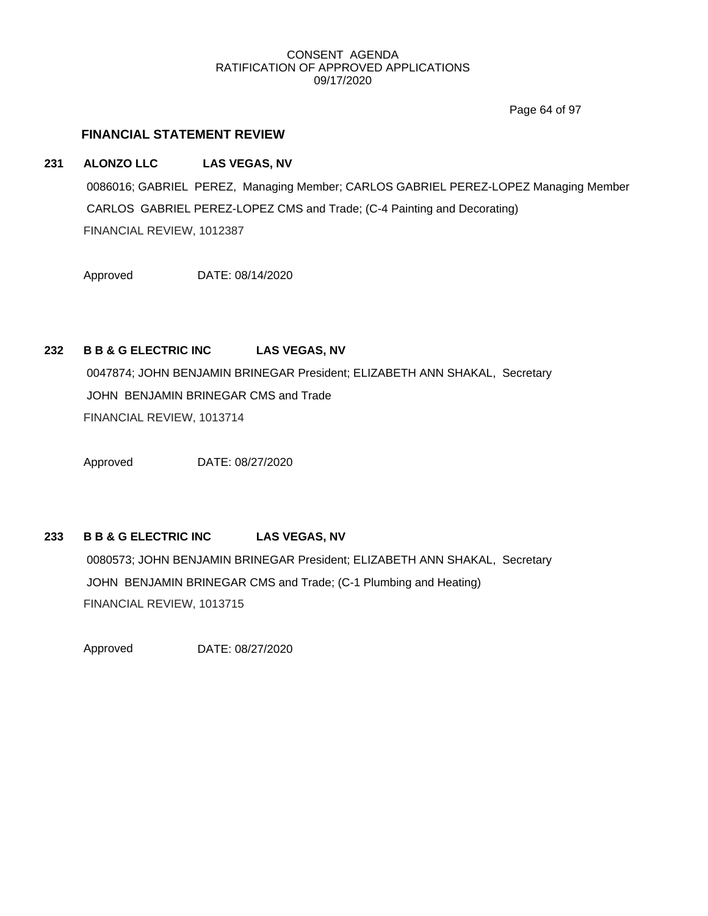Page 64 of 97

# **FINANCIAL STATEMENT REVIEW**

**231 ALONZO LLC LAS VEGAS, NV**

0086016; GABRIEL PEREZ, Managing Member; CARLOS GABRIEL PEREZ-LOPEZ Managing Member CARLOS GABRIEL PEREZ-LOPEZ CMS and Trade; (C-4 Painting and Decorating) FINANCIAL REVIEW, 1012387

Approved DATE: 08/14/2020

# **232 B B & G ELECTRIC INC LAS VEGAS, NV**

0047874; JOHN BENJAMIN BRINEGAR President; ELIZABETH ANN SHAKAL, Secretary JOHN BENJAMIN BRINEGAR CMS and Trade FINANCIAL REVIEW, 1013714

Approved DATE: 08/27/2020

# **233 B B & G ELECTRIC INC LAS VEGAS, NV**

0080573; JOHN BENJAMIN BRINEGAR President; ELIZABETH ANN SHAKAL, Secretary JOHN BENJAMIN BRINEGAR CMS and Trade; (C-1 Plumbing and Heating) FINANCIAL REVIEW, 1013715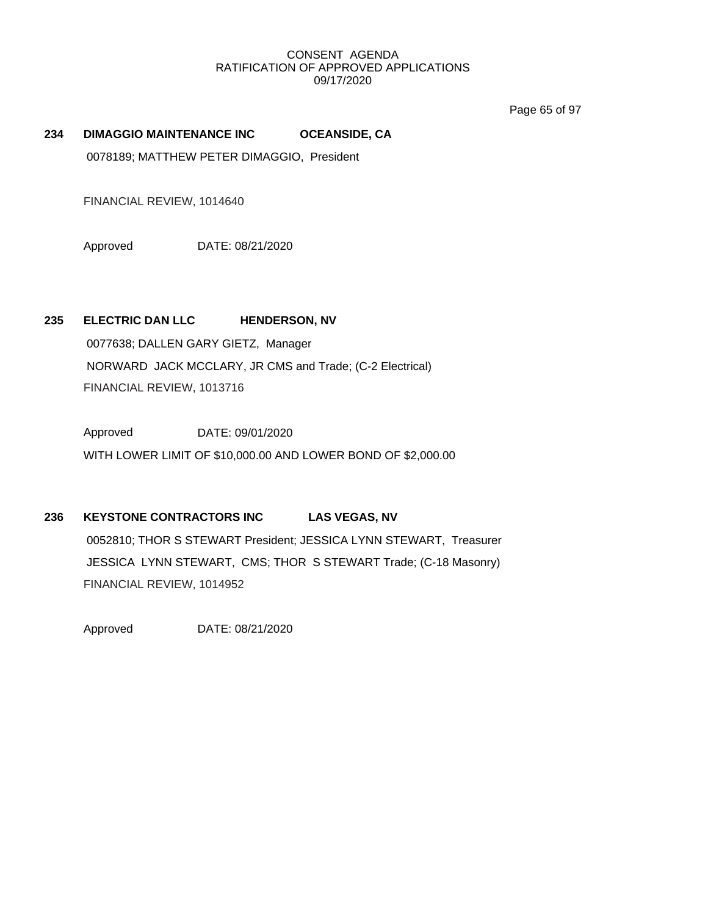Page 65 of 97

## **234 DIMAGGIO MAINTENANCE INC OCEANSIDE, CA**

0078189; MATTHEW PETER DIMAGGIO, President

FINANCIAL REVIEW, 1014640

Approved DATE: 08/21/2020

## **235 ELECTRIC DAN LLC HENDERSON, NV**

0077638; DALLEN GARY GIETZ, Manager NORWARD JACK MCCLARY, JR CMS and Trade; (C-2 Electrical) FINANCIAL REVIEW, 1013716

Approved DATE: 09/01/2020 WITH LOWER LIMIT OF \$10,000.00 AND LOWER BOND OF \$2,000.00

# **236 KEYSTONE CONTRACTORS INC LAS VEGAS, NV**

0052810; THOR S STEWART President; JESSICA LYNN STEWART, Treasurer JESSICA LYNN STEWART, CMS; THOR S STEWART Trade; (C-18 Masonry) FINANCIAL REVIEW, 1014952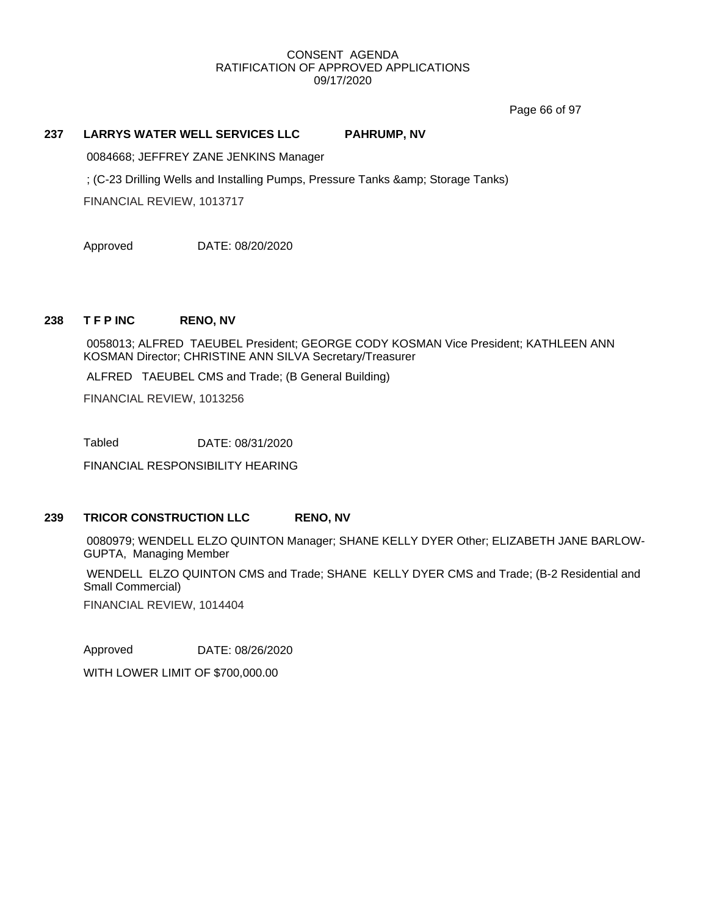Page 66 of 97

## **237 LARRYS WATER WELL SERVICES LLC PAHRUMP, NV**

0084668; JEFFREY ZANE JENKINS Manager

; (C-23 Drilling Wells and Installing Pumps, Pressure Tanks & amp; Storage Tanks)

FINANCIAL REVIEW, 1013717

Approved DATE: 08/20/2020

#### **238 T F P INC RENO, NV**

0058013; ALFRED TAEUBEL President; GEORGE CODY KOSMAN Vice President; KATHLEEN ANN KOSMAN Director; CHRISTINE ANN SILVA Secretary/Treasurer

ALFRED TAEUBEL CMS and Trade; (B General Building)

FINANCIAL REVIEW, 1013256

Tabled DATE: 08/31/2020

FINANCIAL RESPONSIBILITY HEARING

# **239 TRICOR CONSTRUCTION LLC RENO, NV**

0080979; WENDELL ELZO QUINTON Manager; SHANE KELLY DYER Other; ELIZABETH JANE BARLOW-GUPTA, Managing Member

WENDELL ELZO QUINTON CMS and Trade; SHANE KELLY DYER CMS and Trade; (B-2 Residential and Small Commercial)

FINANCIAL REVIEW, 1014404

Approved DATE: 08/26/2020

WITH LOWER LIMIT OF \$700,000.00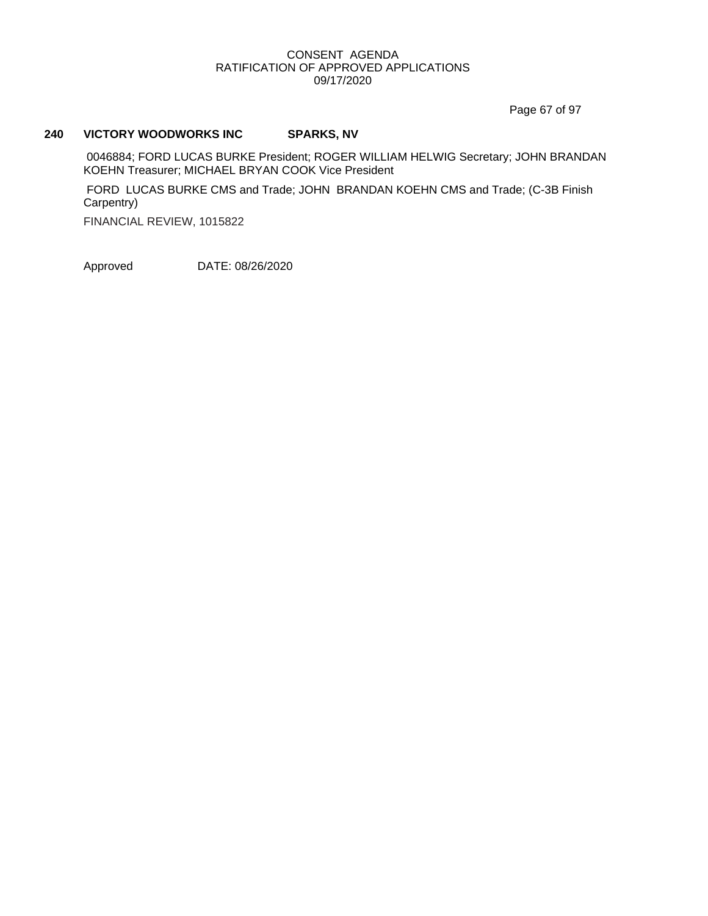Page 67 of 97

# **240 VICTORY WOODWORKS INC SPARKS, NV**

0046884; FORD LUCAS BURKE President; ROGER WILLIAM HELWIG Secretary; JOHN BRANDAN KOEHN Treasurer; MICHAEL BRYAN COOK Vice President

FORD LUCAS BURKE CMS and Trade; JOHN BRANDAN KOEHN CMS and Trade; (C-3B Finish Carpentry)

FINANCIAL REVIEW, 1015822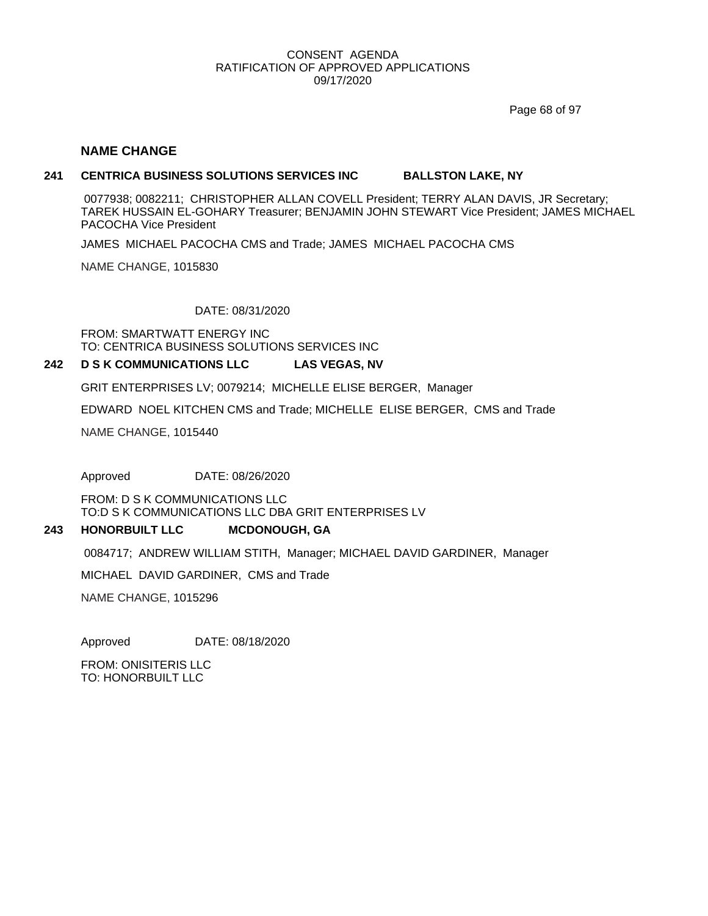Page 68 of 97

### **NAME CHANGE**

#### **241 CENTRICA BUSINESS SOLUTIONS SERVICES INC BALLSTON LAKE, NY**

0077938; 0082211; CHRISTOPHER ALLAN COVELL President; TERRY ALAN DAVIS, JR Secretary; TAREK HUSSAIN EL-GOHARY Treasurer; BENJAMIN JOHN STEWART Vice President; JAMES MICHAEL PACOCHA Vice President

JAMES MICHAEL PACOCHA CMS and Trade; JAMES MICHAEL PACOCHA CMS

NAME CHANGE, 1015830

## DATE: 08/31/2020

FROM: SMARTWATT ENERGY INC TO: CENTRICA BUSINESS SOLUTIONS SERVICES INC

#### **242 D S K COMMUNICATIONS LLC LAS VEGAS, NV**

GRIT ENTERPRISES LV; 0079214; MICHELLE ELISE BERGER, Manager

EDWARD NOEL KITCHEN CMS and Trade; MICHELLE ELISE BERGER, CMS and Trade

NAME CHANGE, 1015440

Approved DATE: 08/26/2020

FROM: D S K COMMUNICATIONS LLC TO:D S K COMMUNICATIONS LLC DBA GRIT ENTERPRISES LV

#### **243 HONORBUILT LLC MCDONOUGH, GA**

0084717; ANDREW WILLIAM STITH, Manager; MICHAEL DAVID GARDINER, Manager

MICHAEL DAVID GARDINER, CMS and Trade

NAME CHANGE, 1015296

Approved DATE: 08/18/2020

FROM: ONISITERIS LLC TO: HONORBUILT LLC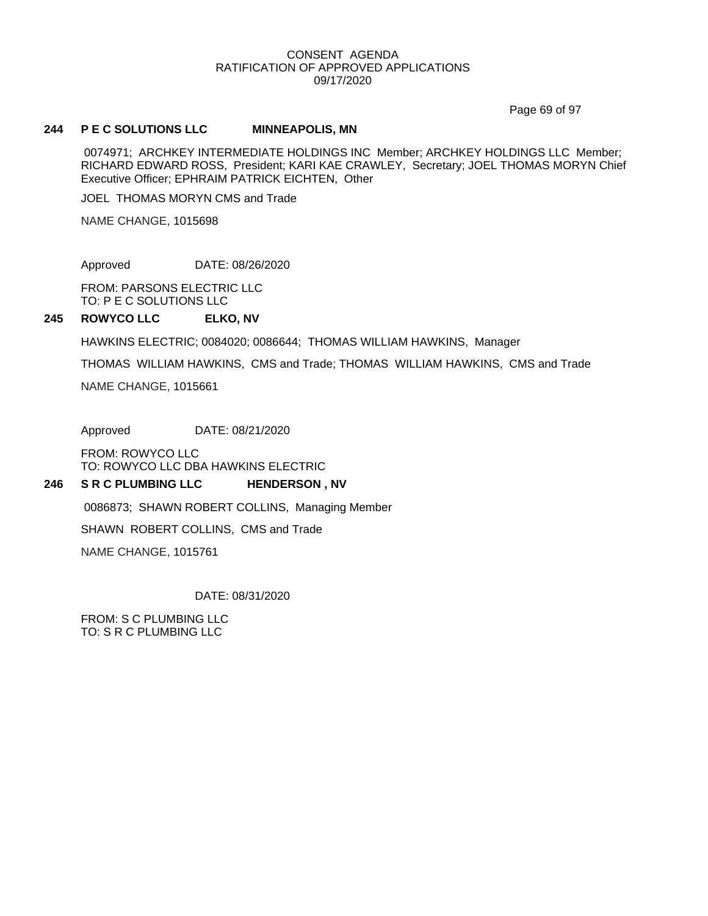Page 69 of 97

#### **244 P E C SOLUTIONS LLC MINNEAPOLIS, MN**

0074971; ARCHKEY INTERMEDIATE HOLDINGS INC Member; ARCHKEY HOLDINGS LLC Member; RICHARD EDWARD ROSS, President; KARI KAE CRAWLEY, Secretary; JOEL THOMAS MORYN Chief Executive Officer; EPHRAIM PATRICK EICHTEN, Other

JOEL THOMAS MORYN CMS and Trade

NAME CHANGE, 1015698

Approved DATE: 08/26/2020

FROM: PARSONS ELECTRIC LLC TO: P E C SOLUTIONS LLC

#### **245 ROWYCO LLC ELKO, NV**

HAWKINS ELECTRIC; 0084020; 0086644; THOMAS WILLIAM HAWKINS, Manager

THOMAS WILLIAM HAWKINS, CMS and Trade; THOMAS WILLIAM HAWKINS, CMS and Trade

NAME CHANGE, 1015661

Approved DATE: 08/21/2020

FROM: ROWYCO LLC TO: ROWYCO LLC DBA HAWKINS ELECTRIC

#### **246 S R C PLUMBING LLC HENDERSON , NV**

0086873; SHAWN ROBERT COLLINS, Managing Member

SHAWN ROBERT COLLINS, CMS and Trade

NAME CHANGE, 1015761

DATE: 08/31/2020

FROM: S C PLUMBING LLC TO: S R C PLUMBING LLC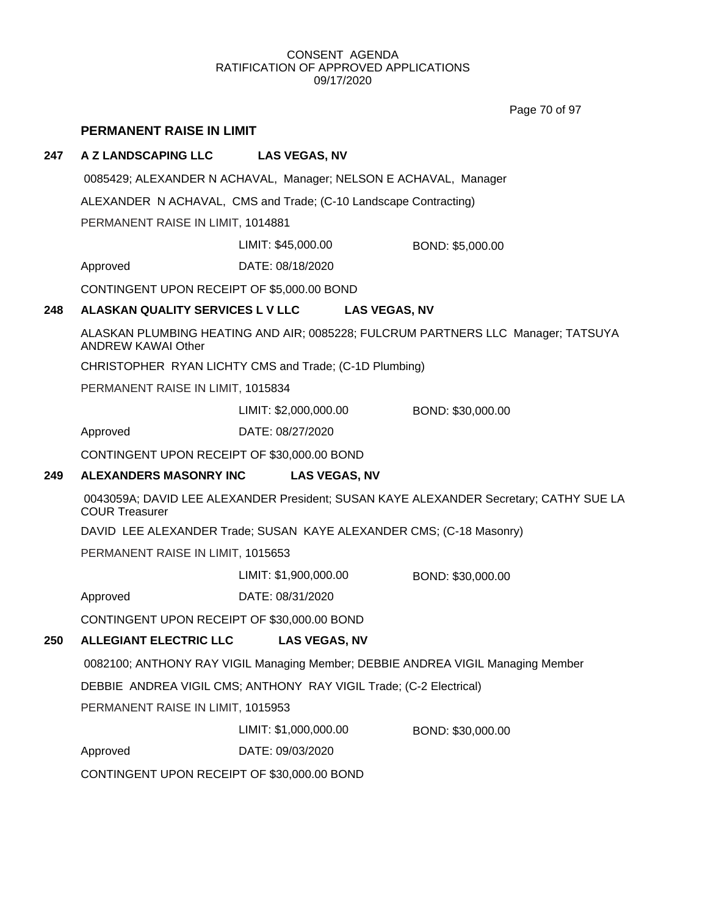Page 70 of 97

## **PERMANENT RAISE IN LIMIT**

### **247 A Z LANDSCAPING LLC LAS VEGAS, NV**

0085429; ALEXANDER N ACHAVAL, Manager; NELSON E ACHAVAL, Manager

ALEXANDER N ACHAVAL, CMS and Trade; (C-10 Landscape Contracting)

PERMANENT RAISE IN LIMIT, 1014881

LIMIT: \$45,000.00 BOND: \$5,000.00

Approved DATE: 08/18/2020

CONTINGENT UPON RECEIPT OF \$5,000.00 BOND

#### **248 ALASKAN QUALITY SERVICES L V LLC LAS VEGAS, NV**

ALASKAN PLUMBING HEATING AND AIR; 0085228; FULCRUM PARTNERS LLC Manager; TATSUYA ANDREW KAWAI Other

CHRISTOPHER RYAN LICHTY CMS and Trade; (C-1D Plumbing)

PERMANENT RAISE IN LIMIT, 1015834

LIMIT: \$2,000,000.00 BOND: \$30,000.00

Approved DATE: 08/27/2020

CONTINGENT UPON RECEIPT OF \$30,000.00 BOND

#### **249 ALEXANDERS MASONRY INC LAS VEGAS, NV**

0043059A; DAVID LEE ALEXANDER President; SUSAN KAYE ALEXANDER Secretary; CATHY SUE LA COUR Treasurer

DAVID LEE ALEXANDER Trade; SUSAN KAYE ALEXANDER CMS; (C-18 Masonry)

PERMANENT RAISE IN LIMIT, 1015653

LIMIT: \$1,900,000.00 BOND: \$30,000.00

Approved DATE: 08/31/2020

CONTINGENT UPON RECEIPT OF \$30,000.00 BOND

## **250 ALLEGIANT ELECTRIC LLC LAS VEGAS, NV**

0082100; ANTHONY RAY VIGIL Managing Member; DEBBIE ANDREA VIGIL Managing Member

DEBBIE ANDREA VIGIL CMS; ANTHONY RAY VIGIL Trade; (C-2 Electrical)

PERMANENT RAISE IN LIMIT, 1015953

LIMIT: \$1,000,000.00 BOND: \$30,000.00

Approved DATE: 09/03/2020

CONTINGENT UPON RECEIPT OF \$30,000.00 BOND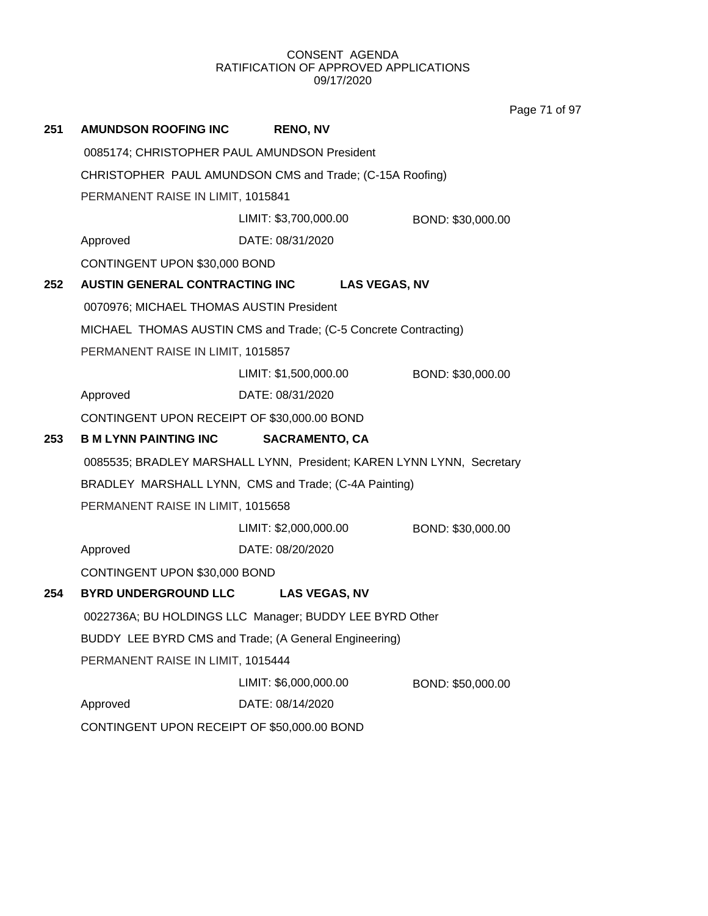**251 AMUNDSON ROOFING INC RENO, NV** 0085174; CHRISTOPHER PAUL AMUNDSON President CHRISTOPHER PAUL AMUNDSON CMS and Trade; (C-15A Roofing) PERMANENT RAISE IN LIMIT, 1015841 Approved DATE: 08/31/2020 LIMIT: \$3,700,000.00 BOND: \$30,000.00 CONTINGENT UPON \$30,000 BOND **252 AUSTIN GENERAL CONTRACTING INC LAS VEGAS, NV** 0070976; MICHAEL THOMAS AUSTIN President MICHAEL THOMAS AUSTIN CMS and Trade; (C-5 Concrete Contracting) PERMANENT RAISE IN LIMIT, 1015857 Approved DATE: 08/31/2020 LIMIT: \$1,500,000.00 BOND: \$30,000.00 CONTINGENT UPON RECEIPT OF \$30,000.00 BOND **253 B M LYNN PAINTING INC SACRAMENTO, CA** 0085535; BRADLEY MARSHALL LYNN, President; KAREN LYNN LYNN, Secretary BRADLEY MARSHALL LYNN, CMS and Trade; (C-4A Painting) PERMANENT RAISE IN LIMIT, 1015658 Approved DATE: 08/20/2020 LIMIT: \$2,000,000.00 BOND: \$30,000.00 CONTINGENT UPON \$30,000 BOND **254 BYRD UNDERGROUND LLC LAS VEGAS, NV** 0022736A; BU HOLDINGS LLC Manager; BUDDY LEE BYRD Other BUDDY LEE BYRD CMS and Trade; (A General Engineering) PERMANENT RAISE IN LIMIT, 1015444 Approved DATE: 08/14/2020 LIMIT: \$6,000,000.00 BOND: \$50,000.00 CONTINGENT UPON RECEIPT OF \$50,000.00 BOND

Page 71 of 97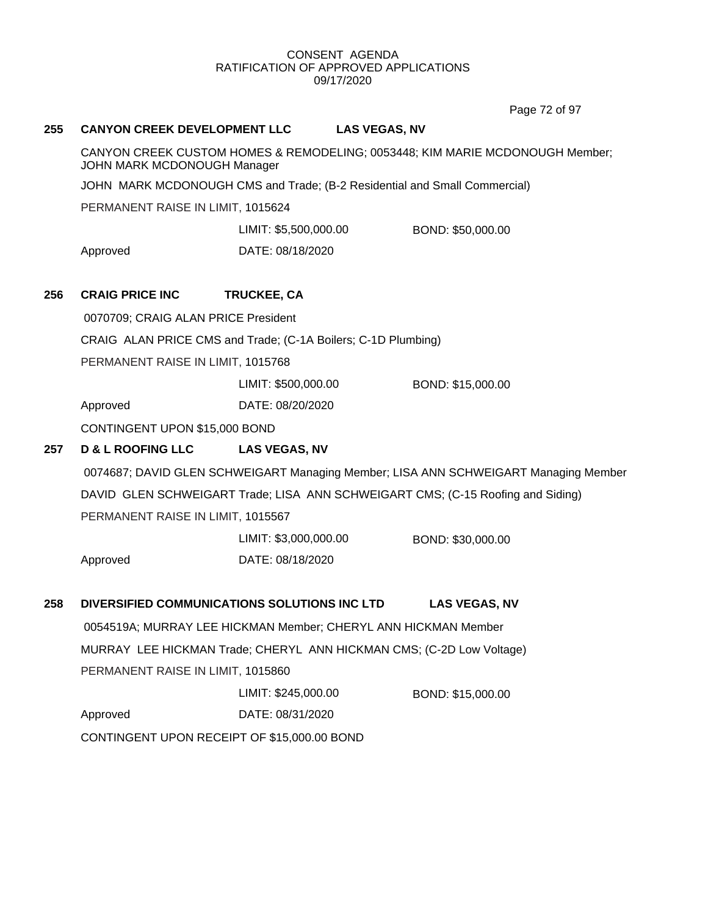Page 72 of 97

| 255 | <b>CANYON CREEK DEVELOPMENT LLC</b>                                                                         | <b>LAS VEGAS, NV</b>                                                 |                                                                                     |  |  |  |
|-----|-------------------------------------------------------------------------------------------------------------|----------------------------------------------------------------------|-------------------------------------------------------------------------------------|--|--|--|
|     | CANYON CREEK CUSTOM HOMES & REMODELING; 0053448; KIM MARIE MCDONOUGH Member;<br>JOHN MARK MCDONOUGH Manager |                                                                      |                                                                                     |  |  |  |
|     | JOHN MARK MCDONOUGH CMS and Trade; (B-2 Residential and Small Commercial)                                   |                                                                      |                                                                                     |  |  |  |
|     | PERMANENT RAISE IN LIMIT, 1015624                                                                           |                                                                      |                                                                                     |  |  |  |
|     |                                                                                                             | LIMIT: \$5,500,000.00                                                | BOND: \$50,000.00                                                                   |  |  |  |
|     | Approved                                                                                                    | DATE: 08/18/2020                                                     |                                                                                     |  |  |  |
| 256 | <b>CRAIG PRICE INC</b>                                                                                      | TRUCKEE, CA                                                          |                                                                                     |  |  |  |
|     | 0070709; CRAIG ALAN PRICE President                                                                         |                                                                      |                                                                                     |  |  |  |
|     | CRAIG ALAN PRICE CMS and Trade; (C-1A Boilers; C-1D Plumbing)                                               |                                                                      |                                                                                     |  |  |  |
|     | PERMANENT RAISE IN LIMIT, 1015768                                                                           |                                                                      |                                                                                     |  |  |  |
|     |                                                                                                             | LIMIT: \$500,000.00                                                  | BOND: \$15,000.00                                                                   |  |  |  |
|     | Approved                                                                                                    | DATE: 08/20/2020                                                     |                                                                                     |  |  |  |
|     | CONTINGENT UPON \$15,000 BOND                                                                               |                                                                      |                                                                                     |  |  |  |
|     |                                                                                                             |                                                                      |                                                                                     |  |  |  |
| 257 | <b>D &amp; L ROOFING LLC</b>                                                                                | <b>LAS VEGAS, NV</b>                                                 |                                                                                     |  |  |  |
|     |                                                                                                             |                                                                      | 0074687; DAVID GLEN SCHWEIGART Managing Member; LISA ANN SCHWEIGART Managing Member |  |  |  |
|     |                                                                                                             |                                                                      | DAVID GLEN SCHWEIGART Trade; LISA ANN SCHWEIGART CMS; (C-15 Roofing and Siding)     |  |  |  |
|     | PERMANENT RAISE IN LIMIT, 1015567                                                                           |                                                                      |                                                                                     |  |  |  |
|     |                                                                                                             | LIMIT: \$3,000,000.00                                                | BOND: \$30,000.00                                                                   |  |  |  |
|     | Approved                                                                                                    | DATE: 08/18/2020                                                     |                                                                                     |  |  |  |
|     |                                                                                                             |                                                                      |                                                                                     |  |  |  |
| 258 |                                                                                                             | DIVERSIFIED COMMUNICATIONS SOLUTIONS INC LTD                         | <b>LAS VEGAS, NV</b>                                                                |  |  |  |
|     |                                                                                                             | 0054519A; MURRAY LEE HICKMAN Member; CHERYL ANN HICKMAN Member       |                                                                                     |  |  |  |
|     |                                                                                                             | MURRAY LEE HICKMAN Trade; CHERYL ANN HICKMAN CMS; (C-2D Low Voltage) |                                                                                     |  |  |  |
|     | PERMANENT RAISE IN LIMIT, 1015860                                                                           |                                                                      |                                                                                     |  |  |  |
|     |                                                                                                             | LIMIT: \$245,000.00                                                  | BOND: \$15,000.00                                                                   |  |  |  |
|     | Approved<br>CONTINGENT UPON RECEIPT OF \$15,000.00 BOND                                                     | DATE: 08/31/2020                                                     |                                                                                     |  |  |  |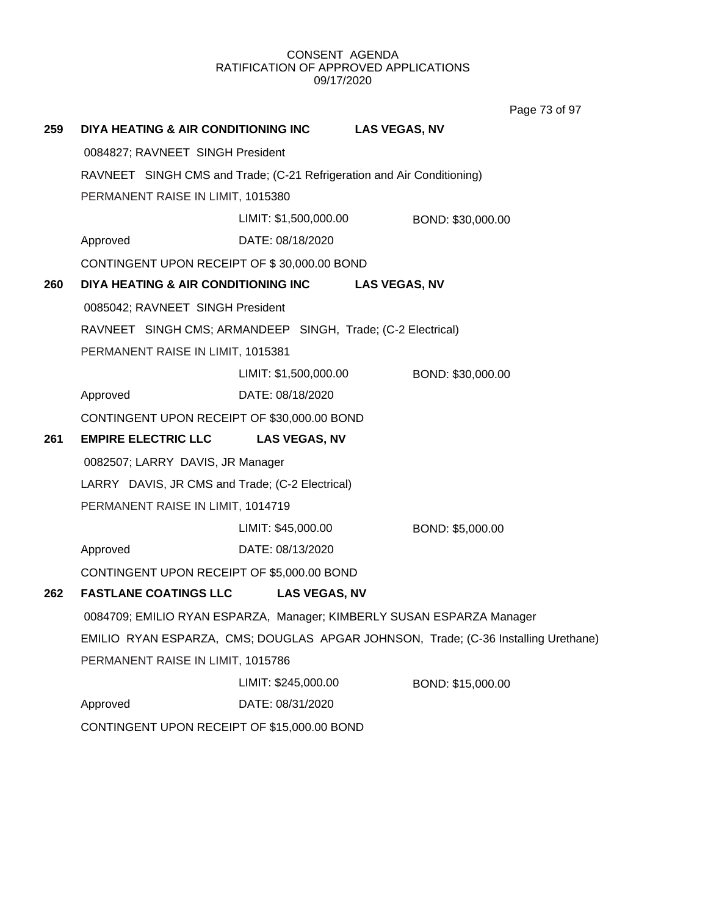Page 73 of 97

| 259 | DIYA HEATING & AIR CONDITIONING INC                                                |                                                             | <b>LAS VEGAS, NV</b> |  |  |
|-----|------------------------------------------------------------------------------------|-------------------------------------------------------------|----------------------|--|--|
|     | 0084827; RAVNEET SINGH President                                                   |                                                             |                      |  |  |
|     | RAVNEET SINGH CMS and Trade; (C-21 Refrigeration and Air Conditioning)             |                                                             |                      |  |  |
|     |                                                                                    | PERMANENT RAISE IN LIMIT, 1015380                           |                      |  |  |
|     |                                                                                    | LIMIT: \$1,500,000.00                                       | BOND: \$30,000.00    |  |  |
|     | Approved                                                                           | DATE: 08/18/2020                                            |                      |  |  |
|     | CONTINGENT UPON RECEIPT OF \$30,000.00 BOND                                        |                                                             |                      |  |  |
| 260 | DIYA HEATING & AIR CONDITIONING INC                                                |                                                             | <b>LAS VEGAS, NV</b> |  |  |
|     | 0085042; RAVNEET SINGH President                                                   |                                                             |                      |  |  |
|     |                                                                                    | RAVNEET SINGH CMS; ARMANDEEP SINGH, Trade; (C-2 Electrical) |                      |  |  |
|     | PERMANENT RAISE IN LIMIT, 1015381                                                  |                                                             |                      |  |  |
|     |                                                                                    | LIMIT: \$1,500,000.00                                       | BOND: \$30,000.00    |  |  |
|     | Approved                                                                           | DATE: 08/18/2020                                            |                      |  |  |
|     | CONTINGENT UPON RECEIPT OF \$30,000.00 BOND                                        |                                                             |                      |  |  |
| 261 | <b>EMPIRE ELECTRIC LLC</b>                                                         | <b>LAS VEGAS, NV</b>                                        |                      |  |  |
|     | 0082507; LARRY DAVIS, JR Manager                                                   |                                                             |                      |  |  |
|     | LARRY DAVIS, JR CMS and Trade; (C-2 Electrical)                                    |                                                             |                      |  |  |
|     | PERMANENT RAISE IN LIMIT, 1014719                                                  |                                                             |                      |  |  |
|     |                                                                                    | LIMIT: \$45,000.00                                          | BOND: \$5,000.00     |  |  |
|     | Approved                                                                           | DATE: 08/13/2020                                            |                      |  |  |
|     | CONTINGENT UPON RECEIPT OF \$5,000.00 BOND                                         |                                                             |                      |  |  |
| 262 | <b>FASTLANE COATINGS LLC</b>                                                       | <b>LAS VEGAS, NV</b>                                        |                      |  |  |
|     | 0084709; EMILIO RYAN ESPARZA, Manager; KIMBERLY SUSAN ESPARZA Manager              |                                                             |                      |  |  |
|     | EMILIO RYAN ESPARZA, CMS; DOUGLAS APGAR JOHNSON, Trade; (C-36 Installing Urethane) |                                                             |                      |  |  |
|     | PERMANENT RAISE IN LIMIT, 1015786                                                  |                                                             |                      |  |  |
|     |                                                                                    | LIMIT: \$245,000.00                                         | BOND: \$15,000.00    |  |  |
|     | Approved                                                                           | DATE: 08/31/2020                                            |                      |  |  |
|     | CONTINGENT UPON RECEIPT OF \$15,000.00 BOND                                        |                                                             |                      |  |  |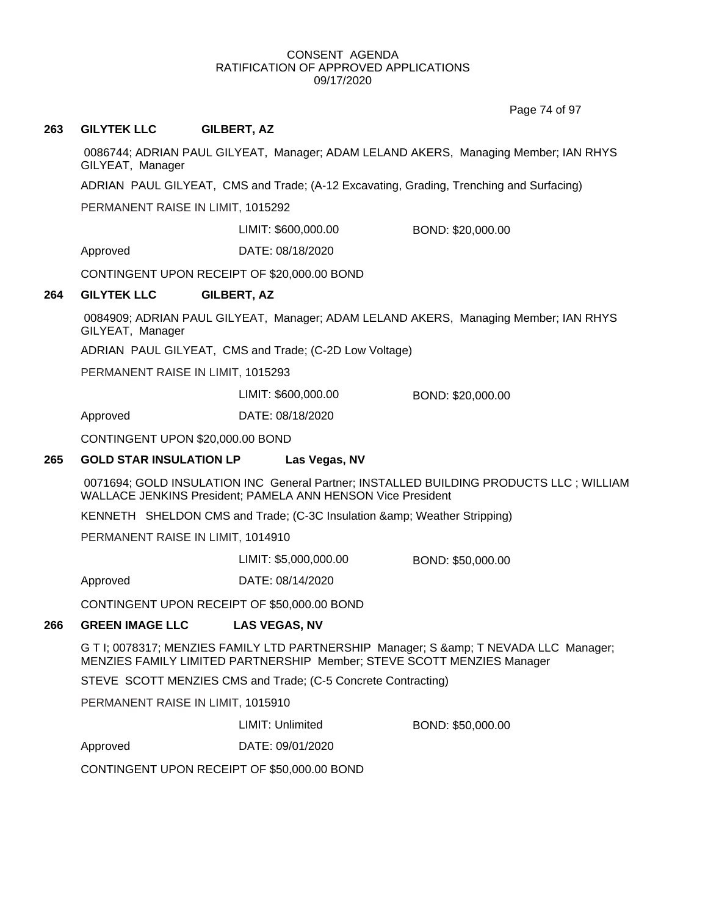Page 74 of 97

## **263 GILYTEK LLC GILBERT, AZ**

0086744; ADRIAN PAUL GILYEAT, Manager; ADAM LELAND AKERS, Managing Member; IAN RHYS GILYEAT, Manager

ADRIAN PAUL GILYEAT, CMS and Trade; (A-12 Excavating, Grading, Trenching and Surfacing)

PERMANENT RAISE IN LIMIT, 1015292

LIMIT: \$600,000.00 BOND: \$20,000.00

Approved DATE: 08/18/2020

CONTINGENT UPON RECEIPT OF \$20,000.00 BOND

#### **264 GILYTEK LLC GILBERT, AZ**

0084909; ADRIAN PAUL GILYEAT, Manager; ADAM LELAND AKERS, Managing Member; IAN RHYS GILYEAT, Manager

ADRIAN PAUL GILYEAT, CMS and Trade; (C-2D Low Voltage)

PERMANENT RAISE IN LIMIT, 1015293

LIMIT: \$600,000.00 BOND: \$20,000.00

Approved DATE: 08/18/2020

CONTINGENT UPON \$20,000.00 BOND

### **265 GOLD STAR INSULATION LP Las Vegas, NV**

0071694; GOLD INSULATION INC General Partner; INSTALLED BUILDING PRODUCTS LLC ; WILLIAM WALLACE JENKINS President; PAMELA ANN HENSON Vice President

KENNETH SHELDON CMS and Trade; (C-3C Insulation & amp; Weather Stripping)

PERMANENT RAISE IN LIMIT, 1014910

LIMIT: \$5,000,000.00 BOND: \$50,000.00

Approved DATE: 08/14/2020

CONTINGENT UPON RECEIPT OF \$50,000.00 BOND

#### **266 GREEN IMAGE LLC LAS VEGAS, NV**

G T I; 0078317; MENZIES FAMILY LTD PARTNERSHIP Manager; S & amp; T NEVADA LLC Manager; MENZIES FAMILY LIMITED PARTNERSHIP Member; STEVE SCOTT MENZIES Manager

STEVE SCOTT MENZIES CMS and Trade; (C-5 Concrete Contracting)

PERMANENT RAISE IN LIMIT, 1015910

LIMIT: Unlimited BOND: \$50,000.00

Approved DATE: 09/01/2020

CONTINGENT UPON RECEIPT OF \$50,000.00 BOND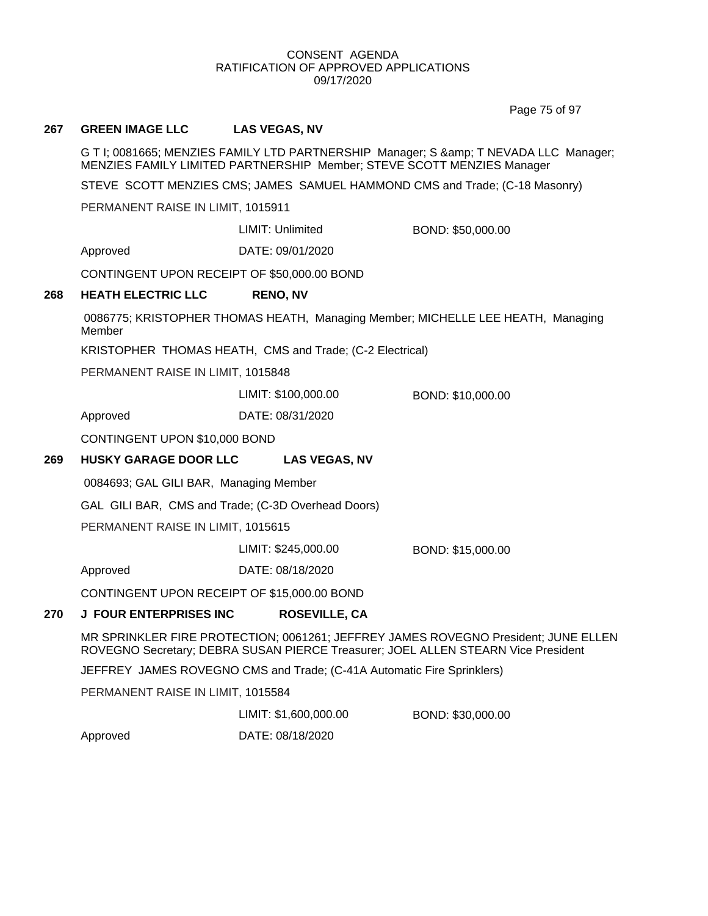Page 75 of 97

#### **267 GREEN IMAGE LLC LAS VEGAS, NV**

G T I; 0081665; MENZIES FAMILY LTD PARTNERSHIP Manager; S & amp; T NEVADA LLC Manager; MENZIES FAMILY LIMITED PARTNERSHIP Member; STEVE SCOTT MENZIES Manager

STEVE SCOTT MENZIES CMS; JAMES SAMUEL HAMMOND CMS and Trade; (C-18 Masonry)

PERMANENT RAISE IN LIMIT, 1015911

LIMIT: Unlimited BOND: \$50,000.00

Approved DATE: 09/01/2020

CONTINGENT UPON RECEIPT OF \$50,000.00 BOND

#### **268 HEATH ELECTRIC LLC RENO, NV**

0086775; KRISTOPHER THOMAS HEATH, Managing Member; MICHELLE LEE HEATH, Managing Member

KRISTOPHER THOMAS HEATH, CMS and Trade; (C-2 Electrical)

PERMANENT RAISE IN LIMIT, 1015848

LIMIT: \$100,000.00 BOND: \$10,000.00

Approved DATE: 08/31/2020

CONTINGENT UPON \$10,000 BOND

#### **269 HUSKY GARAGE DOOR LLC LAS VEGAS, NV**

0084693; GAL GILI BAR, Managing Member

GAL GILI BAR, CMS and Trade; (C-3D Overhead Doors)

PERMANENT RAISE IN LIMIT, 1015615

LIMIT: \$245,000.00 BOND: \$15,000.00

Approved DATE: 08/18/2020

CONTINGENT UPON RECEIPT OF \$15,000.00 BOND

#### **270 J FOUR ENTERPRISES INC ROSEVILLE, CA**

MR SPRINKLER FIRE PROTECTION; 0061261; JEFFREY JAMES ROVEGNO President; JUNE ELLEN ROVEGNO Secretary; DEBRA SUSAN PIERCE Treasurer; JOEL ALLEN STEARN Vice President

JEFFREY JAMES ROVEGNO CMS and Trade; (C-41A Automatic Fire Sprinklers)

PERMANENT RAISE IN LIMIT, 1015584

LIMIT: \$1,600,000.00 BOND: \$30,000.00

Approved DATE: 08/18/2020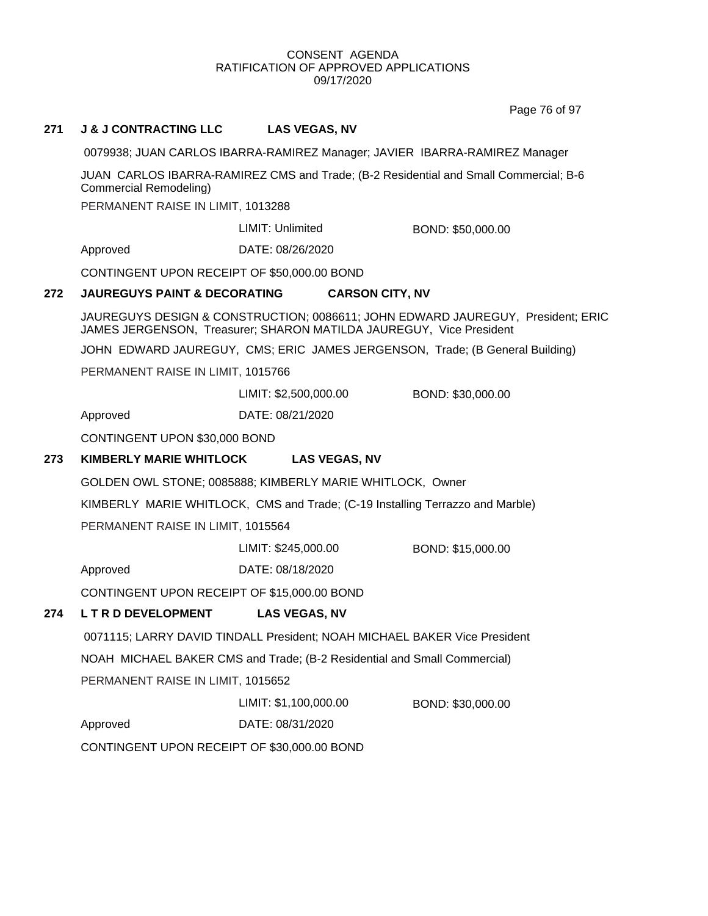Page 76 of 97

## **271 J & J CONTRACTING LLC LAS VEGAS, NV**

0079938; JUAN CARLOS IBARRA-RAMIREZ Manager; JAVIER IBARRA-RAMIREZ Manager

JUAN CARLOS IBARRA-RAMIREZ CMS and Trade; (B-2 Residential and Small Commercial; B-6 Commercial Remodeling)

PERMANENT RAISE IN LIMIT, 1013288

LIMIT: Unlimited BOND: \$50,000.00

Approved DATE: 08/26/2020

CONTINGENT UPON RECEIPT OF \$50,000.00 BOND

#### **272 JAUREGUYS PAINT & DECORATING CARSON CITY, NV**

JAUREGUYS DESIGN & CONSTRUCTION; 0086611; JOHN EDWARD JAUREGUY, President; ERIC JAMES JERGENSON, Treasurer; SHARON MATILDA JAUREGUY, Vice President

JOHN EDWARD JAUREGUY, CMS; ERIC JAMES JERGENSON, Trade; (B General Building)

PERMANENT RAISE IN LIMIT, 1015766

LIMIT: \$2,500,000.00 BOND: \$30,000.00

Approved DATE: 08/21/2020

CONTINGENT UPON \$30,000 BOND

## **273 KIMBERLY MARIE WHITLOCK LAS VEGAS, NV**

GOLDEN OWL STONE; 0085888; KIMBERLY MARIE WHITLOCK, Owner

KIMBERLY MARIE WHITLOCK, CMS and Trade; (C-19 Installing Terrazzo and Marble)

PERMANENT RAISE IN LIMIT, 1015564

LIMIT: \$245,000.00 BOND: \$15,000.00

Approved DATE: 08/18/2020

CONTINGENT UPON RECEIPT OF \$15,000.00 BOND

## **274 L T R D DEVELOPMENT LAS VEGAS, NV**

0071115; LARRY DAVID TINDALL President; NOAH MICHAEL BAKER Vice President NOAH MICHAEL BAKER CMS and Trade; (B-2 Residential and Small Commercial) PERMANENT RAISE IN LIMIT, 1015652

LIMIT: \$1,100,000.00 BOND: \$30,000.00

Approved DATE: 08/31/2020

CONTINGENT UPON RECEIPT OF \$30,000.00 BOND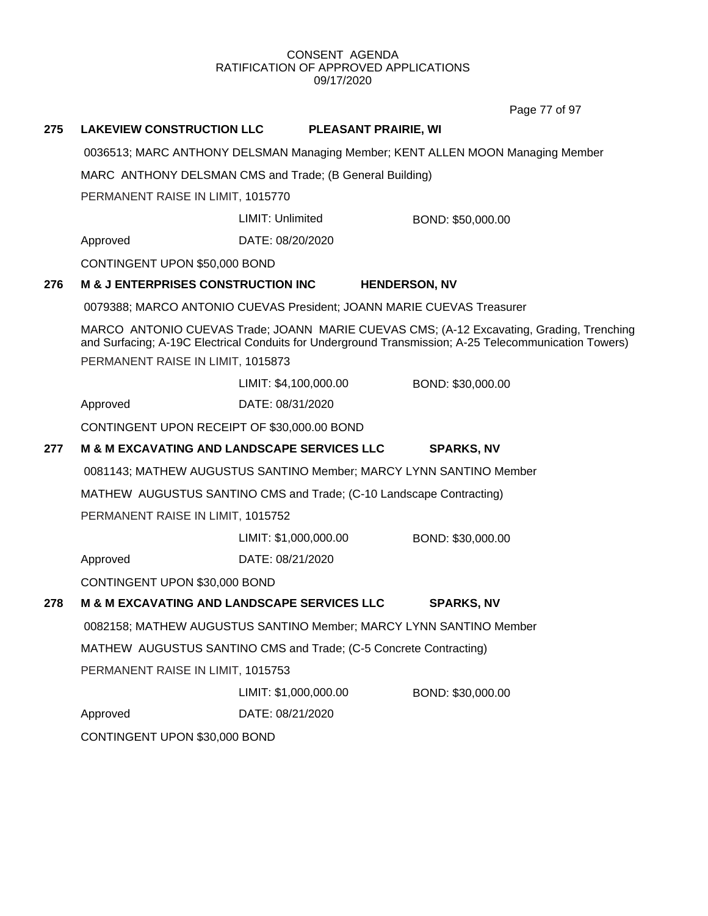Page 77 of 97

# **275 LAKEVIEW CONSTRUCTION LLC PLEASANT PRAIRIE, WI** 0036513; MARC ANTHONY DELSMAN Managing Member; KENT ALLEN MOON Managing Member MARC ANTHONY DELSMAN CMS and Trade; (B General Building) PERMANENT RAISE IN LIMIT, 1015770 Approved DATE: 08/20/2020 LIMIT: Unlimited BOND: \$50,000.00 CONTINGENT UPON \$50,000 BOND **276 M & J ENTERPRISES CONSTRUCTION INC HENDERSON, NV** 0079388; MARCO ANTONIO CUEVAS President; JOANN MARIE CUEVAS Treasurer MARCO ANTONIO CUEVAS Trade; JOANN MARIE CUEVAS CMS; (A-12 Excavating, Grading, Trenching and Surfacing; A-19C Electrical Conduits for Underground Transmission; A-25 Telecommunication Towers) PERMANENT RAISE IN LIMIT, 1015873 Approved DATE: 08/31/2020 LIMIT: \$4,100,000.00 BOND: \$30,000.00 CONTINGENT UPON RECEIPT OF \$30,000.00 BOND **277 M & M EXCAVATING AND LANDSCAPE SERVICES LLC SPARKS, NV** 0081143; MATHEW AUGUSTUS SANTINO Member; MARCY LYNN SANTINO Member MATHEW AUGUSTUS SANTINO CMS and Trade; (C-10 Landscape Contracting) PERMANENT RAISE IN LIMIT, 1015752 Approved DATE: 08/21/2020 LIMIT: \$1,000,000.00 BOND: \$30,000.00 CONTINGENT UPON \$30,000 BOND **278 M & M EXCAVATING AND LANDSCAPE SERVICES LLC SPARKS, NV** 0082158; MATHEW AUGUSTUS SANTINO Member; MARCY LYNN SANTINO Member MATHEW AUGUSTUS SANTINO CMS and Trade; (C-5 Concrete Contracting) PERMANENT RAISE IN LIMIT, 1015753 Approved DATE: 08/21/2020 LIMIT: \$1,000,000.00 BOND: \$30,000.00 CONTINGENT UPON \$30,000 BOND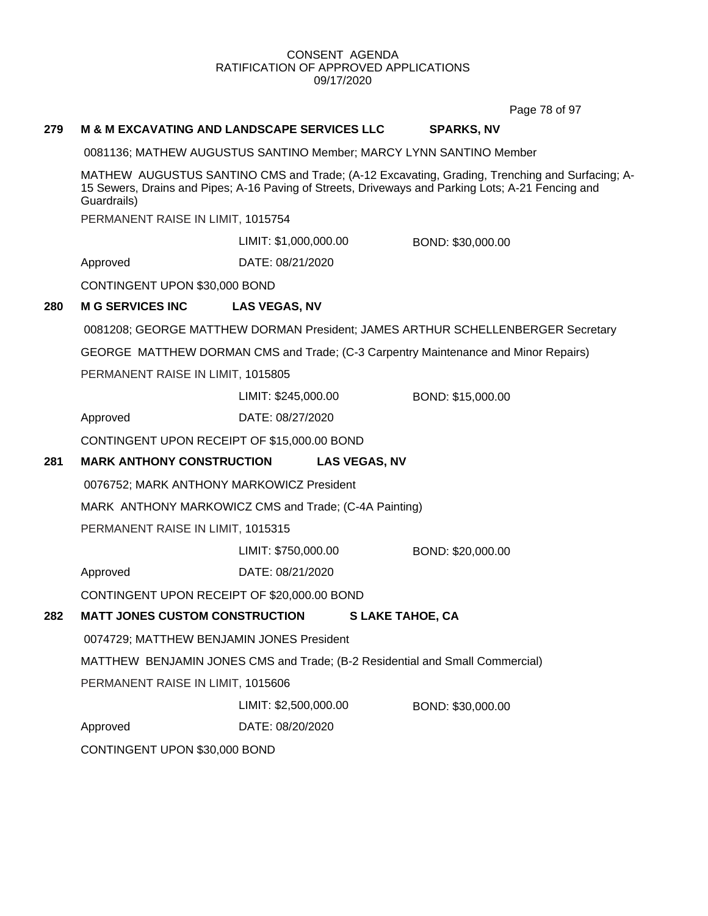Page 78 of 97

### **279 M & M EXCAVATING AND LANDSCAPE SERVICES LLC SPARKS, NV**

0081136; MATHEW AUGUSTUS SANTINO Member; MARCY LYNN SANTINO Member

MATHEW AUGUSTUS SANTINO CMS and Trade; (A-12 Excavating, Grading, Trenching and Surfacing; A-15 Sewers, Drains and Pipes; A-16 Paving of Streets, Driveways and Parking Lots; A-21 Fencing and Guardrails)

PERMANENT RAISE IN LIMIT, 1015754

LIMIT: \$1,000,000.00 BOND: \$30,000.00

Approved DATE: 08/21/2020

CONTINGENT UPON \$30,000 BOND

## **280 M G SERVICES INC LAS VEGAS, NV**

0081208; GEORGE MATTHEW DORMAN President; JAMES ARTHUR SCHELLENBERGER Secretary

GEORGE MATTHEW DORMAN CMS and Trade; (C-3 Carpentry Maintenance and Minor Repairs)

PERMANENT RAISE IN LIMIT, 1015805

LIMIT: \$245,000.00 BOND: \$15,000.00

Approved DATE: 08/27/2020

CONTINGENT UPON RECEIPT OF \$15,000.00 BOND

## **281 MARK ANTHONY CONSTRUCTION LAS VEGAS, NV**

0076752; MARK ANTHONY MARKOWICZ President

MARK ANTHONY MARKOWICZ CMS and Trade; (C-4A Painting)

PERMANENT RAISE IN LIMIT, 1015315

LIMIT: \$750,000.00 BOND: \$20,000.00

Approved DATE: 08/21/2020

CONTINGENT UPON RECEIPT OF \$20,000.00 BOND

## **282 MATT JONES CUSTOM CONSTRUCTION S LAKE TAHOE, CA**

0074729; MATTHEW BENJAMIN JONES President

MATTHEW BENJAMIN JONES CMS and Trade; (B-2 Residential and Small Commercial)

PERMANENT RAISE IN LIMIT, 1015606

LIMIT: \$2,500,000.00 BOND: \$30,000.00

Approved DATE: 08/20/2020

CONTINGENT UPON \$30,000 BOND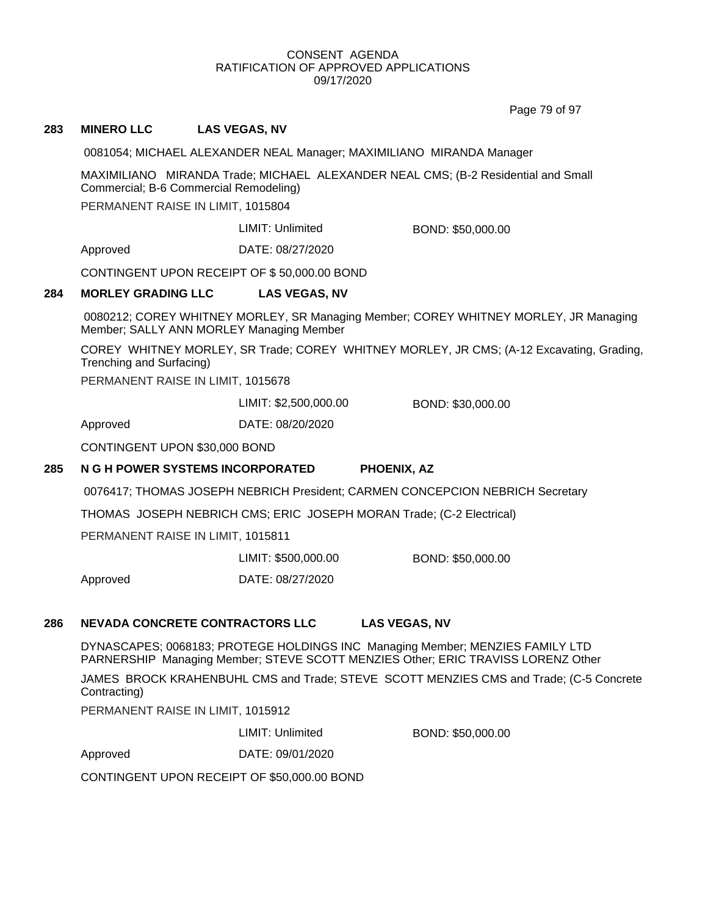Page 79 of 97

## **283 MINERO LLC LAS VEGAS, NV**

0081054; MICHAEL ALEXANDER NEAL Manager; MAXIMILIANO MIRANDA Manager

MAXIMILIANO MIRANDA Trade; MICHAEL ALEXANDER NEAL CMS; (B-2 Residential and Small Commercial; B-6 Commercial Remodeling)

PERMANENT RAISE IN LIMIT, 1015804

LIMIT: Unlimited BOND: \$50,000.00

Approved DATE: 08/27/2020

CONTINGENT UPON RECEIPT OF \$ 50,000.00 BOND

#### **284 MORLEY GRADING LLC LAS VEGAS, NV**

0080212; COREY WHITNEY MORLEY, SR Managing Member; COREY WHITNEY MORLEY, JR Managing Member; SALLY ANN MORLEY Managing Member

COREY WHITNEY MORLEY, SR Trade; COREY WHITNEY MORLEY, JR CMS; (A-12 Excavating, Grading, Trenching and Surfacing)

PERMANENT RAISE IN LIMIT, 1015678

LIMIT: \$2,500,000.00 BOND: \$30,000.00

Approved DATE: 08/20/2020

CONTINGENT UPON \$30,000 BOND

#### **285 N G H POWER SYSTEMS INCORPORATED PHOENIX, AZ**

0076417; THOMAS JOSEPH NEBRICH President; CARMEN CONCEPCION NEBRICH Secretary

THOMAS JOSEPH NEBRICH CMS; ERIC JOSEPH MORAN Trade; (C-2 Electrical)

PERMANENT RAISE IN LIMIT, 1015811

| LIMIT: \$500,000.00 | BOND: \$50,000.00 |
|---------------------|-------------------|
|                     |                   |

Approved DATE: 08/27/2020

#### **286 NEVADA CONCRETE CONTRACTORS LLC LAS VEGAS, NV**

DYNASCAPES; 0068183; PROTEGE HOLDINGS INC Managing Member; MENZIES FAMILY LTD PARNERSHIP Managing Member; STEVE SCOTT MENZIES Other; ERIC TRAVISS LORENZ Other

JAMES BROCK KRAHENBUHL CMS and Trade; STEVE SCOTT MENZIES CMS and Trade; (C-5 Concrete Contracting)

PERMANENT RAISE IN LIMIT, 1015912

LIMIT: Unlimited BOND: \$50,000.00

Approved DATE: 09/01/2020

CONTINGENT UPON RECEIPT OF \$50,000.00 BOND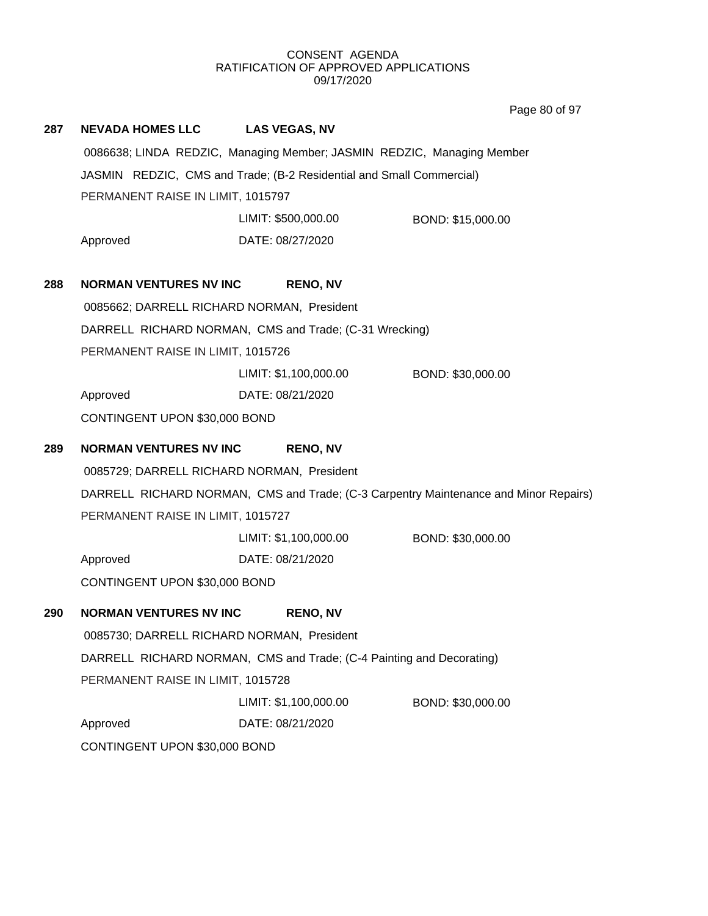Page 80 of 97

| 287 | <b>NEVADA HOMES LLC</b>                                                              | <b>LAS VEGAS, NV</b>                                                   |                   |  |  |
|-----|--------------------------------------------------------------------------------------|------------------------------------------------------------------------|-------------------|--|--|
|     |                                                                                      | 0086638; LINDA REDZIC, Managing Member; JASMIN REDZIC, Managing Member |                   |  |  |
|     | JASMIN REDZIC, CMS and Trade; (B-2 Residential and Small Commercial)                 |                                                                        |                   |  |  |
|     | PERMANENT RAISE IN LIMIT, 1015797                                                    |                                                                        |                   |  |  |
|     |                                                                                      | LIMIT: \$500,000.00                                                    | BOND: \$15,000.00 |  |  |
|     | Approved                                                                             | DATE: 08/27/2020                                                       |                   |  |  |
| 288 | <b>NORMAN VENTURES NV INC</b>                                                        | <b>RENO, NV</b>                                                        |                   |  |  |
|     | 0085662; DARRELL RICHARD NORMAN, President                                           |                                                                        |                   |  |  |
|     | DARRELL RICHARD NORMAN, CMS and Trade; (C-31 Wrecking)                               |                                                                        |                   |  |  |
|     | PERMANENT RAISE IN LIMIT, 1015726                                                    |                                                                        |                   |  |  |
|     |                                                                                      | LIMIT: \$1,100,000.00                                                  | BOND: \$30,000.00 |  |  |
|     | Approved                                                                             | DATE: 08/21/2020                                                       |                   |  |  |
|     | CONTINGENT UPON \$30,000 BOND                                                        |                                                                        |                   |  |  |
| 289 | <b>NORMAN VENTURES NV INC</b>                                                        | <b>RENO, NV</b>                                                        |                   |  |  |
|     | 0085729; DARRELL RICHARD NORMAN, President                                           |                                                                        |                   |  |  |
|     | DARRELL RICHARD NORMAN, CMS and Trade; (C-3 Carpentry Maintenance and Minor Repairs) |                                                                        |                   |  |  |
|     | PERMANENT RAISE IN LIMIT, 1015727                                                    |                                                                        |                   |  |  |
|     |                                                                                      | LIMIT: \$1,100,000.00                                                  | BOND: \$30,000.00 |  |  |
|     | Approved                                                                             | DATE: 08/21/2020                                                       |                   |  |  |
|     | CONTINGENT UPON \$30,000 BOND                                                        |                                                                        |                   |  |  |
| 290 | <b>NORMAN VENTURES NV INC</b>                                                        | <b>RENO, NV</b>                                                        |                   |  |  |
|     | 0085730; DARRELL RICHARD NORMAN, President                                           |                                                                        |                   |  |  |
|     | DARRELL RICHARD NORMAN, CMS and Trade; (C-4 Painting and Decorating)                 |                                                                        |                   |  |  |
|     | PERMANENT RAISE IN LIMIT, 1015728                                                    |                                                                        |                   |  |  |
|     |                                                                                      | LIMIT: \$1,100,000.00                                                  | BOND: \$30,000.00 |  |  |
|     | Approved                                                                             | DATE: 08/21/2020                                                       |                   |  |  |
|     | CONTINGENT UPON \$30,000 BOND                                                        |                                                                        |                   |  |  |
|     |                                                                                      |                                                                        |                   |  |  |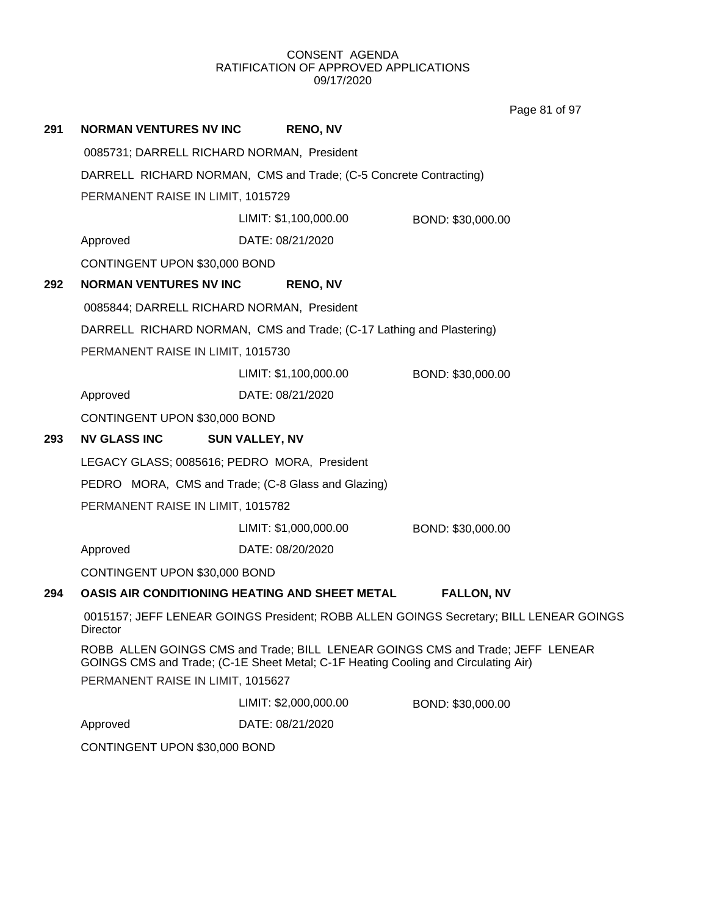Page 81 of 97

**291 NORMAN VENTURES NV INC RENO, NV** 0085731; DARRELL RICHARD NORMAN, President DARRELL RICHARD NORMAN, CMS and Trade; (C-5 Concrete Contracting) PERMANENT RAISE IN LIMIT, 1015729 Approved DATE: 08/21/2020 LIMIT: \$1,100,000.00 BOND: \$30,000.00 CONTINGENT UPON \$30,000 BOND **292 NORMAN VENTURES NV INC RENO, NV** 0085844; DARRELL RICHARD NORMAN, President DARRELL RICHARD NORMAN, CMS and Trade; (C-17 Lathing and Plastering) PERMANENT RAISE IN LIMIT, 1015730 Approved DATE: 08/21/2020 LIMIT: \$1,100,000.00 BOND: \$30,000.00 CONTINGENT UPON \$30,000 BOND **293 NV GLASS INC SUN VALLEY, NV** LEGACY GLASS; 0085616; PEDRO MORA, President PEDRO MORA, CMS and Trade; (C-8 Glass and Glazing) PERMANENT RAISE IN LIMIT, 1015782 Approved DATE: 08/20/2020 LIMIT: \$1,000,000.00 BOND: \$30,000.00 CONTINGENT UPON \$30,000 BOND **294 OASIS AIR CONDITIONING HEATING AND SHEET METAL FALLON, NV** 0015157; JEFF LENEAR GOINGS President; ROBB ALLEN GOINGS Secretary; BILL LENEAR GOINGS **Director** ROBB ALLEN GOINGS CMS and Trade; BILL LENEAR GOINGS CMS and Trade; JEFF LENEAR GOINGS CMS and Trade; (C-1E Sheet Metal; C-1F Heating Cooling and Circulating Air) PERMANENT RAISE IN LIMIT, 1015627 Approved DATE: 08/21/2020 LIMIT: \$2,000,000.00 BOND: \$30,000.00

CONTINGENT UPON \$30,000 BOND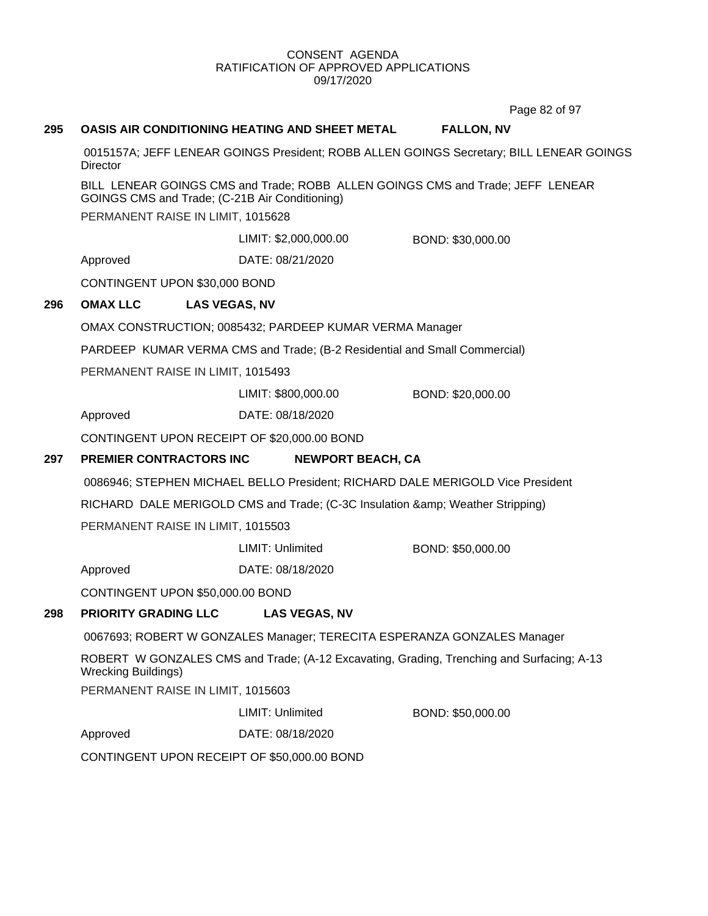Page 82 of 97

## **295 OASIS AIR CONDITIONING HEATING AND SHEET METAL FALLON, NV**

0015157A; JEFF LENEAR GOINGS President; ROBB ALLEN GOINGS Secretary; BILL LENEAR GOINGS **Director** 

BILL LENEAR GOINGS CMS and Trade; ROBB ALLEN GOINGS CMS and Trade; JEFF LENEAR GOINGS CMS and Trade; (C-21B Air Conditioning)

PERMANENT RAISE IN LIMIT, 1015628

LIMIT: \$2,000,000.00 BOND: \$30,000.00

Approved DATE: 08/21/2020

CONTINGENT UPON \$30,000 BOND

## **296 OMAX LLC LAS VEGAS, NV**

OMAX CONSTRUCTION; 0085432; PARDEEP KUMAR VERMA Manager

PARDEEP KUMAR VERMA CMS and Trade; (B-2 Residential and Small Commercial)

PERMANENT RAISE IN LIMIT, 1015493

LIMIT: \$800,000.00 BOND: \$20,000.00

Approved DATE: 08/18/2020

CONTINGENT UPON RECEIPT OF \$20,000.00 BOND

## **297 PREMIER CONTRACTORS INC NEWPORT BEACH, CA**

0086946; STEPHEN MICHAEL BELLO President; RICHARD DALE MERIGOLD Vice President

RICHARD DALE MERIGOLD CMS and Trade; (C-3C Insulation & amp; Weather Stripping) PERMANENT RAISE IN LIMIT, 1015503

LIMIT: Unlimited BOND: \$50,000.00

Approved DATE: 08/18/2020

CONTINGENT UPON \$50,000.00 BOND

## **298 PRIORITY GRADING LLC LAS VEGAS, NV**

0067693; ROBERT W GONZALES Manager; TERECITA ESPERANZA GONZALES Manager

ROBERT W GONZALES CMS and Trade; (A-12 Excavating, Grading, Trenching and Surfacing; A-13 Wrecking Buildings)

PERMANENT RAISE IN LIMIT, 1015603

LIMIT: Unlimited BOND: \$50,000.00

Approved DATE: 08/18/2020

CONTINGENT UPON RECEIPT OF \$50,000.00 BOND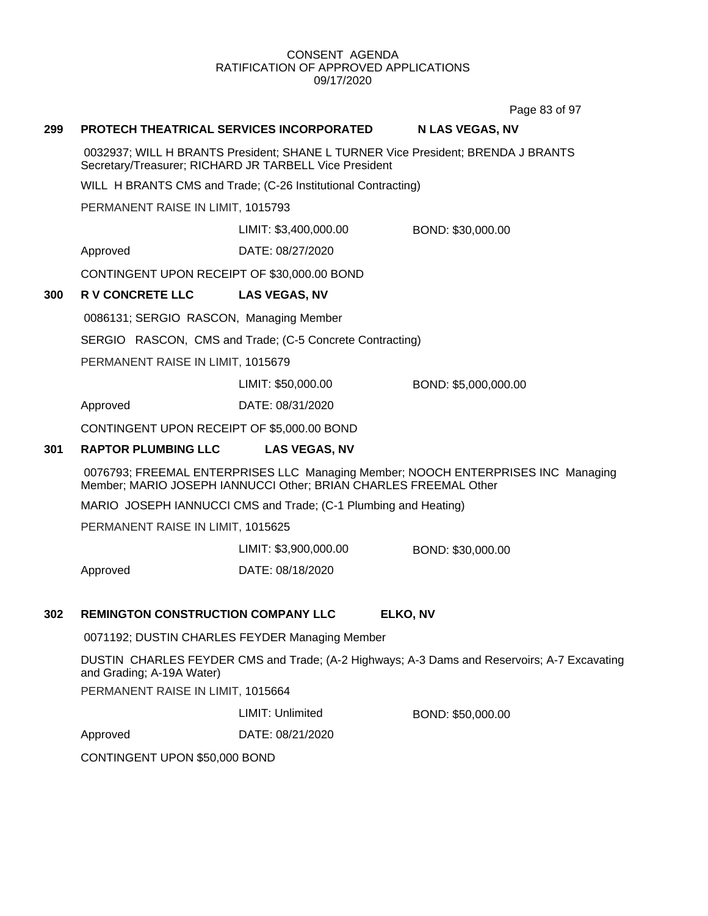Page 83 of 97

#### **299 PROTECH THEATRICAL SERVICES INCORPORATED N LAS VEGAS, NV**

0032937; WILL H BRANTS President; SHANE L TURNER Vice President; BRENDA J BRANTS Secretary/Treasurer; RICHARD JR TARBELL Vice President

WILL H BRANTS CMS and Trade; (C-26 Institutional Contracting)

PERMANENT RAISE IN LIMIT, 1015793

LIMIT: \$3,400,000.00 BOND: \$30,000.00

Approved DATE: 08/27/2020

CONTINGENT UPON RECEIPT OF \$30,000.00 BOND

#### **300 R V CONCRETE LLC LAS VEGAS, NV**

0086131; SERGIO RASCON, Managing Member

SERGIO RASCON, CMS and Trade; (C-5 Concrete Contracting)

PERMANENT RAISE IN LIMIT, 1015679

LIMIT: \$50,000.00 BOND: \$5,000,000.00

Approved DATE: 08/31/2020

CONTINGENT UPON RECEIPT OF \$5,000.00 BOND

#### **301 RAPTOR PLUMBING LLC LAS VEGAS, NV**

0076793; FREEMAL ENTERPRISES LLC Managing Member; NOOCH ENTERPRISES INC Managing Member; MARIO JOSEPH IANNUCCI Other; BRIAN CHARLES FREEMAL Other

MARIO JOSEPH IANNUCCI CMS and Trade; (C-1 Plumbing and Heating)

PERMANENT RAISE IN LIMIT, 1015625

Approved DATE: 08/18/2020 LIMIT: \$3,900,000.00 BOND: \$30,000.00

#### **302 REMINGTON CONSTRUCTION COMPANY LLC ELKO, NV**

0071192; DUSTIN CHARLES FEYDER Managing Member

DUSTIN CHARLES FEYDER CMS and Trade; (A-2 Highways; A-3 Dams and Reservoirs; A-7 Excavating and Grading; A-19A Water)

PERMANENT RAISE IN LIMIT, 1015664

LIMIT: Unlimited BOND: \$50,000.00

Approved DATE: 08/21/2020

CONTINGENT UPON \$50,000 BOND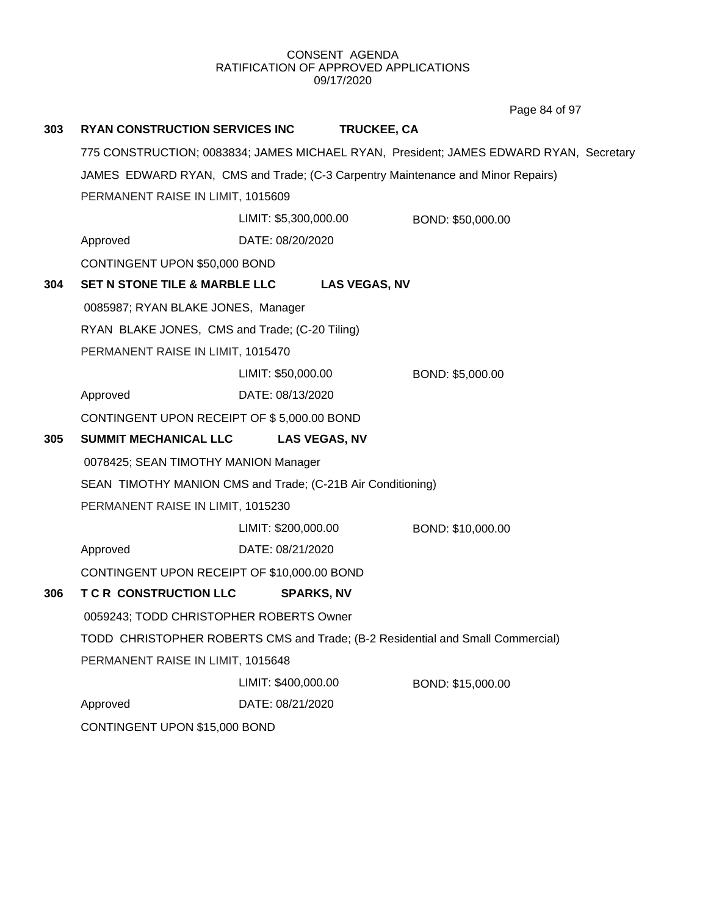**303 RYAN CONSTRUCTION SERVICES INC TRUCKEE, CA** 775 CONSTRUCTION; 0083834; JAMES MICHAEL RYAN, President; JAMES EDWARD RYAN, Secretary JAMES EDWARD RYAN, CMS and Trade; (C-3 Carpentry Maintenance and Minor Repairs) PERMANENT RAISE IN LIMIT, 1015609 Approved DATE: 08/20/2020 LIMIT: \$5,300,000.00 BOND: \$50,000.00 CONTINGENT UPON \$50,000 BOND **304 SET N STONE TILE & MARBLE LLC LAS VEGAS, NV** 0085987; RYAN BLAKE JONES, Manager RYAN BLAKE JONES, CMS and Trade; (C-20 Tiling) PERMANENT RAISE IN LIMIT, 1015470 Approved DATE: 08/13/2020 LIMIT: \$50,000.00 BOND: \$5,000.00 CONTINGENT UPON RECEIPT OF \$ 5,000.00 BOND **305 SUMMIT MECHANICAL LLC LAS VEGAS, NV** 0078425; SEAN TIMOTHY MANION Manager SEAN TIMOTHY MANION CMS and Trade; (C-21B Air Conditioning) PERMANENT RAISE IN LIMIT, 1015230 Approved DATE: 08/21/2020 LIMIT: \$200,000.00 BOND: \$10,000.00 CONTINGENT UPON RECEIPT OF \$10,000.00 BOND **306 T C R CONSTRUCTION LLC SPARKS, NV** 0059243; TODD CHRISTOPHER ROBERTS Owner TODD CHRISTOPHER ROBERTS CMS and Trade; (B-2 Residential and Small Commercial) PERMANENT RAISE IN LIMIT, 1015648 Approved DATE: 08/21/2020 LIMIT: \$400,000.00 BOND: \$15,000.00 CONTINGENT UPON \$15,000 BOND Page 84 of 97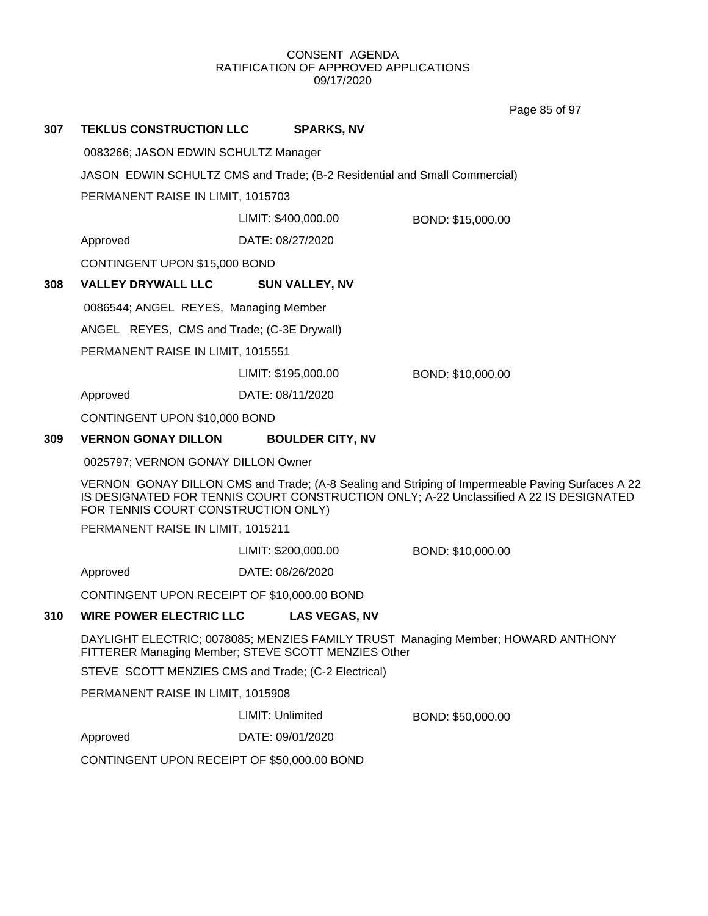Page 85 of 97

## **307 TEKLUS CONSTRUCTION LLC SPARKS, NV**

0083266; JASON EDWIN SCHULTZ Manager

JASON EDWIN SCHULTZ CMS and Trade; (B-2 Residential and Small Commercial)

PERMANENT RAISE IN LIMIT, 1015703

LIMIT: \$400,000.00 BOND: \$15,000.00

Approved DATE: 08/27/2020

CONTINGENT UPON \$15,000 BOND

## **308 VALLEY DRYWALL LLC SUN VALLEY, NV**

0086544; ANGEL REYES, Managing Member

ANGEL REYES, CMS and Trade; (C-3E Drywall)

PERMANENT RAISE IN LIMIT, 1015551

LIMIT: \$195,000.00 BOND: \$10,000.00

Approved DATE: 08/11/2020

CONTINGENT UPON \$10,000 BOND

## **309 VERNON GONAY DILLON BOULDER CITY, NV**

0025797; VERNON GONAY DILLON Owner

VERNON GONAY DILLON CMS and Trade; (A-8 Sealing and Striping of Impermeable Paving Surfaces A 22 IS DESIGNATED FOR TENNIS COURT CONSTRUCTION ONLY; A-22 Unclassified A 22 IS DESIGNATED FOR TENNIS COURT CONSTRUCTION ONLY)

PERMANENT RAISE IN LIMIT, 1015211

LIMIT: \$200,000.00 BOND: \$10,000.00

Approved DATE: 08/26/2020

CONTINGENT UPON RECEIPT OF \$10,000.00 BOND

## **310 WIRE POWER ELECTRIC LLC LAS VEGAS, NV**

DAYLIGHT ELECTRIC; 0078085; MENZIES FAMILY TRUST Managing Member; HOWARD ANTHONY FITTERER Managing Member; STEVE SCOTT MENZIES Other

STEVE SCOTT MENZIES CMS and Trade; (C-2 Electrical)

PERMANENT RAISE IN LIMIT, 1015908

LIMIT: Unlimited BOND: \$50,000.00

Approved DATE: 09/01/2020

CONTINGENT UPON RECEIPT OF \$50,000.00 BOND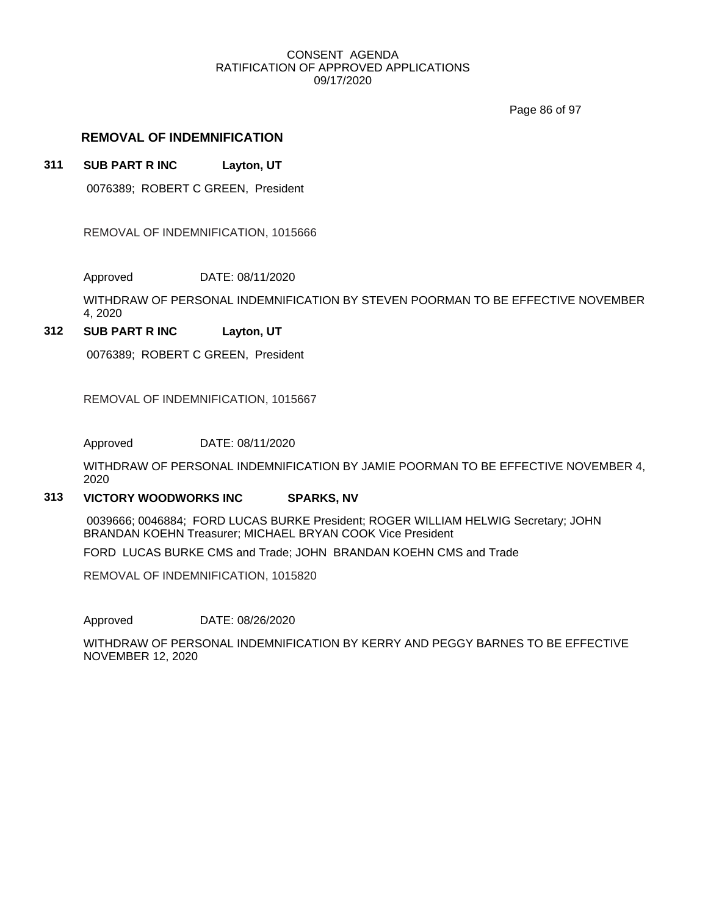Page 86 of 97

## **REMOVAL OF INDEMNIFICATION**

## **311 SUB PART R INC Layton, UT**

0076389; ROBERT C GREEN, President

REMOVAL OF INDEMNIFICATION, 1015666

Approved DATE: 08/11/2020

WITHDRAW OF PERSONAL INDEMNIFICATION BY STEVEN POORMAN TO BE EFFECTIVE NOVEMBER 4, 2020

## **312 SUB PART R INC Layton, UT**

0076389; ROBERT C GREEN, President

REMOVAL OF INDEMNIFICATION, 1015667

Approved DATE: 08/11/2020

WITHDRAW OF PERSONAL INDEMNIFICATION BY JAMIE POORMAN TO BE EFFECTIVE NOVEMBER 4, 2020

### **313 VICTORY WOODWORKS INC SPARKS, NV**

0039666; 0046884; FORD LUCAS BURKE President; ROGER WILLIAM HELWIG Secretary; JOHN BRANDAN KOEHN Treasurer; MICHAEL BRYAN COOK Vice President

FORD LUCAS BURKE CMS and Trade; JOHN BRANDAN KOEHN CMS and Trade

REMOVAL OF INDEMNIFICATION, 1015820

Approved DATE: 08/26/2020

WITHDRAW OF PERSONAL INDEMNIFICATION BY KERRY AND PEGGY BARNES TO BE EFFECTIVE NOVEMBER 12, 2020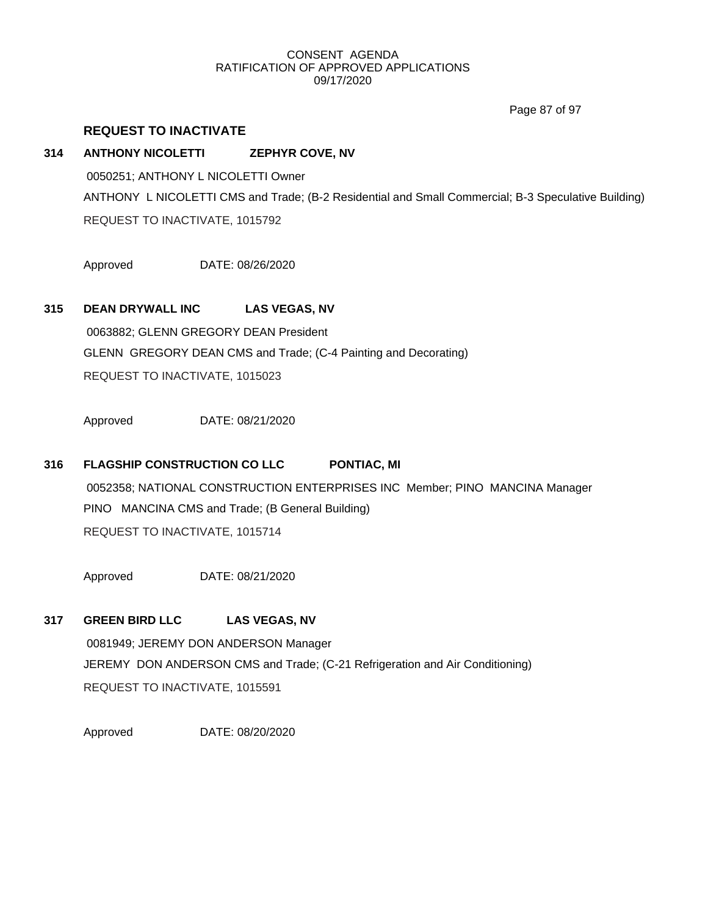Page 87 of 97

## **REQUEST TO INACTIVATE**

## **314 ANTHONY NICOLETTI ZEPHYR COVE, NV**

0050251; ANTHONY L NICOLETTI Owner ANTHONY L NICOLETTI CMS and Trade; (B-2 Residential and Small Commercial; B-3 Speculative Building) REQUEST TO INACTIVATE, 1015792

Approved DATE: 08/26/2020

## **315 DEAN DRYWALL INC LAS VEGAS, NV**

0063882; GLENN GREGORY DEAN President GLENN GREGORY DEAN CMS and Trade; (C-4 Painting and Decorating) REQUEST TO INACTIVATE, 1015023

Approved DATE: 08/21/2020

## **316 FLAGSHIP CONSTRUCTION CO LLC PONTIAC, MI**

0052358; NATIONAL CONSTRUCTION ENTERPRISES INC Member; PINO MANCINA Manager PINO MANCINA CMS and Trade; (B General Building) REQUEST TO INACTIVATE, 1015714

Approved DATE: 08/21/2020

## **317 GREEN BIRD LLC LAS VEGAS, NV** 0081949; JEREMY DON ANDERSON Manager JEREMY DON ANDERSON CMS and Trade; (C-21 Refrigeration and Air Conditioning) REQUEST TO INACTIVATE, 1015591

Approved DATE: 08/20/2020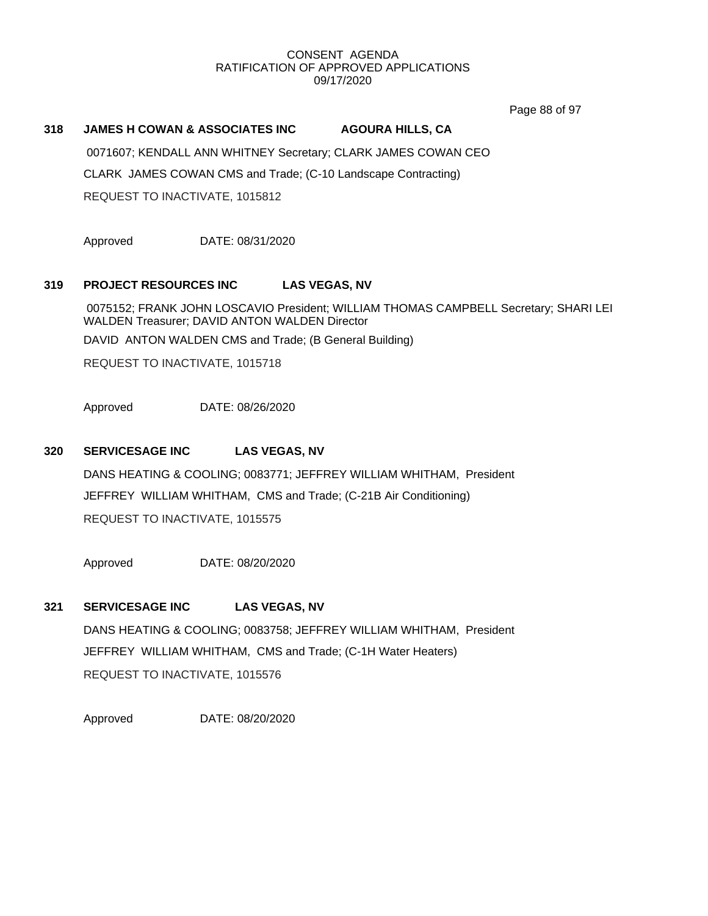Page 88 of 97

## **318 JAMES H COWAN & ASSOCIATES INC AGOURA HILLS, CA**

0071607; KENDALL ANN WHITNEY Secretary; CLARK JAMES COWAN CEO CLARK JAMES COWAN CMS and Trade; (C-10 Landscape Contracting) REQUEST TO INACTIVATE, 1015812

Approved DATE: 08/31/2020

## **319 PROJECT RESOURCES INC LAS VEGAS, NV**

0075152; FRANK JOHN LOSCAVIO President; WILLIAM THOMAS CAMPBELL Secretary; SHARI LEI WALDEN Treasurer; DAVID ANTON WALDEN Director DAVID ANTON WALDEN CMS and Trade; (B General Building) REQUEST TO INACTIVATE, 1015718

Approved DATE: 08/26/2020

## **320 SERVICESAGE INC LAS VEGAS, NV**

DANS HEATING & COOLING; 0083771; JEFFREY WILLIAM WHITHAM, President JEFFREY WILLIAM WHITHAM, CMS and Trade; (C-21B Air Conditioning) REQUEST TO INACTIVATE, 1015575

Approved DATE: 08/20/2020

## **321 SERVICESAGE INC LAS VEGAS, NV**

DANS HEATING & COOLING; 0083758; JEFFREY WILLIAM WHITHAM, President JEFFREY WILLIAM WHITHAM, CMS and Trade; (C-1H Water Heaters) REQUEST TO INACTIVATE, 1015576

Approved DATE: 08/20/2020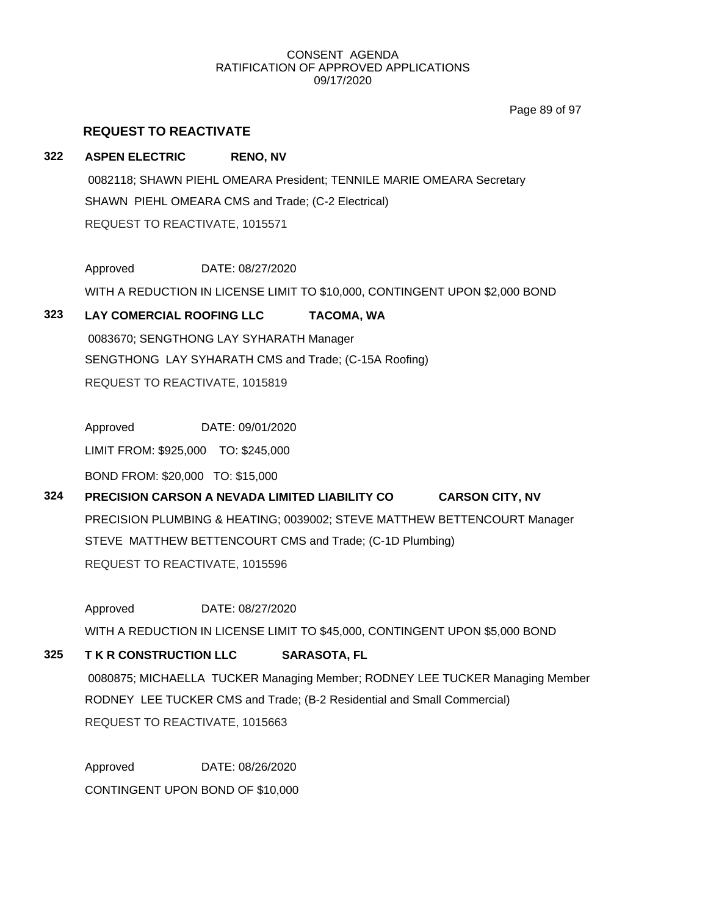Page 89 of 97

## **REQUEST TO REACTIVATE**

## **322 ASPEN ELECTRIC RENO, NV** 0082118; SHAWN PIEHL OMEARA President; TENNILE MARIE OMEARA Secretary SHAWN PIEHL OMEARA CMS and Trade; (C-2 Electrical) REQUEST TO REACTIVATE, 1015571

Approved DATE: 08/27/2020 WITH A REDUCTION IN LICENSE LIMIT TO \$10,000, CONTINGENT UPON \$2,000 BOND

## **323 LAY COMERCIAL ROOFING LLC TACOMA, WA**

0083670; SENGTHONG LAY SYHARATH Manager SENGTHONG LAY SYHARATH CMS and Trade; (C-15A Roofing) REQUEST TO REACTIVATE, 1015819

Approved DATE: 09/01/2020

LIMIT FROM: \$925,000 TO: \$245,000

BOND FROM: \$20,000 TO: \$15,000

## **324 PRECISION CARSON A NEVADA LIMITED LIABILITY CO CARSON CITY, NV**

PRECISION PLUMBING & HEATING; 0039002; STEVE MATTHEW BETTENCOURT Manager STEVE MATTHEW BETTENCOURT CMS and Trade; (C-1D Plumbing) REQUEST TO REACTIVATE, 1015596

Approved DATE: 08/27/2020

WITH A REDUCTION IN LICENSE LIMIT TO \$45,000, CONTINGENT UPON \$5,000 BOND

## **325 T K R CONSTRUCTION LLC SARASOTA, FL**

0080875; MICHAELLA TUCKER Managing Member; RODNEY LEE TUCKER Managing Member RODNEY LEE TUCKER CMS and Trade; (B-2 Residential and Small Commercial) REQUEST TO REACTIVATE, 1015663

Approved DATE: 08/26/2020 CONTINGENT UPON BOND OF \$10,000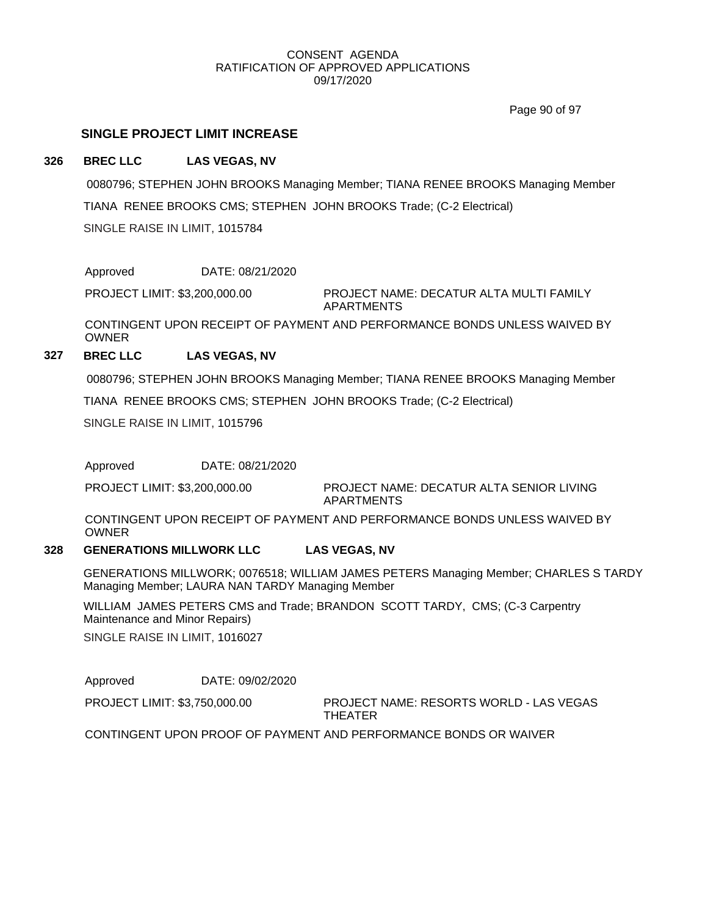Page 90 of 97

## **SINGLE PROJECT LIMIT INCREASE**

### **326 BREC LLC LAS VEGAS, NV**

0080796; STEPHEN JOHN BROOKS Managing Member; TIANA RENEE BROOKS Managing Member TIANA RENEE BROOKS CMS; STEPHEN JOHN BROOKS Trade; (C-2 Electrical) SINGLE RAISE IN LIMIT, 1015784

Approved DATE: 08/21/2020

PROJECT LIMIT: \$3,200,000.00

PROJECT NAME: DECATUR ALTA MULTI FAMILY APARTMENTS

CONTINGENT UPON RECEIPT OF PAYMENT AND PERFORMANCE BONDS UNLESS WAIVED BY OWNER

## **327 BREC LLC LAS VEGAS, NV**

0080796; STEPHEN JOHN BROOKS Managing Member; TIANA RENEE BROOKS Managing Member

TIANA RENEE BROOKS CMS; STEPHEN JOHN BROOKS Trade; (C-2 Electrical)

SINGLE RAISE IN LIMIT, 1015796

Approved DATE: 08/21/2020

PROJECT NAME: DECATUR ALTA SENIOR LIVING APARTMENTS PROJECT LIMIT: \$3,200,000.00

CONTINGENT UPON RECEIPT OF PAYMENT AND PERFORMANCE BONDS UNLESS WAIVED BY OWNER

#### **328 GENERATIONS MILLWORK LLC LAS VEGAS, NV**

GENERATIONS MILLWORK; 0076518; WILLIAM JAMES PETERS Managing Member; CHARLES S TARDY Managing Member; LAURA NAN TARDY Managing Member

WILLIAM JAMES PETERS CMS and Trade; BRANDON SCOTT TARDY, CMS; (C-3 Carpentry Maintenance and Minor Repairs)

SINGLE RAISE IN LIMIT, 1016027

Approved DATE: 09/02/2020

PROJECT LIMIT: \$3,750,000.00

PROJECT NAME: RESORTS WORLD - LAS VEGAS THEATER

CONTINGENT UPON PROOF OF PAYMENT AND PERFORMANCE BONDS OR WAIVER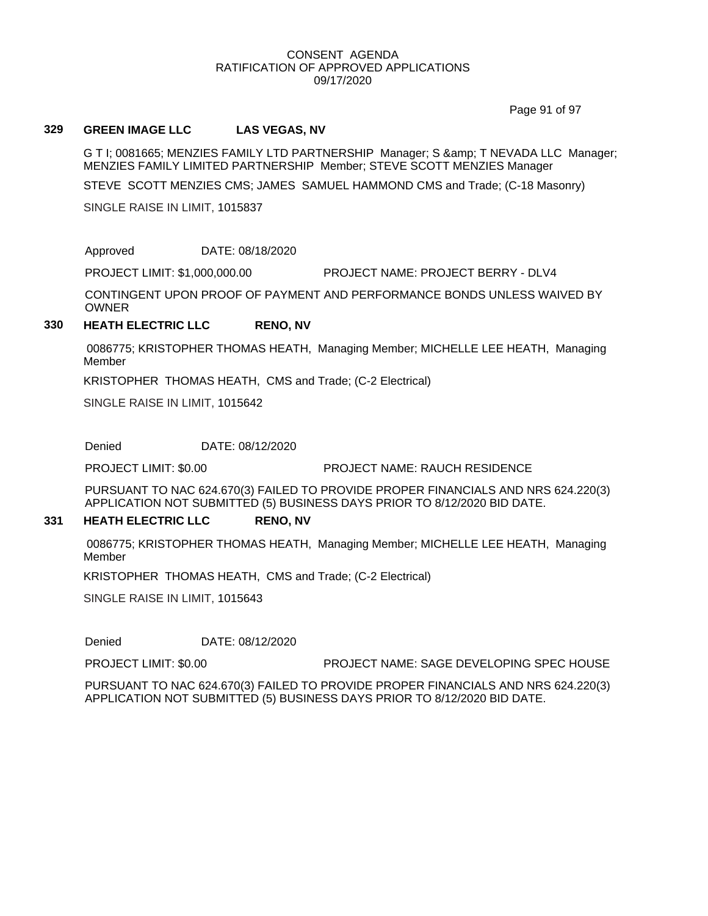Page 91 of 97

#### **329 GREEN IMAGE LLC LAS VEGAS, NV**

G T I; 0081665; MENZIES FAMILY LTD PARTNERSHIP Manager; S & amp; T NEVADA LLC Manager; MENZIES FAMILY LIMITED PARTNERSHIP Member; STEVE SCOTT MENZIES Manager

STEVE SCOTT MENZIES CMS; JAMES SAMUEL HAMMOND CMS and Trade; (C-18 Masonry)

SINGLE RAISE IN LIMIT, 1015837

Approved DATE: 08/18/2020

PROJECT LIMIT: \$1,000,000.00 PROJECT NAME: PROJECT BERRY - DLV4

CONTINGENT UPON PROOF OF PAYMENT AND PERFORMANCE BONDS UNLESS WAIVED BY OWNER

## **330 HEATH ELECTRIC LLC RENO, NV**

0086775; KRISTOPHER THOMAS HEATH, Managing Member; MICHELLE LEE HEATH, Managing Member

KRISTOPHER THOMAS HEATH, CMS and Trade; (C-2 Electrical)

SINGLE RAISE IN LIMIT, 1015642

Denied DATE: 08/12/2020

PROJECT LIMIT: \$0.00 PROJECT NAME: RAUCH RESIDENCE

PURSUANT TO NAC 624.670(3) FAILED TO PROVIDE PROPER FINANCIALS AND NRS 624.220(3) APPLICATION NOT SUBMITTED (5) BUSINESS DAYS PRIOR TO 8/12/2020 BID DATE.

#### **331 HEATH ELECTRIC LLC RENO, NV**

0086775; KRISTOPHER THOMAS HEATH, Managing Member; MICHELLE LEE HEATH, Managing Member

KRISTOPHER THOMAS HEATH, CMS and Trade; (C-2 Electrical)

SINGLE RAISE IN LIMIT, 1015643

Denied DATE: 08/12/2020

PROJECT LIMIT: \$0.00 PROJECT NAME: SAGE DEVELOPING SPEC HOUSE

PURSUANT TO NAC 624.670(3) FAILED TO PROVIDE PROPER FINANCIALS AND NRS 624.220(3) APPLICATION NOT SUBMITTED (5) BUSINESS DAYS PRIOR TO 8/12/2020 BID DATE.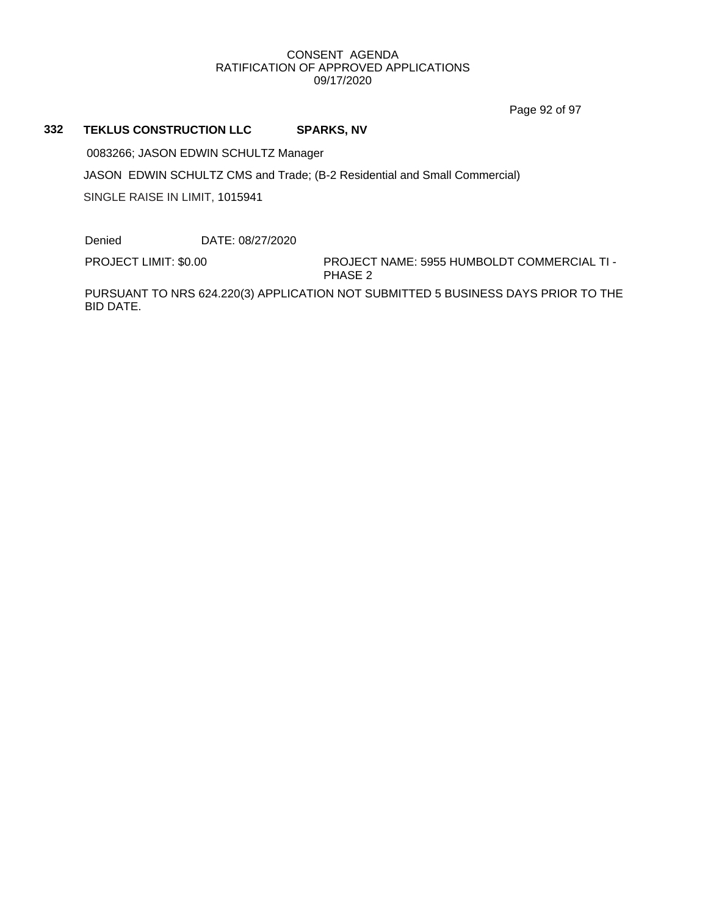Page 92 of 97

## **332 TEKLUS CONSTRUCTION LLC SPARKS, NV**

0083266; JASON EDWIN SCHULTZ Manager

JASON EDWIN SCHULTZ CMS and Trade; (B-2 Residential and Small Commercial)

SINGLE RAISE IN LIMIT, 1015941

Denied DATE: 08/27/2020

PROJECT LIMIT: \$0.00

PROJECT NAME: 5955 HUMBOLDT COMMERCIAL TI - PHASE 2

PURSUANT TO NRS 624.220(3) APPLICATION NOT SUBMITTED 5 BUSINESS DAYS PRIOR TO THE BID DATE.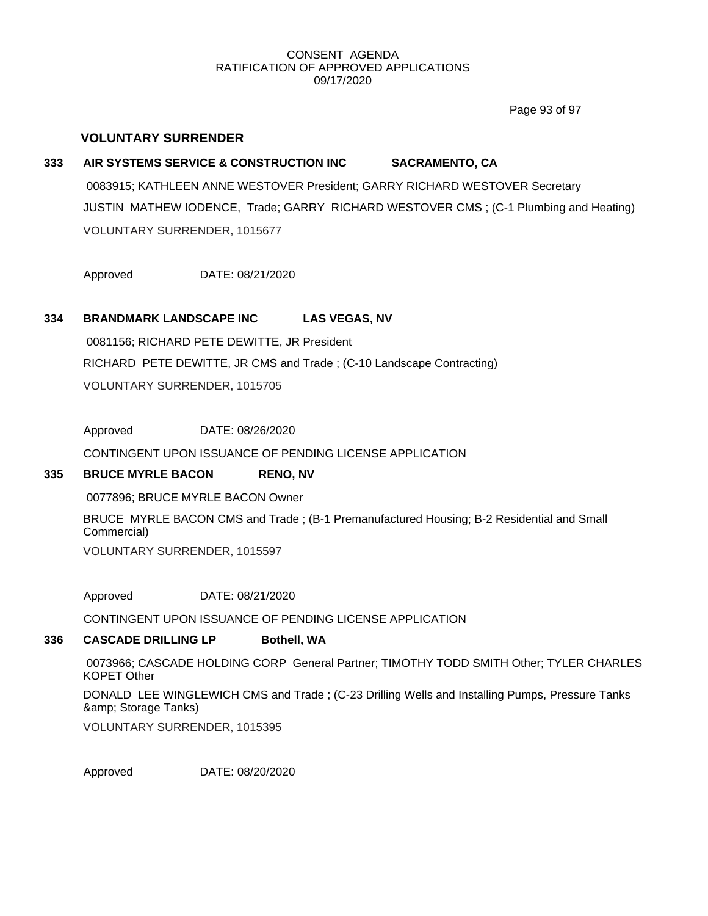Page 93 of 97

## **VOLUNTARY SURRENDER**

# **333 AIR SYSTEMS SERVICE & CONSTRUCTION INC SACRAMENTO, CA** 0083915; KATHLEEN ANNE WESTOVER President; GARRY RICHARD WESTOVER Secretary JUSTIN MATHEW IODENCE, Trade; GARRY RICHARD WESTOVER CMS ; (C-1 Plumbing and Heating) VOLUNTARY SURRENDER, 1015677

Approved DATE: 08/21/2020

## **334 BRANDMARK LANDSCAPE INC LAS VEGAS, NV**

0081156; RICHARD PETE DEWITTE, JR President RICHARD PETE DEWITTE, JR CMS and Trade ; (C-10 Landscape Contracting) VOLUNTARY SURRENDER, 1015705

Approved DATE: 08/26/2020

CONTINGENT UPON ISSUANCE OF PENDING LICENSE APPLICATION

## **335 BRUCE MYRLE BACON RENO, NV**

0077896; BRUCE MYRLE BACON Owner

BRUCE MYRLE BACON CMS and Trade ; (B-1 Premanufactured Housing; B-2 Residential and Small Commercial)

VOLUNTARY SURRENDER, 1015597

Approved DATE: 08/21/2020

CONTINGENT UPON ISSUANCE OF PENDING LICENSE APPLICATION

### **336 CASCADE DRILLING LP Bothell, WA**

0073966; CASCADE HOLDING CORP General Partner; TIMOTHY TODD SMITH Other; TYLER CHARLES KOPET Other DONALD LEE WINGLEWICH CMS and Trade ; (C-23 Drilling Wells and Installing Pumps, Pressure Tanks

& amp; Storage Tanks)

VOLUNTARY SURRENDER, 1015395

Approved DATE: 08/20/2020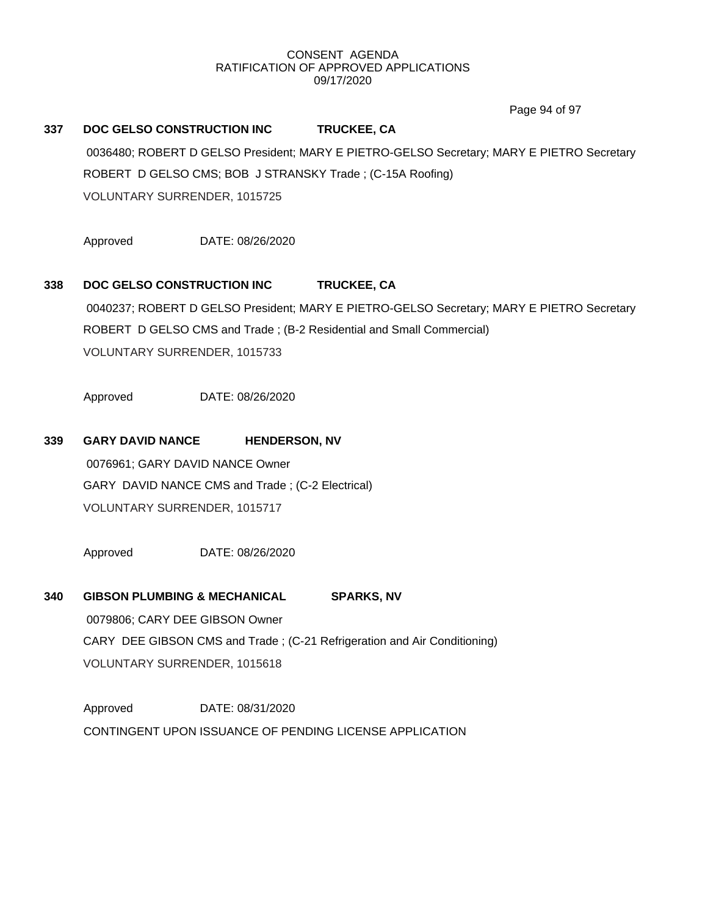Page 94 of 97

## **337 DOC GELSO CONSTRUCTION INC TRUCKEE, CA**

0036480; ROBERT D GELSO President; MARY E PIETRO-GELSO Secretary; MARY E PIETRO Secretary ROBERT D GELSO CMS; BOB J STRANSKY Trade ; (C-15A Roofing) VOLUNTARY SURRENDER, 1015725

Approved DATE: 08/26/2020

## **338 DOC GELSO CONSTRUCTION INC TRUCKEE, CA**

0040237; ROBERT D GELSO President; MARY E PIETRO-GELSO Secretary; MARY E PIETRO Secretary ROBERT D GELSO CMS and Trade ; (B-2 Residential and Small Commercial) VOLUNTARY SURRENDER, 1015733

Approved DATE: 08/26/2020

## **339 GARY DAVID NANCE HENDERSON, NV**

0076961; GARY DAVID NANCE Owner GARY DAVID NANCE CMS and Trade ; (C-2 Electrical) VOLUNTARY SURRENDER, 1015717

Approved DATE: 08/26/2020

## **340 GIBSON PLUMBING & MECHANICAL SPARKS, NV**

0079806; CARY DEE GIBSON Owner CARY DEE GIBSON CMS and Trade ; (C-21 Refrigeration and Air Conditioning) VOLUNTARY SURRENDER, 1015618

Approved DATE: 08/31/2020 CONTINGENT UPON ISSUANCE OF PENDING LICENSE APPLICATION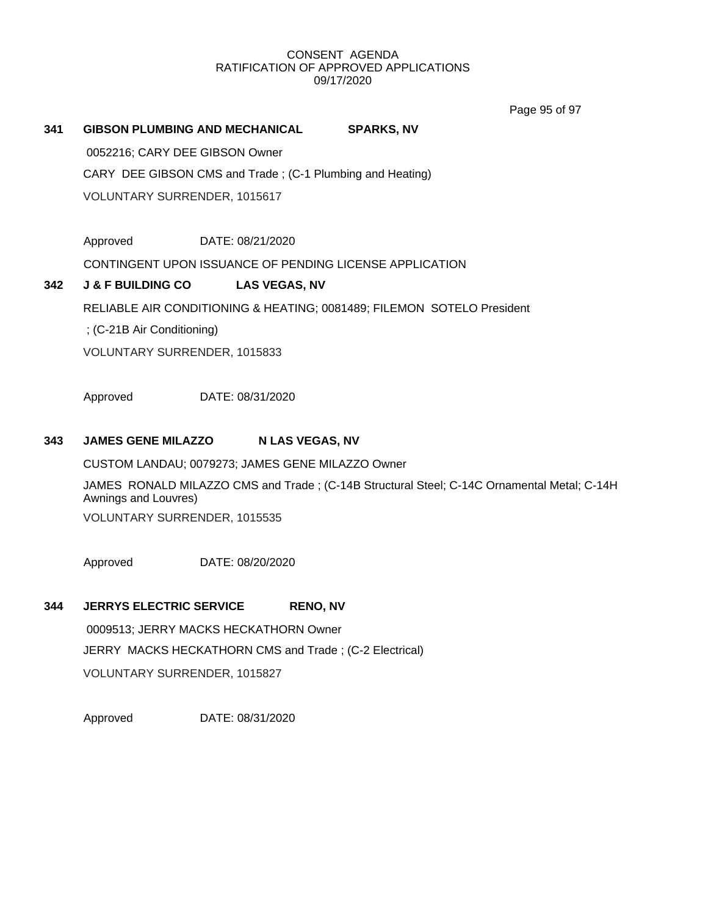Page 95 of 97

## **341 GIBSON PLUMBING AND MECHANICAL SPARKS, NV** 0052216; CARY DEE GIBSON Owner CARY DEE GIBSON CMS and Trade ; (C-1 Plumbing and Heating) VOLUNTARY SURRENDER, 1015617

Approved DATE: 08/21/2020

CONTINGENT UPON ISSUANCE OF PENDING LICENSE APPLICATION

## **342 J & F BUILDING CO LAS VEGAS, NV**

RELIABLE AIR CONDITIONING & HEATING; 0081489; FILEMON SOTELO President

; (C-21B Air Conditioning)

VOLUNTARY SURRENDER, 1015833

Approved DATE: 08/31/2020

## **343 JAMES GENE MILAZZO N LAS VEGAS, NV**

CUSTOM LANDAU; 0079273; JAMES GENE MILAZZO Owner

JAMES RONALD MILAZZO CMS and Trade ; (C-14B Structural Steel; C-14C Ornamental Metal; C-14H Awnings and Louvres)

VOLUNTARY SURRENDER, 1015535

Approved DATE: 08/20/2020

## **344 JERRYS ELECTRIC SERVICE RENO, NV**

0009513; JERRY MACKS HECKATHORN Owner JERRY MACKS HECKATHORN CMS and Trade ; (C-2 Electrical) VOLUNTARY SURRENDER, 1015827

Approved DATE: 08/31/2020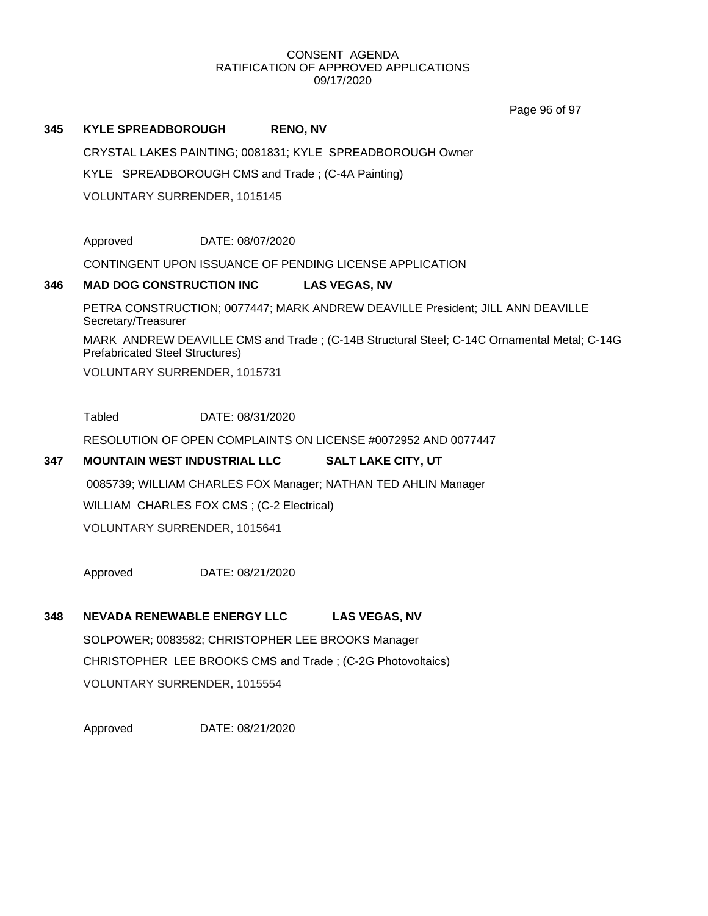Page 96 of 97

## **345 KYLE SPREADBOROUGH RENO, NV**

CRYSTAL LAKES PAINTING; 0081831; KYLE SPREADBOROUGH Owner

KYLE SPREADBOROUGH CMS and Trade ; (C-4A Painting)

VOLUNTARY SURRENDER, 1015145

Approved DATE: 08/07/2020

CONTINGENT UPON ISSUANCE OF PENDING LICENSE APPLICATION

## **346 MAD DOG CONSTRUCTION INC LAS VEGAS, NV**

PETRA CONSTRUCTION; 0077447; MARK ANDREW DEAVILLE President; JILL ANN DEAVILLE Secretary/Treasurer

MARK ANDREW DEAVILLE CMS and Trade ; (C-14B Structural Steel; C-14C Ornamental Metal; C-14G Prefabricated Steel Structures)

VOLUNTARY SURRENDER, 1015731

Tabled DATE: 08/31/2020

RESOLUTION OF OPEN COMPLAINTS ON LICENSE #0072952 AND 0077447

## **347 MOUNTAIN WEST INDUSTRIAL LLC SALT LAKE CITY, UT**

0085739; WILLIAM CHARLES FOX Manager; NATHAN TED AHLIN Manager

WILLIAM CHARLES FOX CMS ; (C-2 Electrical)

VOLUNTARY SURRENDER, 1015641

Approved DATE: 08/21/2020

## **348 NEVADA RENEWABLE ENERGY LLC LAS VEGAS, NV**

SOLPOWER; 0083582; CHRISTOPHER LEE BROOKS Manager CHRISTOPHER LEE BROOKS CMS and Trade ; (C-2G Photovoltaics) VOLUNTARY SURRENDER, 1015554

Approved DATE: 08/21/2020